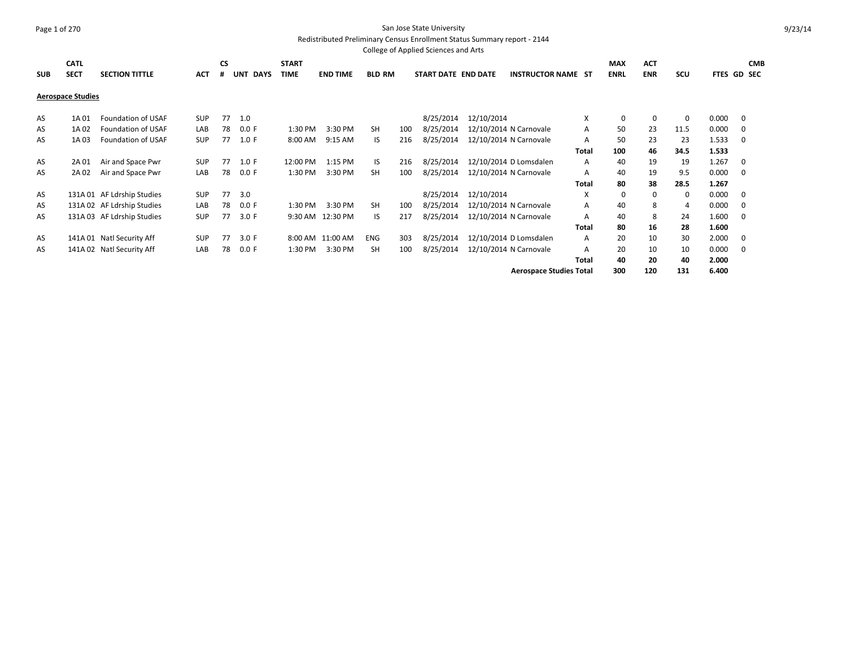#### Page 1 of 270 San Jose State University Redistributed Preliminary Census Enrollment Status Summary report - 2144

College of Applied Sciences and Arts **SUB CATL SECT SECTION TITTLE ACT CS # UNT DAYS START TIME END TIME BLD RM START DATE END DATE INSTRUCTOR NAME ST MAX ENRL ACT ENR SCU FTES GD SEC CMB Aerospace Studies** AS 1A 01 Foundation of USAF SUP 77 1.0 6 and 10 and 12/10/2014 12/10/2014 12/10/2014 X 0 0 0 0.000 0 AS 1A 02 Foundation of USAF LAB 78 0.0 F 1:30 PM 3:30 PM SH 100 8/25/2014 12/10/2014 N Carnovale A 50 23 11.5 0.000 0 AS 1A 03 Foundation of USAF SUP 77 1.0 F 8:00 AM 9:15 AM IS 216 8/25/2014 12/10/2014 N Carnovale A 50 23 23 1.533 0 **Total 100 46 34.5 1.533** AS 2A 01 Air and Space Pwr SUP 77 1.0 F 12:00 PM 1:15 PM IS 216 8/25/2014 12/10/2014 D Lomsdalen A 40 19 19 1.267 0 AS 2A 02 Air and Space Pwr LAB 78 0.0 F 1:30 PM 3:30 PM SH 100 8/25/2014 12/10/2014 N Carnovale A 40 19 9.5 0.000 0 **Total 80 38 28.5 1.267** AS 131A 01 AF Ldrship Studies SUP 77 3.0 68/25/2014 12/10/2014 12/10/2014 X 0 0 0 0.000 0 AS 131A 02 AF Ldrship Studies LAB 78 0.0 F 1:30 PM 3:30 PM SH 100 8/25/2014 12/10/2014 N Carnovale A 40 8 4 0.000 0 AS 131A 03 AF Ldrship Studies SUP 77 3.0 F 9:30 AM 12:30 PM IS 217 8/25/2014 12/10/2014 N Carnovale A 40 8 24 1.600 0 **Total 80 16 28 1.600** AS 141A 01 Natl Security Aff SUP 77 3.0 F 8:00 AM 11:00 AM ENG 303 8/25/2014 12/10/2014 D Lomsdalen A 20 10 30 2.000 0 AS 141A 02 Natl Security Aff LAB 78 0.0 F 1:30 PM 3:30 PM SH 100 8/25/2014 12/10/2014 N Carnovale A 20 10 10 0.000 0 **Total 40 20 40 2.000 Aerospace Studies Total 300 120 131 6.400**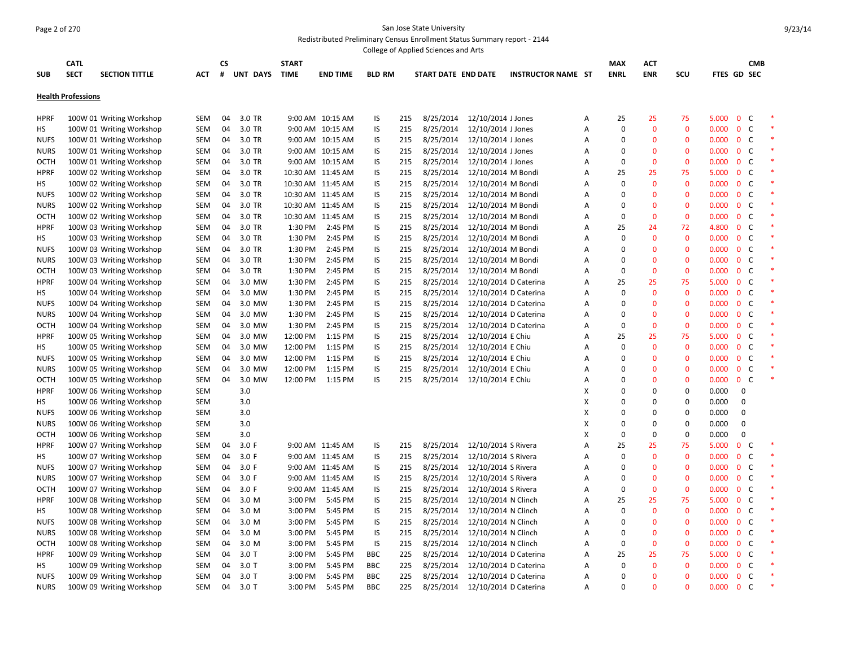#### Page 2 of 270 San Jose State University Redistributed Preliminary Census Enrollment Status Summary report - 2144

|                     |                           |                          |                          |          |                  |              |                   |               |            | College of Applied Sciences and Arts |                                          |                           |                |                |                |                    |                |                              |                  |  |
|---------------------|---------------------------|--------------------------|--------------------------|----------|------------------|--------------|-------------------|---------------|------------|--------------------------------------|------------------------------------------|---------------------------|----------------|----------------|----------------|--------------------|----------------|------------------------------|------------------|--|
|                     | <b>CATL</b>               |                          |                          | CS       |                  | <b>START</b> |                   |               |            |                                      |                                          |                           |                | <b>MAX</b>     | <b>ACT</b>     |                    |                |                              | <b>CMB</b>       |  |
| <b>SUB</b>          | <b>SECT</b>               | <b>SECTION TITTLE</b>    | <b>ACT</b>               | #        | UNT DAYS         | <b>TIME</b>  | <b>END TIME</b>   | <b>BLD RM</b> |            | START DATE END DATE                  |                                          | <b>INSTRUCTOR NAME ST</b> |                | <b>ENRL</b>    | <b>ENR</b>     | scu                | FTES GD SEC    |                              |                  |  |
|                     | <b>Health Professions</b> |                          |                          |          |                  |              |                   |               |            |                                      |                                          |                           |                |                |                |                    |                |                              |                  |  |
|                     |                           |                          |                          |          |                  |              |                   |               |            |                                      |                                          |                           |                |                |                |                    |                |                              |                  |  |
| <b>HPRF</b>         |                           | 100W 01 Writing Workshop | SEM                      | 04       | 3.0 TR           |              | 9:00 AM 10:15 AM  | IS            | 215        | 8/25/2014                            | 12/10/2014 J Jones                       |                           | Α              | 25<br>$\Omega$ | 25             | 75<br>$\mathbf{0}$ | 5.000          | $\mathbf{0}$                 | C<br>$\mathsf C$ |  |
| HS<br><b>NUFS</b>   |                           | 100W 01 Writing Workshop | SEM<br>SEM               | 04<br>04 | 3.0 TR<br>3.0 TR |              | 9:00 AM 10:15 AM  | IS<br>IS      | 215<br>215 | 8/25/2014                            | 12/10/2014 J Jones                       |                           | A<br>Α         | $\Omega$       | 0<br>0         | $\mathbf 0$        | 0.000<br>0.000 | $\mathbf 0$<br>$\mathbf 0$   | C                |  |
|                     |                           | 100W 01 Writing Workshop |                          | 04       |                  |              | 9:00 AM 10:15 AM  | IS            | 215        | 8/25/2014                            | 12/10/2014 J Jones                       |                           | A              | $\Omega$       | $\overline{0}$ | $\mathbf{0}$       | 0.000          |                              | $\mathsf{C}$     |  |
| <b>NURS</b><br>OCTH |                           | 100W 01 Writing Workshop | SEM<br>SEM               | 04       | 3.0 TR<br>3.0 TR |              | 9:00 AM 10:15 AM  | IS            | 215        | 8/25/2014<br>8/25/2014               | 12/10/2014 J Jones<br>12/10/2014 J Jones |                           | Α              | $\Omega$       | 0              | $\mathbf 0$        | 0.000          | $\mathbf{0}$<br>$\mathbf{0}$ | C                |  |
|                     |                           | 100W 01 Writing Workshop |                          | 04       | 3.0 TR           |              | 9:00 AM 10:15 AM  | IS            | 215        |                                      |                                          |                           | A              | 25             | 25             | 75                 | 5.000          | $\mathbf 0$                  | C                |  |
| <b>HPRF</b>         |                           | 100W 02 Writing Workshop | SEM                      | 04       | 3.0 TR           |              | 10:30 AM 11:45 AM |               | 215        | 8/25/2014                            | 12/10/2014 M Bondi                       |                           | A              | $\Omega$       | $\overline{0}$ | $\mathbf{0}$       | 0.000          |                              | $\mathsf{C}$     |  |
| НS                  |                           | 100W 02 Writing Workshop | SEM                      | 04       | 3.0 TR           |              | 10:30 AM 11:45 AM | IS            |            | 8/25/2014                            | 12/10/2014 M Bondi                       |                           |                | $\Omega$       | 0              | $\mathbf{0}$       |                | $\bf{0}$<br>$\mathbf 0$      | C                |  |
| <b>NUFS</b>         |                           | 100W 02 Writing Workshop | <b>SEM</b><br><b>SEM</b> | 04       | 3.0 TR           |              | 10:30 AM 11:45 AM | IS            | 215<br>215 | 8/25/2014<br>8/25/2014               | 12/10/2014 M Bondi                       |                           | Α              | $\Omega$       | 0              | $\mathbf{0}$       | 0.000          | $\mathbf 0$                  | C                |  |
| <b>NURS</b>         |                           | 100W 02 Writing Workshop |                          | 04       | 3.0 TR           |              | 10:30 AM 11:45 AM | IS            | 215        | 8/25/2014                            | 12/10/2014 M Bondi                       |                           | Α              | $\Omega$       | $\overline{0}$ | $\mathbf{0}$       | 0.000          | $\mathbf 0$                  | $\mathsf{C}$     |  |
| OCTH                |                           | 100W 02 Writing Workshop | <b>SEM</b>               |          |                  |              | 10:30 AM 11:45 AM | IS            |            |                                      | 12/10/2014 M Bondi                       |                           | Α              |                |                |                    | 0.000          |                              |                  |  |
| <b>HPRF</b>         |                           | 100W 03 Writing Workshop | SEM                      | 04       | 3.0 TR           | 1:30 PM      | 2:45 PM           | IS            | 215        | 8/25/2014                            | 12/10/2014 M Bondi                       |                           | Α              | 25             | 24             | 72                 | 4.800          | $\mathbf 0$                  | C                |  |
| <b>HS</b>           |                           | 100W 03 Writing Workshop | <b>SEM</b>               | 04       | 3.0 TR           | 1:30 PM      | 2:45 PM           | IS            | 215        | 8/25/2014                            | 12/10/2014 M Bondi                       |                           | A              | $\Omega$       | 0              | $\mathbf{0}$       | 0.000          | $\mathbf 0$                  | C                |  |
| <b>NUFS</b>         |                           | 100W 03 Writing Workshop | SEM                      | 04       | 3.0 TR           | 1:30 PM      | 2:45 PM           | IS            | 215        | 8/25/2014                            | 12/10/2014 M Bondi                       |                           | A              | $\Omega$       | $\mathbf{0}$   | $\mathbf{0}$       | 0.000          | $\overline{0}$               | C                |  |
| <b>NURS</b>         |                           | 100W 03 Writing Workshop | SEM                      | 04       | 3.0 TR           | 1:30 PM      | 2:45 PM           | IS            | 215        | 8/25/2014                            | 12/10/2014 M Bondi                       |                           | Α              | $\Omega$       | 0              | $\mathbf{0}$       | 0.000          | $\mathbf 0$                  | C                |  |
| <b>OCTH</b>         |                           | 100W 03 Writing Workshop | SEM                      | 04       | 3.0 TR           | 1:30 PM      | 2:45 PM           | IS            | 215        | 8/25/2014                            | 12/10/2014 M Bondi                       |                           | Α              | $\Omega$       | 0              | $\mathbf{0}$       | 0.000          | $\mathbf 0$                  | C                |  |
| <b>HPRF</b>         |                           | 100W 04 Writing Workshop | <b>SEM</b>               | 04       | 3.0 MW           | 1:30 PM      | 2:45 PM           | IS            | 215        | 8/25/2014                            | 12/10/2014 D Caterina                    |                           | Α              | 25             | 25             | 75                 | 5.000          | $\mathbf 0$                  | C                |  |
| HS                  |                           | 100W 04 Writing Workshop | <b>SEM</b>               | 04       | 3.0 MW           | 1:30 PM      | 2:45 PM           | IS            | 215        | 8/25/2014                            | 12/10/2014 D Caterina                    |                           | Α              | $\Omega$       | 0              | $\mathbf 0$        | 0.000          | $\mathbf 0$                  | C                |  |
| <b>NUFS</b>         |                           | 100W 04 Writing Workshop | SEM                      | 04       | 3.0 MW           | 1:30 PM      | 2:45 PM           | IS            | 215        | 8/25/2014                            | 12/10/2014 D Caterina                    |                           | A              | $\Omega$       | 0              | $\mathbf{0}$       | 0.000          | $\mathbf 0$                  | $\mathsf{C}$     |  |
| <b>NURS</b>         |                           | 100W 04 Writing Workshop | SEM                      | 04       | 3.0 MW           | 1:30 PM      | 2:45 PM           | IS            | 215        | 8/25/2014                            | 12/10/2014 D Caterina                    |                           | Α              | $\Omega$       | 0              | $\mathbf{0}$       | 0.000          | $\mathbf{0}$                 | C                |  |
| <b>OCTH</b>         |                           | 100W 04 Writing Workshop | SEM                      | 04       | 3.0 MW           | 1:30 PM      | 2:45 PM           | IS            | 215        | 8/25/2014                            | 12/10/2014 D Caterina                    |                           | Α              | $\Omega$       | 0              | $\mathbf 0$        | 0.000          | $\mathbf 0$                  | C                |  |
| <b>HPRF</b>         |                           | 100W 05 Writing Workshop | SEM                      | 04       | 3.0 MW           | 12:00 PM     | 1:15 PM           | IS            | 215        | 8/25/2014                            | 12/10/2014 E Chiu                        |                           | A              | 25             | 25             | 75                 | 5.000          | $\overline{0}$               | C                |  |
| HS                  |                           | 100W 05 Writing Workshop | SEM                      | 04       | 3.0 MW           | 12:00 PM     | 1:15 PM           | IS            | 215        | 8/25/2014                            | 12/10/2014 E Chiu                        |                           | Α              | $\Omega$       | 0              | $\Omega$           | 0.000          | $\mathbf 0$                  | C                |  |
| <b>NUFS</b>         |                           | 100W 05 Writing Workshop | SEM                      | 04       | 3.0 MW           | 12:00 PM     | 1:15 PM           | IS            | 215        | 8/25/2014                            | 12/10/2014 E Chiu                        |                           | Α              | $\Omega$       | 0              | $\mathbf{0}$       | 0.000          | $\mathbf 0$                  | C                |  |
| <b>NURS</b>         |                           | 100W 05 Writing Workshop | SEM                      | 04       | 3.0 MW           | 12:00 PM     | 1:15 PM           | IS            | 215        | 8/25/2014                            | 12/10/2014 E Chiu                        |                           | Α              | $\Omega$       | $\mathbf{0}$   | $\mathbf{0}$       | 0.000          | $\mathbf{0}$                 | $\mathsf{C}$     |  |
| <b>OCTH</b>         |                           | 100W 05 Writing Workshop | SEM                      | 04       | 3.0 MW           | 12:00 PM     | 1:15 PM           | IS            | 215        | 8/25/2014                            | 12/10/2014 E Chiu                        |                           | Α              | $\Omega$       | 0              | $\mathbf 0$        | 0.000          | $\mathbf{0}$                 | C                |  |
| <b>HPRF</b>         |                           | 100W 06 Writing Workshop | <b>SEM</b>               |          | 3.0              |              |                   |               |            |                                      |                                          |                           | X              | $\Omega$       | 0              | 0                  | 0.000          | $\mathbf 0$                  |                  |  |
| HS                  |                           | 100W 06 Writing Workshop | <b>SEM</b>               |          | 3.0              |              |                   |               |            |                                      |                                          |                           | X              | $\Omega$       | 0              | $\mathbf 0$        | 0.000          | $\mathbf 0$                  |                  |  |
| <b>NUFS</b>         |                           | 100W 06 Writing Workshop | SEM                      |          | 3.0              |              |                   |               |            |                                      |                                          |                           | X              | $\Omega$       | 0              | 0                  | 0.000          | 0                            |                  |  |
| <b>NURS</b>         |                           | 100W 06 Writing Workshop | SEM                      |          | 3.0              |              |                   |               |            |                                      |                                          |                           | X              | $\Omega$       | 0              | 0                  | 0.000          | $\mathbf 0$                  |                  |  |
| <b>OCTH</b>         |                           | 100W 06 Writing Workshop | <b>SEM</b>               |          | 3.0              |              |                   |               |            |                                      |                                          |                           | X              | $\Omega$       | 0              | $\mathbf 0$        | 0.000          | $\mathbf 0$                  |                  |  |
| <b>HPRF</b>         |                           | 100W 07 Writing Workshop | SEM                      | 04       | 3.0 F            |              | 9:00 AM 11:45 AM  | IS            | 215        | 8/25/2014                            | 12/10/2014 S Rivera                      |                           | Α              | 25             | 25             | 75                 | 5.000          | $\mathbf{0}$                 | C                |  |
| HS                  |                           | 100W 07 Writing Workshop | SEM                      | 04       | 3.0 F            |              | 9:00 AM 11:45 AM  | IS            | 215        | 8/25/2014                            | 12/10/2014 S Rivera                      |                           | A              | $\Omega$       | 0              | $\mathbf 0$        | 0.000          | $\mathbf 0$                  | C                |  |
| <b>NUFS</b>         |                           | 100W 07 Writing Workshop | SEM                      | 04       | 3.0 F            |              | 9:00 AM 11:45 AM  | IS            | 215        | 8/25/2014                            | 12/10/2014 S Rivera                      |                           | $\overline{A}$ | $\Omega$       | $\overline{0}$ | $\Omega$           | 0.000          | $\mathbf{0}$                 | C                |  |
| <b>NURS</b>         |                           | 100W 07 Writing Workshop | SEM                      | 04       | 3.0 F            |              | 9:00 AM 11:45 AM  | IS            | 215        | 8/25/2014                            | 12/10/2014 S Rivera                      |                           | Α              | $\Omega$       | 0              | $\Omega$           | 0.000          | $\mathbf{0}$                 | C                |  |
| OCTH                |                           | 100W 07 Writing Workshop | SEM                      | 04       | 3.0 F            |              | 9:00 AM 11:45 AM  | IS            | 215        | 8/25/2014                            | 12/10/2014 S Rivera                      |                           | Α              | $\Omega$       | 0              | $\mathbf 0$        | 0.000          | $\mathbf 0$                  | C                |  |
| <b>HPRF</b>         |                           | 100W 08 Writing Workshop | SEM                      | 04       | 3.0 M            | 3:00 PM      | 5:45 PM           | IS            | 215        | 8/25/2014                            | 12/10/2014 N Clinch                      |                           | A              | 25             | 25             | 75                 | 5.000          | $\mathbf{0}$                 | C                |  |
| HS                  |                           | 100W 08 Writing Workshop | SEM                      | 04       | 3.0 M            | 3:00 PM      | 5:45 PM           | IS            | 215        | 8/25/2014                            | 12/10/2014 N Clinch                      |                           | Α              | $\Omega$       | 0              | $\mathbf 0$        | 0.000          | $\mathbf 0$                  | C                |  |
| <b>NUFS</b>         |                           | 100W 08 Writing Workshop | SEM                      | 04       | 3.0 M            | 3:00 PM      | 5:45 PM           | IS            | 215        | 8/25/2014                            | 12/10/2014 N Clinch                      |                           | Α              | $\Omega$       | 0              | $\Omega$           | 0.000          | $\mathbf 0$                  | C                |  |
| <b>NURS</b>         |                           | 100W 08 Writing Workshop | SEM                      | 04       | 3.0 M            | 3:00 PM      | 5:45 PM           | IS            | 215        | 8/25/2014                            | 12/10/2014 N Clinch                      |                           | A              | $\Omega$       | $\overline{0}$ | $\Omega$           | 0.000          | $\mathbf 0$                  | C                |  |
| OCTH                |                           | 100W 08 Writing Workshop | SEM                      | 04       | 3.0 M            | 3:00 PM      | 5:45 PM           | IS            | 215        | 8/25/2014                            | 12/10/2014 N Clinch                      |                           | Α              | 0              | 0              | $\mathbf 0$        | 0.000          | $\mathbf{0}$                 | C                |  |
| <b>HPRF</b>         |                           | 100W 09 Writing Workshop | SEM                      | 04       | $3.0$ T          | 3:00 PM      | 5:45 PM           | <b>BBC</b>    | 225        | 8/25/2014                            | 12/10/2014 D Caterina                    |                           | Α              | 25             | 25             | 75                 | 5.000          | $\mathbf 0$                  | C                |  |
| НS                  |                           | 100W 09 Writing Workshop | <b>SEM</b>               | 04       | 3.0T             | 3:00 PM      | 5:45 PM           | <b>BBC</b>    | 225        | 8/25/2014                            | 12/10/2014 D Caterina                    |                           | Α              | $\Omega$       | $\pmb{0}$      | $\mathbf 0$        | 0.000          | $\mathbf{0}$                 | $\mathsf{C}$     |  |
| <b>NUFS</b>         |                           | 100W 09 Writing Workshop | SEM                      | 04       | $3.0$ T          | 3:00 PM      | 5:45 PM           | <b>BBC</b>    | 225        | 8/25/2014                            | 12/10/2014 D Caterina                    |                           | Α              | $\Omega$       | 0              | $\Omega$           | 0.000          | $\mathbf 0$                  | C                |  |
| <b>NURS</b>         |                           | 100W 09 Writing Workshop | SEM                      | 04       | $3.0$ T          | 3:00 PM      | 5:45 PM           | <b>BBC</b>    | 225        | 8/25/2014                            | 12/10/2014 D Caterina                    |                           | $\overline{A}$ | $\Omega$       | $\Omega$       | $\Omega$           | 0.000          | $\mathbf 0$                  | C                |  |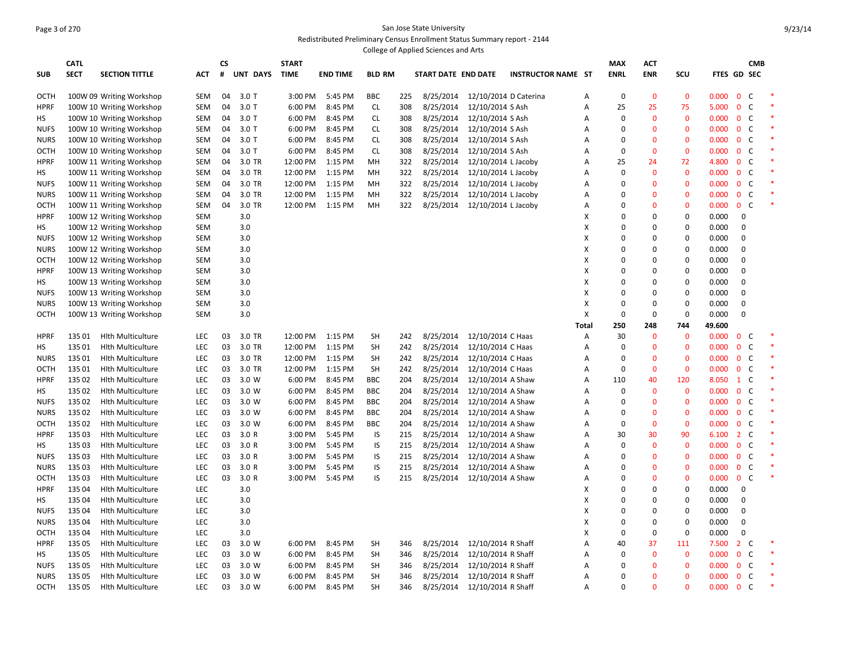#### Page 3 of 270 San Jose State University Redistributed Preliminary Census Enrollment Status Summary report - 2144 College of Applied Sciences and Arts

|             | <b>CATL</b>     |                          |            | <b>CS</b> |          | <b>START</b> |                 |               |     |                     |                       |                           |       | <b>MAX</b>  | <b>ACT</b>   |              |                 |                     | <b>CMB</b>   |  |
|-------------|-----------------|--------------------------|------------|-----------|----------|--------------|-----------------|---------------|-----|---------------------|-----------------------|---------------------------|-------|-------------|--------------|--------------|-----------------|---------------------|--------------|--|
| <b>SUB</b>  | <b>SECT</b>     | <b>SECTION TITTLE</b>    | <b>ACT</b> | #         | UNT DAYS | <b>TIME</b>  | <b>END TIME</b> | <b>BLD RM</b> |     | START DATE END DATE |                       | <b>INSTRUCTOR NAME ST</b> |       | <b>ENRL</b> | <b>ENR</b>   | scu          | FTES GD SEC     |                     |              |  |
|             |                 |                          |            |           |          |              |                 |               |     |                     |                       |                           |       |             |              |              |                 |                     |              |  |
| OCTH        |                 | 100W 09 Writing Workshop | <b>SEM</b> | 04        | $3.0$ T  | 3:00 PM      | 5:45 PM         | <b>BBC</b>    | 225 | 8/25/2014           | 12/10/2014 D Caterina |                           | A     | $\mathbf 0$ | $\mathbf{0}$ | $\mathbf{0}$ | 0.000           | $\mathbf{0}$        | C            |  |
| <b>HPRF</b> |                 | 100W 10 Writing Workshop | SEM        | 04        | 3.0T     | 6:00 PM      | 8:45 PM         | CL.           | 308 | 8/25/2014           | 12/10/2014 S Ash      |                           | Α     | 25          | 25           | 75           | 5.000           | $\mathbf{0}$        | $\mathsf{C}$ |  |
| HS          |                 | 100W 10 Writing Workshop | SEM        | 04        | 3.0T     | 6:00 PM      | 8:45 PM         | CL.           | 308 | 8/25/2014           | 12/10/2014 S Ash      |                           | Α     | 0           | $\mathbf{0}$ | $\mathbf 0$  | 0.000           | $\mathbf{0}$        | C            |  |
| <b>NUFS</b> |                 | 100W 10 Writing Workshop | SEM        | 04        | $3.0$ T  | 6:00 PM      | 8:45 PM         | <b>CL</b>     | 308 | 8/25/2014           | 12/10/2014 S Ash      |                           | Α     | $\Omega$    | $\mathbf{0}$ | $\mathbf 0$  | 0.000           | C<br>$\mathbf{0}$   |              |  |
| <b>NURS</b> |                 | 100W 10 Writing Workshop | SEM        | 04        | 3.0T     | 6:00 PM      | 8:45 PM         | <b>CL</b>     | 308 | 8/25/2014           | 12/10/2014 S Ash      |                           | Α     | 0           | $\mathbf{0}$ | $\mathbf 0$  | 0.000           | $\mathbf 0$         | C            |  |
| <b>OCTH</b> |                 | 100W 10 Writing Workshop | SEM        | 04        | 3.0T     | 6:00 PM      | 8:45 PM         | <b>CL</b>     | 308 | 8/25/2014           | 12/10/2014 S Ash      |                           | Α     | $\mathbf 0$ | $\mathbf{0}$ | $\mathbf 0$  | 0.000           | $\mathbf{0}$        | C            |  |
| <b>HPRF</b> |                 | 100W 11 Writing Workshop | SEM        | 04        | 3.0 TR   | 12:00 PM     | 1:15 PM         | MH            | 322 | 8/25/2014           | 12/10/2014 L Jacoby   |                           | Α     | 25          | 24           | 72           | 4.800           | $\mathbf{0}$        | C            |  |
| нs          |                 | 100W 11 Writing Workshop | <b>SEM</b> | 04        | 3.0 TR   | 12:00 PM     | 1:15 PM         | MH            | 322 | 8/25/2014           | 12/10/2014 L Jacoby   |                           | A     | $\mathbf 0$ | $\mathbf{0}$ | $\mathbf{0}$ | 0.000           | 0 <sup>o</sup>      |              |  |
| <b>NUFS</b> |                 | 100W 11 Writing Workshop | <b>SEM</b> | 04        | 3.0 TR   | 12:00 PM     | 1:15 PM         | MH            | 322 | 8/25/2014           | 12/10/2014 L Jacoby   |                           | A     | $\mathbf 0$ | $\mathbf{0}$ | $\mathbf 0$  | 0.000           | $\mathbf 0$         | C            |  |
| <b>NURS</b> |                 | 100W 11 Writing Workshop | <b>SEM</b> | 04        | 3.0 TR   | 12:00 PM     | 1:15 PM         | MH            | 322 | 8/25/2014           | 12/10/2014 L Jacoby   |                           | Α     | $\Omega$    | $\mathbf{0}$ | $\mathbf 0$  | 0.000           | $0-$                |              |  |
| OCTH        |                 | 100W 11 Writing Workshop | <b>SEM</b> | 04        | 3.0 TR   | 12:00 PM     | 1:15 PM         | MH            | 322 | 8/25/2014           | 12/10/2014 L Jacoby   |                           | Α     | 0           | $\mathbf{0}$ | $\mathbf 0$  | 0.000           | $0-$                |              |  |
| <b>HPRF</b> |                 | 100W 12 Writing Workshop | <b>SEM</b> |           | 3.0      |              |                 |               |     |                     |                       |                           | X     | $\Omega$    | $\mathbf 0$  | $\mathbf 0$  | 0.000           | $\mathbf 0$         |              |  |
| НS          |                 | 100W 12 Writing Workshop | <b>SEM</b> |           | 3.0      |              |                 |               |     |                     |                       |                           | X     | $\mathbf 0$ | $\mathbf 0$  | $\mathbf 0$  | 0.000           | $\mathbf 0$         |              |  |
| <b>NUFS</b> |                 | 100W 12 Writing Workshop | <b>SEM</b> |           | 3.0      |              |                 |               |     |                     |                       |                           | X     | $\Omega$    | $\mathbf 0$  | $\Omega$     | 0.000           | $\Omega$            |              |  |
| <b>NURS</b> |                 | 100W 12 Writing Workshop | <b>SEM</b> |           | 3.0      |              |                 |               |     |                     |                       |                           | X     | $\mathbf 0$ | $\mathbf 0$  | $\pmb{0}$    | 0.000           | 0                   |              |  |
| ОСТН        |                 | 100W 12 Writing Workshop | <b>SEM</b> |           | 3.0      |              |                 |               |     |                     |                       |                           | X     | $\Omega$    | $\mathbf 0$  | $\Omega$     | 0.000           | $\Omega$            |              |  |
| <b>HPRF</b> |                 | 100W 13 Writing Workshop | SEM        |           | 3.0      |              |                 |               |     |                     |                       |                           | X     | $\mathbf 0$ | $\mathbf 0$  | $\mathbf 0$  | 0.000           | 0                   |              |  |
| HS          |                 | 100W 13 Writing Workshop | <b>SEM</b> |           | 3.0      |              |                 |               |     |                     |                       |                           | X     | $\Omega$    | $\mathbf 0$  | $\Omega$     | 0.000           | 0                   |              |  |
|             |                 |                          | <b>SEM</b> |           | 3.0      |              |                 |               |     |                     |                       |                           | X     | $\Omega$    | 0            | 0            | 0.000           | 0                   |              |  |
| <b>NUFS</b> |                 | 100W 13 Writing Workshop | <b>SEM</b> |           |          |              |                 |               |     |                     |                       |                           | X     | $\Omega$    | $\mathbf 0$  | $\Omega$     |                 | 0                   |              |  |
| <b>NURS</b> |                 | 100W 13 Writing Workshop |            |           | 3.0      |              |                 |               |     |                     |                       |                           | X     | $\Omega$    | $\mathbf 0$  | $\mathbf 0$  | 0.000           | $\Omega$            |              |  |
| ОСТН        |                 | 100W 13 Writing Workshop | SEM        |           | 3.0      |              |                 |               |     |                     |                       |                           | Total | 250         | 248          | 744          | 0.000<br>49.600 |                     |              |  |
|             |                 |                          |            |           | 3.0 TR   | 12:00 PM     |                 |               |     | 8/25/2014           | 12/10/2014 C Haas     |                           |       | 30          | $\mathbf{0}$ | $\mathbf 0$  | 0.000           |                     |              |  |
| <b>HPRF</b> | 13501<br>135 01 | <b>Hlth Multiculture</b> | LEC        | 03        | 3.0 TR   |              | 1:15 PM         | SH            | 242 |                     |                       |                           | Α     | 0           | $\mathbf{0}$ | $\mathbf 0$  |                 | 0 <sup>o</sup>      |              |  |
| НS          |                 | <b>Hlth Multiculture</b> | <b>LEC</b> | 03        |          | 12:00 PM     | 1:15 PM         | SH            | 242 | 8/25/2014           | 12/10/2014 C Haas     |                           | Α     | $\Omega$    | $\mathbf{0}$ | $\mathbf 0$  | 0.000           | $\bf{0}$<br>C       | C            |  |
| <b>NURS</b> | 13501           | <b>Hlth Multiculture</b> | LEC        | 03        | 3.0 TR   | 12:00 PM     | 1:15 PM         | SH            | 242 | 8/25/2014           | 12/10/2014 C Haas     |                           | Α     |             |              |              | 0.000           | $\mathbf{0}$        |              |  |
| ОСТН        | 135 01          | <b>Hith Multiculture</b> | LEC        | 03        | 3.0 TR   | 12:00 PM     | 1:15 PM         | SH            | 242 | 8/25/2014           | 12/10/2014 C Haas     |                           | А     | $\Omega$    | $\mathbf{0}$ | $\mathbf 0$  | 0.000           | $\bf{0}$            | C            |  |
| <b>HPRF</b> | 135 02          | <b>Hith Multiculture</b> | LEC        | 03        | 3.0 W    | 6:00 PM      | 8:45 PM         | <b>BBC</b>    | 204 | 8/25/2014           | 12/10/2014 A Shaw     |                           | Α     | 110         | 40           | 120          | 8.050           | $1 \quad C$         |              |  |
| НS          | 135 02          | <b>Hlth Multiculture</b> | <b>LEC</b> | 03        | 3.0 W    | 6:00 PM      | 8:45 PM         | <b>BBC</b>    | 204 | 8/25/2014           | 12/10/2014 A Shaw     |                           | A     | $\Omega$    | $\mathbf{0}$ | $\mathbf 0$  | 0.000           | C<br>$\mathbf{0}$   |              |  |
| <b>NUFS</b> | 135 02          | <b>Hlth Multiculture</b> | LEC        | 03        | 3.0 W    | 6:00 PM      | 8:45 PM         | <b>BBC</b>    | 204 | 8/25/2014           | 12/10/2014 A Shaw     |                           | A     | $\Omega$    | $\mathbf{0}$ | $\mathbf 0$  | 0.000           | 0 <sup>o</sup>      |              |  |
| <b>NURS</b> | 135 02          | <b>Hith Multiculture</b> | <b>LEC</b> | 03        | 3.0 W    | 6:00 PM      | 8:45 PM         | BBC           | 204 | 8/25/2014           | 12/10/2014 A Shaw     |                           | A     | $\Omega$    | $\Omega$     | $\mathbf 0$  | 0.000           | $\mathbf{0}$        | C            |  |
| ОСТН        | 135 02          | <b>Hlth Multiculture</b> | <b>LEC</b> | 03        | 3.0 W    | 6:00 PM      | 8:45 PM         | <b>BBC</b>    | 204 | 8/25/2014           | 12/10/2014 A Shaw     |                           | Α     | $\mathbf 0$ | $\mathbf{0}$ | $\mathbf 0$  | 0.000           | 0 <sup>o</sup>      |              |  |
| <b>HPRF</b> | 135 03          | <b>Hith Multiculture</b> | LEC        | 03        | 3.0 R    | 3:00 PM      | 5:45 PM         | IS            | 215 | 8/25/2014           | 12/10/2014 A Shaw     |                           | A     | 30          | 30           | 90           | 6.100           | $2^{\circ}$<br>C    |              |  |
| НS          | 135 03          | <b>Hlth Multiculture</b> | LEC        | 03        | 3.0 R    | 3:00 PM      | 5:45 PM         | IS            | 215 | 8/25/2014           | 12/10/2014 A Shaw     |                           | Α     | $\mathbf 0$ | $\bf{0}$     | $\mathbf 0$  | 0.000           | $0-$                |              |  |
| <b>NUFS</b> | 135 03          | <b>Hlth Multiculture</b> | <b>LEC</b> | 03        | 3.0R     | 3:00 PM      | 5:45 PM         | IS            | 215 | 8/25/2014           | 12/10/2014 A Shaw     |                           | A     | $\Omega$    | $\Omega$     | $\mathbf{0}$ | 0.000           | $\mathbf{0}$        | C            |  |
| <b>NURS</b> | 135 03          | <b>Hlth Multiculture</b> | <b>LEC</b> | 03        | 3.0R     | 3:00 PM      | 5:45 PM         | IS            | 215 | 8/25/2014           | 12/10/2014 A Shaw     |                           | A     | $\Omega$    | $\Omega$     | $\mathbf{0}$ | 0.000           | 0 <sup>o</sup>      |              |  |
| ОСТН        | 135 03          | <b>Hlth Multiculture</b> | <b>LEC</b> | 03        | 3.0R     | 3:00 PM      | 5:45 PM         | IS            | 215 | 8/25/2014           | 12/10/2014 A Shaw     |                           | A     | $\Omega$    | $\Omega$     | $\Omega$     | 0.000           | $\mathbf{0}$        | C            |  |
| <b>HPRF</b> | 135 04          | <b>Hlth Multiculture</b> | <b>LEC</b> |           | 3.0      |              |                 |               |     |                     |                       |                           | X     | $\Omega$    | $\mathbf 0$  | $\mathbf 0$  | 0.000           | $\mathbf 0$         |              |  |
| НS          | 135 04          | <b>Hlth Multiculture</b> | <b>LEC</b> |           | 3.0      |              |                 |               |     |                     |                       |                           | X     | $\Omega$    | $\Omega$     | $\Omega$     | 0.000           | $\mathbf 0$         |              |  |
| <b>NUFS</b> | 135 04          | <b>Hlth Multiculture</b> | <b>LEC</b> |           | 3.0      |              |                 |               |     |                     |                       |                           | X     | $\Omega$    | $\Omega$     | $\Omega$     | 0.000           | $\mathbf 0$         |              |  |
| <b>NURS</b> | 135 04          | <b>Hlth Multiculture</b> | LEC        |           | 3.0      |              |                 |               |     |                     |                       |                           | X     | $\Omega$    | $\Omega$     | $\Omega$     | 0.000           | $\mathbf 0$         |              |  |
| ОСТН        | 135 04          | <b>Hlth Multiculture</b> | <b>LEC</b> |           | 3.0      |              |                 |               |     |                     |                       |                           | X     | $\Omega$    | $\mathbf 0$  | $\Omega$     | 0.000           | $\Omega$            |              |  |
| <b>HPRF</b> | 135 05          | <b>Hlth Multiculture</b> | <b>LEC</b> | 03        | 3.0 W    | 6:00 PM      | 8:45 PM         | <b>SH</b>     | 346 | 8/25/2014           | 12/10/2014 R Shaff    |                           | A     | 40          | 37           | 111          | 7.500           | $\overline{2}$<br>C |              |  |
| HS          | 135 05          | <b>Hlth Multiculture</b> | <b>LEC</b> | 03        | 3.0 W    | 6:00 PM      | 8:45 PM         | <b>SH</b>     | 346 | 8/25/2014           | 12/10/2014 R Shaff    |                           | Α     | $\Omega$    | $\bf{0}$     | $\mathbf 0$  | 0.000           | $\mathbf{0}$<br>C   |              |  |
| <b>NUFS</b> | 135 05          | <b>Hlth Multiculture</b> | <b>LEC</b> | 03        | 3.0 W    | 6:00 PM      | 8:45 PM         | <b>SH</b>     | 346 | 8/25/2014           | 12/10/2014 R Shaff    |                           | Α     | $\Omega$    | 0            | $\mathbf 0$  | 0.000           | $\mathbf{0}$        | C            |  |
| <b>NURS</b> | 135 05          | <b>Hlth Multiculture</b> | <b>LEC</b> | 03        | 3.0 W    | 6:00 PM      | 8:45 PM         | <b>SH</b>     | 346 | 8/25/2014           | 12/10/2014 R Shaff    |                           | Α     | $\Omega$    | 0            | $\mathbf 0$  | 0.000           | $\mathbf 0$         | C            |  |
| OCTH        | 135 05          | <b>Hith Multiculture</b> | LEC        | 03        | 3.0 W    | 6:00 PM      | 8:45 PM         | <b>SH</b>     | 346 | 8/25/2014           | 12/10/2014 R Shaff    |                           | Α     | $\Omega$    | $\Omega$     | $\Omega$     | 0.000           | $\mathbf 0$         | $\mathsf{C}$ |  |
|             |                 |                          |            |           |          |              |                 |               |     |                     |                       |                           |       |             |              |              |                 |                     |              |  |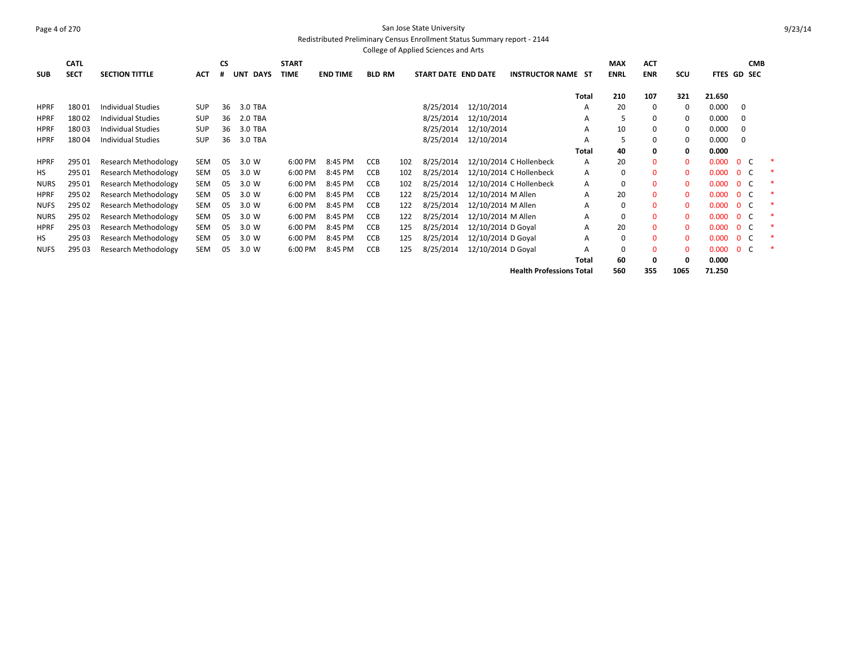#### Page 4 of 270 San Jose State University Redistributed Preliminary Census Enrollment Status Summary report - 2144

|             | College of Applied Sciences and Arts |                             |            |    |                           |              |                 |               |     |                     |                    |                                 |              |             |              |              |             |                          |            |
|-------------|--------------------------------------|-----------------------------|------------|----|---------------------------|--------------|-----------------|---------------|-----|---------------------|--------------------|---------------------------------|--------------|-------------|--------------|--------------|-------------|--------------------------|------------|
|             | <b>CATL</b>                          |                             |            | CS |                           | <b>START</b> |                 |               |     |                     |                    |                                 |              | <b>MAX</b>  | <b>ACT</b>   |              |             |                          | <b>CMB</b> |
| <b>SUB</b>  | <b>SECT</b>                          | <b>SECTION TITTLE</b>       | ACT        | #  | <b>DAYS</b><br><b>UNT</b> | <b>TIME</b>  | <b>END TIME</b> | <b>BLD RM</b> |     | START DATE END DATE |                    | <b>INSTRUCTOR NAME ST</b>       |              | <b>ENRL</b> | <b>ENR</b>   | <b>SCU</b>   | FTES GD SEC |                          |            |
|             |                                      |                             |            |    |                           |              |                 |               |     |                     |                    |                                 | Total        | 210         | 107          | 321          | 21.650      |                          |            |
| <b>HPRF</b> | 18001                                | <b>Individual Studies</b>   | <b>SUP</b> | 36 | 3.0 TBA                   |              |                 |               |     | 8/25/2014           | 12/10/2014         |                                 | A            | 20          | $\mathbf 0$  | 0            | 0.000       | 0                        |            |
| <b>HPRF</b> | 18002                                | <b>Individual Studies</b>   | <b>SUP</b> | 36 | 2.0 TBA                   |              |                 |               |     | 8/25/2014           | 12/10/2014         |                                 | A            | 5           | 0            | $\Omega$     | 0.000       | 0                        |            |
| <b>HPRF</b> | 18003                                | <b>Individual Studies</b>   | <b>SUP</b> | 36 | 3.0 TBA                   |              |                 |               |     | 8/25/2014           | 12/10/2014         |                                 | Α            | 10          | 0            | 0            | 0.000       | 0                        |            |
| <b>HPRF</b> | 18004                                | <b>Individual Studies</b>   | <b>SUP</b> | 36 | 3.0 TBA                   |              |                 |               |     | 8/25/2014           | 12/10/2014         |                                 | A            |             | 0            | 0            | 0.000       | $\mathbf 0$              |            |
|             |                                      |                             |            |    |                           |              |                 |               |     |                     |                    |                                 | <b>Total</b> | 40          | 0            | 0            | 0.000       |                          |            |
| <b>HPRF</b> | 295 01                               | <b>Research Methodology</b> | SEM        | 05 | 3.0 W                     | 6:00 PM      | 8:45 PM         | <b>CCB</b>    | 102 | 8/25/2014           |                    | 12/10/2014 C Hollenbeck         | A            | 20          | 0            | $\mathbf 0$  | 0.000       | $\mathbf{0}$             |            |
| <b>HS</b>   | 295 01                               | Research Methodology        | <b>SEM</b> | 05 | 3.0 W                     | 6:00 PM      | 8:45 PM         | <b>CCB</b>    | 102 | 8/25/2014           |                    | 12/10/2014 C Hollenbeck         | A            | $\Omega$    | $\Omega$     | $\Omega$     | 0.000       | $\overline{0}$           |            |
| <b>NURS</b> | 295 01                               | Research Methodology        | <b>SEM</b> | 05 | 3.0 W                     | 6:00 PM      | 8:45 PM         | <b>CCB</b>    | 102 | 8/25/2014           |                    | 12/10/2014 C Hollenbeck         | A            | 0           | $\mathbf{0}$ | $\mathbf 0$  | 0.000       | $\mathbf{0}$             |            |
| <b>HPRF</b> | 295 02                               | Research Methodology        | <b>SEM</b> | 05 | 3.0 W                     | 6:00 PM      | 8:45 PM         | <b>CCB</b>    | 122 | 8/25/2014           | 12/10/2014 M Allen |                                 | A            | 20          | $\mathbf{0}$ | $\mathbf{0}$ | 0.000       | $\overline{0}$           |            |
| <b>NUFS</b> | 295 02                               | Research Methodology        | <b>SEM</b> | 05 | 3.0 W                     | 6:00 PM      | 8:45 PM         | <b>CCB</b>    | 122 | 8/25/2014           | 12/10/2014 M Allen |                                 | A            | 0           | $\mathbf{0}$ | $\mathbf 0$  | 0.000       | $\mathbf{0}$             |            |
| <b>NURS</b> | 295 02                               | Research Methodology        | <b>SEM</b> | 05 | 3.0 W                     | 6:00 PM      | 8:45 PM         | <b>CCB</b>    | 122 | 8/25/2014           | 12/10/2014 M Allen |                                 | A            |             | $\mathbf{0}$ | $\mathbf{0}$ | 0.000       | $\mathbf{0}$             |            |
| <b>HPRF</b> | 295 03                               | <b>Research Methodology</b> | <b>SEM</b> | 05 | 3.0 W                     | 6:00 PM      | 8:45 PM         | <b>CCB</b>    | 125 | 8/25/2014           | 12/10/2014 D Goyal |                                 | A            | 20          | $\mathbf{0}$ | $\mathbf 0$  | 0.000       | $\Omega$                 |            |
| HS          | 295 03                               | Research Methodology        | <b>SEM</b> | 05 | 3.0 W                     | 6:00 PM      | 8:45 PM         | CCB           | 125 | 8/25/2014           | 12/10/2014 D Goyal |                                 | A            | 0           | $\mathbf{0}$ | $\Omega$     | 0.000       | $\mathbf{0}$             |            |
| <b>NUFS</b> | 295 03                               | Research Methodology        | <b>SEM</b> | 05 | 3.0 W                     | 6:00 PM      | 8:45 PM         | <b>CCB</b>    | 125 | 8/25/2014           | 12/10/2014 D Goyal |                                 | A            | 0           | $\mathbf{0}$ | $\mathbf{0}$ | 0.000       | $\mathbf{0}$<br><b>C</b> |            |
|             |                                      |                             |            |    |                           |              |                 |               |     |                     |                    |                                 | Total        | 60          | 0            | 0            | 0.000       |                          |            |
|             |                                      |                             |            |    |                           |              |                 |               |     |                     |                    | <b>Health Professions Total</b> |              | 560         | 355          | 1065         | 71.250      |                          |            |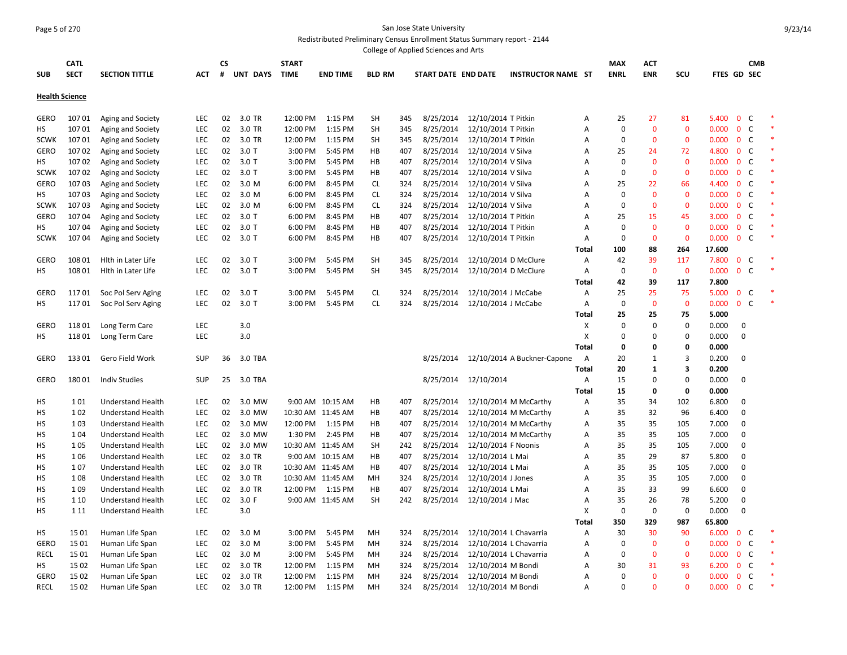#### Page 5 of 270 San Jose State University Redistributed Preliminary Census Enrollment Status Summary report - 2144

|                       |                            |                          |            |         |          |                             |                   |               |     | College of Applied Sciences and Arts |                      |                             |              |                           |                   |                         |             |                                |            |  |
|-----------------------|----------------------------|--------------------------|------------|---------|----------|-----------------------------|-------------------|---------------|-----|--------------------------------------|----------------------|-----------------------------|--------------|---------------------------|-------------------|-------------------------|-------------|--------------------------------|------------|--|
| <b>SUB</b>            | <b>CATL</b><br><b>SECT</b> | <b>SECTION TITTLE</b>    | АСТ        | CS<br># | UNT DAYS | <b>START</b><br><b>TIME</b> | <b>END TIME</b>   | <b>BLD RM</b> |     | START DATE END DATE                  |                      | <b>INSTRUCTOR NAME ST</b>   |              | <b>MAX</b><br><b>ENRL</b> | ACT<br><b>ENR</b> | SCU                     | FTES GD SEC |                                | <b>CMB</b> |  |
| <b>Health Science</b> |                            |                          |            |         |          |                             |                   |               |     |                                      |                      |                             |              |                           |                   |                         |             |                                |            |  |
|                       |                            |                          |            |         |          |                             |                   |               |     |                                      |                      |                             |              |                           |                   |                         |             |                                |            |  |
| GERO                  | 10701                      | Aging and Society        | <b>LEC</b> | 02      | 3.0 TR   | 12:00 PM                    | $1:15$ PM         | SH            | 345 | 8/25/2014                            | 12/10/2014 T Pitkin  |                             | Α            | 25                        | 27                | 81                      | 5.400       | $\overline{0}$<br>C            |            |  |
| НS                    | 10701                      | Aging and Society        | <b>LEC</b> | 02      | 3.0 TR   | 12:00 PM                    | 1:15 PM           | SH            | 345 | 8/25/2014                            | 12/10/2014 T Pitkin  |                             | А            | $\mathbf 0$               | $\mathbf{0}$      | $\Omega$                | 0.000       | $\mathsf C$<br>$\mathbf 0$     |            |  |
| <b>SCWK</b>           | 10701                      | Aging and Society        | LEC        | 02      | 3.0 TR   | 12:00 PM                    | 1:15 PM           | SH            | 345 | 8/25/2014                            | 12/10/2014 T Pitkin  |                             | Α            | $\mathbf 0$               | $\mathbf{0}$      | $\mathbf 0$             | 0.000       | $\overline{0}$<br>$\mathsf{C}$ |            |  |
| <b>GERO</b>           | 10702                      | Aging and Society        | <b>LEC</b> | 02      | 3.0T     | 3:00 PM                     | 5:45 PM           | HB            | 407 | 8/25/2014                            | 12/10/2014 V Silva   |                             | А            | 25                        | 24                | 72                      | 4.800       | $\mathbf 0$<br>C               |            |  |
| НS                    | 10702                      | Aging and Society        | LEC        | 02      | $3.0$ T  | 3:00 PM                     | 5:45 PM           | HB            | 407 | 8/25/2014                            | 12/10/2014 V Silva   |                             | Α            | $\Omega$                  | $\mathbf{0}$      | $\mathbf 0$             | 0.000       | $\mathsf{C}$<br>$\mathbf{0}$   |            |  |
| <b>SCWK</b>           | 10702                      | Aging and Society        | <b>LEC</b> | 02      | $3.0$ T  | 3:00 PM                     | 5:45 PM           | HB            | 407 | 8/25/2014                            | 12/10/2014 V Silva   |                             | Α            | $\mathbf 0$               | $\mathbf{0}$      | $\mathbf 0$             | 0.000       | $\mathbf 0$<br>C               |            |  |
| GERO                  | 10703                      | Aging and Society        | LEC        | 02      | 3.0 M    | 6:00 PM                     | 8:45 PM           | <b>CL</b>     | 324 | 8/25/2014                            | 12/10/2014 V Silva   |                             | Α            | 25                        | 22                | 66                      | 4.400       | $\mathsf{C}$<br>$\mathbf{0}$   |            |  |
| НS                    | 10703                      | Aging and Society        | <b>LEC</b> | 02      | 3.0 M    | 6:00 PM                     | 8:45 PM           | <b>CL</b>     | 324 | 8/25/2014                            | 12/10/2014 V Silva   |                             | А            | $\Omega$                  | 0                 | $\mathbf{0}$            | 0.000       | $\mathbf 0$<br>C               |            |  |
| <b>SCWK</b>           | 10703                      | Aging and Society        | LEC        | 02      | 3.0 M    | 6:00 PM                     | 8:45 PM           | <b>CL</b>     | 324 | 8/25/2014                            | 12/10/2014 V Silva   |                             | A            | $\mathbf 0$               | $\Omega$          | $\Omega$                | 0.000       | $\mathbf{0}$<br>C              |            |  |
| GERO                  | 10704                      | Aging and Society        | <b>LEC</b> | 02      | 3.0T     | 6:00 PM                     | 8:45 PM           | HB            | 407 | 8/25/2014                            | 12/10/2014 T Pitkin  |                             | A            | 25                        | 15                | 45                      | 3.000       | C<br>$\mathbf 0$               |            |  |
| НS                    | 10704                      | Aging and Society        | LEC        | 02      | $3.0$ T  | 6:00 PM                     | 8:45 PM           | HB            | 407 | 8/25/2014                            | 12/10/2014 T Pitkin  |                             | A            | $\mathbf 0$               | $\mathbf{0}$      | $\Omega$                | 0.000       | $\mathsf{C}$<br>$\mathbf{0}$   |            |  |
| <b>SCWK</b>           | 10704                      | Aging and Society        | <b>LEC</b> | 02      | $3.0$ T  | 6:00 PM                     | 8:45 PM           | HB            | 407 | 8/25/2014                            | 12/10/2014 T Pitkin  |                             | Α            | $\Omega$                  | $\Omega$          | $\Omega$                | 0.000       | 0 <sup>o</sup>                 |            |  |
|                       |                            |                          |            |         |          |                             |                   |               |     |                                      |                      |                             | Total        | 100                       | 88                | 264                     | 17.600      |                                |            |  |
| <b>GERO</b>           | 108 01                     | Hith in Later Life       | <b>LEC</b> | 02      | $3.0$ T  | 3:00 PM                     | 5:45 PM           | SH            | 345 | 8/25/2014                            | 12/10/2014 D McClure |                             | Α            | 42                        | 39                | 117                     | 7.800       | C<br>$\mathbf 0$               |            |  |
| нs                    | 108 01                     | Hith in Later Life       | LEC        | 02      | $3.0$ T  | 3:00 PM                     | 5:45 PM           | SH            | 345 | 8/25/2014                            | 12/10/2014 D McClure |                             | Α            | $\mathbf 0$               | $\mathbf{0}$      | $\mathbf 0$             | 0.000       | $\mathsf{C}$<br>$\mathbf{0}$   |            |  |
|                       |                            |                          |            |         |          |                             |                   |               |     |                                      |                      |                             | Total        | 42                        | 39                | 117                     | 7.800       |                                |            |  |
| <b>GERO</b>           | 11701                      | Soc Pol Serv Aging       | <b>LEC</b> | 02      | $3.0$ T  | 3:00 PM                     | 5:45 PM           | <b>CL</b>     | 324 | 8/25/2014                            | 12/10/2014 J McCabe  |                             | Α            | 25                        | 25                | 75                      | 5.000       | C<br>$\mathbf{0}$              |            |  |
| НS                    | 11701                      | Soc Pol Serv Aging       | <b>LEC</b> | 02      | 3.0 T    | 3:00 PM                     | 5:45 PM           | CL            | 324 | 8/25/2014                            | 12/10/2014 J McCabe  |                             | A            | $\mathbf 0$               | $\mathbf 0$       | $\mathbf 0$             | 0.000       | 0 <sup>o</sup>                 |            |  |
|                       |                            |                          |            |         |          |                             |                   |               |     |                                      |                      |                             | Total        | 25                        | 25                | 75                      | 5.000       |                                |            |  |
| <b>GERO</b>           | 11801                      | Long Term Care           | LEC        |         | 3.0      |                             |                   |               |     |                                      |                      |                             | X            | $\Omega$                  | 0                 | $\mathbf 0$             | 0.000       | 0                              |            |  |
| НS                    | 11801                      | Long Term Care           | LEC        |         | 3.0      |                             |                   |               |     |                                      |                      |                             | X            | $\Omega$                  | $\mathbf 0$       | $\mathbf 0$             | 0.000       | 0                              |            |  |
|                       |                            |                          |            |         |          |                             |                   |               |     |                                      |                      |                             | <b>Total</b> | 0                         | 0                 | 0                       | 0.000       |                                |            |  |
| <b>GERO</b>           | 13301                      | Gero Field Work          | <b>SUP</b> | 36      | 3.0 TBA  |                             |                   |               |     | 8/25/2014                            |                      | 12/10/2014 A Buckner-Capone | A            | 20                        | $\mathbf{1}$      | 3                       | 0.200       | 0                              |            |  |
|                       |                            |                          |            |         |          |                             |                   |               |     |                                      |                      |                             | <b>Total</b> | 20                        | 1                 | $\overline{\mathbf{3}}$ | 0.200       |                                |            |  |
| <b>GERO</b>           | 18001                      | <b>Indiv Studies</b>     | <b>SUP</b> | 25      | 3.0 TBA  |                             |                   |               |     | 8/25/2014                            | 12/10/2014           |                             | Α            | 15                        | $\Omega$          | $\Omega$                | 0.000       | $\mathbf 0$                    |            |  |
|                       |                            |                          |            |         |          |                             |                   |               |     |                                      |                      |                             | Total        | 15                        | 0                 | 0                       | 0.000       |                                |            |  |
| НS                    | 101                        | <b>Understand Health</b> | <b>LEC</b> | 02      | 3.0 MW   |                             | 9:00 AM 10:15 AM  | HB            | 407 | 8/25/2014                            |                      | 12/10/2014 M McCarthy       | А            | 35                        | 34                | 102                     | 6.800       | $\mathbf 0$                    |            |  |
| нs                    | 102                        | <b>Understand Health</b> | LEC        | 02      | 3.0 MW   |                             | 10:30 AM 11:45 AM | HB            | 407 | 8/25/2014                            |                      | 12/10/2014 M McCarthy       | Α            | 35                        | 32                | 96                      | 6.400       | $\mathbf 0$                    |            |  |
| НS                    | 1 0 3                      | Understand Health        | LEC        | 02      | 3.0 MW   | 12:00 PM                    | 1:15 PM           | HB            | 407 | 8/25/2014                            |                      | 12/10/2014 M McCarthy       | А            | 35                        | 35                | 105                     | 7.000       | $\mathbf 0$                    |            |  |
| НS                    | 1 0 4                      | <b>Understand Health</b> | LEC        | 02      | 3.0 MW   | 1:30 PM                     | 2:45 PM           | HB            | 407 | 8/25/2014                            |                      | 12/10/2014 M McCarthy       | Α            | 35                        | 35                | 105                     | 7.000       | $\mathbf 0$                    |            |  |
| HS                    | 105                        | <b>Understand Health</b> | <b>LEC</b> | 02      | 3.0 MW   |                             | 10:30 AM 11:45 AM | SH            | 242 | 8/25/2014                            | 12/10/2014 F Noonis  |                             | А            | 35                        | 35                | 105                     | 7.000       | 0                              |            |  |
| HS                    | 106                        | <b>Understand Health</b> | LEC        | 02      | 3.0 TR   |                             | 9:00 AM 10:15 AM  | HB            | 407 | 8/25/2014                            | 12/10/2014 L Mai     |                             | А            | 35                        | 29                | 87                      | 5.800       | $\mathbf 0$                    |            |  |
| HS                    | 107                        | <b>Understand Health</b> | LEC        | 02      | 3.0 TR   |                             | 10:30 AM 11:45 AM | HB            | 407 | 8/25/2014                            | 12/10/2014 L Mai     |                             | А            | 35                        | 35                | 105                     | 7.000       | 0                              |            |  |
| HS                    | 108                        | <b>Understand Health</b> | LEC        | 02      | 3.0 TR   |                             | 10:30 AM 11:45 AM | MН            | 324 | 8/25/2014                            | 12/10/2014 J Jones   |                             | А            | 35                        | 35                | 105                     | 7.000       | $\mathbf 0$                    |            |  |
| НS                    | 109                        | <b>Understand Health</b> | <b>LEC</b> | 02      | 3.0 TR   |                             | 12:00 PM 1:15 PM  | HB            | 407 | 8/25/2014                            | 12/10/2014 L Mai     |                             | Α            | 35                        | 33                | 99                      | 6.600       | 0                              |            |  |
| HS                    | 1 10                       | <b>Understand Health</b> | LEC        | 02      | 3.0 F    |                             | 9:00 AM 11:45 AM  | SH            | 242 | 8/25/2014                            | 12/10/2014 J Mac     |                             | А            | 35                        | 26                | 78                      | 5.200       | $\mathbf 0$                    |            |  |
| HS                    | 1 1 1                      | <b>Understand Health</b> | <b>LEC</b> |         | 3.0      |                             |                   |               |     |                                      |                      |                             | х            | $\mathbf 0$               | 0                 | $\Omega$                | 0.000       | $\mathbf 0$                    |            |  |
|                       |                            |                          |            |         |          |                             |                   |               |     |                                      |                      |                             | Total        | 350                       | 329               | 987                     | 65.800      |                                |            |  |
| НS                    | 15 01                      | Human Life Span          | <b>LEC</b> | 02      | 3.0 M    | 3:00 PM                     | 5:45 PM           | MН            | 324 | 8/25/2014                            |                      | 12/10/2014 L Chavarria      | Α            | 30                        | 30                | 90                      | 6.000       | $\mathbf{0}$<br>C              |            |  |
| <b>GERO</b>           | 1501                       | Human Life Span          | <b>LEC</b> | 02      | 3.0 M    | 3:00 PM                     | 5:45 PM           | MН            | 324 | 8/25/2014                            |                      | 12/10/2014 L Chavarria      | A            | $\Omega$                  | $\Omega$          | $\Omega$                | 0.000       | C<br>$\mathbf{0}$              |            |  |
| <b>RECL</b>           | 1501                       | Human Life Span          | <b>LEC</b> | 02      | 3.0 M    | 3:00 PM                     | 5:45 PM           | MН            | 324 | 8/25/2014                            |                      | 12/10/2014 L Chavarria      | А            | $\Omega$                  | $\Omega$          | $\Omega$                | 0.000       | C<br>$\mathbf 0$               |            |  |
| НS                    | 1502                       | Human Life Span          | LEC        | 02      | 3.0 TR   | 12:00 PM                    | 1:15 PM           | MН            | 324 | 8/25/2014                            | 12/10/2014 M Bondi   |                             | A            | 30                        | 31                | 93                      | 6.200       | C<br>$\mathbf{0}$              |            |  |
| GERO                  | 15 02                      | Human Life Span          | LEC        | 02      | 3.0 TR   | 12:00 PM                    | 1:15 PM           | MН            | 324 | 8/25/2014                            | 12/10/2014 M Bondi   |                             | А            | $\Omega$                  | $\Omega$          | $\Omega$                | 0.000       | $\mathsf{C}$<br>$\mathbf 0$    |            |  |
| RECL                  | 15 02                      | Human Life Span          | LEC        | 02      | 3.0 TR   | 12:00 PM                    | 1:15 PM           | MH            | 324 | 8/25/2014                            | 12/10/2014 M Bondi   |                             | A            | $\Omega$                  | $\mathbf{0}$      | $\Omega$                | 0.000       | $\mathbf 0$<br>C               |            |  |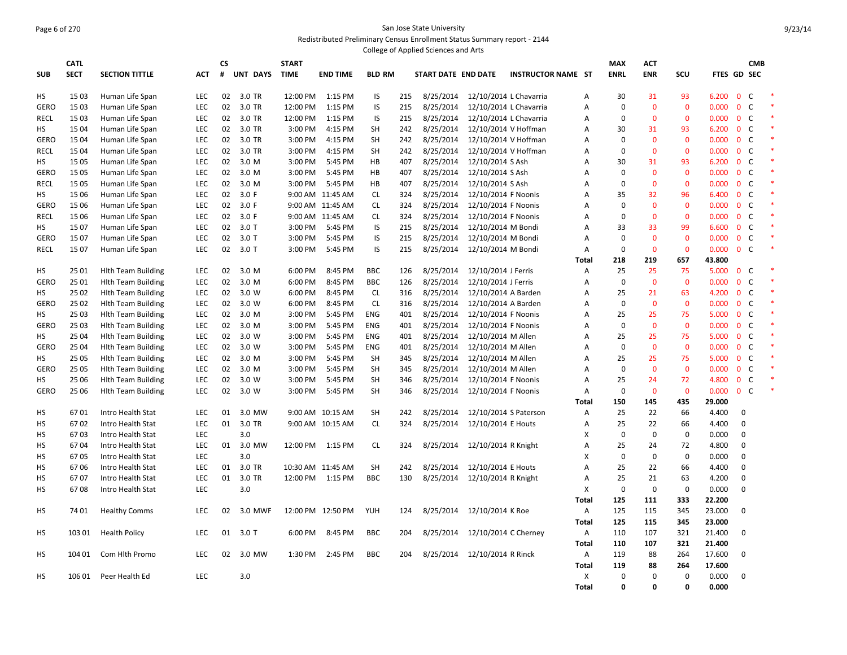#### Page 6 of 270 San Jose State University Redistributed Preliminary Census Enrollment Status Summary report - 2144 College of Applied Sciences and Arts

|             |             |                           |            |    |          |              |                   |               |     | Conege of Applied Sciences and Arts |                            |                           |              |             |              |              |                    |                |              |        |
|-------------|-------------|---------------------------|------------|----|----------|--------------|-------------------|---------------|-----|-------------------------------------|----------------------------|---------------------------|--------------|-------------|--------------|--------------|--------------------|----------------|--------------|--------|
|             | <b>CATL</b> |                           |            | CS |          | <b>START</b> |                   |               |     |                                     |                            |                           |              | <b>MAX</b>  | <b>ACT</b>   |              |                    |                | <b>CMB</b>   |        |
| <b>SUB</b>  | <b>SECT</b> | <b>SECTION TITTLE</b>     | <b>ACT</b> | #  | UNT DAYS | <b>TIME</b>  | <b>END TIME</b>   | <b>BLD RM</b> |     | START DATE END DATE                 |                            | <b>INSTRUCTOR NAME ST</b> |              | <b>ENRL</b> | <b>ENR</b>   | SCU          | <b>FTES GD SEC</b> |                |              |        |
|             |             |                           |            |    |          |              |                   |               |     |                                     |                            |                           |              |             |              |              |                    |                |              |        |
| HS          | 15 03       | Human Life Span           | <b>LEC</b> | 02 | 3.0 TR   | 12:00 PM     | 1:15 PM           | IS            | 215 | 8/25/2014                           | 12/10/2014 L Chavarria     |                           | Α            | 30          | 31           | 93           | 6.200              | $\mathbf{0}$   | C            |        |
| <b>GERO</b> | 15 03       | Human Life Span           | <b>LEC</b> | 02 | 3.0 TR   | 12:00 PM     | 1:15 PM           | IS            | 215 | 8/25/2014                           | 12/10/2014 L Chavarria     |                           | Α            | 0           | $\mathbf 0$  | $\mathbf 0$  | 0.000              | $\mathbf 0$    | C            | $\ast$ |
| RECL        | 15 03       | Human Life Span           | <b>LEC</b> | 02 | 3.0 TR   | 12:00 PM     | 1:15 PM           | IS            | 215 | 8/25/2014                           | 12/10/2014 L Chavarria     |                           | A            | 0           | $\mathbf 0$  | $\mathbf 0$  | 0.000              | 0 <sup>o</sup> |              |        |
| НS          | 15 04       | Human Life Span           | <b>LEC</b> | 02 | 3.0 TR   | 3:00 PM      | 4:15 PM           | <b>SH</b>     | 242 | 8/25/2014                           | 12/10/2014 V Hoffman       |                           | Α            | 30          | 31           | 93           | 6.200              | 0 <sup>o</sup> |              | $\ast$ |
| <b>GERO</b> | 1504        | Human Life Span           | <b>LEC</b> | 02 | 3.0 TR   | 3:00 PM      | 4:15 PM           | <b>SH</b>     | 242 | 8/25/2014                           | 12/10/2014 V Hoffman       |                           | A            | 0           | $\mathbf 0$  | $\mathbf 0$  | 0.000              | 0 <sup>o</sup> |              |        |
| RECL        | 1504        | Human Life Span           | <b>LEC</b> | 02 | 3.0 TR   | 3:00 PM      | 4:15 PM           | <b>SH</b>     | 242 | 8/25/2014                           | 12/10/2014 V Hoffman       |                           | A            | $\mathbf 0$ | $\mathbf 0$  | $\mathbf 0$  | 0.000              | $\mathbf{0}$   | C            | *      |
| HS          | 15 05       | Human Life Span           | <b>LEC</b> | 02 | 3.0 M    | 3:00 PM      | 5:45 PM           | HB            | 407 | 8/25/2014                           | 12/10/2014 S Ash           |                           | A            | 30          | 31           | 93           | 6.200              | 0 <sup>o</sup> |              |        |
| <b>GERO</b> | 15 05       | Human Life Span           | <b>LEC</b> | 02 | 3.0 M    | 3:00 PM      | 5:45 PM           | HB            | 407 | 8/25/2014                           | 12/10/2014 S Ash           |                           | A            | $\Omega$    | $\mathbf 0$  | $\mathbf 0$  | 0.000              | 0 <sup>o</sup> |              | $\ast$ |
| RECL        | 15 05       | Human Life Span           | <b>LEC</b> | 02 | 3.0 M    | 3:00 PM      | 5:45 PM           | HB            | 407 | 8/25/2014                           | 12/10/2014 S Ash           |                           | A            | $\mathbf 0$ | $\mathbf{0}$ | $\mathbf 0$  | 0.000              | 0 <sup>o</sup> |              |        |
| HS          | 15 06       | Human Life Span           | <b>LEC</b> | 02 | 3.0 F    |              | 9:00 AM 11:45 AM  | <b>CL</b>     | 324 | 8/25/2014                           | 12/10/2014 F Noonis        |                           | A            | 35          | 32           | 96           | 6.400              | $\mathbf{0}$   | C            |        |
| <b>GERO</b> | 1506        | Human Life Span           | <b>LEC</b> | 02 | 3.0 F    |              | 9:00 AM 11:45 AM  | CL            | 324 | 8/25/2014                           | 12/10/2014 F Noonis        |                           | Α            | $\Omega$    | $\mathbf 0$  | $\mathbf 0$  | 0.000              | 0 <sup>o</sup> |              |        |
| <b>RECL</b> | 15 06       | Human Life Span           | <b>LEC</b> | 02 | 3.0 F    |              | 9:00 AM 11:45 AM  | CL.           | 324 | 8/25/2014                           | 12/10/2014 F Noonis        |                           | A            | $\Omega$    | $\mathbf 0$  | $\mathbf 0$  | 0.000              | $\mathbf{0}$   | C            | $\ast$ |
| HS          | 1507        | Human Life Span           | <b>LEC</b> | 02 | $3.0$ T  | 3:00 PM      | 5:45 PM           | IS            | 215 | 8/25/2014                           | 12/10/2014 M Bondi         |                           | Α            | 33          | 33           | 99           | 6.600              | 0 <sup>o</sup> |              |        |
| <b>GERO</b> | 1507        | Human Life Span           | <b>LEC</b> | 02 | $3.0$ T  | 3:00 PM      | 5:45 PM           | IS            | 215 | 8/25/2014                           | 12/10/2014 M Bondi         |                           | A            | $\Omega$    | $\mathbf 0$  | $\mathbf{0}$ | 0.000              | $\mathbf{0}$   | C            | $\ast$ |
| <b>RECL</b> | 1507        | Human Life Span           | <b>LEC</b> | 02 | $3.0$ T  | 3:00 PM      | 5:45 PM           | IS            | 215 | 8/25/2014                           | 12/10/2014 M Bondi         |                           | Α            | $\mathbf 0$ | $\mathbf{0}$ | $\mathbf 0$  | 0.000              | 0 <sup>o</sup> |              |        |
|             |             |                           |            |    |          |              |                   |               |     |                                     |                            |                           | <b>Total</b> | 218         | 219          | 657          | 43.800             |                |              |        |
| HS          | 25 01       | <b>Hith Team Building</b> | <b>LEC</b> | 02 | 3.0 M    | 6:00 PM      | 8:45 PM           | <b>BBC</b>    | 126 | 8/25/2014                           | 12/10/2014 J Ferris        |                           | Α            | 25          | 25           | 75           | 5.000              | 0 <sup>o</sup> |              |        |
| <b>GERO</b> | 25 01       | <b>Hith Team Building</b> | <b>LEC</b> | 02 | 3.0 M    | 6:00 PM      | 8:45 PM           | <b>BBC</b>    | 126 | 8/25/2014                           | 12/10/2014 J Ferris        |                           | Α            | $\mathbf 0$ | $\mathbf 0$  | $\mathbf 0$  | 0.000              | $\mathbf{0}$   | C            |        |
| HS          | 25 02       | <b>Hith Team Building</b> | <b>LEC</b> | 02 | 3.0 W    | 6:00 PM      | 8:45 PM           | <b>CL</b>     | 316 | 8/25/2014                           | 12/10/2014 A Barden        |                           | Α            | 25          | 21           | 63           | 4.200              | 0 <sup>o</sup> |              |        |
| <b>GERO</b> | 25 02       | <b>Hith Team Building</b> | LEC        | 02 | 3.0 W    | 6:00 PM      | 8:45 PM           | <b>CL</b>     | 316 | 8/25/2014                           | 12/10/2014 A Barden        |                           | Α            | $\mathbf 0$ | $\mathbf{0}$ | $\mathbf 0$  | 0.000              | $\mathbf{0}$   | <sub>c</sub> |        |
| HS          | 25 03       | <b>Hith Team Building</b> | <b>LEC</b> | 02 | 3.0 M    | 3:00 PM      | 5:45 PM           | <b>ENG</b>    | 401 | 8/25/2014                           | 12/10/2014 F Noonis        |                           | Α            | 25          | 25           | 75           | 5.000              | 0 <sup>o</sup> |              |        |
| <b>GERO</b> | 25 03       | <b>Hith Team Building</b> | LEC        | 02 | 3.0 M    | 3:00 PM      | 5:45 PM           | <b>ENG</b>    | 401 | 8/25/2014                           | 12/10/2014 F Noonis        |                           | A            | $\mathbf 0$ | $\mathbf 0$  | $\mathbf 0$  | 0.000              | $\mathbf{0}$   | C            |        |
| HS          | 25 04       | <b>Hith Team Building</b> | <b>LEC</b> | 02 | 3.0 W    | 3:00 PM      | 5:45 PM           | <b>ENG</b>    | 401 | 8/25/2014                           | 12/10/2014 M Allen         |                           | A            | 25          | 25           | 75           | 5.000              | 0 <sup>o</sup> |              |        |
| GERO        | 25 04       | <b>Hith Team Building</b> | <b>LEC</b> | 02 | 3.0 W    | 3:00 PM      | 5:45 PM           | <b>ENG</b>    | 401 | 8/25/2014                           | 12/10/2014 M Allen         |                           | A            | $\mathbf 0$ | $\mathbf 0$  | $\mathbf 0$  | 0.000              | $\mathbf{0}$   | $\mathsf{C}$ |        |
| HS          | 25 05       | <b>Hith Team Building</b> | <b>LEC</b> | 02 | 3.0 M    | 3:00 PM      | 5:45 PM           | <b>SH</b>     | 345 | 8/25/2014                           | 12/10/2014 M Allen         |                           | A            | 25          | 25           | 75           | 5.000              | $\mathbf{0}$   | C            |        |
| GERO        | 25 05       | <b>Hith Team Building</b> | <b>LEC</b> | 02 | 3.0 M    | 3:00 PM      | 5:45 PM           | <b>SH</b>     | 345 | 8/25/2014                           | 12/10/2014 M Allen         |                           | A            | $\mathbf 0$ | $\mathbf 0$  | $\mathbf 0$  | 0.000              | $\mathbf{0}$   | C            |        |
| HS          | 25 06       |                           | <b>LEC</b> | 02 | 3.0 W    | 3:00 PM      | 5:45 PM           | <b>SH</b>     | 346 | 8/25/2014                           | 12/10/2014 F Noonis        |                           | A            | 25          | 24           | 72           | 4.800              | $\mathbf{0}$   | C            |        |
|             |             | <b>Hith Team Building</b> |            |    |          |              |                   |               |     |                                     |                            |                           |              |             |              |              |                    |                |              |        |
| GERO        | 25 06       | <b>Hith Team Building</b> | LEC        | 02 | 3.0 W    | 3:00 PM      | 5:45 PM           | <b>SH</b>     | 346 | 8/25/2014                           | 12/10/2014 F Noonis        |                           | Α            | $\mathbf 0$ | $\mathbf{0}$ | $\mathbf{0}$ | 0.000              | 0 <sup>o</sup> |              |        |
|             |             |                           |            |    |          |              |                   |               |     |                                     |                            |                           | Total        | 150         | 145          | 435          | 29.000             |                |              |        |
| HS          | 6701        | Intro Health Stat         | <b>LEC</b> | 01 | 3.0 MW   |              | 9:00 AM 10:15 AM  | <b>SH</b>     | 242 | 8/25/2014                           | 12/10/2014 S Paterson      |                           | Α            | 25          | 22           | 66           | 4.400              | $\Omega$       |              |        |
| HS          | 6702        | Intro Health Stat         | <b>LEC</b> | 01 | 3.0 TR   |              | 9:00 AM 10:15 AM  | <b>CL</b>     | 324 | 8/25/2014                           | 12/10/2014 E Houts         |                           | Α            | 25          | 22           | 66           | 4.400              | $\mathbf 0$    |              |        |
| HS          | 6703        | Intro Health Stat         | <b>LEC</b> |    | 3.0      |              |                   |               |     |                                     |                            |                           | X            | $\mathbf 0$ | $\mathbf 0$  | $\mathbf 0$  | 0.000              | $\mathbf 0$    |              |        |
| HS          | 6704        | Intro Health Stat         | LEC        | 01 | 3.0 MW   |              | 12:00 PM 1:15 PM  | <b>CL</b>     | 324 | 8/25/2014                           | 12/10/2014 R Knight        |                           | A            | 25          | 24           | 72           | 4.800              | $\Omega$       |              |        |
| HS          | 6705        | Intro Health Stat         | <b>LEC</b> |    | 3.0      |              |                   |               |     |                                     |                            |                           | X            | $\mathbf 0$ | $\mathbf 0$  | $\mathbf 0$  | 0.000              | $\Omega$       |              |        |
| HS          | 6706        | Intro Health Stat         | <b>LEC</b> | 01 | 3.0 TR   |              | 10:30 AM 11:45 AM | <b>SH</b>     | 242 | 8/25/2014                           | 12/10/2014 E Houts         |                           | A            | 25          | 22           | 66           | 4.400              | 0              |              |        |
| HS          | 6707        | Intro Health Stat         | LEC        | 01 | 3.0 TR   |              | 12:00 PM 1:15 PM  | <b>BBC</b>    | 130 | 8/25/2014                           | 12/10/2014 R Knight        |                           | Α            | 25          | 21           | 63           | 4.200              | $\Omega$       |              |        |
| HS          | 6708        | Intro Health Stat         | <b>LEC</b> |    | 3.0      |              |                   |               |     |                                     |                            |                           | X            | $\mathbf 0$ | $\mathbf 0$  | $\mathbf 0$  | 0.000              | $\Omega$       |              |        |
|             |             |                           |            |    |          |              |                   |               |     |                                     |                            |                           | Total        | 125         | 111          | 333          | 22.200             |                |              |        |
| HS          | 74 01       | <b>Healthy Comms</b>      | LEC        | 02 | 3.0 MWF  |              | 12:00 PM 12:50 PM | YUH           | 124 |                                     | 8/25/2014 12/10/2014 K Roe |                           | A            | 125         | 115          | 345          | 23.000             | $\mathbf 0$    |              |        |
|             |             |                           |            |    |          |              |                   |               |     |                                     |                            |                           | Total        | 125         | 115          | 345          | 23.000             |                |              |        |
| HS          | 103 01      | <b>Health Policy</b>      | <b>LEC</b> | 01 | $3.0$ T  | 6:00 PM      | 8:45 PM           | <b>BBC</b>    | 204 | 8/25/2014                           | 12/10/2014 C Cherney       |                           | Α            | 110         | 107          | 321          | 21.400             | $\mathbf 0$    |              |        |
|             |             |                           |            |    |          |              |                   |               |     |                                     |                            |                           | Total        | 110         | 107          | 321          | 21.400             |                |              |        |
| HS          | 104 01      | Com Hlth Promo            | LEC        | 02 | 3.0 MW   | 1:30 PM      | 2:45 PM           | <b>BBC</b>    | 204 | 8/25/2014                           | 12/10/2014 R Rinck         |                           | А            | 119         | 88           | 264          | 17.600             | $\mathbf 0$    |              |        |
|             |             |                           |            |    |          |              |                   |               |     |                                     |                            |                           | Total        | 119         | 88           | 264          | 17.600             |                |              |        |
| HS          | 106 01      | Peer Health Ed            | LEC        |    | 3.0      |              |                   |               |     |                                     |                            |                           | X            | $\mathbf 0$ | $\mathbf 0$  | $\mathbf 0$  | 0.000              | $\Omega$       |              |        |
|             |             |                           |            |    |          |              |                   |               |     |                                     |                            |                           | <b>Total</b> | 0           | $\Omega$     | $\Omega$     | 0.000              |                |              |        |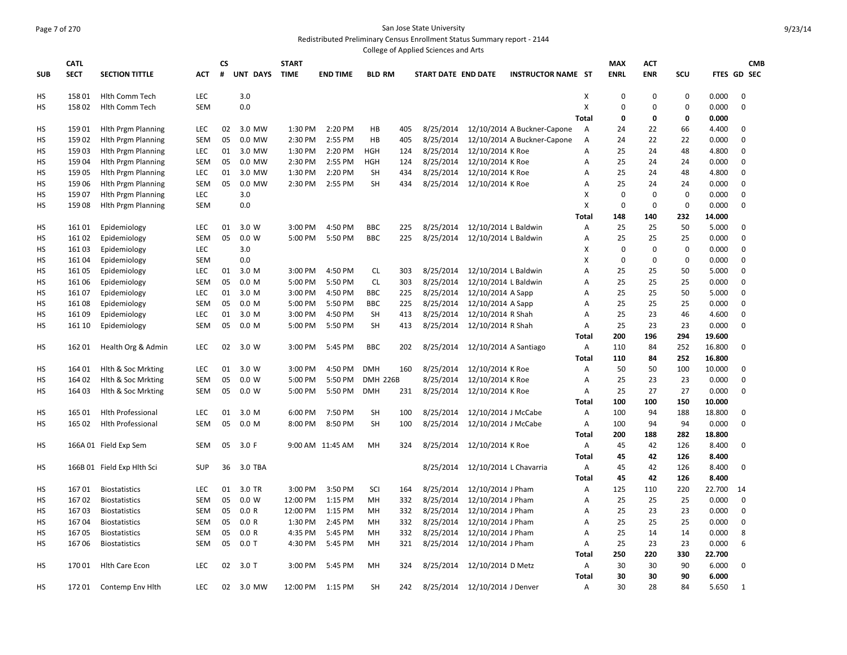## Page 7 of 270 San Jose State University Redistributed Preliminary Census Enrollment Status Summary report - 2144

|            |             |                            |            |           |                  |              |                  |                 |     | College of Applied Sciences and Arts |                                 |                             |                           |             |             |             |             |             |            |
|------------|-------------|----------------------------|------------|-----------|------------------|--------------|------------------|-----------------|-----|--------------------------------------|---------------------------------|-----------------------------|---------------------------|-------------|-------------|-------------|-------------|-------------|------------|
|            | <b>CATL</b> |                            |            | <b>CS</b> |                  | <b>START</b> |                  |                 |     |                                      |                                 |                             |                           | <b>MAX</b>  | <b>ACT</b>  |             |             |             | <b>CMB</b> |
| <b>SUB</b> | <b>SECT</b> | <b>SECTION TITTLE</b>      | <b>ACT</b> | #         | UNT DAYS         | <b>TIME</b>  | <b>END TIME</b>  | <b>BLD RM</b>   |     | START DATE END DATE                  |                                 | <b>INSTRUCTOR NAME ST</b>   |                           | <b>ENRL</b> | <b>ENR</b>  | SCU         | FTES GD SEC |             |            |
| HS         | 15801       | Hlth Comm Tech             | LEC        |           | 3.0              |              |                  |                 |     |                                      |                                 |                             | X                         | $\mathbf 0$ | $\mathbf 0$ | $\mathbf 0$ | 0.000       | $\mathbf 0$ |            |
| HS         | 15802       | <b>Hith Comm Tech</b>      | <b>SEM</b> |           | 0.0              |              |                  |                 |     |                                      |                                 |                             | X                         | $\mathbf 0$ | 0           | $\mathbf 0$ | 0.000       | $\mathbf 0$ |            |
|            |             |                            |            |           |                  |              |                  |                 |     |                                      |                                 |                             | <b>Total</b>              | 0           | 0           | 0           | 0.000       |             |            |
| HS         | 15901       | <b>Hith Prgm Planning</b>  | <b>LEC</b> | 02        | 3.0 MW           | 1:30 PM      | 2:20 PM          | HB              | 405 | 8/25/2014                            |                                 | 12/10/2014 A Buckner-Capone | A                         | 24          | 22          | 66          | 4.400       | $\mathbf 0$ |            |
| <b>HS</b>  | 15902       | <b>Hlth Prgm Planning</b>  | <b>SEM</b> | 05        | 0.0 MW           | 2:30 PM      | 2:55 PM          | HB              | 405 | 8/25/2014                            |                                 | 12/10/2014 A Buckner-Capone | $\overline{A}$            | 24          | 22          | 22          | 0.000       | $\mathbf 0$ |            |
| HS         | 15903       | <b>Hith Prgm Planning</b>  | <b>LEC</b> | 01        | 3.0 MW           | 1:30 PM      | 2:20 PM          | <b>HGH</b>      | 124 | 8/25/2014                            | 12/10/2014 K Roe                |                             | Α                         | 25          | 24          | 48          | 4.800       | 0           |            |
| HS         | 15904       | <b>Hith Prgm Planning</b>  | <b>SEM</b> | 05        | 0.0 MW           | 2:30 PM      | 2:55 PM          | <b>HGH</b>      | 124 | 8/25/2014                            | 12/10/2014 K Roe                |                             | A                         | 25          | 24          | 24          | 0.000       | $\mathbf 0$ |            |
| HS         | 15905       | <b>Hith Prgm Planning</b>  | <b>LEC</b> | 01        | 3.0 MW           | 1:30 PM      | 2:20 PM          | <b>SH</b>       | 434 | 8/25/2014                            | 12/10/2014 K Roe                |                             | A                         | 25          | 24          | 48          | 4.800       | 0           |            |
| HS         | 15906       | <b>Hith Prgm Planning</b>  | <b>SEM</b> | 05        | 0.0 MW           | 2:30 PM      | 2:55 PM          | <b>SH</b>       | 434 | 8/25/2014                            | 12/10/2014 K Roe                |                             | A                         | 25          | 24          | 24          | 0.000       | 0           |            |
| <b>HS</b>  | 15907       | <b>Hith Prgm Planning</b>  | LEC        |           | 3.0              |              |                  |                 |     |                                      |                                 |                             | $\boldsymbol{\mathsf{X}}$ | $\mathbf 0$ | $\mathbf 0$ | $\mathbf 0$ | 0.000       | $\mathbf 0$ |            |
| нs         | 15908       | <b>Hith Prgm Planning</b>  | <b>SEM</b> |           | 0.0              |              |                  |                 |     |                                      |                                 |                             | $\boldsymbol{\mathsf{X}}$ | $\mathbf 0$ | $\mathbf 0$ | $\mathbf 0$ | 0.000       | $\mathbf 0$ |            |
|            |             |                            |            |           |                  |              |                  |                 |     |                                      |                                 |                             | <b>Total</b>              | 148         | 140         | 232         | 14.000      |             |            |
| HS         | 16101       | Epidemiology               | <b>LEC</b> | 01        | 3.0 W            | 3:00 PM      | 4:50 PM          | <b>BBC</b>      | 225 | 8/25/2014                            | 12/10/2014 L Baldwin            |                             | A                         | 25          | 25          | 50          | 5.000       | $\mathbf 0$ |            |
| HS         | 16102       | Epidemiology               | <b>SEM</b> | 05        | 0.0 W            | 5:00 PM      | 5:50 PM          | <b>BBC</b>      | 225 | 8/25/2014                            | 12/10/2014 L Baldwin            |                             | A                         | 25          | 25          | 25          | 0.000       | $\mathbf 0$ |            |
| нs         | 16103       | Epidemiology               | <b>LEC</b> |           | 3.0              |              |                  |                 |     |                                      |                                 |                             | х                         | 0           | $\mathbf 0$ | $\mathbf 0$ | 0.000       | $\mathbf 0$ |            |
| HS         | 16104       | Epidemiology               | <b>SEM</b> |           | 0.0              |              |                  |                 |     |                                      |                                 |                             | X                         | $\mathbf 0$ | $\mathbf 0$ | $\mathbf 0$ | 0.000       | 0           |            |
| HS         | 16105       | Epidemiology               | LEC        | 01        | 3.0 M            | 3:00 PM      | 4:50 PM          | <b>CL</b>       | 303 | 8/25/2014                            | 12/10/2014 L Baldwin            |                             | A                         | 25          | 25          | 50          | 5.000       | $\pmb{0}$   |            |
| HS         | 16106       | Epidemiology               | <b>SEM</b> | 05        | 0.0 <sub>M</sub> | 5:00 PM      | 5:50 PM          | <b>CL</b>       | 303 | 8/25/2014                            | 12/10/2014 L Baldwin            |                             | Α                         | 25          | 25          | 25          | 0.000       | 0           |            |
| НS         | 16107       | Epidemiology               | LEC        | 01        | 3.0 M            | 3:00 PM      | 4:50 PM          | BBC             | 225 | 8/25/2014                            | 12/10/2014 A Sapp               |                             | A                         | 25          | 25          | 50          | 5.000       | 0           |            |
| HS         | 16108       | Epidemiology               | <b>SEM</b> | 05        | 0.0 M            | 5:00 PM      | 5:50 PM          | <b>BBC</b>      | 225 | 8/25/2014                            | 12/10/2014 A Sapp               |                             | A                         | 25          | 25          | 25          | 0.000       | $\mathbf 0$ |            |
| нs         | 16109       | Epidemiology               | LEC        | 01        | 3.0 M            | 3:00 PM      | 4:50 PM          | <b>SH</b>       | 413 | 8/25/2014                            | 12/10/2014 R Shah               |                             | Α                         | 25          | 23          | 46          | 4.600       | 0           |            |
| HS         | 161 10      | Epidemiology               | <b>SEM</b> | 05        | 0.0 <sub>M</sub> | 5:00 PM      | 5:50 PM          | <b>SH</b>       | 413 | 8/25/2014                            | 12/10/2014 R Shah               |                             | Α                         | 25          | 23          | 23          | 0.000       | 0           |            |
|            |             |                            |            |           |                  |              |                  |                 |     |                                      |                                 |                             | <b>Total</b>              | 200         | 196         | 294         | 19.600      |             |            |
| HS         | 16201       | Health Org & Admin         | <b>LEC</b> | 02        | 3.0 W            | 3:00 PM      | 5:45 PM          | <b>BBC</b>      | 202 |                                      | 8/25/2014 12/10/2014 A Santiago |                             | Α                         | 110         | 84          | 252         | 16.800      | 0           |            |
|            |             |                            |            |           |                  |              |                  |                 |     |                                      |                                 |                             | Total                     | 110         | 84          | 252         | 16.800      |             |            |
| HS         | 164 01      | Hlth & Soc Mrkting         | LEC        | 01        | 3.0 W            | 3:00 PM      | 4:50 PM          | <b>DMH</b>      | 160 | 8/25/2014                            | 12/10/2014 K Roe                |                             | Α                         | 50          | 50          | 100         | 10.000      | $\mathbf 0$ |            |
| нs         | 164 02      | Hith & Soc Mrkting         | <b>SEM</b> | 05        | 0.0 W            | 5:00 PM      | 5:50 PM          | <b>DMH 226B</b> |     | 8/25/2014                            | 12/10/2014 K Roe                |                             | Α                         | 25          | 23          | 23          | 0.000       | 0           |            |
| нs         | 164 03      | Hith & Soc Mrkting         | <b>SEM</b> | 05        | 0.0 W            | 5:00 PM      | 5:50 PM          | <b>DMH</b>      | 231 | 8/25/2014                            | 12/10/2014 K Roe                |                             | Α                         | 25          | 27          | 27          | 0.000       | $\mathbf 0$ |            |
|            |             |                            |            |           |                  |              |                  |                 |     |                                      |                                 |                             | Total                     | 100         | 100         | 150         | 10.000      |             |            |
| HS         | 165 01      | <b>Hlth Professional</b>   | <b>LEC</b> | 01        | 3.0 M            | 6:00 PM      | 7:50 PM          | <b>SH</b>       | 100 | 8/25/2014                            | 12/10/2014 J McCabe             |                             | Α                         | 100         | 94          | 188         | 18.800      | 0           |            |
| нs         | 165 02      | <b>Hith Professional</b>   | <b>SEM</b> | 05        | 0.0 M            | 8:00 PM      | 8:50 PM          | <b>SH</b>       | 100 | 8/25/2014                            | 12/10/2014 J McCabe             |                             | Α                         | 100         | 94          | 94          | 0.000       | 0           |            |
|            |             |                            |            |           |                  |              |                  |                 |     |                                      |                                 |                             | <b>Total</b>              | 200         | 188         | 282         | 18.800      |             |            |
| HS         |             | 166A 01 Field Exp Sem      | <b>SEM</b> | 05        | 3.0 F            |              | 9:00 AM 11:45 AM | MH              | 324 | 8/25/2014                            | 12/10/2014 K Roe                |                             | Α                         | 45          | 42          | 126         | 8.400       | 0           |            |
|            |             |                            |            |           |                  |              |                  |                 |     |                                      |                                 |                             | <b>Total</b>              | 45          | 42          | 126         | 8.400       |             |            |
| HS         |             | 166B 01 Field Exp Hlth Sci | <b>SUP</b> | 36        | 3.0 TBA          |              |                  |                 |     | 8/25/2014                            | 12/10/2014 L Chavarria          |                             | A                         | 45          | 42          | 126         | 8.400       | $\mathbf 0$ |            |
|            |             |                            |            |           |                  |              |                  |                 |     |                                      |                                 |                             | Total                     | 45          | 42          | 126         | 8.400       |             |            |
| HS         | 16701       | <b>Biostatistics</b>       | <b>LEC</b> | 01        | 3.0 TR           | 3:00 PM      | 3:50 PM          | SCI             | 164 | 8/25/2014                            | 12/10/2014 J Pham               |                             | Α                         | 125         | 110         | 220         | 22.700      | 14          |            |
| HS         | 16702       | <b>Biostatistics</b>       | <b>SEM</b> | 05        | 0.0 W            | 12:00 PM     | 1:15 PM          | MH              | 332 | 8/25/2014                            | 12/10/2014 J Pham               |                             | Α                         | 25          | 25          | 25          | 0.000       | $\mathbf 0$ |            |
| HS         | 16703       | <b>Biostatistics</b>       | <b>SEM</b> | 05        | 0.0 R            | 12:00 PM     | 1:15 PM          | MH              | 332 | 8/25/2014                            | 12/10/2014 J Pham               |                             | A                         | 25          | 23          | 23          | 0.000       | 0           |            |
| HS         | 16704       | <b>Biostatistics</b>       | <b>SEM</b> | 05        | 0.0 R            | 1:30 PM      | 2:45 PM          | MH              | 332 | 8/25/2014                            | 12/10/2014 J Pham               |                             | A                         | 25          | 25          | 25          | 0.000       | 0           |            |
| <b>HS</b>  | 16705       | <b>Biostatistics</b>       | <b>SEM</b> | 05        | 0.0 R            | 4:35 PM      | 5:45 PM          | MH              | 332 | 8/25/2014                            | 12/10/2014 J Pham               |                             | A                         | 25          | 14          | 14          | 0.000       | 8           |            |
| <b>HS</b>  | 16706       | <b>Biostatistics</b>       | <b>SEM</b> | 05        | $0.0$ T          | 4:30 PM      | 5:45 PM          | MН              | 321 | 8/25/2014                            | 12/10/2014 J Pham               |                             | A                         | 25          | 23          | 23          | 0.000       | 6           |            |
|            |             |                            |            |           |                  |              |                  |                 |     |                                      |                                 |                             | <b>Total</b>              | 250         | 220         | 330         | 22.700      |             |            |
| HS         | 17001       | <b>Hith Care Econ</b>      | <b>LEC</b> | 02        | 3.0T             | 3:00 PM      | 5:45 PM          | MH              | 324 | 8/25/2014                            | 12/10/2014 D Metz               |                             | Α                         | 30          | 30          | 90          | 6.000       | $\mathbf 0$ |            |
|            |             |                            |            |           |                  |              |                  |                 |     |                                      |                                 |                             | Total                     | 30          | 30          | 90          | 6.000       |             |            |
| <b>HS</b>  | 17201       | Contemp Env Hith           | <b>LEC</b> | 02        | 3.0 MW           | 12:00 PM     | 1:15 PM          | <b>SH</b>       | 242 | 8/25/2014                            | 12/10/2014 J Denver             |                             | A                         | 30          | 28          | 84          | 5.650       | 1           |            |
|            |             |                            |            |           |                  |              |                  |                 |     |                                      |                                 |                             |                           |             |             |             |             |             |            |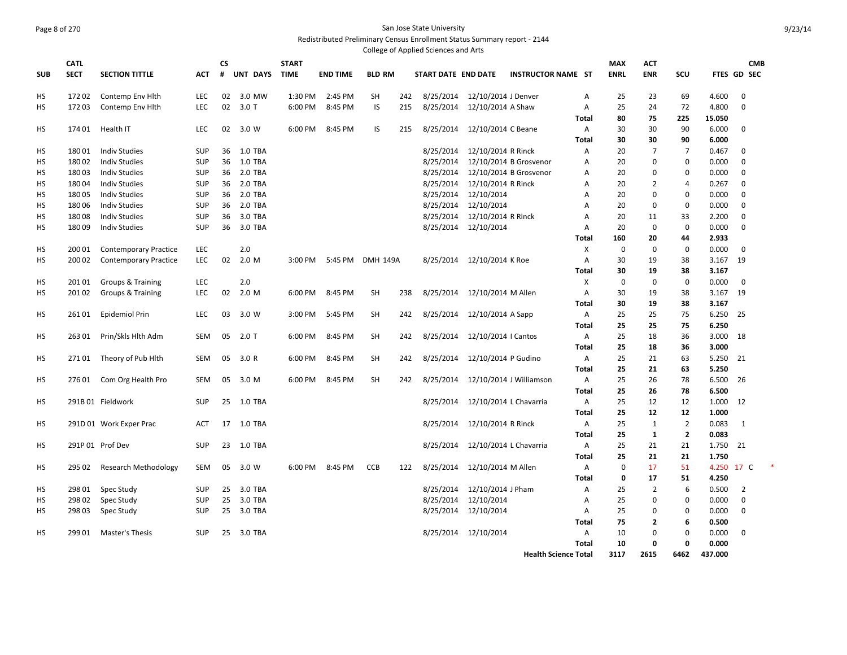#### Page 8 of 270 San Jose State University Redistributed Preliminary Census Enrollment Status Summary report - 2144 College of Applied Sciences and Arts

|            |             |                              |            |           |            |              |                 |                 |     | ege of ripplied sciences and |                      |                             |              |             |                |                |            |                |  |
|------------|-------------|------------------------------|------------|-----------|------------|--------------|-----------------|-----------------|-----|------------------------------|----------------------|-----------------------------|--------------|-------------|----------------|----------------|------------|----------------|--|
|            | <b>CATL</b> |                              |            | <b>CS</b> |            | <b>START</b> |                 |                 |     |                              |                      |                             |              | <b>MAX</b>  | <b>ACT</b>     |                |            | <b>CMB</b>     |  |
| <b>SUB</b> | <b>SECT</b> | <b>SECTION TITTLE</b>        | <b>ACT</b> | #         | UNT DAYS   | <b>TIME</b>  | <b>END TIME</b> | <b>BLD RM</b>   |     | START DATE END DATE          |                      | <b>INSTRUCTOR NAME ST</b>   |              | <b>ENRL</b> | <b>ENR</b>     | SCU            |            | FTES GD SEC    |  |
| НS         | 17202       | Contemp Env Hith             | <b>LEC</b> | 02        | 3.0 MW     | 1:30 PM      | 2:45 PM         | <b>SH</b>       | 242 | 8/25/2014                    | 12/10/2014 J Denver  |                             | A            | 25          | 23             | 69             | 4.600      | $\mathbf 0$    |  |
| <b>HS</b>  | 17203       | Contemp Env Hith             | <b>LEC</b> | 02        | $3.0$ T    | 6:00 PM      | 8:45 PM         | IS              | 215 | 8/25/2014                    | 12/10/2014 A Shaw    |                             | A            | 25          | 24             | 72             | 4.800      | $\mathbf 0$    |  |
|            |             |                              |            |           |            |              |                 |                 |     |                              |                      |                             | Total        | 80          | 75             | 225            | 15.050     |                |  |
| HS         | 174 01      | Health IT                    | <b>LEC</b> | 02        | 3.0 W      | 6:00 PM      | 8:45 PM         | IS              | 215 | 8/25/2014                    | 12/10/2014 C Beane   |                             | A            | 30          | 30             | 90             | 6.000      | $\mathbf 0$    |  |
|            |             |                              |            |           |            |              |                 |                 |     |                              |                      |                             | <b>Total</b> | 30          | 30             | 90             | 6.000      |                |  |
| НS         | 18001       | <b>Indiv Studies</b>         | <b>SUP</b> | 36        | 1.0 TBA    |              |                 |                 |     | 8/25/2014                    | 12/10/2014 R Rinck   |                             | Α            | 20          | $\overline{7}$ | $\overline{7}$ | 0.467      | $\mathbf 0$    |  |
| НS         | 18002       | <b>Indiv Studies</b>         | <b>SUP</b> | 36        | 1.0 TBA    |              |                 |                 |     | 8/25/2014                    |                      | 12/10/2014 B Grosvenor      | Α            | 20          | 0              | 0              | 0.000      | $\mathbf 0$    |  |
| НS         | 18003       | <b>Indiv Studies</b>         | <b>SUP</b> | 36        | 2.0 TBA    |              |                 |                 |     | 8/25/2014                    |                      | 12/10/2014 B Grosvenor      | A            | 20          | $\mathbf 0$    | 0              | 0.000      | $\mathbf 0$    |  |
| НS         | 18004       | <b>Indiv Studies</b>         | <b>SUP</b> | 36        | 2.0 TBA    |              |                 |                 |     | 8/25/2014                    | 12/10/2014 R Rinck   |                             | Α            | 20          | $\overline{2}$ | 4              | 0.267      | $\mathbf 0$    |  |
| НS         | 18005       | <b>Indiv Studies</b>         | <b>SUP</b> | 36        | 2.0 TBA    |              |                 |                 |     | 8/25/2014                    | 12/10/2014           |                             | A            | 20          | $\mathbf 0$    | 0              | 0.000      | $\mathbf 0$    |  |
| HS         | 18006       | <b>Indiv Studies</b>         | <b>SUP</b> | 36        | 2.0 TBA    |              |                 |                 |     | 8/25/2014                    | 12/10/2014           |                             | A            | 20          | $\mathbf 0$    | $\mathbf 0$    | 0.000      | 0              |  |
| НS         | 18008       | <b>Indiv Studies</b>         | <b>SUP</b> | 36        | 3.0 TBA    |              |                 |                 |     | 8/25/2014                    | 12/10/2014 R Rinck   |                             | A            | 20          | 11             | 33             | 2.200      | $\mathbf 0$    |  |
| НS         | 18009       | <b>Indiv Studies</b>         | <b>SUP</b> | 36        | 3.0 TBA    |              |                 |                 |     | 8/25/2014                    | 12/10/2014           |                             | A            | 20          | $\mathbf 0$    | $\mathbf 0$    | 0.000      | 0              |  |
|            |             |                              |            |           |            |              |                 |                 |     |                              |                      |                             | Total        | 160         | 20             | 44             | 2.933      |                |  |
| HS         | 200 01      | <b>Contemporary Practice</b> | LEC        |           | 2.0        |              |                 |                 |     |                              |                      |                             | X            | $\mathbf 0$ | $\mathbf 0$    | $\pmb{0}$      | 0.000      | $\mathbf 0$    |  |
| HS         | 200 02      | <b>Contemporary Practice</b> | LEC        | 02        | 2.0 M      | 3:00 PM      | 5:45 PM         | <b>DMH 149A</b> |     | 8/25/2014                    | 12/10/2014 K Roe     |                             | A            | 30          | 19             | 38             | 3.167      | 19             |  |
|            |             |                              |            |           |            |              |                 |                 |     |                              |                      |                             | Total        | 30          | 19             | 38             | 3.167      |                |  |
| НS         | 20101       | Groups & Training            | LEC        |           | 2.0        |              |                 |                 |     |                              |                      |                             | X            | $\mathbf 0$ | $\mathbf 0$    | $\pmb{0}$      | 0.000      | $\mathbf 0$    |  |
| НS         | 20102       | Groups & Training            | <b>LEC</b> | 02        | 2.0 M      | 6:00 PM      | 8:45 PM         | <b>SH</b>       | 238 | 8/25/2014                    | 12/10/2014 M Allen   |                             | A            | 30          | 19             | 38             | 3.167      | 19             |  |
|            |             |                              |            |           |            |              |                 |                 |     |                              |                      |                             | Total        | 30          | 19             | 38             | 3.167      |                |  |
| HS         | 26101       | <b>Epidemiol Prin</b>        | <b>LEC</b> | 03        | 3.0 W      | 3:00 PM      | 5:45 PM         | <b>SH</b>       | 242 | 8/25/2014                    | 12/10/2014 A Sapp    |                             | Α            | 25          | 25             | 75             | 6.250      | 25             |  |
|            |             |                              |            |           |            |              |                 |                 |     |                              |                      |                             | Total        | 25          | 25             | 75             | 6.250      |                |  |
| HS         | 26301       | Prin/Skls Hlth Adm           | <b>SEM</b> | 05        | 2.0 T      | 6:00 PM      | 8:45 PM         | <b>SH</b>       | 242 | 8/25/2014                    | 12/10/2014   Cantos  |                             | A            | 25          | 18             | 36             | 3.000      | 18             |  |
|            |             |                              |            |           |            |              |                 |                 |     |                              |                      |                             | Total        | 25          | 18             | 36             | 3.000      |                |  |
| HS         | 27101       | Theory of Pub Hith           | <b>SEM</b> | 05        | 3.0R       | 6:00 PM      | 8:45 PM         | <b>SH</b>       | 242 | 8/25/2014                    | 12/10/2014 P Gudino  |                             | A            | 25          | 21             | 63             | 5.250      | 21             |  |
|            |             |                              |            |           |            |              |                 |                 |     |                              |                      |                             | Total        | 25          | 21             | 63             | 5.250      |                |  |
| НS         | 27601       | Com Org Health Pro           | <b>SEM</b> | 05        | 3.0 M      | 6:00 PM      | 8:45 PM         | <b>SH</b>       | 242 | 8/25/2014                    |                      | 12/10/2014 J Williamson     | Α            | 25          | 26             | 78             | 6.500      | - 26           |  |
|            |             |                              |            |           |            |              |                 |                 |     |                              |                      |                             | <b>Total</b> | 25          | 26             | 78             | 6.500      |                |  |
| НS         |             | 291B 01 Fieldwork            | <b>SUP</b> | 25        | 1.0 TBA    |              |                 |                 |     | 8/25/2014                    |                      | 12/10/2014 L Chavarria      | A            | 25          | 12             | 12             | 1.000 12   |                |  |
|            |             |                              |            |           |            |              |                 |                 |     |                              |                      |                             | Total        | 25          | 12             | 12             | 1.000      |                |  |
| HS         |             | 291D 01 Work Exper Prac      | ACT        |           | 17 1.0 TBA |              |                 |                 |     | 8/25/2014                    | 12/10/2014 R Rinck   |                             | Α            | 25          | $\mathbf{1}$   | $\overline{2}$ | 0.083      | $\mathbf{1}$   |  |
|            |             |                              |            |           |            |              |                 |                 |     |                              |                      |                             | Total        | 25          | 1              | $\overline{2}$ | 0.083      |                |  |
| НS         |             | 291P 01 Prof Dev             | <b>SUP</b> | 23        | 1.0 TBA    |              |                 |                 |     | 8/25/2014                    |                      | 12/10/2014 L Chavarria      | Α            | 25          | 21             | 21             | 1.750      | 21             |  |
|            |             |                              |            |           |            |              |                 |                 |     |                              |                      |                             | Total        | 25          | 21             | 21             | 1.750      |                |  |
| НS         | 295 02      | Research Methodology         | <b>SEM</b> | 05        | 3.0 W      | 6:00 PM      | 8:45 PM         | <b>CCB</b>      | 122 | 8/25/2014                    | 12/10/2014 M Allen   |                             | Α            | $\mathbf 0$ | 17             | 51             | 4.250 17 C |                |  |
|            |             |                              |            |           |            |              |                 |                 |     |                              |                      |                             | <b>Total</b> | 0           | 17             | 51             | 4.250      |                |  |
| HS.        | 298 01      | Spec Study                   | <b>SUP</b> | 25        | 3.0 TBA    |              |                 |                 |     | 8/25/2014                    | 12/10/2014 J Pham    |                             | A            | 25          | $\overline{2}$ | 6              | 0.500      | $\overline{2}$ |  |
| HS         | 298 02      | Spec Study                   | <b>SUP</b> | 25        | 3.0 TBA    |              |                 |                 |     | 8/25/2014                    | 12/10/2014           |                             | Α            | 25          | $\mathbf 0$    | 0              | 0.000      | $\mathbf 0$    |  |
| <b>HS</b>  | 29803       | Spec Study                   | <b>SUP</b> | 25        | 3.0 TBA    |              |                 |                 |     | 8/25/2014                    | 12/10/2014           |                             | A            | 25          | $\mathbf 0$    | $\pmb{0}$      | 0.000      | $\mathbf 0$    |  |
|            |             |                              |            |           |            |              |                 |                 |     |                              |                      |                             | Total        | 75          | $\overline{2}$ | 6              | 0.500      |                |  |
| <b>HS</b>  | 29901       | <b>Master's Thesis</b>       | <b>SUP</b> | 25        | 3.0 TBA    |              |                 |                 |     |                              | 8/25/2014 12/10/2014 |                             | A            | 10          | $\mathbf 0$    | $\pmb{0}$      | 0.000      | $\mathbf 0$    |  |
|            |             |                              |            |           |            |              |                 |                 |     |                              |                      |                             | Total        | 10          | 0              | 0              | 0.000      |                |  |
|            |             |                              |            |           |            |              |                 |                 |     |                              |                      | <b>Health Science Total</b> |              | 3117        | 2615           | 6462           | 437.000    |                |  |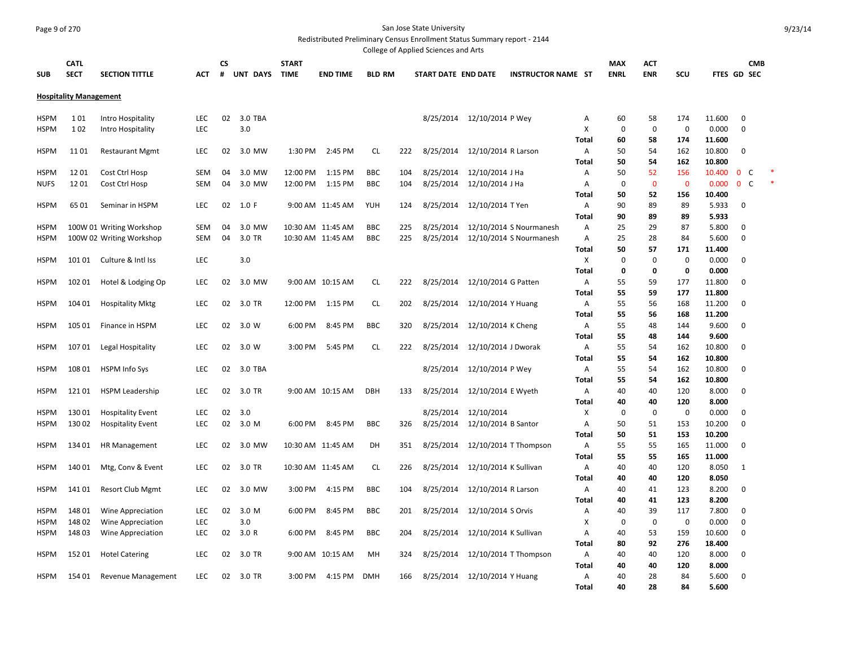## Page 9 of 270 San Jose State University

Redistributed Preliminary Census Enrollment Status Summary report - 2144

|             |                               |                          |            |    |          |              |                   |               |     | College of Applied Sciences and Arts |                       |                           |              |             |             |             |                  |              |            |  |
|-------------|-------------------------------|--------------------------|------------|----|----------|--------------|-------------------|---------------|-----|--------------------------------------|-----------------------|---------------------------|--------------|-------------|-------------|-------------|------------------|--------------|------------|--|
|             | <b>CATL</b>                   |                          |            | CS |          | <b>START</b> |                   |               |     |                                      |                       |                           |              | <b>MAX</b>  | ACT         |             |                  |              | <b>CMB</b> |  |
| <b>SUB</b>  | <b>SECT</b>                   | <b>SECTION TITTLE</b>    | ACT        | #  | UNT DAYS | <b>TIME</b>  | <b>END TIME</b>   | <b>BLD RM</b> |     | START DATE END DATE                  |                       | <b>INSTRUCTOR NAME ST</b> |              | <b>ENRL</b> | <b>ENR</b>  | SCU         | FTES GD SEC      |              |            |  |
|             |                               |                          |            |    |          |              |                   |               |     |                                      |                       |                           |              |             |             |             |                  |              |            |  |
|             | <b>Hospitality Management</b> |                          |            |    |          |              |                   |               |     |                                      |                       |                           |              |             |             |             |                  |              |            |  |
| <b>HSPM</b> | 101                           | Intro Hospitality        | <b>LEC</b> | 02 | 3.0 TBA  |              |                   |               |     | 8/25/2014 12/10/2014 P Wey           |                       |                           | Α            | 60          | 58          | 174         | 11.600           | 0            |            |  |
| <b>HSPM</b> | 102                           | Intro Hospitality        | LEC        |    | 3.0      |              |                   |               |     |                                      |                       |                           | X            | $\mathbf 0$ | $\mathbf 0$ | $\mathbf 0$ | 0.000            | $\mathbf 0$  |            |  |
|             |                               |                          |            |    |          |              |                   |               |     |                                      |                       |                           | Total        | 60          | 58          | 174         | 11.600           |              |            |  |
| <b>HSPM</b> | 1101                          | <b>Restaurant Mgmt</b>   | <b>LEC</b> | 02 | 3.0 MW   | 1:30 PM      | 2:45 PM           | <b>CL</b>     | 222 | 8/25/2014                            | 12/10/2014 R Larson   |                           | Α            | 50          | 54          | 162         | 10.800           | $\Omega$     |            |  |
|             |                               |                          |            |    |          |              |                   |               |     |                                      |                       |                           | Total        | 50          | 54          | 162         | 10.800           |              |            |  |
| <b>HSPM</b> | 1201                          | Cost Ctrl Hosp           | <b>SEM</b> | 04 | 3.0 MW   | 12:00 PM     | 1:15 PM           | <b>BBC</b>    | 104 | 8/25/2014                            | 12/10/2014 J Ha       |                           | Α            | 50          | 52          | 156         | 10.400           | $\mathbf 0$  | C          |  |
| <b>NUFS</b> | 1201                          | Cost Ctrl Hosp           | <b>SEM</b> | 04 | 3.0 MW   | 12:00 PM     | 1:15 PM           | <b>BBC</b>    | 104 | 8/25/2014                            | 12/10/2014 J Ha       |                           | Α            | $\mathbf 0$ | $\mathbf 0$ | $\mathbf 0$ | 0.000            | $\mathbf{0}$ | C          |  |
|             |                               |                          |            |    |          |              |                   |               |     |                                      |                       |                           | Total        | 50          | 52          | 156         | 10.400           |              |            |  |
| <b>HSPM</b> | 6501                          | Seminar in HSPM          | <b>LEC</b> | 02 | 1.0 F    |              | 9:00 AM 11:45 AM  | YUH           | 124 | 8/25/2014                            | 12/10/2014 T Yen      |                           | Α            | 90          | 89          | 89          | 5.933            | 0            |            |  |
|             |                               |                          |            |    |          |              |                   |               |     |                                      |                       |                           | Total        | 90          | 89          | 89          | 5.933            |              |            |  |
| <b>HSPM</b> |                               | 100W 01 Writing Workshop | <b>SEM</b> | 04 | 3.0 MW   |              | 10:30 AM 11:45 AM | <b>BBC</b>    | 225 | 8/25/2014                            |                       | 12/10/2014 S Nourmanesh   | Α            | 25          | 29          | 87          | 5.800            | $\mathbf 0$  |            |  |
| <b>HSPM</b> |                               | 100W 02 Writing Workshop | <b>SEM</b> | 04 | 3.0 TR   |              | 10:30 AM 11:45 AM | <b>BBC</b>    | 225 | 8/25/2014                            |                       | 12/10/2014 S Nourmanesh   | Α            | 25          | 28          | 84          | 5.600            | $\mathbf 0$  |            |  |
|             |                               |                          |            |    |          |              |                   |               |     |                                      |                       |                           | Total        | 50          | 57          | 171         | 11.400           |              |            |  |
| <b>HSPM</b> | 101 01                        | Culture & Intl Iss       | <b>LEC</b> |    | 3.0      |              |                   |               |     |                                      |                       |                           | х            | 0           | 0           | $\pmb{0}$   | 0.000            | 0            |            |  |
|             |                               |                          |            |    |          |              |                   |               |     |                                      |                       |                           | Total        | 0           | 0           | 0           | 0.000            |              |            |  |
| <b>HSPM</b> | 102 01                        | Hotel & Lodging Op       | <b>LEC</b> | 02 | 3.0 MW   |              | 9:00 AM 10:15 AM  | <b>CL</b>     | 222 | 8/25/2014 12/10/2014 G Patten        |                       |                           | Α            | 55          | 59          | 177<br>177  | 11.800           | $\mathbf 0$  |            |  |
| <b>HSPM</b> | 104 01                        | <b>Hospitality Mktg</b>  | <b>LEC</b> | 02 | 3.0 TR   | 12:00 PM     | 1:15 PM           | <b>CL</b>     | 202 | 8/25/2014 12/10/2014 Y Huang         |                       |                           | Total<br>Α   | 55<br>55    | 59<br>56    | 168         | 11.800<br>11.200 | 0            |            |  |
|             |                               |                          |            |    |          |              |                   |               |     |                                      |                       |                           | Total        | 55          | 56          | 168         | 11.200           |              |            |  |
| <b>HSPM</b> | 105 01                        | Finance in HSPM          | <b>LEC</b> | 02 | 3.0 W    | 6:00 PM      | 8:45 PM           | <b>BBC</b>    | 320 | 8/25/2014                            | 12/10/2014 K Cheng    |                           | Α            | 55          | 48          | 144         | 9.600            | 0            |            |  |
|             |                               |                          |            |    |          |              |                   |               |     |                                      |                       |                           | Total        | 55          | 48          | 144         | 9.600            |              |            |  |
| <b>HSPM</b> | 10701                         | Legal Hospitality        | <b>LEC</b> | 02 | 3.0 W    | 3:00 PM      | 5:45 PM           | <b>CL</b>     | 222 | 8/25/2014                            | 12/10/2014 J Dworak   |                           | Α            | 55          | 54          | 162         | 10.800           | 0            |            |  |
|             |                               |                          |            |    |          |              |                   |               |     |                                      |                       |                           | Total        | 55          | 54          | 162         | 10.800           |              |            |  |
| <b>HSPM</b> | 108 01                        | HSPM Info Sys            | <b>LEC</b> | 02 | 3.0 TBA  |              |                   |               |     | 8/25/2014                            | 12/10/2014 P Wey      |                           | Α            | 55          | 54          | 162         | 10.800           | $\mathbf 0$  |            |  |
|             |                               |                          |            |    |          |              |                   |               |     |                                      |                       |                           | Total        | 55          | 54          | 162         | 10.800           |              |            |  |
| <b>HSPM</b> | 12101                         | <b>HSPM Leadership</b>   | <b>LEC</b> | 02 | 3.0 TR   |              | 9:00 AM 10:15 AM  | <b>DBH</b>    | 133 | 8/25/2014                            | 12/10/2014 E Wyeth    |                           | Α            | 40          | 40          | 120         | 8.000            | 0            |            |  |
|             |                               |                          |            |    |          |              |                   |               |     |                                      |                       |                           | Total        | 40          | 40          | 120         | 8.000            |              |            |  |
| <b>HSPM</b> | 130 01                        | <b>Hospitality Event</b> | <b>LEC</b> | 02 | 3.0      |              |                   |               |     | 8/25/2014                            | 12/10/2014            |                           | х            | 0           | $\mathbf 0$ | $\mathbf 0$ | 0.000            | 0            |            |  |
| <b>HSPM</b> | 130 02                        | <b>Hospitality Event</b> | <b>LEC</b> | 02 | 3.0 M    | 6:00 PM      | 8:45 PM           | <b>BBC</b>    | 326 | 8/25/2014                            | 12/10/2014 B Santor   |                           | A            | 50          | 51          | 153         | 10.200           | $\mathbf 0$  |            |  |
|             |                               |                          |            |    |          |              |                   |               |     |                                      |                       |                           | Total        | 50          | 51          | 153         | 10.200           |              |            |  |
| <b>HSPM</b> | 13401                         | <b>HR Management</b>     | <b>LEC</b> | 02 | 3.0 MW   |              | 10:30 AM 11:45 AM | DH            | 351 | 8/25/2014                            |                       | 12/10/2014 T Thompson     | Α            | 55          | 55          | 165         | 11.000           | 0            |            |  |
|             |                               |                          |            |    |          |              |                   |               |     |                                      |                       |                           | Total        | 55          | 55          | 165         | 11.000           |              |            |  |
| <b>HSPM</b> | 140 01                        | Mtg, Conv & Event        | <b>LEC</b> | 02 | 3.0 TR   |              | 10:30 AM 11:45 AM | <b>CL</b>     | 226 | 8/25/2014                            | 12/10/2014 K Sullivan |                           | Α            | 40          | 40<br>40    | 120<br>120  | 8.050<br>8.050   | -1           |            |  |
| <b>HSPM</b> | 14101                         | <b>Resort Club Mgmt</b>  | LEC        | 02 | 3.0 MW   | 3:00 PM      | 4:15 PM           | <b>BBC</b>    | 104 | 8/25/2014                            | 12/10/2014 R Larson   |                           | Total<br>Α   | 40<br>40    | 41          | 123         | 8.200            | 0            |            |  |
|             |                               |                          |            |    |          |              |                   |               |     |                                      |                       |                           | Total        | 40          | 41          | 123         | 8.200            |              |            |  |
| <b>HSPM</b> | 148 01                        | Wine Appreciation        | <b>LEC</b> | 02 | 3.0 M    | 6:00 PM      | 8:45 PM           | BBC           | 201 | 8/25/2014                            | 12/10/2014 S Orvis    |                           | Α            | 40          | 39          | 117         | 7.800            | 0            |            |  |
| <b>HSPM</b> | 148 02                        | Wine Appreciation        | <b>LEC</b> |    | 3.0      |              |                   |               |     |                                      |                       |                           | x            | 0           | 0           | 0           | 0.000            | 0            |            |  |
| <b>HSPM</b> | 14803                         | Wine Appreciation        | LEC        | 02 | 3.0R     | 6:00 PM      | 8:45 PM           | <b>BBC</b>    | 204 | 8/25/2014                            | 12/10/2014 K Sullivan |                           | Α            | 40          | 53          | 159         | 10.600           | $\Omega$     |            |  |
|             |                               |                          |            |    |          |              |                   |               |     |                                      |                       |                           | <b>Total</b> | 80          | 92          | 276         | 18.400           |              |            |  |
| <b>HSPM</b> | 15201                         | <b>Hotel Catering</b>    | <b>LEC</b> | 02 | 3.0 TR   |              | 9:00 AM 10:15 AM  | MH            | 324 | 8/25/2014                            |                       | 12/10/2014 T Thompson     | Α            | 40          | 40          | 120         | 8.000            | 0            |            |  |
|             |                               |                          |            |    |          |              |                   |               |     |                                      |                       |                           | Total        | 40          | 40          | 120         | 8.000            |              |            |  |
| <b>HSPM</b> | 154 01                        | Revenue Management       | LEC.       | 02 | 3.0 TR   | 3:00 PM      | 4:15 PM           | <b>DMH</b>    | 166 | 8/25/2014 12/10/2014 Y Huang         |                       |                           | Α            | 40          | 28          | 84          | 5.600            | 0            |            |  |
|             |                               |                          |            |    |          |              |                   |               |     |                                      |                       |                           | <b>Total</b> | 40          | 28          | 84          | 5.600            |              |            |  |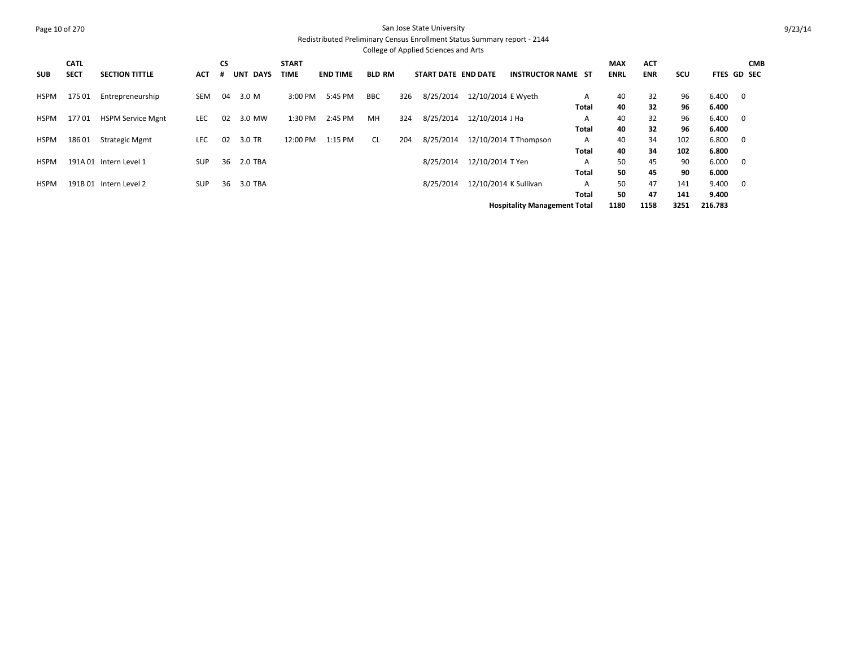#### Page 10 of 270 San Jose State University Redistributed Preliminary Census Enrollment Status Summary report - 2144 College of Applied Sciences and Arts

|             | <b>CATL</b> |                          |            | <b>CS</b> |                    | <b>START</b> |                 |               |     |                     |                       |                                     |              | <b>MAX</b>  | <b>ACT</b> |            |                    |                         | <b>CMB</b> |
|-------------|-------------|--------------------------|------------|-----------|--------------------|--------------|-----------------|---------------|-----|---------------------|-----------------------|-------------------------------------|--------------|-------------|------------|------------|--------------------|-------------------------|------------|
| <b>SUB</b>  | <b>SECT</b> | <b>SECTION TITTLE</b>    | ACT        |           | <b>UNT</b><br>DAYS | TIME         | <b>END TIME</b> | <b>BLD RM</b> |     | START DATE END DATE |                       | <b>INSTRUCTOR NAME ST</b>           |              | <b>ENRL</b> | <b>ENR</b> | <b>SCU</b> | <b>FTES GD SEC</b> |                         |            |
| HSPM        | 17501       | Entrepreneurship         | SEM        | 04        | 3.0 M              | 3:00 PM      | 5:45 PM         | <b>BBC</b>    | 326 | 8/25/2014           | 12/10/2014 E Wyeth    |                                     | A            | 40          | 32         | 96         | 6.400              | $\overline{\mathbf{0}}$ |            |
|             |             |                          |            |           |                    |              |                 |               |     |                     |                       |                                     | Total        | 40          | 32         | 96         | 6.400              |                         |            |
| HSPM        | 17701       | <b>HSPM Service Mgnt</b> | <b>LEC</b> | 02        | 3.0 MW             | 1:30 PM      | 2:45 PM         | MH            | 324 | 8/25/2014           | 12/10/2014 J Ha       |                                     | A            | 40          | 32         | 96         | 6.400              | $\overline{\mathbf{0}}$ |            |
|             |             |                          |            |           |                    |              |                 |               |     |                     |                       |                                     | <b>Total</b> | 40          | 32         | 96         | 6.400              |                         |            |
| <b>HSPM</b> | 18601       | <b>Strategic Mgmt</b>    | <b>LEC</b> | 02        | 3.0 TR             | 12:00 PM     | 1:15 PM         | <b>CL</b>     | 204 | 8/25/2014           |                       | 12/10/2014 T Thompson               | A            | 40          | 34         | 102        | 6.800              | 0                       |            |
|             |             |                          |            |           |                    |              |                 |               |     |                     |                       |                                     | Total        | 40          | 34         | 102        | 6.800              |                         |            |
| <b>HSPM</b> |             | 191A 01 Intern Level 1   | <b>SUP</b> | 36        | 2.0 TBA            |              |                 |               |     | 8/25/2014           | 12/10/2014 T Yen      |                                     | A            | 50          | 45         | 90         | 6.000              | 0                       |            |
|             |             |                          |            |           |                    |              |                 |               |     |                     |                       |                                     | Total        | 50          | 45         | 90         | 6.000              |                         |            |
| <b>HSPM</b> |             | 191B 01 Intern Level 2   | <b>SUP</b> | 36        | 3.0 TBA            |              |                 |               |     | 8/25/2014           | 12/10/2014 K Sullivan |                                     | A            | 50          | 47         | 141        | 9.400              | 0                       |            |
|             |             |                          |            |           |                    |              |                 |               |     |                     |                       |                                     | Total        | 50          | 47         | 141        | 9.400              |                         |            |
|             |             |                          |            |           |                    |              |                 |               |     |                     |                       | <b>Hospitality Management Total</b> |              | 1180        | 1158       | 3251       | 216.783            |                         |            |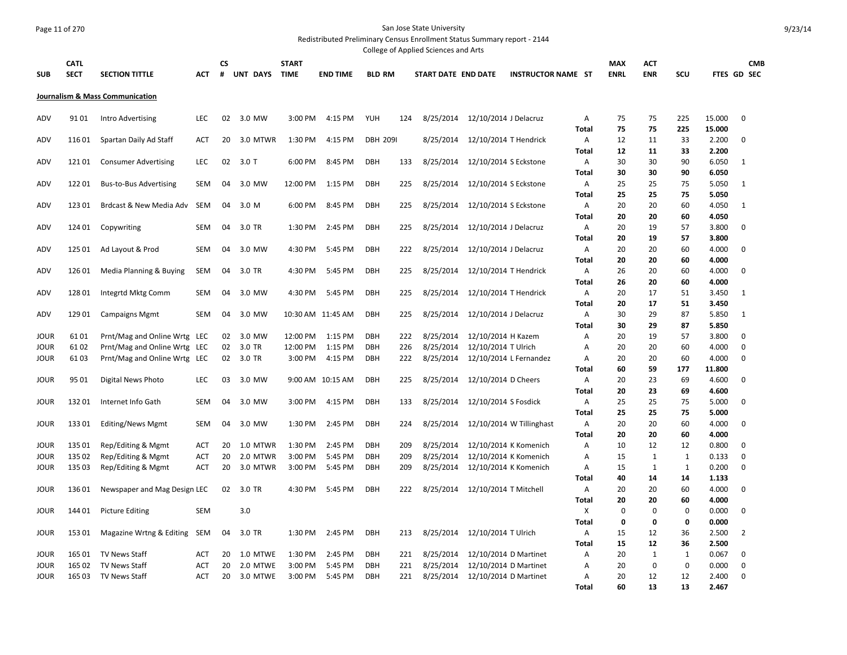#### Page 11 of 270 San Jose State University Redistributed Preliminary Census Enrollment Status Summary report - 2144

College of Applied Sciences and Arts

|                            |                  |                                              |                   |          |                      |                    |                    |                          |            | conced or Applica Sciences and Arts |                                                |                           |                   |             |                             |                   |                |                  |  |
|----------------------------|------------------|----------------------------------------------|-------------------|----------|----------------------|--------------------|--------------------|--------------------------|------------|-------------------------------------|------------------------------------------------|---------------------------|-------------------|-------------|-----------------------------|-------------------|----------------|------------------|--|
|                            | <b>CATL</b>      |                                              |                   | СS       |                      | <b>START</b>       |                    |                          |            |                                     |                                                |                           |                   | <b>MAX</b>  | ACT                         |                   |                | <b>CMB</b>       |  |
| <b>SUB</b>                 | <b>SECT</b>      | <b>SECTION TITTLE</b>                        | ACT               | #        | UNT DAYS TIME        |                    | <b>END TIME</b>    | <b>BLD RM</b>            |            | <b>START DATE END DATE</b>          |                                                | <b>INSTRUCTOR NAME ST</b> |                   | <b>ENRL</b> | <b>ENR</b>                  | SCU               |                | FTES GD SEC      |  |
|                            |                  | Journalism & Mass Communication              |                   |          |                      |                    |                    |                          |            |                                     |                                                |                           |                   |             |                             |                   |                |                  |  |
| ADV                        | 9101             | Intro Advertising                            | <b>LEC</b>        | 02       | 3.0 MW               | 3:00 PM            | 4:15 PM            | <b>YUH</b>               | 124        | 8/25/2014                           | 12/10/2014 J Delacruz                          |                           | Α                 | 75          | 75                          | 225               | 15.000         | $\mathbf 0$      |  |
|                            |                  |                                              |                   |          |                      |                    |                    |                          |            |                                     |                                                |                           | <b>Total</b>      | 75          | 75                          | 225               | 15.000         |                  |  |
| <b>ADV</b>                 | 11601            | Spartan Daily Ad Staff                       | ACT               | 20       | 3.0 MTWR             | 1:30 PM            | 4:15 PM            | <b>DBH 2091</b>          |            | 8/25/2014                           | 12/10/2014 T Hendrick                          |                           | Α                 | 12          | 11                          | 33                | 2.200          | 0                |  |
|                            |                  |                                              |                   |          |                      |                    |                    |                          |            |                                     |                                                |                           | <b>Total</b>      | 12          | 11                          | 33                | 2.200          |                  |  |
| ADV                        | 12101            | <b>Consumer Advertising</b>                  | <b>LEC</b>        | 02       | $3.0$ T              | 6:00 PM            | 8:45 PM            | <b>DBH</b>               | 133        |                                     | 8/25/2014  12/10/2014 S Eckstone               |                           | Α<br><b>Total</b> | 30<br>30    | 30<br>30                    | 90<br>90          | 6.050<br>6.050 | $\mathbf{1}$     |  |
| ADV                        | 12201            | <b>Bus-to-Bus Advertising</b>                | <b>SEM</b>        | 04       | 3.0 MW               | 12:00 PM           | 1:15 PM            | DBH                      | 225        | 8/25/2014                           | 12/10/2014 S Eckstone                          |                           | А                 | 25          | 25                          | 75                | 5.050          | $\mathbf{1}$     |  |
|                            |                  |                                              |                   |          |                      |                    |                    |                          |            |                                     |                                                |                           | Total             | 25          | 25                          | 75                | 5.050          |                  |  |
| ADV                        | 12301            | Brdcast & New Media Adv                      | <b>SEM</b>        | 04       | 3.0 M                | 6:00 PM            | 8:45 PM            | DBH                      | 225        |                                     | 8/25/2014  12/10/2014 S Eckstone               |                           | Α                 | 20          | 20                          | 60                | 4.050          | $\mathbf{1}$     |  |
|                            |                  |                                              |                   |          |                      |                    |                    |                          |            |                                     |                                                |                           | Total             | 20          | 20                          | 60                | 4.050          |                  |  |
| ADV                        | 124 01           | Copywriting                                  | <b>SEM</b>        | 04       | 3.0 TR               | 1:30 PM            | 2:45 PM            | <b>DBH</b>               | 225        | 8/25/2014                           | 12/10/2014 J Delacruz                          |                           | Α                 | 20          | 19                          | 57                | 3.800          | 0                |  |
|                            |                  |                                              |                   |          |                      |                    |                    |                          |            |                                     |                                                |                           | <b>Total</b>      | 20          | 19                          | 57                | 3.800          |                  |  |
| ADV                        | 125 01           | Ad Layout & Prod                             | <b>SEM</b>        | 04       | 3.0 MW               | 4:30 PM            | 5:45 PM            | <b>DBH</b>               | 222        | 8/25/2014                           | 12/10/2014 J Delacruz                          |                           | A                 | 20          | 20                          | 60                | 4.000          | 0                |  |
|                            |                  |                                              |                   |          |                      |                    |                    |                          |            |                                     |                                                |                           | <b>Total</b>      | 20          | 20                          | 60                | 4.000          |                  |  |
| ADV                        | 126 01           | Media Planning & Buying                      | SEM               | 04       | 3.0 TR               | 4:30 PM            | 5:45 PM            | <b>DBH</b>               | 225        | 8/25/2014                           | 12/10/2014 T Hendrick                          |                           | Α                 | 26          | 20                          | 60                | 4.000          | $\mathbf 0$      |  |
| ADV                        | 12801            |                                              | <b>SEM</b>        | 04       | 3.0 MW               | 4:30 PM            | 5:45 PM            | DBH                      | 225        | 8/25/2014                           | 12/10/2014 T Hendrick                          |                           | Total<br>Α        | 26<br>20    | 20<br>17                    | 60<br>51          | 4.000<br>3.450 | 1                |  |
|                            |                  | Integrtd Mktg Comm                           |                   |          |                      |                    |                    |                          |            |                                     |                                                |                           | Total             | 20          | 17                          | 51                | 3.450          |                  |  |
| ADV                        | 12901            | <b>Campaigns Mgmt</b>                        | <b>SEM</b>        | 04       | 3.0 MW               |                    | 10:30 AM 11:45 AM  | DBH                      | 225        | 8/25/2014                           | 12/10/2014 J Delacruz                          |                           | Α                 | 30          | 29                          | 87                | 5.850          | 1                |  |
|                            |                  |                                              |                   |          |                      |                    |                    |                          |            |                                     |                                                |                           | Total             | 30          | 29                          | 87                | 5.850          |                  |  |
| <b>JOUR</b>                | 6101             | Prnt/Mag and Online Wrtg LEC                 |                   | 02       | 3.0 MW               | 12:00 PM           | 1:15 PM            | <b>DBH</b>               | 222        | 8/25/2014                           | 12/10/2014 H Kazem                             |                           | Α                 | 20          | 19                          | 57                | 3.800          | 0                |  |
| <b>JOUR</b>                | 61 02            | Prnt/Mag and Online Wrtg                     | LEC               | 02       | 3.0 TR               | 12:00 PM           | 1:15 PM            | <b>DBH</b>               | 226        | 8/25/2014                           | 12/10/2014 T Ulrich                            |                           | A                 | 20          | 20                          | 60                | 4.000          | $\mathbf 0$      |  |
| <b>JOUR</b>                | 61 03            | Prnt/Mag and Online Wrtg LEC                 |                   | 02       | 3.0 TR               | 3:00 PM            | 4:15 PM            | <b>DBH</b>               | 222        | 8/25/2014                           |                                                | 12/10/2014 L Fernandez    | A                 | 20          | 20                          | 60                | 4.000          | 0                |  |
|                            |                  |                                              |                   |          |                      |                    |                    |                          |            |                                     |                                                |                           | <b>Total</b>      | 60          | 59                          | 177               | 11.800         |                  |  |
| <b>JOUR</b>                | 95 01            | Digital News Photo                           | <b>LEC</b>        | 03       | 3.0 MW               |                    | 9:00 AM 10:15 AM   | <b>DBH</b>               | 225        | 8/25/2014                           | 12/10/2014 D Cheers                            |                           | Α                 | 20          | 23                          | 69                | 4.600          | $\mathbf 0$      |  |
|                            |                  |                                              |                   |          |                      |                    |                    |                          |            |                                     |                                                |                           | <b>Total</b>      | 20          | 23                          | 69                | 4.600          |                  |  |
| <b>JOUR</b>                | 13201            | Internet Info Gath                           | SEM               | 04       | 3.0 MW               | 3:00 PM            | 4:15 PM            | DBH                      | 133        | 8/25/2014                           | 12/10/2014 S Fosdick                           |                           | Α                 | 25          | 25                          | 75                | 5.000          | 0                |  |
| <b>JOUR</b>                | 13301            | <b>Editing/News Mgmt</b>                     | <b>SEM</b>        | 04       | 3.0 MW               | 1:30 PM            | 2:45 PM            | DBH                      | 224        | 8/25/2014                           |                                                | 12/10/2014 W Tillinghast  | <b>Total</b><br>Α | 25<br>20    | 25<br>20                    | 75<br>60          | 5.000<br>4.000 | 0                |  |
|                            |                  |                                              |                   |          |                      |                    |                    |                          |            |                                     |                                                |                           | <b>Total</b>      | 20          | 20                          | 60                | 4.000          |                  |  |
| <b>JOUR</b>                | 135 01           | Rep/Editing & Mgmt                           | <b>ACT</b>        | 20       | 1.0 MTWR             | 1:30 PM            | 2:45 PM            | DBH                      | 209        | 8/25/2014                           |                                                | 12/10/2014 K Komenich     | Α                 | 10          | 12                          | 12                | 0.800          | $\mathbf 0$      |  |
| <b>JOUR</b>                | 135 02           | Rep/Editing & Mgmt                           | ACT               | 20       | 2.0 MTWR             | 3:00 PM            | 5:45 PM            | <b>DBH</b>               | 209        | 8/25/2014                           |                                                | 12/10/2014 K Komenich     | Α                 | 15          | $\mathbf{1}$                | $\mathbf{1}$      | 0.133          | $\mathbf 0$      |  |
| <b>JOUR</b>                | 135 03           | Rep/Editing & Mgmt                           | <b>ACT</b>        | 20       | 3.0 MTWR             | 3:00 PM            | 5:45 PM            | <b>DBH</b>               | 209        | 8/25/2014                           | 12/10/2014 K Komenich                          |                           | Α                 | 15          | $\mathbf{1}$                | $\mathbf{1}$      | 0.200          | $\mathbf 0$      |  |
|                            |                  |                                              |                   |          |                      |                    |                    |                          |            |                                     |                                                |                           | <b>Total</b>      | 40          | 14                          | 14                | 1.133          |                  |  |
| <b>JOUR</b>                | 13601            | Newspaper and Mag Design LEC                 |                   | 02       | 3.0 TR               | 4:30 PM            | 5:45 PM            | <b>DBH</b>               | 222        | 8/25/2014                           | 12/10/2014 T Mitchell                          |                           | Α                 | 20          | 20                          | 60                | 4.000          | $\mathbf 0$      |  |
|                            |                  |                                              |                   |          |                      |                    |                    |                          |            |                                     |                                                |                           | <b>Total</b>      | 20          | 20                          | 60                | 4.000          |                  |  |
| <b>JOUR</b>                | 14401            | <b>Picture Editing</b>                       | <b>SEM</b>        |          | 3.0                  |                    |                    |                          |            |                                     |                                                |                           | X                 | 0           | 0                           | 0                 | 0.000          | $\mathbf 0$      |  |
|                            |                  |                                              |                   |          |                      |                    |                    |                          |            |                                     |                                                |                           | <b>Total</b>      | 0           | 0                           | 0                 | 0.000          |                  |  |
| <b>JOUR</b>                | 15301            | Magazine Wrtng & Editing                     | SEM               | 04       | 3.0 TR               | 1:30 PM            | 2:45 PM            | DBH                      | 213        | 8/25/2014                           | 12/10/2014 T Ulrich                            |                           | Α                 | 15          | 12                          | 36                | 2.500          | $\overline{2}$   |  |
|                            |                  |                                              |                   |          |                      |                    |                    |                          |            |                                     |                                                |                           | <b>Total</b>      | 15          | 12                          | 36                | 2.500          |                  |  |
| <b>JOUR</b><br><b>JOUR</b> | 165 01<br>165 02 | <b>TV News Staff</b><br><b>TV News Staff</b> | <b>ACT</b><br>ACT | 20<br>20 | 1.0 MTWE<br>2.0 MTWE | 1:30 PM<br>3:00 PM | 2:45 PM<br>5:45 PM | <b>DBH</b><br><b>DBH</b> | 221<br>221 | 8/25/2014<br>8/25/2014              | 12/10/2014 D Martinet<br>12/10/2014 D Martinet |                           | Α<br>Α            | 20<br>20    | $\mathbf{1}$<br>$\mathbf 0$ | $\mathbf{1}$<br>0 | 0.067<br>0.000 | 0<br>$\mathbf 0$ |  |
| <b>JOUR</b>                | 16503            | <b>TV News Staff</b>                         | <b>ACT</b>        | 20       | 3.0 MTWE             | 3:00 PM            | 5:45 PM            | <b>DBH</b>               | 221        | 8/25/2014                           | 12/10/2014 D Martinet                          |                           | Α                 | 20          | 12                          | 12                | 2.400          | $\mathbf 0$      |  |
|                            |                  |                                              |                   |          |                      |                    |                    |                          |            |                                     |                                                |                           | <b>Total</b>      | 60          | 13                          | 13                | 2.467          |                  |  |
|                            |                  |                                              |                   |          |                      |                    |                    |                          |            |                                     |                                                |                           |                   |             |                             |                   |                |                  |  |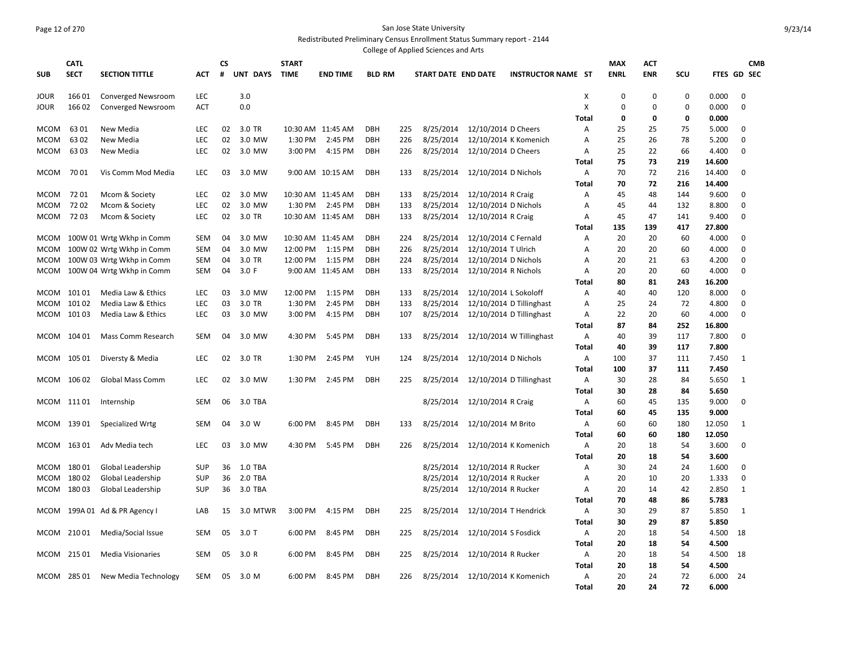## Page 12 of 270 San Jose State University Redistributed Preliminary Census Enrollment Status Summary report - 2144

College of Applied Sciences and Arts

|                     | <b>CATL</b> |                                                        |            | <b>CS</b> |                  | <b>START</b> |                             |                   |            |                            |                                              |                           |              | <b>MAX</b>  | <b>ACT</b>  |             |                | <b>CMB</b>       |
|---------------------|-------------|--------------------------------------------------------|------------|-----------|------------------|--------------|-----------------------------|-------------------|------------|----------------------------|----------------------------------------------|---------------------------|--------------|-------------|-------------|-------------|----------------|------------------|
| <b>SUB</b>          | <b>SECT</b> | <b>SECTION TITTLE</b>                                  | <b>ACT</b> | #         | UNT DAYS         | <b>TIME</b>  | <b>END TIME</b>             | <b>BLD RM</b>     |            | <b>START DATE END DATE</b> |                                              | <b>INSTRUCTOR NAME ST</b> |              | <b>ENRL</b> | <b>ENR</b>  | SCU         |                | FTES GD SEC      |
| <b>JOUR</b>         | 16601       | <b>Converged Newsroom</b>                              | <b>LEC</b> |           | 3.0              |              |                             |                   |            |                            |                                              |                           | Χ            | $\mathbf 0$ | 0           | $\mathbf 0$ | 0.000          | 0                |
| <b>JOUR</b>         | 16602       | <b>Converged Newsroom</b>                              | ACT        |           | 0.0              |              |                             |                   |            |                            |                                              |                           | X            | $\mathbf 0$ | $\mathbf 0$ | $\mathbf 0$ | 0.000          | 0                |
|                     |             |                                                        |            |           |                  |              |                             |                   |            |                            |                                              |                           | <b>Total</b> | 0           | 0           | 0           | 0.000          |                  |
| MCOM                | 6301        | New Media                                              | LEC        | 02        | 3.0 TR           |              | 10:30 AM 11:45 AM           | <b>DBH</b>        | 225        | 8/25/2014                  | 12/10/2014 D Cheers                          |                           | Α            | 25          | 25          | 75          | 5.000          | 0                |
| <b>MCOM</b>         | 6302        | New Media                                              | LEC        | 02        | 3.0 MW           | 1:30 PM      | 2:45 PM                     | <b>DBH</b>        | 226        | 8/25/2014                  |                                              | 12/10/2014 K Komenich     | А            | 25          | 26          | 78          | 5.200          | 0                |
| MCOM                | 6303        | New Media                                              | <b>LEC</b> | 02        | 3.0 MW           |              | 3:00 PM 4:15 PM             | <b>DBH</b>        | 226        | 8/25/2014                  | 12/10/2014 D Cheers                          |                           | А            | 25          | 22          | 66          | 4.400          | 0                |
|                     |             |                                                        |            |           |                  |              |                             |                   |            |                            |                                              |                           | Total        | 75          | 73          | 219         | 14.600         |                  |
| MCOM                | 7001        | Vis Comm Mod Media                                     | <b>LEC</b> | 03        | 3.0 MW           |              | 9:00 AM 10:15 AM            | <b>DBH</b>        | 133        | 8/25/2014                  | 12/10/2014 D Nichols                         |                           | Α            | 70          | 72          | 216         | 14.400         | 0                |
|                     |             |                                                        |            |           |                  |              |                             |                   |            |                            |                                              |                           | Total        | 70          | 72          | 216         | 14.400         |                  |
| MCOM                | 7201        | Mcom & Society                                         | <b>LEC</b> | 02        | 3.0 MW           |              | 10:30 AM 11:45 AM           | <b>DBH</b>        | 133        | 8/25/2014                  | 12/10/2014 R Craig                           |                           | A            | 45          | 48          | 144         | 9.600          | 0                |
| MCOM                | 7202        | Mcom & Society                                         | <b>LEC</b> | 02        | 3.0 MW           | 1:30 PM      | 2:45 PM                     | <b>DBH</b>        | 133        | 8/25/2014                  | 12/10/2014 D Nichols                         |                           | А            | 45          | 44          | 132         | 8.800          | 0                |
| MCOM                | 7203        | Mcom & Society                                         | <b>LEC</b> | 02        | 3.0 TR           |              | 10:30 AM 11:45 AM           | <b>DBH</b>        | 133        | 8/25/2014                  | 12/10/2014 R Craig                           |                           | Α            | 45          | 47          | 141         | 9.400          | 0                |
|                     |             |                                                        |            |           |                  |              |                             |                   |            |                            |                                              |                           | <b>Total</b> | 135         | 139         | 417         | 27.800         |                  |
|                     |             | MCOM 100W 01 Wrtg Wkhp in Comm                         | SEM        | 04        | 3.0 MW           |              | 10:30 AM 11:45 AM           | <b>DBH</b>        | 224        | 8/25/2014                  | 12/10/2014 C Fernald                         |                           | Α            | 20          | 20          | 60          | 4.000          | $\mathbf 0$      |
| MCOM<br><b>MCOM</b> |             | 100W 02 Wrtg Wkhp in Comm                              | <b>SEM</b> | 04<br>04  | 3.0 MW<br>3.0 TR | 12:00 PM     | 1:15 PM<br>12:00 PM 1:15 PM | <b>DBH</b>        | 226<br>224 | 8/25/2014<br>8/25/2014     | 12/10/2014 T Ulrich                          |                           | А            | 20<br>20    | 20<br>21    | 60<br>63    | 4.000<br>4.200 | $\mathbf 0$      |
| <b>MCOM</b>         |             | 100W 03 Wrtg Wkhp in Comm<br>100W 04 Wrtg Wkhp in Comm | SEM<br>SEM | 04        | 3.0 F            |              | 9:00 AM 11:45 AM            | DBH<br><b>DBH</b> | 133        | 8/25/2014                  | 12/10/2014 D Nichols<br>12/10/2014 R Nichols |                           | А<br>Α       | 20          | 20          | 60          | 4.000          | 0<br>$\mathbf 0$ |
|                     |             |                                                        |            |           |                  |              |                             |                   |            |                            |                                              |                           | Total        | 80          | 81          | 243         | 16.200         |                  |
|                     | MCOM 10101  | Media Law & Ethics                                     | <b>LEC</b> | 03        | 3.0 MW           | 12:00 PM     | 1:15 PM                     | <b>DBH</b>        | 133        | 8/25/2014                  | 12/10/2014 L Sokoloff                        |                           | Α            | 40          | 40          | 120         | 8.000          | $\mathbf 0$      |
|                     | MCOM 10102  | Media Law & Ethics                                     | <b>LEC</b> | 03        | 3.0 TR           | 1:30 PM      | 2:45 PM                     | <b>DBH</b>        | 133        | 8/25/2014                  |                                              | 12/10/2014 D Tillinghast  | Α            | 25          | 24          | 72          | 4.800          | 0                |
|                     | MCOM 10103  | Media Law & Ethics                                     | <b>LEC</b> | 03        | 3.0 MW           | 3:00 PM      | 4:15 PM                     | <b>DBH</b>        | 107        | 8/25/2014                  |                                              | 12/10/2014 D Tillinghast  | A            | 22          | 20          | 60          | 4.000          | $\mathbf 0$      |
|                     |             |                                                        |            |           |                  |              |                             |                   |            |                            |                                              |                           | Total        | 87          | 84          | 252         | 16.800         |                  |
|                     | MCOM 104 01 | Mass Comm Research                                     | <b>SEM</b> | 04        | 3.0 MW           | 4:30 PM      | 5:45 PM                     | <b>DBH</b>        | 133        | 8/25/2014                  |                                              | 12/10/2014 W Tillinghast  | Α            | 40          | 39          | 117         | 7.800          | $\mathbf 0$      |
|                     |             |                                                        |            |           |                  |              |                             |                   |            |                            |                                              |                           | Total        | 40          | 39          | 117         | 7.800          |                  |
|                     | MCOM 10501  | Diversty & Media                                       | <b>LEC</b> | 02        | 3.0 TR           | 1:30 PM      | 2:45 PM                     | YUH               | 124        | 8/25/2014                  | 12/10/2014 D Nichols                         |                           | Α            | 100         | 37          | 111         | 7.450          | 1                |
|                     |             |                                                        |            |           |                  |              |                             |                   |            |                            |                                              |                           | <b>Total</b> | 100         | 37          | 111         | 7.450          |                  |
|                     | MCOM 10602  | <b>Global Mass Comm</b>                                | <b>LEC</b> | 02        | 3.0 MW           | 1:30 PM      | 2:45 PM                     | <b>DBH</b>        | 225        | 8/25/2014                  |                                              | 12/10/2014 D Tillinghast  | Α            | 30          | 28          | 84          | 5.650          | 1                |
|                     |             |                                                        |            |           |                  |              |                             |                   |            |                            |                                              |                           | <b>Total</b> | 30          | 28          | 84          | 5.650          |                  |
|                     | MCOM 11101  | Internship                                             | SEM        | 06        | 3.0 TBA          |              |                             |                   |            | 8/25/2014                  | 12/10/2014 R Craig                           |                           | Α            | 60          | 45          | 135         | 9.000          | $\mathbf 0$      |
|                     |             |                                                        |            |           |                  |              |                             |                   |            |                            |                                              |                           | Total        | 60          | 45          | 135         | 9.000          |                  |
|                     | MCOM 13901  | Specialized Wrtg                                       | SEM        | 04        | 3.0 W            | 6:00 PM      | 8:45 PM                     | <b>DBH</b>        | 133        | 8/25/2014                  | 12/10/2014 M Brito                           |                           | Α            | 60          | 60          | 180         | 12.050         | 1                |
|                     |             |                                                        |            |           |                  |              |                             |                   |            |                            |                                              |                           | Total        | 60          | 60          | 180         | 12.050         |                  |
|                     | MCOM 16301  | Adv Media tech                                         | <b>LEC</b> | 03        | 3.0 MW           | 4:30 PM      | 5:45 PM                     | <b>DBH</b>        | 226        | 8/25/2014                  |                                              | 12/10/2014 K Komenich     | Α            | 20          | 18          | 54          | 3.600          | $\mathbf 0$      |
|                     |             |                                                        |            |           |                  |              |                             |                   |            |                            |                                              |                           | <b>Total</b> | 20          | 18          | 54          | 3.600          |                  |
|                     | MCOM 18001  | Global Leadership                                      | <b>SUP</b> | 36        | 1.0 TBA          |              |                             |                   |            | 8/25/2014                  | 12/10/2014 R Rucker                          |                           | A            | 30          | 24          | 24          | 1.600          | $\mathbf 0$      |
| <b>MCOM</b>         | 18002       | Global Leadership                                      | <b>SUP</b> | 36        | 2.0 TBA          |              |                             |                   |            | 8/25/2014                  | 12/10/2014 R Rucker                          |                           | Α            | 20          | 10          | 20          | 1.333          | $\mathbf 0$      |
|                     | MCOM 18003  | Global Leadership                                      | SUP        | 36        | 3.0 TBA          |              |                             |                   |            | 8/25/2014                  | 12/10/2014 R Rucker                          |                           | Α            | 20          | 14          | 42          | 2.850          | 1                |
|                     |             |                                                        |            |           |                  |              |                             |                   |            |                            |                                              |                           | <b>Total</b> | 70          | 48          | 86          | 5.783          |                  |
|                     |             | MCOM 199A 01 Ad & PR Agency I                          | LAB        | 15        | 3.0 MTWR         | 3:00 PM      | 4:15 PM                     | <b>DBH</b>        | 225        | 8/25/2014                  | 12/10/2014 T Hendrick                        |                           | А            | 30          | 29          | 87          | 5.850          | 1                |
|                     |             |                                                        |            |           |                  |              |                             |                   |            |                            |                                              |                           | <b>Total</b> | 30          | 29          | 87          | 5.850          |                  |
|                     | MCOM 21001  | Media/Social Issue                                     | SEM        | 05        | $3.0$ T          | 6:00 PM      | 8:45 PM                     | <b>DBH</b>        | 225        | 8/25/2014                  | 12/10/2014 S Fosdick                         |                           | Α            | 20          | 18          | 54          | 4.500          | 18               |
|                     |             |                                                        |            |           |                  |              |                             |                   |            |                            |                                              |                           | <b>Total</b> | 20          | 18          | 54          | 4.500          |                  |
|                     | MCOM 21501  | <b>Media Visionaries</b>                               | <b>SEM</b> | 05        | 3.0 R            | 6:00 PM      | 8:45 PM                     | <b>DBH</b>        | 225        | 8/25/2014                  | 12/10/2014 R Rucker                          |                           | A            | 20          | 18          | 54          | 4.500          | 18               |
|                     |             |                                                        |            |           |                  |              |                             |                   |            |                            |                                              |                           | Total        | 20          | 18          | 54          | 4.500          |                  |
|                     | MCOM 28501  | New Media Technology                                   | <b>SEM</b> | 05        | 3.0 M            | 6:00 PM      | 8:45 PM                     | <b>DBH</b>        | 226        | 8/25/2014                  |                                              | 12/10/2014 K Komenich     | A            | 20          | 24          | 72          | 6.000          | 24               |
|                     |             |                                                        |            |           |                  |              |                             |                   |            |                            |                                              |                           | <b>Total</b> | 20          | 24          | 72          | 6.000          |                  |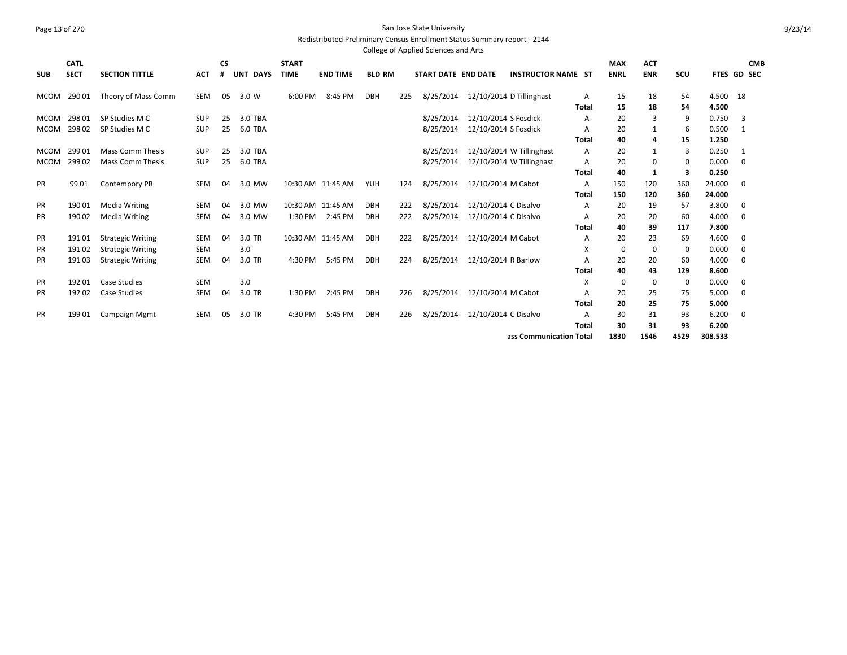## Page 13 of 270 San Jose State University Redistributed Preliminary Census Enrollment Status Summary report - 2144

|             |             |                          |            |           |          |              |                   |               |     | College of Applied Sciences and Arts |                      |                           |              |             |             |      |         |             |  |
|-------------|-------------|--------------------------|------------|-----------|----------|--------------|-------------------|---------------|-----|--------------------------------------|----------------------|---------------------------|--------------|-------------|-------------|------|---------|-------------|--|
|             | <b>CATL</b> |                          |            | <b>CS</b> |          | <b>START</b> |                   |               |     |                                      |                      |                           |              | <b>MAX</b>  | <b>ACT</b>  |      |         | <b>CMB</b>  |  |
| <b>SUB</b>  | <b>SECT</b> | <b>SECTION TITTLE</b>    | <b>ACT</b> | #         | UNT DAYS | <b>TIME</b>  | <b>END TIME</b>   | <b>BLD RM</b> |     | START DATE END DATE                  |                      | <b>INSTRUCTOR NAME ST</b> |              | <b>ENRL</b> | <b>ENR</b>  | SCU  |         | FTES GD SEC |  |
| <b>MCOM</b> | 29001       | Theory of Mass Comm      | <b>SEM</b> | 05        | 3.0 W    | 6:00 PM      | 8:45 PM           | <b>DBH</b>    | 225 | 8/25/2014                            |                      | 12/10/2014 D Tillinghast  | Α            | 15          | 18          | 54   | 4.500   | 18          |  |
|             |             |                          |            |           |          |              |                   |               |     |                                      |                      |                           | Total        | 15          | 18          | 54   | 4.500   |             |  |
| <b>MCOM</b> | 29801       | SP Studies M C           | <b>SUP</b> | 25        | 3.0 TBA  |              |                   |               |     | 8/25/2014                            | 12/10/2014 S Fosdick |                           | A            | 20          | 3           | 9    | 0.750   | 3           |  |
| MCOM        | 29802       | SP Studies M C           | <b>SUP</b> | 25        | 6.0 TBA  |              |                   |               |     | 8/25/2014                            | 12/10/2014 S Fosdick |                           | A            | 20          | 1           | 6    | 0.500   | 1           |  |
|             |             |                          |            |           |          |              |                   |               |     |                                      |                      |                           | Total        | 40          | 4           | 15   | 1.250   |             |  |
| <b>MCOM</b> | 299 01      | Mass Comm Thesis         | <b>SUP</b> | 25        | 3.0 TBA  |              |                   |               |     | 8/25/2014                            |                      | 12/10/2014 W Tillinghast  | A            | 20          | 1           | 3    | 0.250   | 1           |  |
| <b>MCOM</b> | 29902       | <b>Mass Comm Thesis</b>  | <b>SUP</b> | 25        | 6.0 TBA  |              |                   |               |     | 8/25/2014                            |                      | 12/10/2014 W Tillinghast  | Α            | 20          | 0           | 0    | 0.000   | 0           |  |
|             |             |                          |            |           |          |              |                   |               |     |                                      |                      |                           | Total        | 40          | 1           | 3    | 0.250   |             |  |
| <b>PR</b>   | 9901        | <b>Contempory PR</b>     | <b>SEM</b> | 04        | 3.0 MW   |              | 10:30 AM 11:45 AM | <b>YUH</b>    | 124 | 8/25/2014                            | 12/10/2014 M Cabot   |                           | Α            | 150         | 120         | 360  | 24.000  | 0           |  |
|             |             |                          |            |           |          |              |                   |               |     |                                      |                      |                           | Total        | 150         | 120         | 360  | 24.000  |             |  |
| PR          | 19001       | <b>Media Writing</b>     | SEM        | 04        | 3.0 MW   |              | 10:30 AM 11:45 AM | <b>DBH</b>    | 222 | 8/25/2014                            | 12/10/2014 C Disalvo |                           | Α            | 20          | 19          | 57   | 3.800   | 0           |  |
| <b>PR</b>   | 190 02      | <b>Media Writing</b>     | SEM        | 04        | 3.0 MW   | 1:30 PM      | 2:45 PM           | <b>DBH</b>    | 222 | 8/25/2014                            | 12/10/2014 C Disalvo |                           | A            | 20          | 20          | 60   | 4.000   | $\mathbf 0$ |  |
|             |             |                          |            |           |          |              |                   |               |     |                                      |                      |                           | Total        | 40          | 39          | 117  | 7.800   |             |  |
| <b>PR</b>   | 19101       | <b>Strategic Writing</b> | <b>SEM</b> | 04        | 3.0 TR   |              | 10:30 AM 11:45 AM | <b>DBH</b>    | 222 | 8/25/2014                            | 12/10/2014 M Cabot   |                           | A            | 20          | 23          | 69   | 4.600   | 0           |  |
| <b>PR</b>   | 19102       | <b>Strategic Writing</b> | <b>SEM</b> |           | 3.0      |              |                   |               |     |                                      |                      |                           | X            | 0           | $\mathbf 0$ | 0    | 0.000   | 0           |  |
| <b>PR</b>   | 19103       | <b>Strategic Writing</b> | SEM        | 04        | 3.0 TR   | 4:30 PM      | 5:45 PM           | <b>DBH</b>    | 224 | 8/25/2014                            | 12/10/2014 R Barlow  |                           | A            | 20          | 20          | 60   | 4.000   | 0           |  |
|             |             |                          |            |           |          |              |                   |               |     |                                      |                      |                           | <b>Total</b> | 40          | 43          | 129  | 8.600   |             |  |
| <b>PR</b>   | 19201       | <b>Case Studies</b>      | <b>SEM</b> |           | 3.0      |              |                   |               |     |                                      |                      |                           | X            | 0           | 0           | 0    | 0.000   | 0           |  |
| <b>PR</b>   | 19202       | <b>Case Studies</b>      | <b>SEM</b> | 04        | 3.0 TR   | 1:30 PM      | 2:45 PM           | <b>DBH</b>    | 226 | 8/25/2014                            | 12/10/2014 M Cabot   |                           | A            | 20          | 25          | 75   | 5.000   | $\mathbf 0$ |  |
|             |             |                          |            |           |          |              |                   |               |     |                                      |                      |                           | Total        | 20          | 25          | 75   | 5.000   |             |  |
| <b>PR</b>   | 19901       | Campaign Mgmt            | SEM        | 05        | 3.0 TR   | 4:30 PM      | 5:45 PM           | <b>DBH</b>    | 226 | 8/25/2014                            | 12/10/2014 C Disalvo |                           | A            | 30          | 31          | 93   | 6.200   | 0           |  |
|             |             |                          |            |           |          |              |                   |               |     |                                      |                      |                           | Total        | 30          | 31          | 93   | 6.200   |             |  |
|             |             |                          |            |           |          |              |                   |               |     |                                      |                      | ass Communication Total   |              | 1830        | 1546        | 4529 | 308.533 |             |  |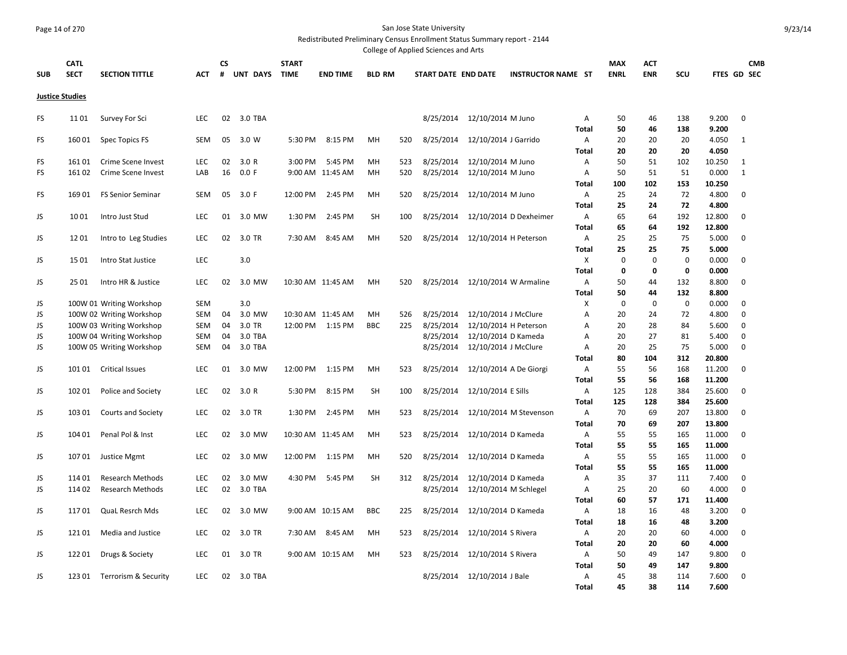# Page 14 of 270 San Jose State University

Redistributed Preliminary Census Enrollment Status Summary report - 2144

|            |                        |                          |            |    |                 |              |                   |               |     | College of Applied Sciences and Arts |                             |                           |              |             |             |             |             |              |            |
|------------|------------------------|--------------------------|------------|----|-----------------|--------------|-------------------|---------------|-----|--------------------------------------|-----------------------------|---------------------------|--------------|-------------|-------------|-------------|-------------|--------------|------------|
|            | <b>CATL</b>            |                          |            | СS |                 | <b>START</b> |                   |               |     |                                      |                             |                           |              | <b>MAX</b>  | ACT         |             |             |              | <b>CMB</b> |
| <b>SUB</b> | <b>SECT</b>            | <b>SECTION TITTLE</b>    | <b>ACT</b> | #  | <b>UNT DAYS</b> | <b>TIME</b>  | <b>END TIME</b>   | <b>BLD RM</b> |     | START DATE END DATE                  |                             | <b>INSTRUCTOR NAME ST</b> |              | <b>ENRL</b> | <b>ENR</b>  | SCU         | FTES GD SEC |              |            |
|            |                        |                          |            |    |                 |              |                   |               |     |                                      |                             |                           |              |             |             |             |             |              |            |
|            | <b>Justice Studies</b> |                          |            |    |                 |              |                   |               |     |                                      |                             |                           |              |             |             |             |             |              |            |
| <b>FS</b>  | 1101                   | Survey For Sci           | <b>LEC</b> | 02 | 3.0 TBA         |              |                   |               |     | 8/25/2014                            | 12/10/2014 M Juno           |                           | Α            | 50          | 46          | 138         | 9.200       | $\mathbf 0$  |            |
|            |                        |                          |            |    |                 |              |                   |               |     |                                      |                             |                           | <b>Total</b> | 50          | 46          | 138         | 9.200       |              |            |
| <b>FS</b>  | 16001                  | Spec Topics FS           | <b>SEM</b> | 05 | 3.0 W           | 5:30 PM      | 8:15 PM           | MH            | 520 | 8/25/2014                            | 12/10/2014 J Garrido        |                           | A            | 20          | 20          | 20          | 4.050       | $\mathbf{1}$ |            |
|            |                        |                          |            |    |                 |              |                   |               |     |                                      |                             |                           | Total        | 20          | 20          | 20          | 4.050       |              |            |
| FS         | 16101                  | Crime Scene Invest       | LEC        | 02 | 3.0 R           | 3:00 PM      | 5:45 PM           | MH            | 523 | 8/25/2014                            | 12/10/2014 M Juno           |                           | Α            | 50          | 51          | 102         | 10.250      | $\mathbf{1}$ |            |
| <b>FS</b>  | 16102                  | Crime Scene Invest       | LAB        | 16 | 0.0 F           |              | 9:00 AM 11:45 AM  | MH            | 520 | 8/25/2014                            | 12/10/2014 M Juno           |                           | A            | 50          | 51          | 51          | 0.000       | $\mathbf{1}$ |            |
|            |                        |                          |            |    |                 |              |                   |               |     |                                      |                             |                           | <b>Total</b> | 100         | 102         | 153         | 10.250      |              |            |
| FS.        | 16901                  | <b>FS Senior Seminar</b> | <b>SEM</b> | 05 | 3.0 F           | 12:00 PM     | 2:45 PM           | MH            | 520 | 8/25/2014                            | 12/10/2014 M Juno           |                           | Α            | 25          | 24          | 72          | 4.800       | $\mathbf 0$  |            |
|            |                        |                          |            |    |                 |              |                   |               |     |                                      |                             |                           | Total        | 25          | 24          | 72          | 4.800       |              |            |
| JS         | 1001                   | Intro Just Stud          | <b>LEC</b> | 01 | 3.0 MW          | 1:30 PM      | 2:45 PM           | <b>SH</b>     | 100 | 8/25/2014                            |                             | 12/10/2014 D Dexheimer    | A            | 65          | 64          | 192         | 12.800      | $\mathbf 0$  |            |
|            |                        |                          |            |    |                 |              |                   |               |     |                                      |                             |                           | <b>Total</b> | 65          | 64          | 192         | 12.800      |              |            |
| JS         | 1201                   | Intro to Leg Studies     | <b>LEC</b> | 02 | 3.0 TR          | 7:30 AM      | 8:45 AM           | MH            | 520 | 8/25/2014                            | 12/10/2014 H Peterson       |                           | Α            | 25          | 25          | 75          | 5.000       | $\mathbf 0$  |            |
|            |                        |                          |            |    |                 |              |                   |               |     |                                      |                             |                           | Total        | 25          | 25          | 75          | 5.000       |              |            |
| JS         | 1501                   | Intro Stat Justice       | LEC        |    | 3.0             |              |                   |               |     |                                      |                             |                           | X            | $\mathbf 0$ | $\mathbf 0$ | $\mathbf 0$ | 0.000       | $\mathbf 0$  |            |
|            |                        |                          |            |    |                 |              |                   |               |     |                                      |                             |                           | <b>Total</b> | $\mathbf 0$ | $\mathbf 0$ | $\mathbf 0$ | 0.000       |              |            |
| JS         | 25 01                  | Intro HR & Justice       | <b>LEC</b> | 02 | 3.0 MW          |              | 10:30 AM 11:45 AM | MH            | 520 | 8/25/2014                            |                             | 12/10/2014 W Armaline     | A            | 50          | 44          | 132         | 8.800       | $\mathbf 0$  |            |
|            |                        |                          |            |    |                 |              |                   |               |     |                                      |                             |                           | Total        | 50          | 44          | 132         | 8.800       |              |            |
| JS         |                        | 100W 01 Writing Workshop | <b>SEM</b> |    | 3.0             |              |                   |               |     |                                      |                             |                           | Х            | $\mathbf 0$ | $\mathbf 0$ | $\mathbf 0$ | 0.000       | 0            |            |
| JS         |                        | 100W 02 Writing Workshop | <b>SEM</b> | 04 | 3.0 MW          |              | 10:30 AM 11:45 AM | MH            | 526 | 8/25/2014                            | 12/10/2014 J McClure        |                           | Α            | 20          | 24          | 72          | 4.800       | $\mathbf 0$  |            |
| JS         |                        | 100W 03 Writing Workshop | <b>SEM</b> | 04 | 3.0 TR          | 12:00 PM     | 1:15 PM           | <b>BBC</b>    | 225 | 8/25/2014                            | 12/10/2014 H Peterson       |                           | Α            | 20          | 28          | 84          | 5.600       | $\mathbf 0$  |            |
| JS         |                        | 100W 04 Writing Workshop | <b>SEM</b> | 04 | 3.0 TBA         |              |                   |               |     | 8/25/2014                            | 12/10/2014 D Kameda         |                           | Α            | 20          | 27          | 81          | 5.400       | $\mathbf 0$  |            |
| JS         |                        | 100W 05 Writing Workshop | <b>SEM</b> | 04 | 3.0 TBA         |              |                   |               |     | 8/25/2014                            | 12/10/2014 J McClure        |                           | Α            | 20          | 25          | 75          | 5.000       | $\mathbf 0$  |            |
|            |                        |                          |            |    |                 |              |                   |               |     |                                      |                             |                           | Total        | 80          | 104         | 312         | 20.800      |              |            |
| JS         | 10101                  | <b>Critical Issues</b>   | LEC        | 01 | 3.0 MW          | 12:00 PM     | 1:15 PM           | MH            | 523 | 8/25/2014                            | 12/10/2014 A De Giorgi      |                           | A            | 55          | 56          | 168         | 11.200      | $\mathbf 0$  |            |
|            |                        |                          |            |    |                 |              |                   |               |     |                                      |                             |                           | Total        | 55          | 56          | 168         | 11.200      |              |            |
| JS         | 102 01                 | Police and Society       | <b>LEC</b> | 02 | 3.0 R           | 5:30 PM      | 8:15 PM           | <b>SH</b>     | 100 | 8/25/2014                            | 12/10/2014 E Sills          |                           | A            | 125         | 128         | 384         | 25.600      | $\mathbf 0$  |            |
|            |                        |                          |            |    |                 |              |                   |               |     |                                      |                             |                           | <b>Total</b> | 125         | 128         | 384         | 25.600      |              |            |
| JS         | 103 01                 | Courts and Society       | <b>LEC</b> | 02 | 3.0 TR          | 1:30 PM      | 2:45 PM           | MH            | 523 | 8/25/2014                            |                             | 12/10/2014 M Stevenson    | A            | 70          | 69          | 207         | 13.800      | $\mathbf 0$  |            |
|            |                        |                          |            |    |                 |              |                   |               |     |                                      |                             |                           | <b>Total</b> | 70          | 69          | 207         | 13.800      |              |            |
| JS         | 104 01                 | Penal Pol & Inst         | LEC.       | 02 | 3.0 MW          |              | 10:30 AM 11:45 AM | MH            | 523 | 8/25/2014                            | 12/10/2014 D Kameda         |                           | Α            | 55          | 55          | 165         | 11.000      | $\Omega$     |            |
|            |                        |                          |            |    |                 |              |                   |               |     |                                      |                             |                           | <b>Total</b> | 55          | 55          | 165         | 11.000      |              |            |
| JS         | 10701                  | Justice Mgmt             | LEC        | 02 | 3.0 MW          | 12:00 PM     | 1:15 PM           | MH            | 520 | 8/25/2014                            | 12/10/2014 D Kameda         |                           | A            | 55          | 55          | 165         | 11.000      | $\mathbf 0$  |            |
|            |                        |                          |            |    |                 |              |                   |               |     |                                      |                             |                           | <b>Total</b> | 55          | 55          | 165         | 11.000      |              |            |
| JS         | 11401                  | <b>Research Methods</b>  | <b>LEC</b> | 02 | 3.0 MW          |              | 4:30 PM 5:45 PM   | <b>SH</b>     | 312 | 8/25/2014                            | 12/10/2014 D Kameda         |                           | Α            | 35          | 37          | 111         | 7.400       | $\mathbf 0$  |            |
| JS         | 11402                  | <b>Research Methods</b>  | <b>LEC</b> | 02 | 3.0 TBA         |              |                   |               |     | 8/25/2014                            | 12/10/2014 M Schlegel       |                           | Α            | 25          | 20          | 60          | 4.000       | $\mathbf 0$  |            |
|            |                        |                          |            |    |                 |              |                   |               |     |                                      |                             |                           | <b>Total</b> | 60          | 57          | 171         | 11.400      |              |            |
| JS         | 11701                  | QuaL Resrch Mds          | <b>LEC</b> | 02 | 3.0 MW          |              | 9:00 AM 10:15 AM  | <b>BBC</b>    | 225 | 8/25/2014                            | 12/10/2014 D Kameda         |                           | A            | 18          | 16          | 48          | 3.200       | $\mathbf 0$  |            |
|            |                        |                          |            |    |                 |              |                   |               |     |                                      |                             |                           | <b>Total</b> | 18          | 16          | 48          | 3.200       |              |            |
| JS         | 121 01                 | Media and Justice        | LEC.       | 02 | 3.0 TR          | 7:30 AM      | 8:45 AM           | MH            | 523 | 8/25/2014                            | 12/10/2014 S Rivera         |                           | Α            | 20          | 20          | 60          | 4.000       | 0            |            |
|            |                        |                          |            |    |                 |              |                   |               |     |                                      |                             |                           | <b>Total</b> | 20          | 20          | 60          | 4.000       |              |            |
| JS         | 12201                  | Drugs & Society          | <b>LEC</b> | 01 | 3.0 TR          |              | 9:00 AM 10:15 AM  | MH            | 523 | 8/25/2014                            | 12/10/2014 S Rivera         |                           | Α            | 50          | 49          | 147         | 9.800       | $\mathbf 0$  |            |
|            |                        |                          |            |    |                 |              |                   |               |     |                                      |                             |                           | <b>Total</b> | 50          | 49          | 147         | 9.800       |              |            |
| JS         | 123 01                 | Terrorism & Security     | LEC.       | 02 | 3.0 TBA         |              |                   |               |     |                                      | 8/25/2014 12/10/2014 J Bale |                           | Α            | 45          | 38          | 114         | 7.600       | $\Omega$     |            |
|            |                        |                          |            |    |                 |              |                   |               |     |                                      |                             |                           | <b>Total</b> | 45          | 38          | 114         | 7.600       |              |            |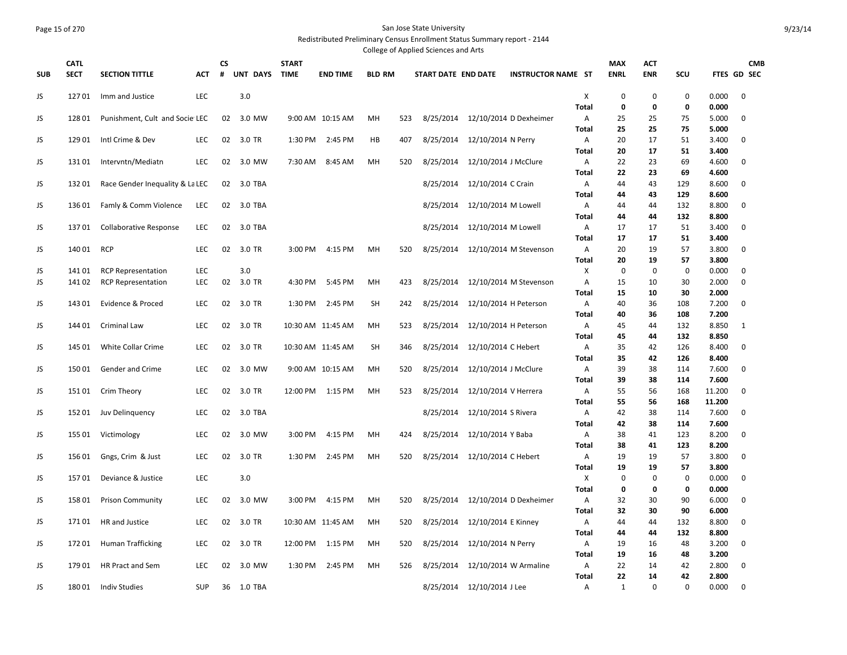## Page 15 of 270 San Jose State University Redistributed Preliminary Census Enrollment Status Summary report - 2144

| <b>CATL</b><br><b>CS</b><br><b>START</b><br><b>MAX</b><br><b>CMB</b><br>ACT<br>#<br>UNT DAYS<br><b>ENRL</b><br><b>ENR</b><br>SCU<br><b>SECT</b><br><b>SECTION TITTLE</b><br><b>TIME</b><br><b>END TIME</b><br><b>BLD RM</b><br><b>INSTRUCTOR NAME ST</b><br>FTES GD SEC<br><b>SUB</b><br><b>ACT</b><br>START DATE END DATE<br>12701<br>LEC<br>3.0<br>X<br>$\mathbf 0$<br>$\mathbf 0$<br>$\mathbf 0$<br>0.000<br>$\mathbf 0$<br>JS<br>Imm and Justice<br><b>Total</b><br>0<br>$\mathbf 0$<br>0<br>0.000<br>8/25/2014<br>12/10/2014 D Dexheimer<br>5.000<br>$\mathbf 0$<br>JS<br>12801<br>Punishment, Cult and Socie LEC<br>02<br>3.0 MW<br>9:00 AM 10:15 AM<br>MH<br>523<br>Α<br>25<br>25<br>75<br><b>Total</b><br>25<br>25<br>75<br>5.000<br>JS<br>12901<br>Intl Crime & Dev<br><b>LEC</b><br>02<br>3.0 TR<br>1:30 PM<br>2:45 PM<br>HB<br>407<br>8/25/2014<br>12/10/2014 N Perry<br>A<br>20<br>17<br>51<br>3.400<br>$\mathbf 0$<br>51<br><b>Total</b><br>20<br>17<br>3.400<br>JS<br>13101<br><b>LEC</b><br>02<br>3.0 MW<br>8:45 AM<br>8/25/2014<br>12/10/2014 J McClure<br>22<br>23<br>69<br>4.600<br>$\mathbf 0$<br>Intervntn/Mediatn<br>7:30 AM<br>MH<br>520<br>A<br><b>Total</b><br>22<br>23<br>69<br>4.600<br>JS<br>13201<br>02<br>8/25/2014 12/10/2014 C Crain<br>43<br>129<br>8.600<br>$\mathbf 0$<br>Race Gender Inequality & La LEC<br>3.0 TBA<br>A<br>44<br><b>Total</b><br>44<br>43<br>129<br>8.600<br>JS<br>13601<br>Famly & Comm Violence<br>LEC<br>02<br>3.0 TBA<br>8/25/2014<br>12/10/2014 M Lowell<br>A<br>44<br>132<br>8.800<br>0<br>44<br>132<br>Total<br>44<br>44<br>8.800<br>JS<br>13701<br><b>Collaborative Response</b><br><b>LEC</b><br>02<br>3.0 TBA<br>8/25/2014<br>12/10/2014 M Lowell<br>$\overline{A}$<br>17<br>17<br>51<br>3.400<br>$\mathbf 0$<br><b>Total</b><br>17<br>17<br>51<br>3.400<br>JS<br>140 01<br><b>RCP</b><br>02<br>4:15 PM<br>MH<br>12/10/2014 M Stevenson<br>20<br>19<br>57<br>3.800<br>$\mathbf 0$<br><b>LEC</b><br>3.0 TR<br>3:00 PM<br>520<br>8/25/2014<br>A<br>57<br><b>Total</b><br>20<br>19<br>3.800<br>JS<br><b>LEC</b><br>3.0<br>X<br>$\mathbf 0$<br>$\mathbf 0$<br>$\mathbf 0$<br>$\mathbf 0$<br>141 01<br><b>RCP Representation</b><br>0.000<br>$\mathbf 0$<br>JS<br><b>LEC</b><br>02<br>3.0 TR<br>4:30 PM<br>5:45 PM<br>MH<br>423<br>8/25/2014<br>12/10/2014 M Stevenson<br>A<br>15<br>10<br>30<br>2.000<br>141 02<br><b>RCP Representation</b><br><b>Total</b><br>15<br>10<br>30<br>2.000<br>JS<br>14301<br>Evidence & Proced<br><b>LEC</b><br>02 3.0 TR<br>2:45 PM<br><b>SH</b><br>242<br>8/25/2014 12/10/2014 H Peterson<br>40<br>108<br>7.200<br>$\mathbf 0$<br>1:30 PM<br>A<br>36<br>7.200<br><b>Total</b><br>40<br>108<br>36<br>JS<br><b>Criminal Law</b><br>LEC<br>02<br>3.0 TR<br>523<br>8/25/2014<br>12/10/2014 H Peterson<br>8.850<br>144 01<br>10:30 AM 11:45 AM<br>MH<br>Α<br>45<br>44<br>132<br>1<br><b>Total</b><br>45<br>132<br>8.850<br>44<br>JS<br>02 3.0 TR<br><b>SH</b><br>8/25/2014 12/10/2014 C Hebert<br>8.400<br>$\mathbf 0$<br>145 01<br>White Collar Crime<br><b>LEC</b><br>10:30 AM 11:45 AM<br>346<br>Α<br>35<br>42<br>126<br>Total<br>42<br>126<br>8.400<br>35<br>JS<br>15001<br>Gender and Crime<br><b>LEC</b><br>02<br>3.0 MW<br>9:00 AM 10:15 AM<br>MH<br>520<br>8/25/2014<br>12/10/2014 J McClure<br>39<br>38<br>7.600<br>0<br>A<br>114<br>7.600<br>Total<br>39<br>38<br>114<br>JS<br>15101<br>Crim Theory<br><b>LEC</b><br>02<br>3.0 TR<br>12:00 PM 1:15 PM<br>MH<br>523<br>8/25/2014 12/10/2014 V Herrera<br>Α<br>55<br>56<br>11.200<br>$\mathbf 0$<br>168<br><b>Total</b><br>55<br>56<br>168<br>11.200<br>02<br>3.0 TBA<br>8/25/2014<br>12/10/2014 S Rivera<br>42<br>38<br>7.600<br>JS<br>15201<br>Juv Delinguency<br><b>LEC</b><br>Α<br>114<br>0<br>Total<br>42<br>38<br>114<br>7.600<br>JS<br>155 01<br>Victimology<br><b>LEC</b><br>02<br>3.0 MW<br>3:00 PM<br>4:15 PM<br>MH<br>424<br>8/25/2014 12/10/2014 Y Baba<br>Α<br>38<br>41<br>123<br>8.200<br>0<br>Total<br>38<br>41<br>123<br>8.200<br>JS<br>15601<br>Gngs, Crim & Just<br><b>LEC</b><br>02<br>3.0 TR<br>1:30 PM<br>2:45 PM<br>MH<br>520<br>8/25/2014<br>12/10/2014 C Hebert<br>Α<br>19<br>19<br>57<br>3.800<br>0<br>19<br>19<br>57<br>Total<br>3.800<br>X<br>JS<br>15701<br>Deviance & Justice<br><b>LEC</b><br>3.0<br>0<br>0<br>$\mathbf 0$<br>0.000<br>$\mathbf 0$<br>0<br>0<br>Total<br>0<br>0.000<br>JS<br>02<br>8/25/2014<br>12/10/2014 D Dexheimer<br>32<br>30<br>90<br>6.000<br>$\mathbf 0$<br>158 01<br><b>Prison Community</b><br><b>LEC</b><br>3.0 MW<br>3:00 PM<br>4:15 PM<br>MН<br>520<br>Α<br>Total<br>32<br>30<br>90<br>6.000<br>JS<br>17101<br>LEC<br>02<br>3.0 TR<br>520<br>8/25/2014<br>12/10/2014 E Kinney<br>132<br>8.800<br>$\mathbf 0$<br>HR and Justice<br>10:30 AM 11:45 AM<br>MH<br>A<br>44<br>44<br>44<br>132<br>8.800<br>Total<br>44<br>02<br>8/25/2014<br>12/10/2014 N Perry<br>3.200<br>$\mathbf 0$<br>JS<br>17201<br><b>Human Trafficking</b><br><b>LEC</b><br>3.0 TR<br>12:00 PM<br>1:15 PM<br>MH<br>520<br>19<br>16<br>48<br>A<br>19<br>3.200<br>Total<br>16<br>48<br>02<br>2:45 PM<br>22<br>2.800<br>$\mathbf 0$<br>JS<br>17901<br>HR Pract and Sem<br><b>LEC</b><br>3.0 MW<br>1:30 PM<br>MH<br>526<br>8/25/2014<br>12/10/2014 W Armaline<br>A<br>14<br>42<br>Total<br>22<br>14<br>42<br>2.800<br>8/25/2014 12/10/2014 J Lee |    |       |                      |            |    |         |  |  | College of Applied Sciences and Arts |  |   |   |          |   |       |   |  |
|----------------------------------------------------------------------------------------------------------------------------------------------------------------------------------------------------------------------------------------------------------------------------------------------------------------------------------------------------------------------------------------------------------------------------------------------------------------------------------------------------------------------------------------------------------------------------------------------------------------------------------------------------------------------------------------------------------------------------------------------------------------------------------------------------------------------------------------------------------------------------------------------------------------------------------------------------------------------------------------------------------------------------------------------------------------------------------------------------------------------------------------------------------------------------------------------------------------------------------------------------------------------------------------------------------------------------------------------------------------------------------------------------------------------------------------------------------------------------------------------------------------------------------------------------------------------------------------------------------------------------------------------------------------------------------------------------------------------------------------------------------------------------------------------------------------------------------------------------------------------------------------------------------------------------------------------------------------------------------------------------------------------------------------------------------------------------------------------------------------------------------------------------------------------------------------------------------------------------------------------------------------------------------------------------------------------------------------------------------------------------------------------------------------------------------------------------------------------------------------------------------------------------------------------------------------------------------------------------------------------------------------------------------------------------------------------------------------------------------------------------------------------------------------------------------------------------------------------------------------------------------------------------------------------------------------------------------------------------------------------------------------------------------------------------------------------------------------------------------------------------------------------------------------------------------------------------------------------------------------------------------------------------------------------------------------------------------------------------------------------------------------------------------------------------------------------------------------------------------------------------------------------------------------------------------------------------------------------------------------------------------------------------------------------------------------------------------------------------------------------------------------------------------------------------------------------------------------------------------------------------------------------------------------------------------------------------------------------------------------------------------------------------------------------------------------------------------------------------------------------------------------------------------------------------------------------------------------------------------------------------------------------------------------------------------------------------------------------------------------------------------------------------------------------------------------------------------------------------------------------------------------------------------------------------------------------------------------------------------------------------------------------------------------------------------------------------------------------------------------------------------------------------------------------------------------------------------------------------------------------------------------------------------------------------------------------------------------------------------------------------------------------------------------------------------------------------------------------------------------------------------------------------------------------------------------------------------------------------------------------------------------------------------------------------------------------|----|-------|----------------------|------------|----|---------|--|--|--------------------------------------|--|---|---|----------|---|-------|---|--|
|                                                                                                                                                                                                                                                                                                                                                                                                                                                                                                                                                                                                                                                                                                                                                                                                                                                                                                                                                                                                                                                                                                                                                                                                                                                                                                                                                                                                                                                                                                                                                                                                                                                                                                                                                                                                                                                                                                                                                                                                                                                                                                                                                                                                                                                                                                                                                                                                                                                                                                                                                                                                                                                                                                                                                                                                                                                                                                                                                                                                                                                                                                                                                                                                                                                                                                                                                                                                                                                                                                                                                                                                                                                                                                                                                                                                                                                                                                                                                                                                                                                                                                                                                                                                                                                                                                                                                                                                                                                                                                                                                                                                                                                                                                                                                                                                                                                                                                                                                                                                                                                                                                                                                                                                                                                                                                                      |    |       |                      |            |    |         |  |  |                                      |  |   |   |          |   |       |   |  |
|                                                                                                                                                                                                                                                                                                                                                                                                                                                                                                                                                                                                                                                                                                                                                                                                                                                                                                                                                                                                                                                                                                                                                                                                                                                                                                                                                                                                                                                                                                                                                                                                                                                                                                                                                                                                                                                                                                                                                                                                                                                                                                                                                                                                                                                                                                                                                                                                                                                                                                                                                                                                                                                                                                                                                                                                                                                                                                                                                                                                                                                                                                                                                                                                                                                                                                                                                                                                                                                                                                                                                                                                                                                                                                                                                                                                                                                                                                                                                                                                                                                                                                                                                                                                                                                                                                                                                                                                                                                                                                                                                                                                                                                                                                                                                                                                                                                                                                                                                                                                                                                                                                                                                                                                                                                                                                                      |    |       |                      |            |    |         |  |  |                                      |  |   |   |          |   |       |   |  |
|                                                                                                                                                                                                                                                                                                                                                                                                                                                                                                                                                                                                                                                                                                                                                                                                                                                                                                                                                                                                                                                                                                                                                                                                                                                                                                                                                                                                                                                                                                                                                                                                                                                                                                                                                                                                                                                                                                                                                                                                                                                                                                                                                                                                                                                                                                                                                                                                                                                                                                                                                                                                                                                                                                                                                                                                                                                                                                                                                                                                                                                                                                                                                                                                                                                                                                                                                                                                                                                                                                                                                                                                                                                                                                                                                                                                                                                                                                                                                                                                                                                                                                                                                                                                                                                                                                                                                                                                                                                                                                                                                                                                                                                                                                                                                                                                                                                                                                                                                                                                                                                                                                                                                                                                                                                                                                                      |    |       |                      |            |    |         |  |  |                                      |  |   |   |          |   |       |   |  |
|                                                                                                                                                                                                                                                                                                                                                                                                                                                                                                                                                                                                                                                                                                                                                                                                                                                                                                                                                                                                                                                                                                                                                                                                                                                                                                                                                                                                                                                                                                                                                                                                                                                                                                                                                                                                                                                                                                                                                                                                                                                                                                                                                                                                                                                                                                                                                                                                                                                                                                                                                                                                                                                                                                                                                                                                                                                                                                                                                                                                                                                                                                                                                                                                                                                                                                                                                                                                                                                                                                                                                                                                                                                                                                                                                                                                                                                                                                                                                                                                                                                                                                                                                                                                                                                                                                                                                                                                                                                                                                                                                                                                                                                                                                                                                                                                                                                                                                                                                                                                                                                                                                                                                                                                                                                                                                                      |    |       |                      |            |    |         |  |  |                                      |  |   |   |          |   |       |   |  |
|                                                                                                                                                                                                                                                                                                                                                                                                                                                                                                                                                                                                                                                                                                                                                                                                                                                                                                                                                                                                                                                                                                                                                                                                                                                                                                                                                                                                                                                                                                                                                                                                                                                                                                                                                                                                                                                                                                                                                                                                                                                                                                                                                                                                                                                                                                                                                                                                                                                                                                                                                                                                                                                                                                                                                                                                                                                                                                                                                                                                                                                                                                                                                                                                                                                                                                                                                                                                                                                                                                                                                                                                                                                                                                                                                                                                                                                                                                                                                                                                                                                                                                                                                                                                                                                                                                                                                                                                                                                                                                                                                                                                                                                                                                                                                                                                                                                                                                                                                                                                                                                                                                                                                                                                                                                                                                                      |    |       |                      |            |    |         |  |  |                                      |  |   |   |          |   |       |   |  |
|                                                                                                                                                                                                                                                                                                                                                                                                                                                                                                                                                                                                                                                                                                                                                                                                                                                                                                                                                                                                                                                                                                                                                                                                                                                                                                                                                                                                                                                                                                                                                                                                                                                                                                                                                                                                                                                                                                                                                                                                                                                                                                                                                                                                                                                                                                                                                                                                                                                                                                                                                                                                                                                                                                                                                                                                                                                                                                                                                                                                                                                                                                                                                                                                                                                                                                                                                                                                                                                                                                                                                                                                                                                                                                                                                                                                                                                                                                                                                                                                                                                                                                                                                                                                                                                                                                                                                                                                                                                                                                                                                                                                                                                                                                                                                                                                                                                                                                                                                                                                                                                                                                                                                                                                                                                                                                                      |    |       |                      |            |    |         |  |  |                                      |  |   |   |          |   |       |   |  |
|                                                                                                                                                                                                                                                                                                                                                                                                                                                                                                                                                                                                                                                                                                                                                                                                                                                                                                                                                                                                                                                                                                                                                                                                                                                                                                                                                                                                                                                                                                                                                                                                                                                                                                                                                                                                                                                                                                                                                                                                                                                                                                                                                                                                                                                                                                                                                                                                                                                                                                                                                                                                                                                                                                                                                                                                                                                                                                                                                                                                                                                                                                                                                                                                                                                                                                                                                                                                                                                                                                                                                                                                                                                                                                                                                                                                                                                                                                                                                                                                                                                                                                                                                                                                                                                                                                                                                                                                                                                                                                                                                                                                                                                                                                                                                                                                                                                                                                                                                                                                                                                                                                                                                                                                                                                                                                                      |    |       |                      |            |    |         |  |  |                                      |  |   |   |          |   |       |   |  |
|                                                                                                                                                                                                                                                                                                                                                                                                                                                                                                                                                                                                                                                                                                                                                                                                                                                                                                                                                                                                                                                                                                                                                                                                                                                                                                                                                                                                                                                                                                                                                                                                                                                                                                                                                                                                                                                                                                                                                                                                                                                                                                                                                                                                                                                                                                                                                                                                                                                                                                                                                                                                                                                                                                                                                                                                                                                                                                                                                                                                                                                                                                                                                                                                                                                                                                                                                                                                                                                                                                                                                                                                                                                                                                                                                                                                                                                                                                                                                                                                                                                                                                                                                                                                                                                                                                                                                                                                                                                                                                                                                                                                                                                                                                                                                                                                                                                                                                                                                                                                                                                                                                                                                                                                                                                                                                                      |    |       |                      |            |    |         |  |  |                                      |  |   |   |          |   |       |   |  |
|                                                                                                                                                                                                                                                                                                                                                                                                                                                                                                                                                                                                                                                                                                                                                                                                                                                                                                                                                                                                                                                                                                                                                                                                                                                                                                                                                                                                                                                                                                                                                                                                                                                                                                                                                                                                                                                                                                                                                                                                                                                                                                                                                                                                                                                                                                                                                                                                                                                                                                                                                                                                                                                                                                                                                                                                                                                                                                                                                                                                                                                                                                                                                                                                                                                                                                                                                                                                                                                                                                                                                                                                                                                                                                                                                                                                                                                                                                                                                                                                                                                                                                                                                                                                                                                                                                                                                                                                                                                                                                                                                                                                                                                                                                                                                                                                                                                                                                                                                                                                                                                                                                                                                                                                                                                                                                                      |    |       |                      |            |    |         |  |  |                                      |  |   |   |          |   |       |   |  |
|                                                                                                                                                                                                                                                                                                                                                                                                                                                                                                                                                                                                                                                                                                                                                                                                                                                                                                                                                                                                                                                                                                                                                                                                                                                                                                                                                                                                                                                                                                                                                                                                                                                                                                                                                                                                                                                                                                                                                                                                                                                                                                                                                                                                                                                                                                                                                                                                                                                                                                                                                                                                                                                                                                                                                                                                                                                                                                                                                                                                                                                                                                                                                                                                                                                                                                                                                                                                                                                                                                                                                                                                                                                                                                                                                                                                                                                                                                                                                                                                                                                                                                                                                                                                                                                                                                                                                                                                                                                                                                                                                                                                                                                                                                                                                                                                                                                                                                                                                                                                                                                                                                                                                                                                                                                                                                                      |    |       |                      |            |    |         |  |  |                                      |  |   |   |          |   |       |   |  |
|                                                                                                                                                                                                                                                                                                                                                                                                                                                                                                                                                                                                                                                                                                                                                                                                                                                                                                                                                                                                                                                                                                                                                                                                                                                                                                                                                                                                                                                                                                                                                                                                                                                                                                                                                                                                                                                                                                                                                                                                                                                                                                                                                                                                                                                                                                                                                                                                                                                                                                                                                                                                                                                                                                                                                                                                                                                                                                                                                                                                                                                                                                                                                                                                                                                                                                                                                                                                                                                                                                                                                                                                                                                                                                                                                                                                                                                                                                                                                                                                                                                                                                                                                                                                                                                                                                                                                                                                                                                                                                                                                                                                                                                                                                                                                                                                                                                                                                                                                                                                                                                                                                                                                                                                                                                                                                                      |    |       |                      |            |    |         |  |  |                                      |  |   |   |          |   |       |   |  |
|                                                                                                                                                                                                                                                                                                                                                                                                                                                                                                                                                                                                                                                                                                                                                                                                                                                                                                                                                                                                                                                                                                                                                                                                                                                                                                                                                                                                                                                                                                                                                                                                                                                                                                                                                                                                                                                                                                                                                                                                                                                                                                                                                                                                                                                                                                                                                                                                                                                                                                                                                                                                                                                                                                                                                                                                                                                                                                                                                                                                                                                                                                                                                                                                                                                                                                                                                                                                                                                                                                                                                                                                                                                                                                                                                                                                                                                                                                                                                                                                                                                                                                                                                                                                                                                                                                                                                                                                                                                                                                                                                                                                                                                                                                                                                                                                                                                                                                                                                                                                                                                                                                                                                                                                                                                                                                                      |    |       |                      |            |    |         |  |  |                                      |  |   |   |          |   |       |   |  |
|                                                                                                                                                                                                                                                                                                                                                                                                                                                                                                                                                                                                                                                                                                                                                                                                                                                                                                                                                                                                                                                                                                                                                                                                                                                                                                                                                                                                                                                                                                                                                                                                                                                                                                                                                                                                                                                                                                                                                                                                                                                                                                                                                                                                                                                                                                                                                                                                                                                                                                                                                                                                                                                                                                                                                                                                                                                                                                                                                                                                                                                                                                                                                                                                                                                                                                                                                                                                                                                                                                                                                                                                                                                                                                                                                                                                                                                                                                                                                                                                                                                                                                                                                                                                                                                                                                                                                                                                                                                                                                                                                                                                                                                                                                                                                                                                                                                                                                                                                                                                                                                                                                                                                                                                                                                                                                                      |    |       |                      |            |    |         |  |  |                                      |  |   |   |          |   |       |   |  |
|                                                                                                                                                                                                                                                                                                                                                                                                                                                                                                                                                                                                                                                                                                                                                                                                                                                                                                                                                                                                                                                                                                                                                                                                                                                                                                                                                                                                                                                                                                                                                                                                                                                                                                                                                                                                                                                                                                                                                                                                                                                                                                                                                                                                                                                                                                                                                                                                                                                                                                                                                                                                                                                                                                                                                                                                                                                                                                                                                                                                                                                                                                                                                                                                                                                                                                                                                                                                                                                                                                                                                                                                                                                                                                                                                                                                                                                                                                                                                                                                                                                                                                                                                                                                                                                                                                                                                                                                                                                                                                                                                                                                                                                                                                                                                                                                                                                                                                                                                                                                                                                                                                                                                                                                                                                                                                                      |    |       |                      |            |    |         |  |  |                                      |  |   |   |          |   |       |   |  |
|                                                                                                                                                                                                                                                                                                                                                                                                                                                                                                                                                                                                                                                                                                                                                                                                                                                                                                                                                                                                                                                                                                                                                                                                                                                                                                                                                                                                                                                                                                                                                                                                                                                                                                                                                                                                                                                                                                                                                                                                                                                                                                                                                                                                                                                                                                                                                                                                                                                                                                                                                                                                                                                                                                                                                                                                                                                                                                                                                                                                                                                                                                                                                                                                                                                                                                                                                                                                                                                                                                                                                                                                                                                                                                                                                                                                                                                                                                                                                                                                                                                                                                                                                                                                                                                                                                                                                                                                                                                                                                                                                                                                                                                                                                                                                                                                                                                                                                                                                                                                                                                                                                                                                                                                                                                                                                                      |    |       |                      |            |    |         |  |  |                                      |  |   |   |          |   |       |   |  |
|                                                                                                                                                                                                                                                                                                                                                                                                                                                                                                                                                                                                                                                                                                                                                                                                                                                                                                                                                                                                                                                                                                                                                                                                                                                                                                                                                                                                                                                                                                                                                                                                                                                                                                                                                                                                                                                                                                                                                                                                                                                                                                                                                                                                                                                                                                                                                                                                                                                                                                                                                                                                                                                                                                                                                                                                                                                                                                                                                                                                                                                                                                                                                                                                                                                                                                                                                                                                                                                                                                                                                                                                                                                                                                                                                                                                                                                                                                                                                                                                                                                                                                                                                                                                                                                                                                                                                                                                                                                                                                                                                                                                                                                                                                                                                                                                                                                                                                                                                                                                                                                                                                                                                                                                                                                                                                                      |    |       |                      |            |    |         |  |  |                                      |  |   |   |          |   |       |   |  |
|                                                                                                                                                                                                                                                                                                                                                                                                                                                                                                                                                                                                                                                                                                                                                                                                                                                                                                                                                                                                                                                                                                                                                                                                                                                                                                                                                                                                                                                                                                                                                                                                                                                                                                                                                                                                                                                                                                                                                                                                                                                                                                                                                                                                                                                                                                                                                                                                                                                                                                                                                                                                                                                                                                                                                                                                                                                                                                                                                                                                                                                                                                                                                                                                                                                                                                                                                                                                                                                                                                                                                                                                                                                                                                                                                                                                                                                                                                                                                                                                                                                                                                                                                                                                                                                                                                                                                                                                                                                                                                                                                                                                                                                                                                                                                                                                                                                                                                                                                                                                                                                                                                                                                                                                                                                                                                                      |    |       |                      |            |    |         |  |  |                                      |  |   |   |          |   |       |   |  |
|                                                                                                                                                                                                                                                                                                                                                                                                                                                                                                                                                                                                                                                                                                                                                                                                                                                                                                                                                                                                                                                                                                                                                                                                                                                                                                                                                                                                                                                                                                                                                                                                                                                                                                                                                                                                                                                                                                                                                                                                                                                                                                                                                                                                                                                                                                                                                                                                                                                                                                                                                                                                                                                                                                                                                                                                                                                                                                                                                                                                                                                                                                                                                                                                                                                                                                                                                                                                                                                                                                                                                                                                                                                                                                                                                                                                                                                                                                                                                                                                                                                                                                                                                                                                                                                                                                                                                                                                                                                                                                                                                                                                                                                                                                                                                                                                                                                                                                                                                                                                                                                                                                                                                                                                                                                                                                                      |    |       |                      |            |    |         |  |  |                                      |  |   |   |          |   |       |   |  |
|                                                                                                                                                                                                                                                                                                                                                                                                                                                                                                                                                                                                                                                                                                                                                                                                                                                                                                                                                                                                                                                                                                                                                                                                                                                                                                                                                                                                                                                                                                                                                                                                                                                                                                                                                                                                                                                                                                                                                                                                                                                                                                                                                                                                                                                                                                                                                                                                                                                                                                                                                                                                                                                                                                                                                                                                                                                                                                                                                                                                                                                                                                                                                                                                                                                                                                                                                                                                                                                                                                                                                                                                                                                                                                                                                                                                                                                                                                                                                                                                                                                                                                                                                                                                                                                                                                                                                                                                                                                                                                                                                                                                                                                                                                                                                                                                                                                                                                                                                                                                                                                                                                                                                                                                                                                                                                                      |    |       |                      |            |    |         |  |  |                                      |  |   |   |          |   |       |   |  |
|                                                                                                                                                                                                                                                                                                                                                                                                                                                                                                                                                                                                                                                                                                                                                                                                                                                                                                                                                                                                                                                                                                                                                                                                                                                                                                                                                                                                                                                                                                                                                                                                                                                                                                                                                                                                                                                                                                                                                                                                                                                                                                                                                                                                                                                                                                                                                                                                                                                                                                                                                                                                                                                                                                                                                                                                                                                                                                                                                                                                                                                                                                                                                                                                                                                                                                                                                                                                                                                                                                                                                                                                                                                                                                                                                                                                                                                                                                                                                                                                                                                                                                                                                                                                                                                                                                                                                                                                                                                                                                                                                                                                                                                                                                                                                                                                                                                                                                                                                                                                                                                                                                                                                                                                                                                                                                                      |    |       |                      |            |    |         |  |  |                                      |  |   |   |          |   |       |   |  |
|                                                                                                                                                                                                                                                                                                                                                                                                                                                                                                                                                                                                                                                                                                                                                                                                                                                                                                                                                                                                                                                                                                                                                                                                                                                                                                                                                                                                                                                                                                                                                                                                                                                                                                                                                                                                                                                                                                                                                                                                                                                                                                                                                                                                                                                                                                                                                                                                                                                                                                                                                                                                                                                                                                                                                                                                                                                                                                                                                                                                                                                                                                                                                                                                                                                                                                                                                                                                                                                                                                                                                                                                                                                                                                                                                                                                                                                                                                                                                                                                                                                                                                                                                                                                                                                                                                                                                                                                                                                                                                                                                                                                                                                                                                                                                                                                                                                                                                                                                                                                                                                                                                                                                                                                                                                                                                                      |    |       |                      |            |    |         |  |  |                                      |  |   |   |          |   |       |   |  |
|                                                                                                                                                                                                                                                                                                                                                                                                                                                                                                                                                                                                                                                                                                                                                                                                                                                                                                                                                                                                                                                                                                                                                                                                                                                                                                                                                                                                                                                                                                                                                                                                                                                                                                                                                                                                                                                                                                                                                                                                                                                                                                                                                                                                                                                                                                                                                                                                                                                                                                                                                                                                                                                                                                                                                                                                                                                                                                                                                                                                                                                                                                                                                                                                                                                                                                                                                                                                                                                                                                                                                                                                                                                                                                                                                                                                                                                                                                                                                                                                                                                                                                                                                                                                                                                                                                                                                                                                                                                                                                                                                                                                                                                                                                                                                                                                                                                                                                                                                                                                                                                                                                                                                                                                                                                                                                                      |    |       |                      |            |    |         |  |  |                                      |  |   |   |          |   |       |   |  |
|                                                                                                                                                                                                                                                                                                                                                                                                                                                                                                                                                                                                                                                                                                                                                                                                                                                                                                                                                                                                                                                                                                                                                                                                                                                                                                                                                                                                                                                                                                                                                                                                                                                                                                                                                                                                                                                                                                                                                                                                                                                                                                                                                                                                                                                                                                                                                                                                                                                                                                                                                                                                                                                                                                                                                                                                                                                                                                                                                                                                                                                                                                                                                                                                                                                                                                                                                                                                                                                                                                                                                                                                                                                                                                                                                                                                                                                                                                                                                                                                                                                                                                                                                                                                                                                                                                                                                                                                                                                                                                                                                                                                                                                                                                                                                                                                                                                                                                                                                                                                                                                                                                                                                                                                                                                                                                                      |    |       |                      |            |    |         |  |  |                                      |  |   |   |          |   |       |   |  |
|                                                                                                                                                                                                                                                                                                                                                                                                                                                                                                                                                                                                                                                                                                                                                                                                                                                                                                                                                                                                                                                                                                                                                                                                                                                                                                                                                                                                                                                                                                                                                                                                                                                                                                                                                                                                                                                                                                                                                                                                                                                                                                                                                                                                                                                                                                                                                                                                                                                                                                                                                                                                                                                                                                                                                                                                                                                                                                                                                                                                                                                                                                                                                                                                                                                                                                                                                                                                                                                                                                                                                                                                                                                                                                                                                                                                                                                                                                                                                                                                                                                                                                                                                                                                                                                                                                                                                                                                                                                                                                                                                                                                                                                                                                                                                                                                                                                                                                                                                                                                                                                                                                                                                                                                                                                                                                                      |    |       |                      |            |    |         |  |  |                                      |  |   |   |          |   |       |   |  |
|                                                                                                                                                                                                                                                                                                                                                                                                                                                                                                                                                                                                                                                                                                                                                                                                                                                                                                                                                                                                                                                                                                                                                                                                                                                                                                                                                                                                                                                                                                                                                                                                                                                                                                                                                                                                                                                                                                                                                                                                                                                                                                                                                                                                                                                                                                                                                                                                                                                                                                                                                                                                                                                                                                                                                                                                                                                                                                                                                                                                                                                                                                                                                                                                                                                                                                                                                                                                                                                                                                                                                                                                                                                                                                                                                                                                                                                                                                                                                                                                                                                                                                                                                                                                                                                                                                                                                                                                                                                                                                                                                                                                                                                                                                                                                                                                                                                                                                                                                                                                                                                                                                                                                                                                                                                                                                                      |    |       |                      |            |    |         |  |  |                                      |  |   |   |          |   |       |   |  |
|                                                                                                                                                                                                                                                                                                                                                                                                                                                                                                                                                                                                                                                                                                                                                                                                                                                                                                                                                                                                                                                                                                                                                                                                                                                                                                                                                                                                                                                                                                                                                                                                                                                                                                                                                                                                                                                                                                                                                                                                                                                                                                                                                                                                                                                                                                                                                                                                                                                                                                                                                                                                                                                                                                                                                                                                                                                                                                                                                                                                                                                                                                                                                                                                                                                                                                                                                                                                                                                                                                                                                                                                                                                                                                                                                                                                                                                                                                                                                                                                                                                                                                                                                                                                                                                                                                                                                                                                                                                                                                                                                                                                                                                                                                                                                                                                                                                                                                                                                                                                                                                                                                                                                                                                                                                                                                                      |    |       |                      |            |    |         |  |  |                                      |  |   |   |          |   |       |   |  |
|                                                                                                                                                                                                                                                                                                                                                                                                                                                                                                                                                                                                                                                                                                                                                                                                                                                                                                                                                                                                                                                                                                                                                                                                                                                                                                                                                                                                                                                                                                                                                                                                                                                                                                                                                                                                                                                                                                                                                                                                                                                                                                                                                                                                                                                                                                                                                                                                                                                                                                                                                                                                                                                                                                                                                                                                                                                                                                                                                                                                                                                                                                                                                                                                                                                                                                                                                                                                                                                                                                                                                                                                                                                                                                                                                                                                                                                                                                                                                                                                                                                                                                                                                                                                                                                                                                                                                                                                                                                                                                                                                                                                                                                                                                                                                                                                                                                                                                                                                                                                                                                                                                                                                                                                                                                                                                                      |    |       |                      |            |    |         |  |  |                                      |  |   |   |          |   |       |   |  |
|                                                                                                                                                                                                                                                                                                                                                                                                                                                                                                                                                                                                                                                                                                                                                                                                                                                                                                                                                                                                                                                                                                                                                                                                                                                                                                                                                                                                                                                                                                                                                                                                                                                                                                                                                                                                                                                                                                                                                                                                                                                                                                                                                                                                                                                                                                                                                                                                                                                                                                                                                                                                                                                                                                                                                                                                                                                                                                                                                                                                                                                                                                                                                                                                                                                                                                                                                                                                                                                                                                                                                                                                                                                                                                                                                                                                                                                                                                                                                                                                                                                                                                                                                                                                                                                                                                                                                                                                                                                                                                                                                                                                                                                                                                                                                                                                                                                                                                                                                                                                                                                                                                                                                                                                                                                                                                                      |    |       |                      |            |    |         |  |  |                                      |  |   |   |          |   |       |   |  |
|                                                                                                                                                                                                                                                                                                                                                                                                                                                                                                                                                                                                                                                                                                                                                                                                                                                                                                                                                                                                                                                                                                                                                                                                                                                                                                                                                                                                                                                                                                                                                                                                                                                                                                                                                                                                                                                                                                                                                                                                                                                                                                                                                                                                                                                                                                                                                                                                                                                                                                                                                                                                                                                                                                                                                                                                                                                                                                                                                                                                                                                                                                                                                                                                                                                                                                                                                                                                                                                                                                                                                                                                                                                                                                                                                                                                                                                                                                                                                                                                                                                                                                                                                                                                                                                                                                                                                                                                                                                                                                                                                                                                                                                                                                                                                                                                                                                                                                                                                                                                                                                                                                                                                                                                                                                                                                                      |    |       |                      |            |    |         |  |  |                                      |  |   |   |          |   |       |   |  |
|                                                                                                                                                                                                                                                                                                                                                                                                                                                                                                                                                                                                                                                                                                                                                                                                                                                                                                                                                                                                                                                                                                                                                                                                                                                                                                                                                                                                                                                                                                                                                                                                                                                                                                                                                                                                                                                                                                                                                                                                                                                                                                                                                                                                                                                                                                                                                                                                                                                                                                                                                                                                                                                                                                                                                                                                                                                                                                                                                                                                                                                                                                                                                                                                                                                                                                                                                                                                                                                                                                                                                                                                                                                                                                                                                                                                                                                                                                                                                                                                                                                                                                                                                                                                                                                                                                                                                                                                                                                                                                                                                                                                                                                                                                                                                                                                                                                                                                                                                                                                                                                                                                                                                                                                                                                                                                                      |    |       |                      |            |    |         |  |  |                                      |  |   |   |          |   |       |   |  |
|                                                                                                                                                                                                                                                                                                                                                                                                                                                                                                                                                                                                                                                                                                                                                                                                                                                                                                                                                                                                                                                                                                                                                                                                                                                                                                                                                                                                                                                                                                                                                                                                                                                                                                                                                                                                                                                                                                                                                                                                                                                                                                                                                                                                                                                                                                                                                                                                                                                                                                                                                                                                                                                                                                                                                                                                                                                                                                                                                                                                                                                                                                                                                                                                                                                                                                                                                                                                                                                                                                                                                                                                                                                                                                                                                                                                                                                                                                                                                                                                                                                                                                                                                                                                                                                                                                                                                                                                                                                                                                                                                                                                                                                                                                                                                                                                                                                                                                                                                                                                                                                                                                                                                                                                                                                                                                                      |    |       |                      |            |    |         |  |  |                                      |  |   |   |          |   |       |   |  |
|                                                                                                                                                                                                                                                                                                                                                                                                                                                                                                                                                                                                                                                                                                                                                                                                                                                                                                                                                                                                                                                                                                                                                                                                                                                                                                                                                                                                                                                                                                                                                                                                                                                                                                                                                                                                                                                                                                                                                                                                                                                                                                                                                                                                                                                                                                                                                                                                                                                                                                                                                                                                                                                                                                                                                                                                                                                                                                                                                                                                                                                                                                                                                                                                                                                                                                                                                                                                                                                                                                                                                                                                                                                                                                                                                                                                                                                                                                                                                                                                                                                                                                                                                                                                                                                                                                                                                                                                                                                                                                                                                                                                                                                                                                                                                                                                                                                                                                                                                                                                                                                                                                                                                                                                                                                                                                                      |    |       |                      |            |    |         |  |  |                                      |  |   |   |          |   |       |   |  |
|                                                                                                                                                                                                                                                                                                                                                                                                                                                                                                                                                                                                                                                                                                                                                                                                                                                                                                                                                                                                                                                                                                                                                                                                                                                                                                                                                                                                                                                                                                                                                                                                                                                                                                                                                                                                                                                                                                                                                                                                                                                                                                                                                                                                                                                                                                                                                                                                                                                                                                                                                                                                                                                                                                                                                                                                                                                                                                                                                                                                                                                                                                                                                                                                                                                                                                                                                                                                                                                                                                                                                                                                                                                                                                                                                                                                                                                                                                                                                                                                                                                                                                                                                                                                                                                                                                                                                                                                                                                                                                                                                                                                                                                                                                                                                                                                                                                                                                                                                                                                                                                                                                                                                                                                                                                                                                                      |    |       |                      |            |    |         |  |  |                                      |  |   |   |          |   |       |   |  |
|                                                                                                                                                                                                                                                                                                                                                                                                                                                                                                                                                                                                                                                                                                                                                                                                                                                                                                                                                                                                                                                                                                                                                                                                                                                                                                                                                                                                                                                                                                                                                                                                                                                                                                                                                                                                                                                                                                                                                                                                                                                                                                                                                                                                                                                                                                                                                                                                                                                                                                                                                                                                                                                                                                                                                                                                                                                                                                                                                                                                                                                                                                                                                                                                                                                                                                                                                                                                                                                                                                                                                                                                                                                                                                                                                                                                                                                                                                                                                                                                                                                                                                                                                                                                                                                                                                                                                                                                                                                                                                                                                                                                                                                                                                                                                                                                                                                                                                                                                                                                                                                                                                                                                                                                                                                                                                                      |    |       |                      |            |    |         |  |  |                                      |  |   |   |          |   |       |   |  |
|                                                                                                                                                                                                                                                                                                                                                                                                                                                                                                                                                                                                                                                                                                                                                                                                                                                                                                                                                                                                                                                                                                                                                                                                                                                                                                                                                                                                                                                                                                                                                                                                                                                                                                                                                                                                                                                                                                                                                                                                                                                                                                                                                                                                                                                                                                                                                                                                                                                                                                                                                                                                                                                                                                                                                                                                                                                                                                                                                                                                                                                                                                                                                                                                                                                                                                                                                                                                                                                                                                                                                                                                                                                                                                                                                                                                                                                                                                                                                                                                                                                                                                                                                                                                                                                                                                                                                                                                                                                                                                                                                                                                                                                                                                                                                                                                                                                                                                                                                                                                                                                                                                                                                                                                                                                                                                                      |    |       |                      |            |    |         |  |  |                                      |  |   |   |          |   |       |   |  |
|                                                                                                                                                                                                                                                                                                                                                                                                                                                                                                                                                                                                                                                                                                                                                                                                                                                                                                                                                                                                                                                                                                                                                                                                                                                                                                                                                                                                                                                                                                                                                                                                                                                                                                                                                                                                                                                                                                                                                                                                                                                                                                                                                                                                                                                                                                                                                                                                                                                                                                                                                                                                                                                                                                                                                                                                                                                                                                                                                                                                                                                                                                                                                                                                                                                                                                                                                                                                                                                                                                                                                                                                                                                                                                                                                                                                                                                                                                                                                                                                                                                                                                                                                                                                                                                                                                                                                                                                                                                                                                                                                                                                                                                                                                                                                                                                                                                                                                                                                                                                                                                                                                                                                                                                                                                                                                                      |    |       |                      |            |    |         |  |  |                                      |  |   |   |          |   |       |   |  |
|                                                                                                                                                                                                                                                                                                                                                                                                                                                                                                                                                                                                                                                                                                                                                                                                                                                                                                                                                                                                                                                                                                                                                                                                                                                                                                                                                                                                                                                                                                                                                                                                                                                                                                                                                                                                                                                                                                                                                                                                                                                                                                                                                                                                                                                                                                                                                                                                                                                                                                                                                                                                                                                                                                                                                                                                                                                                                                                                                                                                                                                                                                                                                                                                                                                                                                                                                                                                                                                                                                                                                                                                                                                                                                                                                                                                                                                                                                                                                                                                                                                                                                                                                                                                                                                                                                                                                                                                                                                                                                                                                                                                                                                                                                                                                                                                                                                                                                                                                                                                                                                                                                                                                                                                                                                                                                                      |    |       |                      |            |    |         |  |  |                                      |  |   |   |          |   |       |   |  |
|                                                                                                                                                                                                                                                                                                                                                                                                                                                                                                                                                                                                                                                                                                                                                                                                                                                                                                                                                                                                                                                                                                                                                                                                                                                                                                                                                                                                                                                                                                                                                                                                                                                                                                                                                                                                                                                                                                                                                                                                                                                                                                                                                                                                                                                                                                                                                                                                                                                                                                                                                                                                                                                                                                                                                                                                                                                                                                                                                                                                                                                                                                                                                                                                                                                                                                                                                                                                                                                                                                                                                                                                                                                                                                                                                                                                                                                                                                                                                                                                                                                                                                                                                                                                                                                                                                                                                                                                                                                                                                                                                                                                                                                                                                                                                                                                                                                                                                                                                                                                                                                                                                                                                                                                                                                                                                                      |    |       |                      |            |    |         |  |  |                                      |  |   |   |          |   |       |   |  |
|                                                                                                                                                                                                                                                                                                                                                                                                                                                                                                                                                                                                                                                                                                                                                                                                                                                                                                                                                                                                                                                                                                                                                                                                                                                                                                                                                                                                                                                                                                                                                                                                                                                                                                                                                                                                                                                                                                                                                                                                                                                                                                                                                                                                                                                                                                                                                                                                                                                                                                                                                                                                                                                                                                                                                                                                                                                                                                                                                                                                                                                                                                                                                                                                                                                                                                                                                                                                                                                                                                                                                                                                                                                                                                                                                                                                                                                                                                                                                                                                                                                                                                                                                                                                                                                                                                                                                                                                                                                                                                                                                                                                                                                                                                                                                                                                                                                                                                                                                                                                                                                                                                                                                                                                                                                                                                                      |    |       |                      |            |    |         |  |  |                                      |  |   |   |          |   |       |   |  |
|                                                                                                                                                                                                                                                                                                                                                                                                                                                                                                                                                                                                                                                                                                                                                                                                                                                                                                                                                                                                                                                                                                                                                                                                                                                                                                                                                                                                                                                                                                                                                                                                                                                                                                                                                                                                                                                                                                                                                                                                                                                                                                                                                                                                                                                                                                                                                                                                                                                                                                                                                                                                                                                                                                                                                                                                                                                                                                                                                                                                                                                                                                                                                                                                                                                                                                                                                                                                                                                                                                                                                                                                                                                                                                                                                                                                                                                                                                                                                                                                                                                                                                                                                                                                                                                                                                                                                                                                                                                                                                                                                                                                                                                                                                                                                                                                                                                                                                                                                                                                                                                                                                                                                                                                                                                                                                                      |    |       |                      |            |    |         |  |  |                                      |  |   |   |          |   |       |   |  |
|                                                                                                                                                                                                                                                                                                                                                                                                                                                                                                                                                                                                                                                                                                                                                                                                                                                                                                                                                                                                                                                                                                                                                                                                                                                                                                                                                                                                                                                                                                                                                                                                                                                                                                                                                                                                                                                                                                                                                                                                                                                                                                                                                                                                                                                                                                                                                                                                                                                                                                                                                                                                                                                                                                                                                                                                                                                                                                                                                                                                                                                                                                                                                                                                                                                                                                                                                                                                                                                                                                                                                                                                                                                                                                                                                                                                                                                                                                                                                                                                                                                                                                                                                                                                                                                                                                                                                                                                                                                                                                                                                                                                                                                                                                                                                                                                                                                                                                                                                                                                                                                                                                                                                                                                                                                                                                                      |    |       |                      |            |    |         |  |  |                                      |  |   |   |          |   |       |   |  |
|                                                                                                                                                                                                                                                                                                                                                                                                                                                                                                                                                                                                                                                                                                                                                                                                                                                                                                                                                                                                                                                                                                                                                                                                                                                                                                                                                                                                                                                                                                                                                                                                                                                                                                                                                                                                                                                                                                                                                                                                                                                                                                                                                                                                                                                                                                                                                                                                                                                                                                                                                                                                                                                                                                                                                                                                                                                                                                                                                                                                                                                                                                                                                                                                                                                                                                                                                                                                                                                                                                                                                                                                                                                                                                                                                                                                                                                                                                                                                                                                                                                                                                                                                                                                                                                                                                                                                                                                                                                                                                                                                                                                                                                                                                                                                                                                                                                                                                                                                                                                                                                                                                                                                                                                                                                                                                                      |    |       |                      |            |    |         |  |  |                                      |  |   |   |          |   |       |   |  |
|                                                                                                                                                                                                                                                                                                                                                                                                                                                                                                                                                                                                                                                                                                                                                                                                                                                                                                                                                                                                                                                                                                                                                                                                                                                                                                                                                                                                                                                                                                                                                                                                                                                                                                                                                                                                                                                                                                                                                                                                                                                                                                                                                                                                                                                                                                                                                                                                                                                                                                                                                                                                                                                                                                                                                                                                                                                                                                                                                                                                                                                                                                                                                                                                                                                                                                                                                                                                                                                                                                                                                                                                                                                                                                                                                                                                                                                                                                                                                                                                                                                                                                                                                                                                                                                                                                                                                                                                                                                                                                                                                                                                                                                                                                                                                                                                                                                                                                                                                                                                                                                                                                                                                                                                                                                                                                                      |    |       |                      |            |    |         |  |  |                                      |  |   |   |          |   |       |   |  |
|                                                                                                                                                                                                                                                                                                                                                                                                                                                                                                                                                                                                                                                                                                                                                                                                                                                                                                                                                                                                                                                                                                                                                                                                                                                                                                                                                                                                                                                                                                                                                                                                                                                                                                                                                                                                                                                                                                                                                                                                                                                                                                                                                                                                                                                                                                                                                                                                                                                                                                                                                                                                                                                                                                                                                                                                                                                                                                                                                                                                                                                                                                                                                                                                                                                                                                                                                                                                                                                                                                                                                                                                                                                                                                                                                                                                                                                                                                                                                                                                                                                                                                                                                                                                                                                                                                                                                                                                                                                                                                                                                                                                                                                                                                                                                                                                                                                                                                                                                                                                                                                                                                                                                                                                                                                                                                                      | JS | 18001 | <b>Indiv Studies</b> | <b>SUP</b> | 36 | 1.0 TBA |  |  |                                      |  | A | 1 | $\Omega$ | 0 | 0.000 | 0 |  |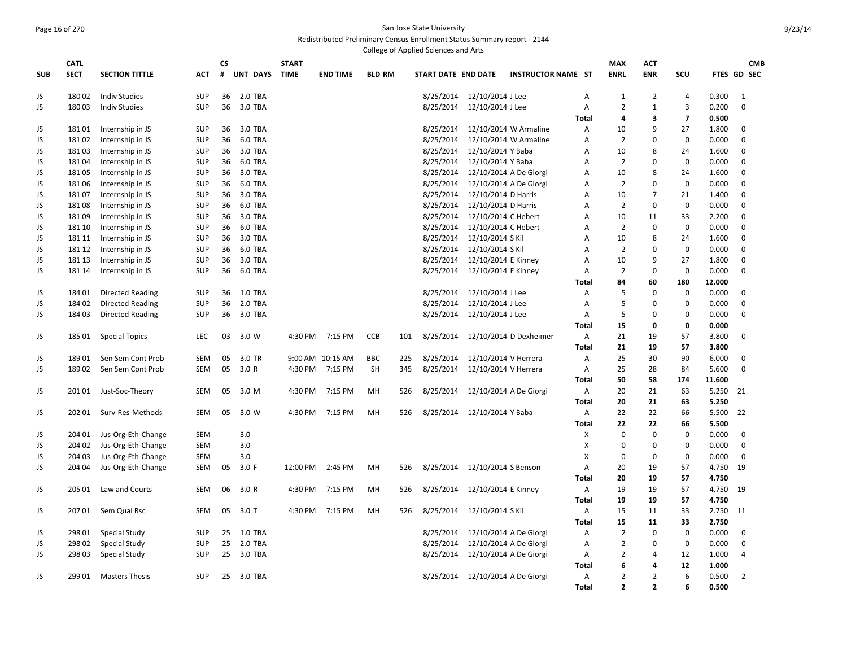## Page 16 of 270 San Jose State University Redistributed Preliminary Census Enrollment Status Summary report - 2144

|            |             |                         |            |    |          |              |                 |               |     | College of Applied Sciences and Arts |                                  |                           |                |                |                |                |        |                |  |
|------------|-------------|-------------------------|------------|----|----------|--------------|-----------------|---------------|-----|--------------------------------------|----------------------------------|---------------------------|----------------|----------------|----------------|----------------|--------|----------------|--|
|            | <b>CATL</b> |                         |            | CS |          | <b>START</b> |                 |               |     |                                      |                                  |                           |                | <b>MAX</b>     | <b>ACT</b>     |                |        | <b>CMB</b>     |  |
| <b>SUB</b> | <b>SECT</b> | <b>SECTION TITTLE</b>   | <b>ACT</b> | #  | UNT DAYS | <b>TIME</b>  | <b>END TIME</b> | <b>BLD RM</b> |     | START DATE END DATE                  |                                  | <b>INSTRUCTOR NAME ST</b> |                | <b>ENRL</b>    | <b>ENR</b>     | SCU            |        | FTES GD SEC    |  |
| JS         | 18002       | <b>Indiv Studies</b>    | <b>SUP</b> | 36 | 2.0 TBA  |              |                 |               |     | 8/25/2014                            | 12/10/2014 J Lee                 |                           | A              | 1              | 2              | $\overline{4}$ | 0.300  | $\mathbf{1}$   |  |
| JS         | 18003       | <b>Indiv Studies</b>    | <b>SUP</b> | 36 | 3.0 TBA  |              |                 |               |     | 8/25/2014                            | 12/10/2014 J Lee                 |                           | Α              | $\overline{2}$ | $\mathbf{1}$   | 3              | 0.200  | $\mathbf 0$    |  |
|            |             |                         |            |    |          |              |                 |               |     |                                      |                                  |                           | <b>Total</b>   | 4              | 3              | $\overline{7}$ | 0.500  |                |  |
| JS         | 18101       | Internship in JS        | <b>SUP</b> | 36 | 3.0 TBA  |              |                 |               |     | 8/25/2014                            |                                  | 12/10/2014 W Armaline     | Α              | 10             | 9              | 27             | 1.800  | 0              |  |
| JS         | 18102       | Internship in JS        | <b>SUP</b> | 36 | 6.0 TBA  |              |                 |               |     | 8/25/2014                            |                                  | 12/10/2014 W Armaline     | Α              | $\overline{2}$ | $\Omega$       | $\mathbf 0$    | 0.000  | $\mathbf 0$    |  |
| JS         | 18103       | Internship in JS        | <b>SUP</b> | 36 | 3.0 TBA  |              |                 |               |     | 8/25/2014                            | 12/10/2014 Y Baba                |                           | Α              | 10             | 8              | 24             | 1.600  | $\mathbf 0$    |  |
| JS         | 18104       | Internship in JS        | <b>SUP</b> | 36 | 6.0 TBA  |              |                 |               |     | 8/25/2014                            | 12/10/2014 Y Baba                |                           | A              | $\overline{2}$ | $\Omega$       | $\mathbf 0$    | 0.000  | $\mathbf 0$    |  |
| JS         | 18105       | Internship in JS        | <b>SUP</b> | 36 | 3.0 TBA  |              |                 |               |     | 8/25/2014                            | 12/10/2014 A De Giorgi           |                           | Α              | 10             | 8              | 24             | 1.600  | $\mathbf 0$    |  |
| JS         | 18106       | Internship in JS        | <b>SUP</b> | 36 | 6.0 TBA  |              |                 |               |     | 8/25/2014                            | 12/10/2014 A De Giorgi           |                           | A              | $\overline{2}$ | $\Omega$       | $\mathbf 0$    | 0.000  | $\mathbf 0$    |  |
| JS         | 18107       | Internship in JS        | <b>SUP</b> | 36 | 3.0 TBA  |              |                 |               |     | 8/25/2014                            | 12/10/2014 D Harris              |                           | A              | 10             | $\overline{7}$ | 21             | 1.400  | 0              |  |
| JS         | 18108       | Internship in JS        | <b>SUP</b> | 36 | 6.0 TBA  |              |                 |               |     | 8/25/2014                            | 12/10/2014 D Harris              |                           | A              | $\overline{2}$ | $\Omega$       | $\Omega$       | 0.000  | $\Omega$       |  |
| JS         | 18109       | Internship in JS        | <b>SUP</b> | 36 | 3.0 TBA  |              |                 |               |     | 8/25/2014                            | 12/10/2014 C Hebert              |                           | A              | 10             | 11             | 33             | 2.200  | $\mathbf 0$    |  |
| JS         | 181 10      | Internship in JS        | <b>SUP</b> | 36 | 6.0 TBA  |              |                 |               |     | 8/25/2014                            | 12/10/2014 C Hebert              |                           | A              | $\overline{2}$ | $\Omega$       | $\mathbf 0$    | 0.000  | $\mathbf 0$    |  |
| JS         | 181 11      | Internship in JS        | <b>SUP</b> | 36 | 3.0 TBA  |              |                 |               |     | 8/25/2014                            | 12/10/2014 S Kil                 |                           | A              | 10             | 8              | 24             | 1.600  | $\mathbf 0$    |  |
| JS         | 181 12      | Internship in JS        | <b>SUP</b> | 36 | 6.0 TBA  |              |                 |               |     | 8/25/2014                            | 12/10/2014 S Kil                 |                           | A              | $\overline{2}$ | $\Omega$       | $\mathbf 0$    | 0.000  | $\mathbf 0$    |  |
| JS         | 181 13      | Internship in JS        | <b>SUP</b> | 36 | 3.0 TBA  |              |                 |               |     | 8/25/2014                            | 12/10/2014 E Kinney              |                           | A              | 10             | 9              | 27             | 1.800  | $\mathbf 0$    |  |
| JS.        | 181 14      | Internship in JS        | <b>SUP</b> | 36 | 6.0 TBA  |              |                 |               |     | 8/25/2014                            | 12/10/2014 E Kinney              |                           | A              | $\overline{2}$ | $\mathbf 0$    | $\mathbf 0$    | 0.000  | $\mathbf 0$    |  |
|            |             |                         |            |    |          |              |                 |               |     |                                      |                                  |                           | <b>Total</b>   | 84             | 60             | 180            | 12.000 |                |  |
| JS         | 18401       | Directed Reading        | <b>SUP</b> | 36 | 1.0 TBA  |              |                 |               |     | 8/25/2014                            | 12/10/2014 J Lee                 |                           | A              | 5              | $\mathbf 0$    | $\mathbf 0$    | 0.000  | $\mathbf 0$    |  |
| JS         | 18402       | <b>Directed Reading</b> | <b>SUP</b> | 36 | 2.0 TBA  |              |                 |               |     | 8/25/2014                            | 12/10/2014 J Lee                 |                           | А              | 5              | $\mathbf 0$    | $\overline{0}$ | 0.000  | $\mathbf 0$    |  |
| JS.        | 18403       | Directed Reading        | <b>SUP</b> | 36 | 3.0 TBA  |              |                 |               |     | 8/25/2014                            | 12/10/2014 J Lee                 |                           | A              | 5              | $\Omega$       | $\mathbf 0$    | 0.000  | $\mathbf 0$    |  |
|            |             |                         |            |    |          |              |                 |               |     |                                      |                                  |                           | <b>Total</b>   | 15             | 0              | $\mathbf 0$    | 0.000  |                |  |
| JS         | 18501       | <b>Special Topics</b>   | <b>LEC</b> | 03 | 3.0 W    | 4:30 PM      | 7:15 PM         | <b>CCB</b>    | 101 | 8/25/2014                            |                                  | 12/10/2014 D Dexheimer    | A              | 21             | 19             | 57             | 3.800  | $\mathbf 0$    |  |
|            |             |                         |            |    |          |              |                 |               |     |                                      |                                  |                           | Total          | 21             | 19             | 57             | 3.800  |                |  |
| JS         | 18901       | Sen Sem Cont Prob       | <b>SEM</b> | 05 | 3.0 TR   | 9:00 AM      | 10:15 AM        | <b>BBC</b>    | 225 | 8/25/2014                            | 12/10/2014 V Herrera             |                           | A              | 25             | 30             | 90             | 6.000  | 0              |  |
| JS         | 18902       | Sen Sem Cont Prob       | <b>SEM</b> | 05 | 3.0 R    | 4:30 PM      | 7:15 PM         | SH            | 345 | 8/25/2014                            | 12/10/2014 V Herrera             |                           | А              | 25             | 28             | 84             | 5.600  | 0              |  |
|            |             |                         |            |    |          |              |                 |               |     |                                      |                                  |                           | <b>Total</b>   | 50             | 58             | 174            | 11.600 |                |  |
| JS         | 201 01      | Just-Soc-Theory         | <b>SEM</b> | 05 | 3.0 M    | 4:30 PM      | 7:15 PM         | MH            | 526 | 8/25/2014                            | 12/10/2014 A De Giorgi           |                           | $\overline{A}$ | 20             | 21             | 63             | 5.250  | 21             |  |
|            |             |                         |            |    |          |              |                 |               |     |                                      |                                  |                           | <b>Total</b>   | 20             | 21             | 63             | 5.250  |                |  |
| JS         | 202 01      | Surv-Res-Methods        | <b>SEM</b> | 05 | 3.0 W    | 4:30 PM      | 7:15 PM         | MH            | 526 | 8/25/2014                            | 12/10/2014 Y Baba                |                           | Α              | 22             | 22             | 66             | 5.500  | 22             |  |
|            |             |                         |            |    |          |              |                 |               |     |                                      |                                  |                           | <b>Total</b>   | 22             | 22             | 66             | 5.500  |                |  |
| JS         | 204 01      | Jus-Org-Eth-Change      | <b>SEM</b> |    | 3.0      |              |                 |               |     |                                      |                                  |                           | X              | $\mathbf 0$    | $\mathbf 0$    | $\mathbf 0$    | 0.000  | $\mathbf 0$    |  |
| JS         | 204 02      | Jus-Org-Eth-Change      | <b>SEM</b> |    | 3.0      |              |                 |               |     |                                      |                                  |                           | X              | $\mathbf 0$    | $\Omega$       | $\mathbf 0$    | 0.000  | 0              |  |
| JS         | 204 03      | Jus-Org-Eth-Change      | <b>SEM</b> |    | 3.0      |              |                 |               |     |                                      |                                  |                           | X              | 0              | $\mathbf 0$    | $\mathbf 0$    | 0.000  | 0              |  |
| JS         | 204 04      | Jus-Org-Eth-Change      | <b>SEM</b> | 05 | 3.0 F    | 12:00 PM     | 2:45 PM         | MH            | 526 | 8/25/2014                            | 12/10/2014 S Benson              |                           | Α              | 20             | 19             | 57             | 4.750  | 19             |  |
|            |             |                         |            |    |          |              |                 |               |     |                                      |                                  |                           | Total          | 20             | 19             | 57             | 4.750  |                |  |
| JS         | 205 01      | Law and Courts          | <b>SEM</b> | 06 | 3.0 R    | 4:30 PM      | 7:15 PM         | MH            | 526 | 8/25/2014                            | 12/10/2014 E Kinney              |                           | A              | 19             | 19             | 57             | 4.750  | 19             |  |
|            |             |                         |            |    |          |              |                 |               |     |                                      |                                  |                           | <b>Total</b>   | 19             | 19             | 57             | 4.750  |                |  |
| JS         | 20701       | Sem Qual Rsc            | <b>SEM</b> | 05 | $3.0$ T  | 4:30 PM      | 7:15 PM         | MH            | 526 | 8/25/2014                            | 12/10/2014 S Kil                 |                           | А              | 15             | 11             | 33             | 2.750  | 11             |  |
|            |             |                         |            |    |          |              |                 |               |     |                                      |                                  |                           | <b>Total</b>   | 15             | 11             | 33             | 2.750  |                |  |
| JS         | 298 01      | <b>Special Study</b>    | <b>SUP</b> | 25 | 1.0 TBA  |              |                 |               |     | 8/25/2014                            | 12/10/2014 A De Giorgi           |                           | Α              | $\overline{2}$ | $\mathbf 0$    | $\mathbf 0$    | 0.000  | 0              |  |
| JS         | 298 02      | Special Study           | <b>SUP</b> | 25 | 2.0 TBA  |              |                 |               |     | 8/25/2014                            | 12/10/2014 A De Giorgi           |                           | А              | $\overline{2}$ | 0              | $\mathbf 0$    | 0.000  | 0              |  |
| JS         | 298 03      | Special Study           | <b>SUP</b> | 25 | 3.0 TBA  |              |                 |               |     | 8/25/2014                            | 12/10/2014 A De Giorgi           |                           | Α              | $\overline{2}$ | 4              | 12             | 1.000  | $\overline{4}$ |  |
|            |             |                         |            |    |          |              |                 |               |     |                                      |                                  |                           | <b>Total</b>   | 6              | 4              | 12             | 1.000  |                |  |
| JS         | 29901       | <b>Masters Thesis</b>   | <b>SUP</b> | 25 | 3.0 TBA  |              |                 |               |     |                                      | 8/25/2014 12/10/2014 A De Giorgi |                           | A              | $\overline{2}$ | $\overline{2}$ | 6              | 0.500  | $\overline{2}$ |  |
|            |             |                         |            |    |          |              |                 |               |     |                                      |                                  |                           | <b>Total</b>   | $\overline{2}$ | $\overline{2}$ | 6              | 0.500  |                |  |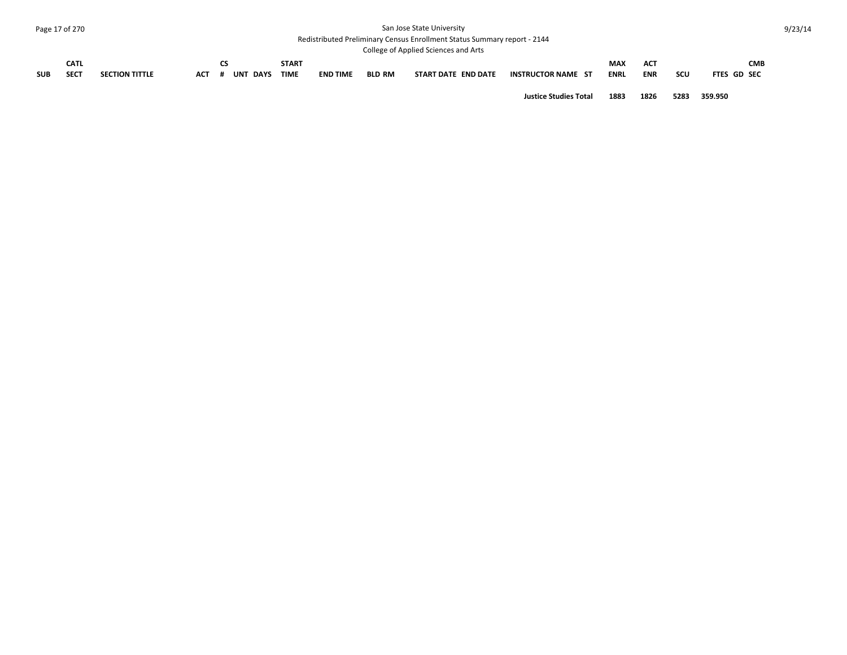# Page 17 of 270 San Jose State University

Redistributed Preliminary Census Enrollment Status Summary report - 2144 College of Applied Sciences and Arts

|            |             |                       |            |          |             |                 |               | CONCRE OF Applied SCIENCES and ALIS |                           |             |            |     |                    |
|------------|-------------|-----------------------|------------|----------|-------------|-----------------|---------------|-------------------------------------|---------------------------|-------------|------------|-----|--------------------|
|            | <b>CATL</b> |                       |            |          | START       |                 |               |                                     |                           | <b>MAX</b>  | AC.        |     | <b>CMB</b>         |
| <b>SUB</b> | <b>SECT</b> | <b>SECTION TITTLE</b> | <b>ACT</b> | UNT DAYS | <b>TIME</b> | <b>END TIME</b> | <b>BLD RM</b> | START DATE END DATE                 | <b>INSTRUCTOR NAME ST</b> | <b>ENRL</b> | <b>ENR</b> | scu | <b>FTES GD SEC</b> |
|            |             |                       |            |          |             |                 |               |                                     |                           |             |            |     |                    |

**Justice Studies Total 1883 1826 5283 359.950**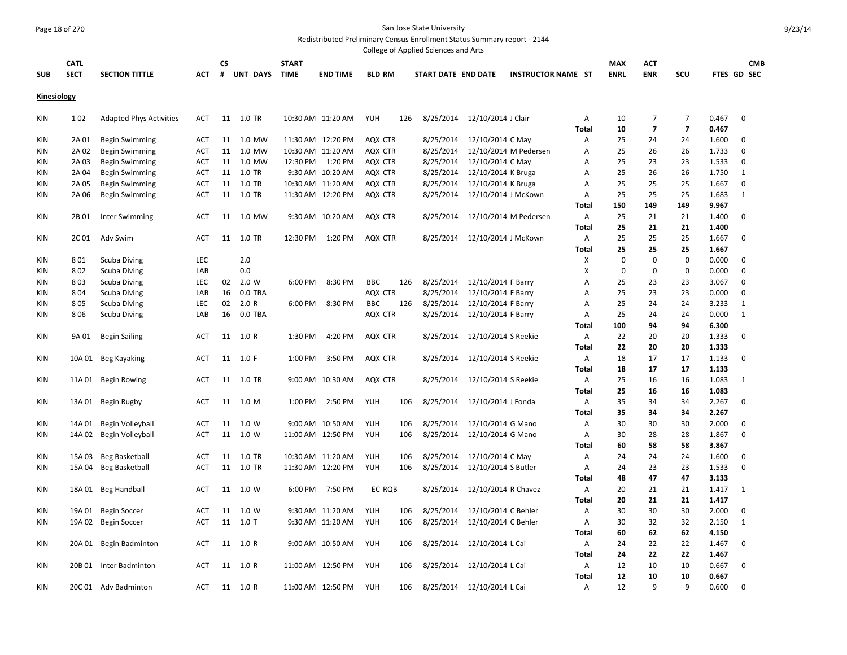#### Page 18 of 270 San Jose State University Redistributed Preliminary Census Enrollment Status Summary report - 2144

College of Applied Sciences and Arts

|                    |             |                                |            |    |               |              |                   |               |     | conced or Applica Sciences and Arts |                               |                           |                   |             |                                  |                                  |                |                    |
|--------------------|-------------|--------------------------------|------------|----|---------------|--------------|-------------------|---------------|-----|-------------------------------------|-------------------------------|---------------------------|-------------------|-------------|----------------------------------|----------------------------------|----------------|--------------------|
|                    | <b>CATL</b> |                                |            | СS |               | <b>START</b> |                   |               |     |                                     |                               |                           |                   | <b>MAX</b>  | <b>ACT</b>                       |                                  |                | <b>CMB</b>         |
| <b>SUB</b>         | <b>SECT</b> | <b>SECTION TITTLE</b>          | ACT        | #  | UNT DAYS TIME |              | <b>END TIME</b>   | <b>BLD RM</b> |     | START DATE END DATE                 |                               | <b>INSTRUCTOR NAME ST</b> |                   | <b>ENRL</b> | <b>ENR</b>                       | SCU                              |                | <b>FTES GD SEC</b> |
| <b>Kinesiology</b> |             |                                |            |    |               |              |                   |               |     |                                     |                               |                           |                   |             |                                  |                                  |                |                    |
| KIN                | 102         | <b>Adapted Phys Activities</b> | ACT        |    | 11 1.0 TR     |              | 10:30 AM 11:20 AM | YUH           | 126 | 8/25/2014                           | 12/10/2014 J Clair            |                           | Α                 | 10          | $\overline{7}$<br>$\overline{7}$ | $\overline{7}$<br>$\overline{7}$ | 0.467          | $\mathbf 0$        |
| KIN                | 2A 01       | <b>Begin Swimming</b>          | ACT        | 11 | 1.0 MW        |              | 11:30 AM 12:20 PM | AQX CTR       |     | 8/25/2014                           | 12/10/2014 C May              |                           | <b>Total</b><br>Α | 10<br>25    | 24                               | 24                               | 0.467<br>1.600 | 0                  |
| <b>KIN</b>         | 2A 02       | <b>Begin Swimming</b>          | ACT        | 11 | 1.0 MW        |              | 10:30 AM 11:20 AM | AQX CTR       |     | 8/25/2014                           |                               | 12/10/2014 M Pedersen     | Α                 | 25          | 26                               | 26                               | 1.733          | $\mathbf 0$        |
| KIN                | 2A 03       | <b>Begin Swimming</b>          | ACT        |    | 11 1.0 MW     | 12:30 PM     | 1:20 PM           | AQX CTR       |     | 8/25/2014                           | 12/10/2014 C May              |                           | Α                 | 25          | 23                               | 23                               | 1.533          | $\mathbf 0$        |
| KIN                | 2A 04       | Begin Swimming                 | <b>ACT</b> |    | 11 1.0 TR     |              | 9:30 AM 10:20 AM  | AQX CTR       |     | 8/25/2014                           | 12/10/2014 K Bruga            |                           | Α                 | 25          | 26                               | 26                               | 1.750          | $\mathbf{1}$       |
| KIN                | 2A 05       | Begin Swimming                 | ACT        |    | 11 1.0 TR     |              | 10:30 AM 11:20 AM | AQX CTR       |     | 8/25/2014                           | 12/10/2014 K Bruga            |                           | Α                 | 25          | 25                               | 25                               | 1.667          | $\mathbf 0$        |
| KIN                | 2A 06       | Begin Swimming                 | ACT        |    | 11 1.0 TR     |              | 11:30 AM 12:20 PM | AQX CTR       |     | 8/25/2014                           | 12/10/2014 J McKown           |                           | Α                 | 25          | 25                               | 25                               | 1.683          | $\mathbf{1}$       |
|                    |             |                                |            |    |               |              |                   |               |     |                                     |                               |                           | <b>Total</b>      | 150         | 149                              | 149                              | 9.967          |                    |
| KIN                | 2B 01       | Inter Swimming                 | <b>ACT</b> | 11 | 1.0 MW        |              | 9:30 AM 10:20 AM  | AQX CTR       |     | 8/25/2014                           |                               | 12/10/2014 M Pedersen     | A                 | 25          | 21                               | 21                               | 1.400          | $\mathbf 0$        |
|                    |             |                                |            |    |               |              |                   |               |     |                                     |                               |                           | <b>Total</b>      | 25          | 21                               | 21                               | 1.400          |                    |
| KIN                | 2C 01       | Adv Swim                       | ACT        | 11 | 1.0 TR        | 12:30 PM     | 1:20 PM           | AQX CTR       |     | 8/25/2014                           | 12/10/2014 J McKown           |                           | Α                 | 25          | 25                               | 25                               | 1.667          | $\mathbf 0$        |
|                    |             |                                |            |    |               |              |                   |               |     |                                     |                               |                           | <b>Total</b>      | 25          | 25                               | 25                               | 1.667          |                    |
| KIN                | 801         | Scuba Diving                   | LEC        |    | 2.0           |              |                   |               |     |                                     |                               |                           | X                 | $\pmb{0}$   | $\mathbf 0$                      | $\mathbf 0$                      | 0.000          | $\mathbf 0$        |
| KIN                | 802         | Scuba Diving                   | LAB        |    | 0.0           |              |                   |               |     |                                     |                               |                           | х                 | $\mathbf 0$ | $\mathbf 0$                      | 0                                | 0.000          | $\mathbf 0$        |
| <b>KIN</b>         | 803         | Scuba Diving                   | <b>LEC</b> | 02 | 2.0 W         | 6:00 PM      | 8:30 PM           | <b>BBC</b>    | 126 | 8/25/2014                           | 12/10/2014 F Barry            |                           | A                 | 25          | 23                               | 23                               | 3.067          | 0                  |
| <b>KIN</b>         | 804         | <b>Scuba Diving</b>            | LAB        | 16 | 0.0 TBA       |              |                   | AQX CTR       |     | 8/25/2014                           | 12/10/2014 F Barry            |                           | A                 | 25          | 23                               | 23                               | 0.000          | $\mathbf 0$        |
| <b>KIN</b>         | 805         | Scuba Diving                   | <b>LEC</b> | 02 | 2.0 R         | 6:00 PM      | 8:30 PM           | <b>BBC</b>    | 126 | 8/25/2014                           | 12/10/2014 F Barry            |                           | A                 | 25          | 24                               | 24                               | 3.233          | 1                  |
| <b>KIN</b>         | 806         | Scuba Diving                   | LAB        | 16 | 0.0 TBA       |              |                   | AQX CTR       |     | 8/25/2014                           | 12/10/2014 F Barry            |                           | A                 | 25          | 24                               | 24                               | 0.000          | 1                  |
|                    |             |                                |            |    |               |              |                   |               |     |                                     |                               |                           | Total             | 100         | 94                               | 94                               | 6.300          |                    |
| KIN                | 9A 01       | Begin Sailing                  | ACT        |    | 11 1.0 R      | 1:30 PM      | 4:20 PM           | AQX CTR       |     | 8/25/2014                           | 12/10/2014 S Reekie           |                           | Α                 | 22          | 20                               | 20                               | 1.333          | $\mathbf 0$        |
|                    |             |                                |            |    |               |              |                   |               |     |                                     |                               |                           | <b>Total</b>      | 22          | 20                               | 20                               | 1.333          |                    |
| KIN                |             | 10A 01 Beg Kayaking            | ACT        |    | 11 1.0 F      | 1:00 PM      | 3:50 PM           | AQX CTR       |     | 8/25/2014                           | 12/10/2014 S Reekie           |                           | Α                 | 18          | 17                               | 17                               | 1.133          | $\mathbf 0$        |
|                    |             |                                |            |    |               |              |                   |               |     |                                     |                               |                           | <b>Total</b>      | 18          | 17                               | 17                               | 1.133          |                    |
| KIN                |             | 11A 01 Begin Rowing            | ACT        |    | 11 1.0 TR     |              | 9:00 AM 10:30 AM  | AQX CTR       |     |                                     | 8/25/2014 12/10/2014 S Reekie |                           | Α                 | 25          | 16                               | 16                               | 1.083          | 1                  |
|                    |             |                                |            |    |               |              |                   |               |     |                                     |                               |                           | <b>Total</b>      | 25          | 16                               | 16                               | 1.083          |                    |
| KIN                |             | 13A 01 Begin Rugby             | ACT        |    | 11 1.0 M      | 1:00 PM      | 2:50 PM           | YUH           | 106 | 8/25/2014                           | 12/10/2014 J Fonda            |                           | Α                 | 35          | 34                               | 34                               | 2.267          | 0                  |
|                    |             |                                |            |    |               |              |                   |               |     |                                     |                               |                           | <b>Total</b>      | 35          | 34                               | 34                               | 2.267          |                    |
| KIN                |             | 14A 01 Begin Volleyball        | ACT        |    | 11 1.0 W      |              | 9:00 AM 10:50 AM  | YUH           | 106 | 8/25/2014                           | 12/10/2014 G Mano             |                           | Α                 | 30          | 30                               | 30                               | 2.000          | 0                  |
| KIN                |             | 14A 02 Begin Volleyball        | ACT        |    | 11  1.0 W     |              | 11:00 AM 12:50 PM | YUH           | 106 | 8/25/2014                           | 12/10/2014 G Mano             |                           | Α                 | 30          | 28                               | 28                               | 1.867          | 0                  |
|                    |             |                                |            |    |               |              |                   |               |     |                                     |                               |                           | <b>Total</b>      | 60          | 58                               | 58                               | 3.867          |                    |
| KIN                |             | 15A 03 Beg Basketball          | ACT        | 11 | 1.0 TR        |              | 10:30 AM 11:20 AM | YUH           | 106 | 8/25/2014                           | 12/10/2014 C May              |                           | Α                 | 24          | 24                               | 24                               | 1.600          | 0                  |
| KIN                |             | 15A 04 Beg Basketball          | ACT        |    | 11 1.0 TR     |              | 11:30 AM 12:20 PM | YUH           | 106 | 8/25/2014                           | 12/10/2014 S Butler           |                           | Α                 | 24          | 23                               | 23                               | 1.533          | 0                  |
|                    |             |                                |            |    |               |              |                   |               |     |                                     |                               |                           | <b>Total</b>      | 48          | 47                               | 47                               | 3.133          |                    |
| KIN                |             | 18A 01 Beg Handball            | <b>ACT</b> |    | 11  1.0 W     | 6:00 PM      | 7:50 PM           | EC RQB        |     | 8/25/2014                           | 12/10/2014 R Chavez           |                           | Α                 | 20          | 21                               | 21                               | 1.417          | 1                  |
|                    |             |                                |            |    |               |              |                   |               |     |                                     |                               |                           | <b>Total</b>      | 20          | 21                               | 21                               | 1.417          |                    |
| <b>KIN</b>         | 19A 01      | <b>Begin Soccer</b>            | ACT        | 11 | 1.0 W         |              | 9:30 AM 11:20 AM  | YUH           | 106 | 8/25/2014                           | 12/10/2014 C Behler           |                           | Α                 | 30          | 30                               | 30                               | 2.000          | $\mathbf 0$        |
| <b>KIN</b>         |             | 19A 02 Begin Soccer            | ACT        | 11 | $1.0$ T       |              | 9:30 AM 11:20 AM  | YUH           | 106 | 8/25/2014                           | 12/10/2014 C Behler           |                           | Α                 | 30          | 32                               | 32                               | 2.150          | $\mathbf{1}$       |
|                    |             |                                |            |    |               |              |                   |               |     |                                     |                               |                           | Total             | 60          | 62                               | 62                               | 4.150          |                    |
| KIN                |             | 20A 01 Begin Badminton         | ACT        | 11 | 1.0 R         |              | 9:00 AM 10:50 AM  | YUH           | 106 | 8/25/2014                           | 12/10/2014 L Cai              |                           | Α                 | 24          | 22                               | 22                               | 1.467          | $\mathbf 0$        |
|                    |             |                                |            |    |               |              |                   |               |     |                                     |                               |                           | <b>Total</b>      | 24          | 22                               | 22                               | 1.467          |                    |
| <b>KIN</b>         |             | 20B 01 Inter Badminton         | <b>ACT</b> |    | 11 1.0 R      |              | 11:00 AM 12:50 PM | YUH           | 106 |                                     | 8/25/2014 12/10/2014 L Cai    |                           | Α                 | 12          | 10                               | 10                               | 0.667          | $\mathbf 0$        |
|                    |             |                                |            |    |               |              |                   |               |     |                                     |                               |                           | <b>Total</b>      | 12          | 10                               | 10                               | 0.667          |                    |
| <b>KIN</b>         |             | 20C 01 Adv Badminton           | ACT        |    | 11 1.0 R      |              | 11:00 AM 12:50 PM | YUH           | 106 |                                     | 8/25/2014 12/10/2014 L Cai    |                           | A                 | 12          | 9                                | 9                                | 0.600          | $\mathbf 0$        |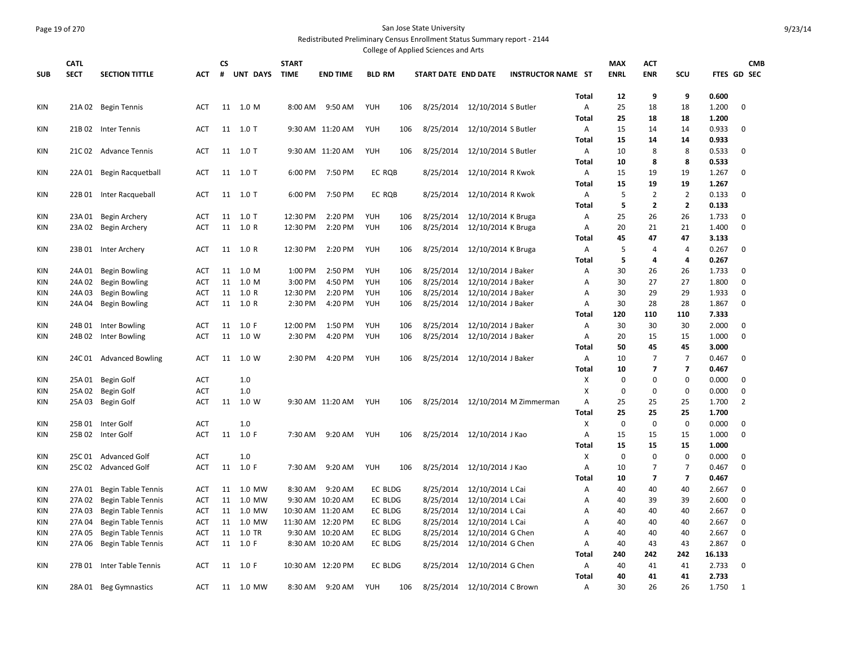#### Page 19 of 270 San Jose State University Redistributed Preliminary Census Enrollment Status Summary report - 2144 College of Applied Sciences and Arts

| <b>CATL</b><br><b>START</b><br>CS<br><b>MAX</b><br>ACT<br><b>CMB</b><br>UNT DAYS<br><b>SUB</b><br><b>SECT</b><br><b>SECTION TITTLE</b><br>#<br><b>TIME</b><br><b>END TIME</b><br><b>BLD RM</b><br>START DATE END DATE<br><b>INSTRUCTOR NAME ST</b><br><b>ENRL</b><br><b>ENR</b><br>SCU<br>FTES GD SEC<br>АСТ<br>12<br>9<br>9<br>0.600<br><b>Total</b><br>KIN<br>21A 02 Begin Tennis<br>11 1.0 M<br>9:50 AM<br>YUH<br>8/25/2014<br>12/10/2014 S Butler<br>А<br>25<br>18<br>1.200<br>$\mathbf 0$<br>8:00 AM<br>106<br>18<br>ACT<br>25<br>1.200<br><b>Total</b><br>18<br>18<br>KIN<br>11 1.0 T<br>9:30 AM 11:20 AM<br>YUH<br>8/25/2014<br>12/10/2014 S Butler<br>15<br>0.933<br>$\mathbf 0$<br>21B 02 Inter Tennis<br><b>ACT</b><br>106<br>Α<br>14<br>14<br>15<br>0.933<br><b>Total</b><br>14<br>14<br>YUH<br>8<br><b>KIN</b><br>11 1.0 T<br>9:30 AM 11:20 AM<br>8/25/2014<br>12/10/2014 S Butler<br>А<br>10<br>8<br>0.533<br>$\mathbf 0$<br>21C 02 Advance Tennis<br>106<br>ACT<br>10<br>8<br>8<br>0.533<br><b>Total</b><br>KIN<br>11 1.0 T<br>7:50 PM<br>EC RQB<br>8/25/2014<br>12/10/2014 R Kwok<br>А<br>15<br>19<br>19<br>1.267<br>$\mathbf 0$<br>22A 01 Begin Racquetball<br><b>ACT</b><br>6:00 PM<br>15<br>19<br>19<br>1.267<br>Total<br>5<br>$\overline{2}$<br>$\overline{2}$<br>KIN<br>22B 01 Inter Racqueball<br>11 1.0 T<br>6:00 PM<br>7:50 PM<br>EC RQB<br>8/25/2014<br>12/10/2014 R Kwok<br>А<br>0.133<br>$\mathbf 0$<br>ACT<br>5<br>$\overline{2}$<br>$\overline{2}$<br>0.133<br>Total<br>12:30 PM<br>2:20 PM<br><b>YUH</b><br>8/25/2014<br>12/10/2014 K Bruga<br>25<br>26<br>26<br>1.733<br>$\mathbf 0$<br>KIN<br>23A 01<br>Begin Archery<br>ACT<br>11<br>1.0 T<br>106<br>Α<br><b>KIN</b><br>11<br>1.0 R<br>12:30 PM<br>2:20 PM<br>YUH<br>106<br>8/25/2014<br>12/10/2014 K Bruga<br>20<br>21<br>21<br>1.400<br>$\mathbf 0$<br>23A 02<br>Begin Archery<br>ACT<br>Α<br>47<br><b>Total</b><br>45<br>47<br>3.133<br>5<br>$\overline{4}$<br><b>KIN</b><br>23B 01 Inter Archery<br>11 1.0 R<br>12:30 PM<br>2:20 PM<br>YUH<br>106<br>8/25/2014<br>12/10/2014 K Bruga<br>Α<br>$\overline{4}$<br>0.267<br>$\mathbf 0$<br>ACT<br><b>Total</b><br>5<br>4<br>4<br>0.267<br><b>KIN</b><br><b>Begin Bowling</b><br>1.0 M<br>1:00 PM<br>2:50 PM<br>YUH<br>106<br>8/25/2014<br>12/10/2014 J Baker<br>30<br>26<br>26<br>1.733<br>$\mathbf 0$<br>24A 01<br>ACT<br>11<br>Α<br>8/25/2014<br>30<br>27<br>27<br>1.800<br>$\mathbf 0$<br>KIN<br>24A 02<br><b>Begin Bowling</b><br>11<br>1.0 M<br>3:00 PM<br>4:50 PM<br><b>YUH</b><br>106<br>12/10/2014 J Baker<br>Α<br>ACT<br>30<br>29<br>29<br>KIN<br><b>Begin Bowling</b><br>1.0 R<br>12:30 PM<br>2:20 PM<br>YUH<br>106<br>8/25/2014<br>12/10/2014 J Baker<br>Α<br>1.933<br>$\mathbf 0$<br>24A 03<br>ACT<br>11<br>28<br>KIN<br>24A 04<br><b>Begin Bowling</b><br>11 1.0 R<br>2:30 PM<br>4:20 PM<br><b>YUH</b><br>8/25/2014<br>12/10/2014 J Baker<br>Α<br>30<br>28<br>1.867<br>0<br>ACT<br>106<br>110<br>7.333<br><b>Total</b><br>120<br>110<br>YUH<br>30<br>30<br>2.000<br>KIN<br>24B 01<br>Inter Bowling<br>11<br>1.0 F<br>12:00 PM<br>1:50 PM<br>106<br>8/25/2014<br>12/10/2014 J Baker<br>Α<br>30<br>0<br>ACT<br>KIN<br>11  1.0 W<br>2:30 PM<br>4:20 PM<br>YUH<br>8/25/2014<br>12/10/2014 J Baker<br>A<br>20<br>15<br>1.000<br>$\mathbf 0$<br>24B 02<br>Inter Bowling<br>106<br>15<br>ACT<br>50<br>45<br>45<br>3.000<br><b>Total</b><br><b>KIN</b><br>11 1.0 W<br>2:30 PM<br>4:20 PM<br>YUH<br>8/25/2014<br>12/10/2014 J Baker<br>10<br>$\overline{7}$<br>$\overline{7}$<br>24C 01<br><b>Advanced Bowling</b><br>ACT<br>106<br>Α<br>0.467<br>0<br>$\overline{\mathbf{z}}$<br>$\overline{\mathbf{z}}$<br>10<br><b>Total</b><br>0.467<br><b>KIN</b><br>1.0<br>X<br>$\mathbf 0$<br>0<br>0.000<br>$\mathbf 0$<br>Begin Golf<br>ACT<br>0<br>25A 01<br>Χ<br>1.0<br>0<br>0<br>0.000<br>$\mathbf 0$<br>KIN<br>25A 02<br><b>Begin Golf</b><br>ACT<br>0<br>1.0 W<br>9:30 AM 11:20 AM<br>YUH<br>8/25/2014<br>12/10/2014 M Zimmerman<br>A<br>25<br>25<br>25<br>1.700<br>$\overline{2}$<br><b>KIN</b><br>25A 03<br>Begin Golf<br>ACT<br>11<br>106<br>25<br><b>Total</b><br>25<br>25<br>1.700<br><b>KIN</b><br><b>ACT</b><br>1.0<br>X<br>$\mathbf 0$<br>$\mathbf 0$<br>$\mathbf 0$<br>0.000<br>$\mathbf 0$<br>25B 01<br>Inter Golf<br>KIN<br>11<br>1.0 F<br>9:20 AM<br>YUH<br>8/25/2014<br>12/10/2014 J Kao<br>A<br>15<br>1.000<br>$\mathbf 0$<br>25B 02<br>Inter Golf<br>ACT<br>7:30 AM<br>106<br>15<br>15<br>15<br>15<br>15<br>1.000<br><b>Total</b><br>X<br>$\mathbf 0$<br>$\mathbf 0$<br><b>KIN</b><br><b>ACT</b><br>1.0<br>$\mathbf 0$<br>0.000<br>$\mathbf 0$<br>25C 01<br><b>Advanced Golf</b><br>$\overline{7}$<br>$\overline{7}$<br><b>KIN</b><br>11 1.0 F<br>9:20 AM<br>YUH<br>8/25/2014<br>12/10/2014 J Kao<br>A<br>0.467<br>$\mathbf 0$<br>25C 02 Advanced Golf<br>ACT<br>7:30 AM<br>106<br>10<br>$\overline{7}$<br>$\overline{7}$<br>Total<br>10<br>0.467<br>40<br><b>KIN</b><br>8:30 AM<br>9:20 AM<br>EC BLDG<br>8/25/2014<br>12/10/2014 L Cai<br>A<br>40<br>40<br>2.667<br>$\mathbf 0$<br>27A 01<br>Begin Table Tennis<br>ACT<br>11 1.0 MW<br><b>KIN</b><br>27A 02<br><b>Begin Table Tennis</b><br>11<br>1.0 MW<br>9:30 AM 10:20 AM<br>EC BLDG<br>8/25/2014<br>12/10/2014 L Cai<br>40<br>39<br>39<br>2.600<br>$\Omega$<br>ACT<br>A<br>27A 03<br><b>Begin Table Tennis</b><br>11 1.0 MW<br>10:30 AM 11:20 AM<br>EC BLDG<br>8/25/2014<br>12/10/2014 L Cai<br>40<br>40<br>40<br>2.667<br>0<br>KIN<br>ACT<br>Α<br>27A 04<br><b>Begin Table Tennis</b><br>11<br>1.0 MW<br>11:30 AM 12:20 PM<br>EC BLDG<br>8/25/2014<br>12/10/2014 L Cai<br>40<br>40<br>40<br>2.667<br>0<br>KIN<br>ACT<br>A<br><b>KIN</b><br>27A 05<br><b>Begin Table Tennis</b><br>11<br>1.0 TR<br>9:30 AM 10:20 AM<br>EC BLDG<br>8/25/2014<br>12/10/2014 G Chen<br>Α<br>40<br>40<br>40<br>2.667<br>0<br>ACT<br>KIN<br><b>Begin Table Tennis</b><br>11<br>1.0 F<br>8:30 AM 10:20 AM<br>EC BLDG<br>8/25/2014<br>12/10/2014 G Chen<br>40<br>43<br>43<br>2.867<br>0<br>27A 06<br>ACT<br>A<br>16.133<br><b>Total</b><br>240<br>242<br>242<br>2.733<br>KIN<br>27B 01 Inter Table Tennis<br>11 1.0 F<br>10:30 AM 12:20 PM<br><b>EC BLDG</b><br>8/25/2014<br>12/10/2014 G Chen<br>Α<br>40<br>41<br>41<br>$\mathbf 0$<br>ACT<br>40<br>41<br>2.733<br><b>Total</b><br>41<br>9:20 AM<br><b>YUH</b><br>30<br>1.750<br>KIN<br>28A 01 Beg Gymnastics<br>ACT<br>11 1.0 MW<br>8:30 AM<br>106<br>8/25/2014<br>12/10/2014 C Brown<br>A<br>26<br>26<br>1 |  |  |  |  |  |  |  |  |  |  |
|---------------------------------------------------------------------------------------------------------------------------------------------------------------------------------------------------------------------------------------------------------------------------------------------------------------------------------------------------------------------------------------------------------------------------------------------------------------------------------------------------------------------------------------------------------------------------------------------------------------------------------------------------------------------------------------------------------------------------------------------------------------------------------------------------------------------------------------------------------------------------------------------------------------------------------------------------------------------------------------------------------------------------------------------------------------------------------------------------------------------------------------------------------------------------------------------------------------------------------------------------------------------------------------------------------------------------------------------------------------------------------------------------------------------------------------------------------------------------------------------------------------------------------------------------------------------------------------------------------------------------------------------------------------------------------------------------------------------------------------------------------------------------------------------------------------------------------------------------------------------------------------------------------------------------------------------------------------------------------------------------------------------------------------------------------------------------------------------------------------------------------------------------------------------------------------------------------------------------------------------------------------------------------------------------------------------------------------------------------------------------------------------------------------------------------------------------------------------------------------------------------------------------------------------------------------------------------------------------------------------------------------------------------------------------------------------------------------------------------------------------------------------------------------------------------------------------------------------------------------------------------------------------------------------------------------------------------------------------------------------------------------------------------------------------------------------------------------------------------------------------------------------------------------------------------------------------------------------------------------------------------------------------------------------------------------------------------------------------------------------------------------------------------------------------------------------------------------------------------------------------------------------------------------------------------------------------------------------------------------------------------------------------------------------------------------------------------------------------------------------------------------------------------------------------------------------------------------------------------------------------------------------------------------------------------------------------------------------------------------------------------------------------------------------------------------------------------------------------------------------------------------------------------------------------------------------------------------------------------------------------------------------------------------------------------------------------------------------------------------------------------------------------------------------------------------------------------------------------------------------------------------------------------------------------------------------------------------------------------------------------------------------------------------------------------------------------------------------------------------------------------------------------------------------------------------------------------------------------------------------------------------------------------------------------------------------------------------------------------------------------------------------------------------------------------------------------------------------------------------------------------------------------------------------------------------------------------------------------------------------------------------------------------------------------------------------------------------------------------------------------------------------------------------------------------------------------------------------------------------------------------------------------------------------------------------------------------------------------------------------------------------------------------------------------------------------------------------------------------------------------------------------------------------------------------------------------------------------------------------------------------------------------------------------------------------------------------------------------------------------------------------------------------------------------------------------------------------------------------------------------------------------------------------------------------------------------------------------------------------------------------------------------------------------------------------------------------------------------------------------------------------------------------------------------------------------|--|--|--|--|--|--|--|--|--|--|
|                                                                                                                                                                                                                                                                                                                                                                                                                                                                                                                                                                                                                                                                                                                                                                                                                                                                                                                                                                                                                                                                                                                                                                                                                                                                                                                                                                                                                                                                                                                                                                                                                                                                                                                                                                                                                                                                                                                                                                                                                                                                                                                                                                                                                                                                                                                                                                                                                                                                                                                                                                                                                                                                                                                                                                                                                                                                                                                                                                                                                                                                                                                                                                                                                                                                                                                                                                                                                                                                                                                                                                                                                                                                                                                                                                                                                                                                                                                                                                                                                                                                                                                                                                                                                                                                                                                                                                                                                                                                                                                                                                                                                                                                                                                                                                                                                                                                                                                                                                                                                                                                                                                                                                                                                                                                                                                                                                                                                                                                                                                                                                                                                                                                                                                                                                                                                                                                                                                                                                                                                                                                                                                                                                                                                                                                                                                                                                                                                                             |  |  |  |  |  |  |  |  |  |  |
|                                                                                                                                                                                                                                                                                                                                                                                                                                                                                                                                                                                                                                                                                                                                                                                                                                                                                                                                                                                                                                                                                                                                                                                                                                                                                                                                                                                                                                                                                                                                                                                                                                                                                                                                                                                                                                                                                                                                                                                                                                                                                                                                                                                                                                                                                                                                                                                                                                                                                                                                                                                                                                                                                                                                                                                                                                                                                                                                                                                                                                                                                                                                                                                                                                                                                                                                                                                                                                                                                                                                                                                                                                                                                                                                                                                                                                                                                                                                                                                                                                                                                                                                                                                                                                                                                                                                                                                                                                                                                                                                                                                                                                                                                                                                                                                                                                                                                                                                                                                                                                                                                                                                                                                                                                                                                                                                                                                                                                                                                                                                                                                                                                                                                                                                                                                                                                                                                                                                                                                                                                                                                                                                                                                                                                                                                                                                                                                                                                             |  |  |  |  |  |  |  |  |  |  |
|                                                                                                                                                                                                                                                                                                                                                                                                                                                                                                                                                                                                                                                                                                                                                                                                                                                                                                                                                                                                                                                                                                                                                                                                                                                                                                                                                                                                                                                                                                                                                                                                                                                                                                                                                                                                                                                                                                                                                                                                                                                                                                                                                                                                                                                                                                                                                                                                                                                                                                                                                                                                                                                                                                                                                                                                                                                                                                                                                                                                                                                                                                                                                                                                                                                                                                                                                                                                                                                                                                                                                                                                                                                                                                                                                                                                                                                                                                                                                                                                                                                                                                                                                                                                                                                                                                                                                                                                                                                                                                                                                                                                                                                                                                                                                                                                                                                                                                                                                                                                                                                                                                                                                                                                                                                                                                                                                                                                                                                                                                                                                                                                                                                                                                                                                                                                                                                                                                                                                                                                                                                                                                                                                                                                                                                                                                                                                                                                                                             |  |  |  |  |  |  |  |  |  |  |
|                                                                                                                                                                                                                                                                                                                                                                                                                                                                                                                                                                                                                                                                                                                                                                                                                                                                                                                                                                                                                                                                                                                                                                                                                                                                                                                                                                                                                                                                                                                                                                                                                                                                                                                                                                                                                                                                                                                                                                                                                                                                                                                                                                                                                                                                                                                                                                                                                                                                                                                                                                                                                                                                                                                                                                                                                                                                                                                                                                                                                                                                                                                                                                                                                                                                                                                                                                                                                                                                                                                                                                                                                                                                                                                                                                                                                                                                                                                                                                                                                                                                                                                                                                                                                                                                                                                                                                                                                                                                                                                                                                                                                                                                                                                                                                                                                                                                                                                                                                                                                                                                                                                                                                                                                                                                                                                                                                                                                                                                                                                                                                                                                                                                                                                                                                                                                                                                                                                                                                                                                                                                                                                                                                                                                                                                                                                                                                                                                                             |  |  |  |  |  |  |  |  |  |  |
|                                                                                                                                                                                                                                                                                                                                                                                                                                                                                                                                                                                                                                                                                                                                                                                                                                                                                                                                                                                                                                                                                                                                                                                                                                                                                                                                                                                                                                                                                                                                                                                                                                                                                                                                                                                                                                                                                                                                                                                                                                                                                                                                                                                                                                                                                                                                                                                                                                                                                                                                                                                                                                                                                                                                                                                                                                                                                                                                                                                                                                                                                                                                                                                                                                                                                                                                                                                                                                                                                                                                                                                                                                                                                                                                                                                                                                                                                                                                                                                                                                                                                                                                                                                                                                                                                                                                                                                                                                                                                                                                                                                                                                                                                                                                                                                                                                                                                                                                                                                                                                                                                                                                                                                                                                                                                                                                                                                                                                                                                                                                                                                                                                                                                                                                                                                                                                                                                                                                                                                                                                                                                                                                                                                                                                                                                                                                                                                                                                             |  |  |  |  |  |  |  |  |  |  |
|                                                                                                                                                                                                                                                                                                                                                                                                                                                                                                                                                                                                                                                                                                                                                                                                                                                                                                                                                                                                                                                                                                                                                                                                                                                                                                                                                                                                                                                                                                                                                                                                                                                                                                                                                                                                                                                                                                                                                                                                                                                                                                                                                                                                                                                                                                                                                                                                                                                                                                                                                                                                                                                                                                                                                                                                                                                                                                                                                                                                                                                                                                                                                                                                                                                                                                                                                                                                                                                                                                                                                                                                                                                                                                                                                                                                                                                                                                                                                                                                                                                                                                                                                                                                                                                                                                                                                                                                                                                                                                                                                                                                                                                                                                                                                                                                                                                                                                                                                                                                                                                                                                                                                                                                                                                                                                                                                                                                                                                                                                                                                                                                                                                                                                                                                                                                                                                                                                                                                                                                                                                                                                                                                                                                                                                                                                                                                                                                                                             |  |  |  |  |  |  |  |  |  |  |
|                                                                                                                                                                                                                                                                                                                                                                                                                                                                                                                                                                                                                                                                                                                                                                                                                                                                                                                                                                                                                                                                                                                                                                                                                                                                                                                                                                                                                                                                                                                                                                                                                                                                                                                                                                                                                                                                                                                                                                                                                                                                                                                                                                                                                                                                                                                                                                                                                                                                                                                                                                                                                                                                                                                                                                                                                                                                                                                                                                                                                                                                                                                                                                                                                                                                                                                                                                                                                                                                                                                                                                                                                                                                                                                                                                                                                                                                                                                                                                                                                                                                                                                                                                                                                                                                                                                                                                                                                                                                                                                                                                                                                                                                                                                                                                                                                                                                                                                                                                                                                                                                                                                                                                                                                                                                                                                                                                                                                                                                                                                                                                                                                                                                                                                                                                                                                                                                                                                                                                                                                                                                                                                                                                                                                                                                                                                                                                                                                                             |  |  |  |  |  |  |  |  |  |  |
|                                                                                                                                                                                                                                                                                                                                                                                                                                                                                                                                                                                                                                                                                                                                                                                                                                                                                                                                                                                                                                                                                                                                                                                                                                                                                                                                                                                                                                                                                                                                                                                                                                                                                                                                                                                                                                                                                                                                                                                                                                                                                                                                                                                                                                                                                                                                                                                                                                                                                                                                                                                                                                                                                                                                                                                                                                                                                                                                                                                                                                                                                                                                                                                                                                                                                                                                                                                                                                                                                                                                                                                                                                                                                                                                                                                                                                                                                                                                                                                                                                                                                                                                                                                                                                                                                                                                                                                                                                                                                                                                                                                                                                                                                                                                                                                                                                                                                                                                                                                                                                                                                                                                                                                                                                                                                                                                                                                                                                                                                                                                                                                                                                                                                                                                                                                                                                                                                                                                                                                                                                                                                                                                                                                                                                                                                                                                                                                                                                             |  |  |  |  |  |  |  |  |  |  |
|                                                                                                                                                                                                                                                                                                                                                                                                                                                                                                                                                                                                                                                                                                                                                                                                                                                                                                                                                                                                                                                                                                                                                                                                                                                                                                                                                                                                                                                                                                                                                                                                                                                                                                                                                                                                                                                                                                                                                                                                                                                                                                                                                                                                                                                                                                                                                                                                                                                                                                                                                                                                                                                                                                                                                                                                                                                                                                                                                                                                                                                                                                                                                                                                                                                                                                                                                                                                                                                                                                                                                                                                                                                                                                                                                                                                                                                                                                                                                                                                                                                                                                                                                                                                                                                                                                                                                                                                                                                                                                                                                                                                                                                                                                                                                                                                                                                                                                                                                                                                                                                                                                                                                                                                                                                                                                                                                                                                                                                                                                                                                                                                                                                                                                                                                                                                                                                                                                                                                                                                                                                                                                                                                                                                                                                                                                                                                                                                                                             |  |  |  |  |  |  |  |  |  |  |
|                                                                                                                                                                                                                                                                                                                                                                                                                                                                                                                                                                                                                                                                                                                                                                                                                                                                                                                                                                                                                                                                                                                                                                                                                                                                                                                                                                                                                                                                                                                                                                                                                                                                                                                                                                                                                                                                                                                                                                                                                                                                                                                                                                                                                                                                                                                                                                                                                                                                                                                                                                                                                                                                                                                                                                                                                                                                                                                                                                                                                                                                                                                                                                                                                                                                                                                                                                                                                                                                                                                                                                                                                                                                                                                                                                                                                                                                                                                                                                                                                                                                                                                                                                                                                                                                                                                                                                                                                                                                                                                                                                                                                                                                                                                                                                                                                                                                                                                                                                                                                                                                                                                                                                                                                                                                                                                                                                                                                                                                                                                                                                                                                                                                                                                                                                                                                                                                                                                                                                                                                                                                                                                                                                                                                                                                                                                                                                                                                                             |  |  |  |  |  |  |  |  |  |  |
|                                                                                                                                                                                                                                                                                                                                                                                                                                                                                                                                                                                                                                                                                                                                                                                                                                                                                                                                                                                                                                                                                                                                                                                                                                                                                                                                                                                                                                                                                                                                                                                                                                                                                                                                                                                                                                                                                                                                                                                                                                                                                                                                                                                                                                                                                                                                                                                                                                                                                                                                                                                                                                                                                                                                                                                                                                                                                                                                                                                                                                                                                                                                                                                                                                                                                                                                                                                                                                                                                                                                                                                                                                                                                                                                                                                                                                                                                                                                                                                                                                                                                                                                                                                                                                                                                                                                                                                                                                                                                                                                                                                                                                                                                                                                                                                                                                                                                                                                                                                                                                                                                                                                                                                                                                                                                                                                                                                                                                                                                                                                                                                                                                                                                                                                                                                                                                                                                                                                                                                                                                                                                                                                                                                                                                                                                                                                                                                                                                             |  |  |  |  |  |  |  |  |  |  |
|                                                                                                                                                                                                                                                                                                                                                                                                                                                                                                                                                                                                                                                                                                                                                                                                                                                                                                                                                                                                                                                                                                                                                                                                                                                                                                                                                                                                                                                                                                                                                                                                                                                                                                                                                                                                                                                                                                                                                                                                                                                                                                                                                                                                                                                                                                                                                                                                                                                                                                                                                                                                                                                                                                                                                                                                                                                                                                                                                                                                                                                                                                                                                                                                                                                                                                                                                                                                                                                                                                                                                                                                                                                                                                                                                                                                                                                                                                                                                                                                                                                                                                                                                                                                                                                                                                                                                                                                                                                                                                                                                                                                                                                                                                                                                                                                                                                                                                                                                                                                                                                                                                                                                                                                                                                                                                                                                                                                                                                                                                                                                                                                                                                                                                                                                                                                                                                                                                                                                                                                                                                                                                                                                                                                                                                                                                                                                                                                                                             |  |  |  |  |  |  |  |  |  |  |
|                                                                                                                                                                                                                                                                                                                                                                                                                                                                                                                                                                                                                                                                                                                                                                                                                                                                                                                                                                                                                                                                                                                                                                                                                                                                                                                                                                                                                                                                                                                                                                                                                                                                                                                                                                                                                                                                                                                                                                                                                                                                                                                                                                                                                                                                                                                                                                                                                                                                                                                                                                                                                                                                                                                                                                                                                                                                                                                                                                                                                                                                                                                                                                                                                                                                                                                                                                                                                                                                                                                                                                                                                                                                                                                                                                                                                                                                                                                                                                                                                                                                                                                                                                                                                                                                                                                                                                                                                                                                                                                                                                                                                                                                                                                                                                                                                                                                                                                                                                                                                                                                                                                                                                                                                                                                                                                                                                                                                                                                                                                                                                                                                                                                                                                                                                                                                                                                                                                                                                                                                                                                                                                                                                                                                                                                                                                                                                                                                                             |  |  |  |  |  |  |  |  |  |  |
|                                                                                                                                                                                                                                                                                                                                                                                                                                                                                                                                                                                                                                                                                                                                                                                                                                                                                                                                                                                                                                                                                                                                                                                                                                                                                                                                                                                                                                                                                                                                                                                                                                                                                                                                                                                                                                                                                                                                                                                                                                                                                                                                                                                                                                                                                                                                                                                                                                                                                                                                                                                                                                                                                                                                                                                                                                                                                                                                                                                                                                                                                                                                                                                                                                                                                                                                                                                                                                                                                                                                                                                                                                                                                                                                                                                                                                                                                                                                                                                                                                                                                                                                                                                                                                                                                                                                                                                                                                                                                                                                                                                                                                                                                                                                                                                                                                                                                                                                                                                                                                                                                                                                                                                                                                                                                                                                                                                                                                                                                                                                                                                                                                                                                                                                                                                                                                                                                                                                                                                                                                                                                                                                                                                                                                                                                                                                                                                                                                             |  |  |  |  |  |  |  |  |  |  |
|                                                                                                                                                                                                                                                                                                                                                                                                                                                                                                                                                                                                                                                                                                                                                                                                                                                                                                                                                                                                                                                                                                                                                                                                                                                                                                                                                                                                                                                                                                                                                                                                                                                                                                                                                                                                                                                                                                                                                                                                                                                                                                                                                                                                                                                                                                                                                                                                                                                                                                                                                                                                                                                                                                                                                                                                                                                                                                                                                                                                                                                                                                                                                                                                                                                                                                                                                                                                                                                                                                                                                                                                                                                                                                                                                                                                                                                                                                                                                                                                                                                                                                                                                                                                                                                                                                                                                                                                                                                                                                                                                                                                                                                                                                                                                                                                                                                                                                                                                                                                                                                                                                                                                                                                                                                                                                                                                                                                                                                                                                                                                                                                                                                                                                                                                                                                                                                                                                                                                                                                                                                                                                                                                                                                                                                                                                                                                                                                                                             |  |  |  |  |  |  |  |  |  |  |
|                                                                                                                                                                                                                                                                                                                                                                                                                                                                                                                                                                                                                                                                                                                                                                                                                                                                                                                                                                                                                                                                                                                                                                                                                                                                                                                                                                                                                                                                                                                                                                                                                                                                                                                                                                                                                                                                                                                                                                                                                                                                                                                                                                                                                                                                                                                                                                                                                                                                                                                                                                                                                                                                                                                                                                                                                                                                                                                                                                                                                                                                                                                                                                                                                                                                                                                                                                                                                                                                                                                                                                                                                                                                                                                                                                                                                                                                                                                                                                                                                                                                                                                                                                                                                                                                                                                                                                                                                                                                                                                                                                                                                                                                                                                                                                                                                                                                                                                                                                                                                                                                                                                                                                                                                                                                                                                                                                                                                                                                                                                                                                                                                                                                                                                                                                                                                                                                                                                                                                                                                                                                                                                                                                                                                                                                                                                                                                                                                                             |  |  |  |  |  |  |  |  |  |  |
|                                                                                                                                                                                                                                                                                                                                                                                                                                                                                                                                                                                                                                                                                                                                                                                                                                                                                                                                                                                                                                                                                                                                                                                                                                                                                                                                                                                                                                                                                                                                                                                                                                                                                                                                                                                                                                                                                                                                                                                                                                                                                                                                                                                                                                                                                                                                                                                                                                                                                                                                                                                                                                                                                                                                                                                                                                                                                                                                                                                                                                                                                                                                                                                                                                                                                                                                                                                                                                                                                                                                                                                                                                                                                                                                                                                                                                                                                                                                                                                                                                                                                                                                                                                                                                                                                                                                                                                                                                                                                                                                                                                                                                                                                                                                                                                                                                                                                                                                                                                                                                                                                                                                                                                                                                                                                                                                                                                                                                                                                                                                                                                                                                                                                                                                                                                                                                                                                                                                                                                                                                                                                                                                                                                                                                                                                                                                                                                                                                             |  |  |  |  |  |  |  |  |  |  |
|                                                                                                                                                                                                                                                                                                                                                                                                                                                                                                                                                                                                                                                                                                                                                                                                                                                                                                                                                                                                                                                                                                                                                                                                                                                                                                                                                                                                                                                                                                                                                                                                                                                                                                                                                                                                                                                                                                                                                                                                                                                                                                                                                                                                                                                                                                                                                                                                                                                                                                                                                                                                                                                                                                                                                                                                                                                                                                                                                                                                                                                                                                                                                                                                                                                                                                                                                                                                                                                                                                                                                                                                                                                                                                                                                                                                                                                                                                                                                                                                                                                                                                                                                                                                                                                                                                                                                                                                                                                                                                                                                                                                                                                                                                                                                                                                                                                                                                                                                                                                                                                                                                                                                                                                                                                                                                                                                                                                                                                                                                                                                                                                                                                                                                                                                                                                                                                                                                                                                                                                                                                                                                                                                                                                                                                                                                                                                                                                                                             |  |  |  |  |  |  |  |  |  |  |
|                                                                                                                                                                                                                                                                                                                                                                                                                                                                                                                                                                                                                                                                                                                                                                                                                                                                                                                                                                                                                                                                                                                                                                                                                                                                                                                                                                                                                                                                                                                                                                                                                                                                                                                                                                                                                                                                                                                                                                                                                                                                                                                                                                                                                                                                                                                                                                                                                                                                                                                                                                                                                                                                                                                                                                                                                                                                                                                                                                                                                                                                                                                                                                                                                                                                                                                                                                                                                                                                                                                                                                                                                                                                                                                                                                                                                                                                                                                                                                                                                                                                                                                                                                                                                                                                                                                                                                                                                                                                                                                                                                                                                                                                                                                                                                                                                                                                                                                                                                                                                                                                                                                                                                                                                                                                                                                                                                                                                                                                                                                                                                                                                                                                                                                                                                                                                                                                                                                                                                                                                                                                                                                                                                                                                                                                                                                                                                                                                                             |  |  |  |  |  |  |  |  |  |  |
|                                                                                                                                                                                                                                                                                                                                                                                                                                                                                                                                                                                                                                                                                                                                                                                                                                                                                                                                                                                                                                                                                                                                                                                                                                                                                                                                                                                                                                                                                                                                                                                                                                                                                                                                                                                                                                                                                                                                                                                                                                                                                                                                                                                                                                                                                                                                                                                                                                                                                                                                                                                                                                                                                                                                                                                                                                                                                                                                                                                                                                                                                                                                                                                                                                                                                                                                                                                                                                                                                                                                                                                                                                                                                                                                                                                                                                                                                                                                                                                                                                                                                                                                                                                                                                                                                                                                                                                                                                                                                                                                                                                                                                                                                                                                                                                                                                                                                                                                                                                                                                                                                                                                                                                                                                                                                                                                                                                                                                                                                                                                                                                                                                                                                                                                                                                                                                                                                                                                                                                                                                                                                                                                                                                                                                                                                                                                                                                                                                             |  |  |  |  |  |  |  |  |  |  |
|                                                                                                                                                                                                                                                                                                                                                                                                                                                                                                                                                                                                                                                                                                                                                                                                                                                                                                                                                                                                                                                                                                                                                                                                                                                                                                                                                                                                                                                                                                                                                                                                                                                                                                                                                                                                                                                                                                                                                                                                                                                                                                                                                                                                                                                                                                                                                                                                                                                                                                                                                                                                                                                                                                                                                                                                                                                                                                                                                                                                                                                                                                                                                                                                                                                                                                                                                                                                                                                                                                                                                                                                                                                                                                                                                                                                                                                                                                                                                                                                                                                                                                                                                                                                                                                                                                                                                                                                                                                                                                                                                                                                                                                                                                                                                                                                                                                                                                                                                                                                                                                                                                                                                                                                                                                                                                                                                                                                                                                                                                                                                                                                                                                                                                                                                                                                                                                                                                                                                                                                                                                                                                                                                                                                                                                                                                                                                                                                                                             |  |  |  |  |  |  |  |  |  |  |
|                                                                                                                                                                                                                                                                                                                                                                                                                                                                                                                                                                                                                                                                                                                                                                                                                                                                                                                                                                                                                                                                                                                                                                                                                                                                                                                                                                                                                                                                                                                                                                                                                                                                                                                                                                                                                                                                                                                                                                                                                                                                                                                                                                                                                                                                                                                                                                                                                                                                                                                                                                                                                                                                                                                                                                                                                                                                                                                                                                                                                                                                                                                                                                                                                                                                                                                                                                                                                                                                                                                                                                                                                                                                                                                                                                                                                                                                                                                                                                                                                                                                                                                                                                                                                                                                                                                                                                                                                                                                                                                                                                                                                                                                                                                                                                                                                                                                                                                                                                                                                                                                                                                                                                                                                                                                                                                                                                                                                                                                                                                                                                                                                                                                                                                                                                                                                                                                                                                                                                                                                                                                                                                                                                                                                                                                                                                                                                                                                                             |  |  |  |  |  |  |  |  |  |  |
|                                                                                                                                                                                                                                                                                                                                                                                                                                                                                                                                                                                                                                                                                                                                                                                                                                                                                                                                                                                                                                                                                                                                                                                                                                                                                                                                                                                                                                                                                                                                                                                                                                                                                                                                                                                                                                                                                                                                                                                                                                                                                                                                                                                                                                                                                                                                                                                                                                                                                                                                                                                                                                                                                                                                                                                                                                                                                                                                                                                                                                                                                                                                                                                                                                                                                                                                                                                                                                                                                                                                                                                                                                                                                                                                                                                                                                                                                                                                                                                                                                                                                                                                                                                                                                                                                                                                                                                                                                                                                                                                                                                                                                                                                                                                                                                                                                                                                                                                                                                                                                                                                                                                                                                                                                                                                                                                                                                                                                                                                                                                                                                                                                                                                                                                                                                                                                                                                                                                                                                                                                                                                                                                                                                                                                                                                                                                                                                                                                             |  |  |  |  |  |  |  |  |  |  |
|                                                                                                                                                                                                                                                                                                                                                                                                                                                                                                                                                                                                                                                                                                                                                                                                                                                                                                                                                                                                                                                                                                                                                                                                                                                                                                                                                                                                                                                                                                                                                                                                                                                                                                                                                                                                                                                                                                                                                                                                                                                                                                                                                                                                                                                                                                                                                                                                                                                                                                                                                                                                                                                                                                                                                                                                                                                                                                                                                                                                                                                                                                                                                                                                                                                                                                                                                                                                                                                                                                                                                                                                                                                                                                                                                                                                                                                                                                                                                                                                                                                                                                                                                                                                                                                                                                                                                                                                                                                                                                                                                                                                                                                                                                                                                                                                                                                                                                                                                                                                                                                                                                                                                                                                                                                                                                                                                                                                                                                                                                                                                                                                                                                                                                                                                                                                                                                                                                                                                                                                                                                                                                                                                                                                                                                                                                                                                                                                                                             |  |  |  |  |  |  |  |  |  |  |
|                                                                                                                                                                                                                                                                                                                                                                                                                                                                                                                                                                                                                                                                                                                                                                                                                                                                                                                                                                                                                                                                                                                                                                                                                                                                                                                                                                                                                                                                                                                                                                                                                                                                                                                                                                                                                                                                                                                                                                                                                                                                                                                                                                                                                                                                                                                                                                                                                                                                                                                                                                                                                                                                                                                                                                                                                                                                                                                                                                                                                                                                                                                                                                                                                                                                                                                                                                                                                                                                                                                                                                                                                                                                                                                                                                                                                                                                                                                                                                                                                                                                                                                                                                                                                                                                                                                                                                                                                                                                                                                                                                                                                                                                                                                                                                                                                                                                                                                                                                                                                                                                                                                                                                                                                                                                                                                                                                                                                                                                                                                                                                                                                                                                                                                                                                                                                                                                                                                                                                                                                                                                                                                                                                                                                                                                                                                                                                                                                                             |  |  |  |  |  |  |  |  |  |  |
|                                                                                                                                                                                                                                                                                                                                                                                                                                                                                                                                                                                                                                                                                                                                                                                                                                                                                                                                                                                                                                                                                                                                                                                                                                                                                                                                                                                                                                                                                                                                                                                                                                                                                                                                                                                                                                                                                                                                                                                                                                                                                                                                                                                                                                                                                                                                                                                                                                                                                                                                                                                                                                                                                                                                                                                                                                                                                                                                                                                                                                                                                                                                                                                                                                                                                                                                                                                                                                                                                                                                                                                                                                                                                                                                                                                                                                                                                                                                                                                                                                                                                                                                                                                                                                                                                                                                                                                                                                                                                                                                                                                                                                                                                                                                                                                                                                                                                                                                                                                                                                                                                                                                                                                                                                                                                                                                                                                                                                                                                                                                                                                                                                                                                                                                                                                                                                                                                                                                                                                                                                                                                                                                                                                                                                                                                                                                                                                                                                             |  |  |  |  |  |  |  |  |  |  |
|                                                                                                                                                                                                                                                                                                                                                                                                                                                                                                                                                                                                                                                                                                                                                                                                                                                                                                                                                                                                                                                                                                                                                                                                                                                                                                                                                                                                                                                                                                                                                                                                                                                                                                                                                                                                                                                                                                                                                                                                                                                                                                                                                                                                                                                                                                                                                                                                                                                                                                                                                                                                                                                                                                                                                                                                                                                                                                                                                                                                                                                                                                                                                                                                                                                                                                                                                                                                                                                                                                                                                                                                                                                                                                                                                                                                                                                                                                                                                                                                                                                                                                                                                                                                                                                                                                                                                                                                                                                                                                                                                                                                                                                                                                                                                                                                                                                                                                                                                                                                                                                                                                                                                                                                                                                                                                                                                                                                                                                                                                                                                                                                                                                                                                                                                                                                                                                                                                                                                                                                                                                                                                                                                                                                                                                                                                                                                                                                                                             |  |  |  |  |  |  |  |  |  |  |
|                                                                                                                                                                                                                                                                                                                                                                                                                                                                                                                                                                                                                                                                                                                                                                                                                                                                                                                                                                                                                                                                                                                                                                                                                                                                                                                                                                                                                                                                                                                                                                                                                                                                                                                                                                                                                                                                                                                                                                                                                                                                                                                                                                                                                                                                                                                                                                                                                                                                                                                                                                                                                                                                                                                                                                                                                                                                                                                                                                                                                                                                                                                                                                                                                                                                                                                                                                                                                                                                                                                                                                                                                                                                                                                                                                                                                                                                                                                                                                                                                                                                                                                                                                                                                                                                                                                                                                                                                                                                                                                                                                                                                                                                                                                                                                                                                                                                                                                                                                                                                                                                                                                                                                                                                                                                                                                                                                                                                                                                                                                                                                                                                                                                                                                                                                                                                                                                                                                                                                                                                                                                                                                                                                                                                                                                                                                                                                                                                                             |  |  |  |  |  |  |  |  |  |  |
|                                                                                                                                                                                                                                                                                                                                                                                                                                                                                                                                                                                                                                                                                                                                                                                                                                                                                                                                                                                                                                                                                                                                                                                                                                                                                                                                                                                                                                                                                                                                                                                                                                                                                                                                                                                                                                                                                                                                                                                                                                                                                                                                                                                                                                                                                                                                                                                                                                                                                                                                                                                                                                                                                                                                                                                                                                                                                                                                                                                                                                                                                                                                                                                                                                                                                                                                                                                                                                                                                                                                                                                                                                                                                                                                                                                                                                                                                                                                                                                                                                                                                                                                                                                                                                                                                                                                                                                                                                                                                                                                                                                                                                                                                                                                                                                                                                                                                                                                                                                                                                                                                                                                                                                                                                                                                                                                                                                                                                                                                                                                                                                                                                                                                                                                                                                                                                                                                                                                                                                                                                                                                                                                                                                                                                                                                                                                                                                                                                             |  |  |  |  |  |  |  |  |  |  |
|                                                                                                                                                                                                                                                                                                                                                                                                                                                                                                                                                                                                                                                                                                                                                                                                                                                                                                                                                                                                                                                                                                                                                                                                                                                                                                                                                                                                                                                                                                                                                                                                                                                                                                                                                                                                                                                                                                                                                                                                                                                                                                                                                                                                                                                                                                                                                                                                                                                                                                                                                                                                                                                                                                                                                                                                                                                                                                                                                                                                                                                                                                                                                                                                                                                                                                                                                                                                                                                                                                                                                                                                                                                                                                                                                                                                                                                                                                                                                                                                                                                                                                                                                                                                                                                                                                                                                                                                                                                                                                                                                                                                                                                                                                                                                                                                                                                                                                                                                                                                                                                                                                                                                                                                                                                                                                                                                                                                                                                                                                                                                                                                                                                                                                                                                                                                                                                                                                                                                                                                                                                                                                                                                                                                                                                                                                                                                                                                                                             |  |  |  |  |  |  |  |  |  |  |
|                                                                                                                                                                                                                                                                                                                                                                                                                                                                                                                                                                                                                                                                                                                                                                                                                                                                                                                                                                                                                                                                                                                                                                                                                                                                                                                                                                                                                                                                                                                                                                                                                                                                                                                                                                                                                                                                                                                                                                                                                                                                                                                                                                                                                                                                                                                                                                                                                                                                                                                                                                                                                                                                                                                                                                                                                                                                                                                                                                                                                                                                                                                                                                                                                                                                                                                                                                                                                                                                                                                                                                                                                                                                                                                                                                                                                                                                                                                                                                                                                                                                                                                                                                                                                                                                                                                                                                                                                                                                                                                                                                                                                                                                                                                                                                                                                                                                                                                                                                                                                                                                                                                                                                                                                                                                                                                                                                                                                                                                                                                                                                                                                                                                                                                                                                                                                                                                                                                                                                                                                                                                                                                                                                                                                                                                                                                                                                                                                                             |  |  |  |  |  |  |  |  |  |  |
|                                                                                                                                                                                                                                                                                                                                                                                                                                                                                                                                                                                                                                                                                                                                                                                                                                                                                                                                                                                                                                                                                                                                                                                                                                                                                                                                                                                                                                                                                                                                                                                                                                                                                                                                                                                                                                                                                                                                                                                                                                                                                                                                                                                                                                                                                                                                                                                                                                                                                                                                                                                                                                                                                                                                                                                                                                                                                                                                                                                                                                                                                                                                                                                                                                                                                                                                                                                                                                                                                                                                                                                                                                                                                                                                                                                                                                                                                                                                                                                                                                                                                                                                                                                                                                                                                                                                                                                                                                                                                                                                                                                                                                                                                                                                                                                                                                                                                                                                                                                                                                                                                                                                                                                                                                                                                                                                                                                                                                                                                                                                                                                                                                                                                                                                                                                                                                                                                                                                                                                                                                                                                                                                                                                                                                                                                                                                                                                                                                             |  |  |  |  |  |  |  |  |  |  |
|                                                                                                                                                                                                                                                                                                                                                                                                                                                                                                                                                                                                                                                                                                                                                                                                                                                                                                                                                                                                                                                                                                                                                                                                                                                                                                                                                                                                                                                                                                                                                                                                                                                                                                                                                                                                                                                                                                                                                                                                                                                                                                                                                                                                                                                                                                                                                                                                                                                                                                                                                                                                                                                                                                                                                                                                                                                                                                                                                                                                                                                                                                                                                                                                                                                                                                                                                                                                                                                                                                                                                                                                                                                                                                                                                                                                                                                                                                                                                                                                                                                                                                                                                                                                                                                                                                                                                                                                                                                                                                                                                                                                                                                                                                                                                                                                                                                                                                                                                                                                                                                                                                                                                                                                                                                                                                                                                                                                                                                                                                                                                                                                                                                                                                                                                                                                                                                                                                                                                                                                                                                                                                                                                                                                                                                                                                                                                                                                                                             |  |  |  |  |  |  |  |  |  |  |
|                                                                                                                                                                                                                                                                                                                                                                                                                                                                                                                                                                                                                                                                                                                                                                                                                                                                                                                                                                                                                                                                                                                                                                                                                                                                                                                                                                                                                                                                                                                                                                                                                                                                                                                                                                                                                                                                                                                                                                                                                                                                                                                                                                                                                                                                                                                                                                                                                                                                                                                                                                                                                                                                                                                                                                                                                                                                                                                                                                                                                                                                                                                                                                                                                                                                                                                                                                                                                                                                                                                                                                                                                                                                                                                                                                                                                                                                                                                                                                                                                                                                                                                                                                                                                                                                                                                                                                                                                                                                                                                                                                                                                                                                                                                                                                                                                                                                                                                                                                                                                                                                                                                                                                                                                                                                                                                                                                                                                                                                                                                                                                                                                                                                                                                                                                                                                                                                                                                                                                                                                                                                                                                                                                                                                                                                                                                                                                                                                                             |  |  |  |  |  |  |  |  |  |  |
|                                                                                                                                                                                                                                                                                                                                                                                                                                                                                                                                                                                                                                                                                                                                                                                                                                                                                                                                                                                                                                                                                                                                                                                                                                                                                                                                                                                                                                                                                                                                                                                                                                                                                                                                                                                                                                                                                                                                                                                                                                                                                                                                                                                                                                                                                                                                                                                                                                                                                                                                                                                                                                                                                                                                                                                                                                                                                                                                                                                                                                                                                                                                                                                                                                                                                                                                                                                                                                                                                                                                                                                                                                                                                                                                                                                                                                                                                                                                                                                                                                                                                                                                                                                                                                                                                                                                                                                                                                                                                                                                                                                                                                                                                                                                                                                                                                                                                                                                                                                                                                                                                                                                                                                                                                                                                                                                                                                                                                                                                                                                                                                                                                                                                                                                                                                                                                                                                                                                                                                                                                                                                                                                                                                                                                                                                                                                                                                                                                             |  |  |  |  |  |  |  |  |  |  |
|                                                                                                                                                                                                                                                                                                                                                                                                                                                                                                                                                                                                                                                                                                                                                                                                                                                                                                                                                                                                                                                                                                                                                                                                                                                                                                                                                                                                                                                                                                                                                                                                                                                                                                                                                                                                                                                                                                                                                                                                                                                                                                                                                                                                                                                                                                                                                                                                                                                                                                                                                                                                                                                                                                                                                                                                                                                                                                                                                                                                                                                                                                                                                                                                                                                                                                                                                                                                                                                                                                                                                                                                                                                                                                                                                                                                                                                                                                                                                                                                                                                                                                                                                                                                                                                                                                                                                                                                                                                                                                                                                                                                                                                                                                                                                                                                                                                                                                                                                                                                                                                                                                                                                                                                                                                                                                                                                                                                                                                                                                                                                                                                                                                                                                                                                                                                                                                                                                                                                                                                                                                                                                                                                                                                                                                                                                                                                                                                                                             |  |  |  |  |  |  |  |  |  |  |
|                                                                                                                                                                                                                                                                                                                                                                                                                                                                                                                                                                                                                                                                                                                                                                                                                                                                                                                                                                                                                                                                                                                                                                                                                                                                                                                                                                                                                                                                                                                                                                                                                                                                                                                                                                                                                                                                                                                                                                                                                                                                                                                                                                                                                                                                                                                                                                                                                                                                                                                                                                                                                                                                                                                                                                                                                                                                                                                                                                                                                                                                                                                                                                                                                                                                                                                                                                                                                                                                                                                                                                                                                                                                                                                                                                                                                                                                                                                                                                                                                                                                                                                                                                                                                                                                                                                                                                                                                                                                                                                                                                                                                                                                                                                                                                                                                                                                                                                                                                                                                                                                                                                                                                                                                                                                                                                                                                                                                                                                                                                                                                                                                                                                                                                                                                                                                                                                                                                                                                                                                                                                                                                                                                                                                                                                                                                                                                                                                                             |  |  |  |  |  |  |  |  |  |  |
|                                                                                                                                                                                                                                                                                                                                                                                                                                                                                                                                                                                                                                                                                                                                                                                                                                                                                                                                                                                                                                                                                                                                                                                                                                                                                                                                                                                                                                                                                                                                                                                                                                                                                                                                                                                                                                                                                                                                                                                                                                                                                                                                                                                                                                                                                                                                                                                                                                                                                                                                                                                                                                                                                                                                                                                                                                                                                                                                                                                                                                                                                                                                                                                                                                                                                                                                                                                                                                                                                                                                                                                                                                                                                                                                                                                                                                                                                                                                                                                                                                                                                                                                                                                                                                                                                                                                                                                                                                                                                                                                                                                                                                                                                                                                                                                                                                                                                                                                                                                                                                                                                                                                                                                                                                                                                                                                                                                                                                                                                                                                                                                                                                                                                                                                                                                                                                                                                                                                                                                                                                                                                                                                                                                                                                                                                                                                                                                                                                             |  |  |  |  |  |  |  |  |  |  |
|                                                                                                                                                                                                                                                                                                                                                                                                                                                                                                                                                                                                                                                                                                                                                                                                                                                                                                                                                                                                                                                                                                                                                                                                                                                                                                                                                                                                                                                                                                                                                                                                                                                                                                                                                                                                                                                                                                                                                                                                                                                                                                                                                                                                                                                                                                                                                                                                                                                                                                                                                                                                                                                                                                                                                                                                                                                                                                                                                                                                                                                                                                                                                                                                                                                                                                                                                                                                                                                                                                                                                                                                                                                                                                                                                                                                                                                                                                                                                                                                                                                                                                                                                                                                                                                                                                                                                                                                                                                                                                                                                                                                                                                                                                                                                                                                                                                                                                                                                                                                                                                                                                                                                                                                                                                                                                                                                                                                                                                                                                                                                                                                                                                                                                                                                                                                                                                                                                                                                                                                                                                                                                                                                                                                                                                                                                                                                                                                                                             |  |  |  |  |  |  |  |  |  |  |
|                                                                                                                                                                                                                                                                                                                                                                                                                                                                                                                                                                                                                                                                                                                                                                                                                                                                                                                                                                                                                                                                                                                                                                                                                                                                                                                                                                                                                                                                                                                                                                                                                                                                                                                                                                                                                                                                                                                                                                                                                                                                                                                                                                                                                                                                                                                                                                                                                                                                                                                                                                                                                                                                                                                                                                                                                                                                                                                                                                                                                                                                                                                                                                                                                                                                                                                                                                                                                                                                                                                                                                                                                                                                                                                                                                                                                                                                                                                                                                                                                                                                                                                                                                                                                                                                                                                                                                                                                                                                                                                                                                                                                                                                                                                                                                                                                                                                                                                                                                                                                                                                                                                                                                                                                                                                                                                                                                                                                                                                                                                                                                                                                                                                                                                                                                                                                                                                                                                                                                                                                                                                                                                                                                                                                                                                                                                                                                                                                                             |  |  |  |  |  |  |  |  |  |  |
|                                                                                                                                                                                                                                                                                                                                                                                                                                                                                                                                                                                                                                                                                                                                                                                                                                                                                                                                                                                                                                                                                                                                                                                                                                                                                                                                                                                                                                                                                                                                                                                                                                                                                                                                                                                                                                                                                                                                                                                                                                                                                                                                                                                                                                                                                                                                                                                                                                                                                                                                                                                                                                                                                                                                                                                                                                                                                                                                                                                                                                                                                                                                                                                                                                                                                                                                                                                                                                                                                                                                                                                                                                                                                                                                                                                                                                                                                                                                                                                                                                                                                                                                                                                                                                                                                                                                                                                                                                                                                                                                                                                                                                                                                                                                                                                                                                                                                                                                                                                                                                                                                                                                                                                                                                                                                                                                                                                                                                                                                                                                                                                                                                                                                                                                                                                                                                                                                                                                                                                                                                                                                                                                                                                                                                                                                                                                                                                                                                             |  |  |  |  |  |  |  |  |  |  |
|                                                                                                                                                                                                                                                                                                                                                                                                                                                                                                                                                                                                                                                                                                                                                                                                                                                                                                                                                                                                                                                                                                                                                                                                                                                                                                                                                                                                                                                                                                                                                                                                                                                                                                                                                                                                                                                                                                                                                                                                                                                                                                                                                                                                                                                                                                                                                                                                                                                                                                                                                                                                                                                                                                                                                                                                                                                                                                                                                                                                                                                                                                                                                                                                                                                                                                                                                                                                                                                                                                                                                                                                                                                                                                                                                                                                                                                                                                                                                                                                                                                                                                                                                                                                                                                                                                                                                                                                                                                                                                                                                                                                                                                                                                                                                                                                                                                                                                                                                                                                                                                                                                                                                                                                                                                                                                                                                                                                                                                                                                                                                                                                                                                                                                                                                                                                                                                                                                                                                                                                                                                                                                                                                                                                                                                                                                                                                                                                                                             |  |  |  |  |  |  |  |  |  |  |
|                                                                                                                                                                                                                                                                                                                                                                                                                                                                                                                                                                                                                                                                                                                                                                                                                                                                                                                                                                                                                                                                                                                                                                                                                                                                                                                                                                                                                                                                                                                                                                                                                                                                                                                                                                                                                                                                                                                                                                                                                                                                                                                                                                                                                                                                                                                                                                                                                                                                                                                                                                                                                                                                                                                                                                                                                                                                                                                                                                                                                                                                                                                                                                                                                                                                                                                                                                                                                                                                                                                                                                                                                                                                                                                                                                                                                                                                                                                                                                                                                                                                                                                                                                                                                                                                                                                                                                                                                                                                                                                                                                                                                                                                                                                                                                                                                                                                                                                                                                                                                                                                                                                                                                                                                                                                                                                                                                                                                                                                                                                                                                                                                                                                                                                                                                                                                                                                                                                                                                                                                                                                                                                                                                                                                                                                                                                                                                                                                                             |  |  |  |  |  |  |  |  |  |  |
|                                                                                                                                                                                                                                                                                                                                                                                                                                                                                                                                                                                                                                                                                                                                                                                                                                                                                                                                                                                                                                                                                                                                                                                                                                                                                                                                                                                                                                                                                                                                                                                                                                                                                                                                                                                                                                                                                                                                                                                                                                                                                                                                                                                                                                                                                                                                                                                                                                                                                                                                                                                                                                                                                                                                                                                                                                                                                                                                                                                                                                                                                                                                                                                                                                                                                                                                                                                                                                                                                                                                                                                                                                                                                                                                                                                                                                                                                                                                                                                                                                                                                                                                                                                                                                                                                                                                                                                                                                                                                                                                                                                                                                                                                                                                                                                                                                                                                                                                                                                                                                                                                                                                                                                                                                                                                                                                                                                                                                                                                                                                                                                                                                                                                                                                                                                                                                                                                                                                                                                                                                                                                                                                                                                                                                                                                                                                                                                                                                             |  |  |  |  |  |  |  |  |  |  |
|                                                                                                                                                                                                                                                                                                                                                                                                                                                                                                                                                                                                                                                                                                                                                                                                                                                                                                                                                                                                                                                                                                                                                                                                                                                                                                                                                                                                                                                                                                                                                                                                                                                                                                                                                                                                                                                                                                                                                                                                                                                                                                                                                                                                                                                                                                                                                                                                                                                                                                                                                                                                                                                                                                                                                                                                                                                                                                                                                                                                                                                                                                                                                                                                                                                                                                                                                                                                                                                                                                                                                                                                                                                                                                                                                                                                                                                                                                                                                                                                                                                                                                                                                                                                                                                                                                                                                                                                                                                                                                                                                                                                                                                                                                                                                                                                                                                                                                                                                                                                                                                                                                                                                                                                                                                                                                                                                                                                                                                                                                                                                                                                                                                                                                                                                                                                                                                                                                                                                                                                                                                                                                                                                                                                                                                                                                                                                                                                                                             |  |  |  |  |  |  |  |  |  |  |
|                                                                                                                                                                                                                                                                                                                                                                                                                                                                                                                                                                                                                                                                                                                                                                                                                                                                                                                                                                                                                                                                                                                                                                                                                                                                                                                                                                                                                                                                                                                                                                                                                                                                                                                                                                                                                                                                                                                                                                                                                                                                                                                                                                                                                                                                                                                                                                                                                                                                                                                                                                                                                                                                                                                                                                                                                                                                                                                                                                                                                                                                                                                                                                                                                                                                                                                                                                                                                                                                                                                                                                                                                                                                                                                                                                                                                                                                                                                                                                                                                                                                                                                                                                                                                                                                                                                                                                                                                                                                                                                                                                                                                                                                                                                                                                                                                                                                                                                                                                                                                                                                                                                                                                                                                                                                                                                                                                                                                                                                                                                                                                                                                                                                                                                                                                                                                                                                                                                                                                                                                                                                                                                                                                                                                                                                                                                                                                                                                                             |  |  |  |  |  |  |  |  |  |  |
|                                                                                                                                                                                                                                                                                                                                                                                                                                                                                                                                                                                                                                                                                                                                                                                                                                                                                                                                                                                                                                                                                                                                                                                                                                                                                                                                                                                                                                                                                                                                                                                                                                                                                                                                                                                                                                                                                                                                                                                                                                                                                                                                                                                                                                                                                                                                                                                                                                                                                                                                                                                                                                                                                                                                                                                                                                                                                                                                                                                                                                                                                                                                                                                                                                                                                                                                                                                                                                                                                                                                                                                                                                                                                                                                                                                                                                                                                                                                                                                                                                                                                                                                                                                                                                                                                                                                                                                                                                                                                                                                                                                                                                                                                                                                                                                                                                                                                                                                                                                                                                                                                                                                                                                                                                                                                                                                                                                                                                                                                                                                                                                                                                                                                                                                                                                                                                                                                                                                                                                                                                                                                                                                                                                                                                                                                                                                                                                                                                             |  |  |  |  |  |  |  |  |  |  |
|                                                                                                                                                                                                                                                                                                                                                                                                                                                                                                                                                                                                                                                                                                                                                                                                                                                                                                                                                                                                                                                                                                                                                                                                                                                                                                                                                                                                                                                                                                                                                                                                                                                                                                                                                                                                                                                                                                                                                                                                                                                                                                                                                                                                                                                                                                                                                                                                                                                                                                                                                                                                                                                                                                                                                                                                                                                                                                                                                                                                                                                                                                                                                                                                                                                                                                                                                                                                                                                                                                                                                                                                                                                                                                                                                                                                                                                                                                                                                                                                                                                                                                                                                                                                                                                                                                                                                                                                                                                                                                                                                                                                                                                                                                                                                                                                                                                                                                                                                                                                                                                                                                                                                                                                                                                                                                                                                                                                                                                                                                                                                                                                                                                                                                                                                                                                                                                                                                                                                                                                                                                                                                                                                                                                                                                                                                                                                                                                                                             |  |  |  |  |  |  |  |  |  |  |
|                                                                                                                                                                                                                                                                                                                                                                                                                                                                                                                                                                                                                                                                                                                                                                                                                                                                                                                                                                                                                                                                                                                                                                                                                                                                                                                                                                                                                                                                                                                                                                                                                                                                                                                                                                                                                                                                                                                                                                                                                                                                                                                                                                                                                                                                                                                                                                                                                                                                                                                                                                                                                                                                                                                                                                                                                                                                                                                                                                                                                                                                                                                                                                                                                                                                                                                                                                                                                                                                                                                                                                                                                                                                                                                                                                                                                                                                                                                                                                                                                                                                                                                                                                                                                                                                                                                                                                                                                                                                                                                                                                                                                                                                                                                                                                                                                                                                                                                                                                                                                                                                                                                                                                                                                                                                                                                                                                                                                                                                                                                                                                                                                                                                                                                                                                                                                                                                                                                                                                                                                                                                                                                                                                                                                                                                                                                                                                                                                                             |  |  |  |  |  |  |  |  |  |  |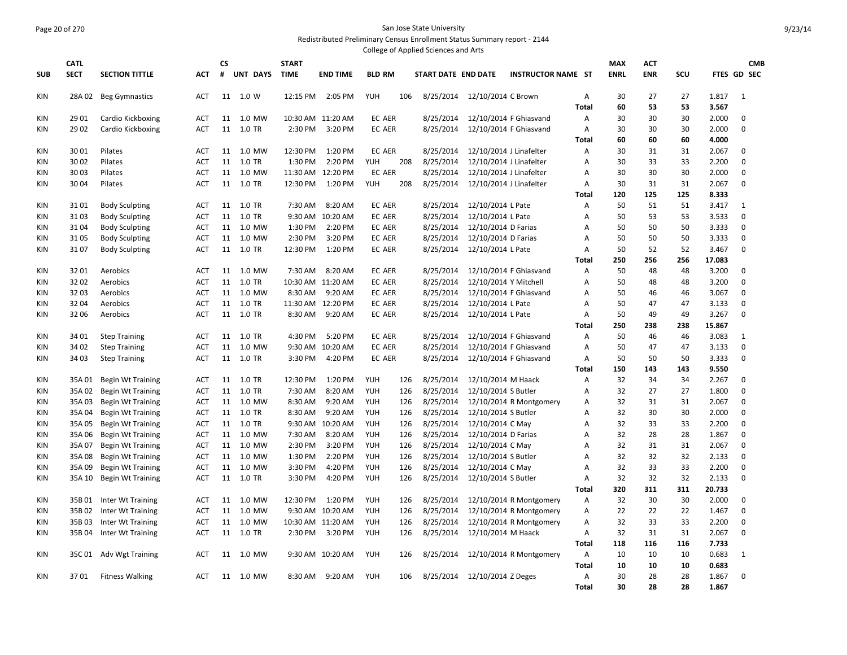## Page 20 of 270 San Jose State University Redistributed Preliminary Census Enrollment Status Summary report - 2144

|            |              |                          |            |           |            |              |                   |               |     | College of Applied Sciences and Arts |                              |                           |                |             |            |           |                 |                            |  |
|------------|--------------|--------------------------|------------|-----------|------------|--------------|-------------------|---------------|-----|--------------------------------------|------------------------------|---------------------------|----------------|-------------|------------|-----------|-----------------|----------------------------|--|
|            | <b>CATL</b>  |                          |            | <b>CS</b> |            | <b>START</b> |                   |               |     |                                      |                              |                           |                | <b>MAX</b>  | <b>ACT</b> |           |                 | <b>CMB</b>                 |  |
| <b>SUB</b> | <b>SECT</b>  | <b>SECTION TITTLE</b>    | <b>ACT</b> | #         | UNT DAYS   | <b>TIME</b>  | <b>END TIME</b>   | <b>BLD RM</b> |     | START DATE END DATE                  |                              | <b>INSTRUCTOR NAME ST</b> |                | <b>ENRL</b> | <b>ENR</b> | SCU       |                 | FTES GD SEC                |  |
| KIN        |              | 28A 02 Beg Gymnastics    | <b>ACT</b> |           | 11 1.0 W   |              | 12:15 PM 2:05 PM  | YUH           | 106 |                                      | 8/25/2014 12/10/2014 C Brown |                           | Α              | 30          | 27         | 27        | 1.817           | 1                          |  |
|            |              |                          |            |           |            |              |                   |               |     |                                      |                              |                           | Total          | 60          | 53         | 53        | 3.567           |                            |  |
| KIN        | 29 01        | Cardio Kickboxing        | <b>ACT</b> | 11        | 1.0 MW     |              | 10:30 AM 11:20 AM | EC AER        |     | 8/25/2014                            | 12/10/2014 F Ghiasvand       |                           | Α              | 30          | 30         | 30        | 2.000           | 0                          |  |
| <b>KIN</b> | 29 02        | Cardio Kickboxing        | <b>ACT</b> | 11        | 1.0 TR     | 2:30 PM      | 3:20 PM           | <b>EC AER</b> |     | 8/25/2014                            | 12/10/2014 F Ghiasvand       |                           | $\overline{A}$ | 30          | 30         | 30        | 2.000           | $\mathbf 0$                |  |
|            |              |                          |            |           |            |              |                   |               |     |                                      |                              |                           | <b>Total</b>   | 60          | 60         | 60        | 4.000           |                            |  |
| KIN        | 3001         | Pilates                  | <b>ACT</b> | 11        | 1.0 MW     | 12:30 PM     | 1:20 PM           | EC AER        |     | 8/25/2014                            | 12/10/2014 J Linafelter      |                           | Α              | 30          | 31         | 31        | 2.067           | $\mathbf 0$                |  |
| KIN        | 3002         | Pilates                  | ACT        | 11        | 1.0 TR     | 1:30 PM      | 2:20 PM           | YUH           | 208 | 8/25/2014                            | 12/10/2014 J Linafelter      |                           | Α              | 30          | 33         | 33        | 2.200           | $\mathbf 0$                |  |
| KIN        | 3003         | Pilates                  | ACT        | 11        | 1.0 MW     |              | 11:30 AM 12:20 PM | EC AER        |     | 8/25/2014                            | 12/10/2014 J Linafelter      |                           | Α              | 30          | 30         | 30        | 2.000           | $\mathbf 0$                |  |
| KIN        | 3004         | Pilates                  | <b>ACT</b> | 11        | 1.0 TR     | 12:30 PM     | 1:20 PM           | YUH           | 208 | 8/25/2014                            | 12/10/2014 J Linafelter      |                           | Α              | 30          | 31         | 31        | 2.067           | $\mathbf 0$                |  |
|            |              |                          |            |           |            |              |                   |               |     |                                      |                              |                           | <b>Total</b>   | 120         | 125        | 125       | 8.333           |                            |  |
| KIN        | 3101         | <b>Body Sculpting</b>    | <b>ACT</b> | 11        | 1.0 TR     | 7:30 AM      | 8:20 AM           | EC AER        |     | 8/25/2014                            | 12/10/2014 L Pate            |                           | Α              | 50          | 51         | 51        | 3.417           | 1                          |  |
| KIN        | 3103         | <b>Body Sculpting</b>    | <b>ACT</b> | 11        | 1.0 TR     |              | 9:30 AM 10:20 AM  | EC AER        |     | 8/25/2014                            | 12/10/2014 L Pate            |                           | А              | 50          | 53         | 53        | 3.533           | $\mathbf 0$                |  |
| KIN        | 3104         | <b>Body Sculpting</b>    | <b>ACT</b> | 11        | 1.0 MW     | 1:30 PM      | 2:20 PM           | EC AER        |     | 8/25/2014                            | 12/10/2014 D Farias          |                           | Α              | 50          | 50         | 50        | 3.333           | $\mathbf 0$                |  |
| <b>KIN</b> | 3105<br>3107 | <b>Body Sculpting</b>    | ACT        |           | 11 1.0 MW  | 2:30 PM      | 3:20 PM           | <b>EC AER</b> |     | 8/25/2014                            | 12/10/2014 D Farias          |                           | А<br>A         | 50<br>50    | 50<br>52   | 50<br>52  | 3.333<br>3.467  | $\mathbf 0$<br>$\Omega$    |  |
| KIN        |              | <b>Body Sculpting</b>    | ACT        |           | 11 1.0 TR  | 12:30 PM     | 1:20 PM           | EC AER        |     | 8/25/2014                            | 12/10/2014 L Pate            |                           | <b>Total</b>   | 250         | 256        | 256       | 17.083          |                            |  |
| KIN        | 3201         | Aerobics                 | <b>ACT</b> | 11        | 1.0 MW     | 7:30 AM      | 8:20 AM           | <b>EC AER</b> |     | 8/25/2014                            | 12/10/2014 F Ghiasvand       |                           | $\overline{A}$ | 50          | 48         | 48        | 3.200           | $\mathbf 0$                |  |
| KIN        | 32 02        | Aerobics                 | <b>ACT</b> |           | 11 1.0 TR  |              | 10:30 AM 11:20 AM | EC AER        |     | 8/25/2014                            | 12/10/2014 Y Mitchell        |                           | Α              | 50          | 48         | 48        | 3.200           | $\mathbf 0$                |  |
| KIN        | 32 03        | Aerobics                 | <b>ACT</b> | 11        | 1.0 MW     | 8:30 AM      | 9:20 AM           | EC AER        |     | 8/25/2014                            | 12/10/2014 F Ghiasvand       |                           | A              | 50          | 46         | 46        | 3.067           | $\mathbf 0$                |  |
| KIN        | 32 04        | Aerobics                 | <b>ACT</b> |           | 11 1.0 TR  |              | 11:30 AM 12:20 PM | <b>EC AER</b> |     | 8/25/2014                            | 12/10/2014 L Pate            |                           | A              | 50          | 47         | 47        | 3.133           | 0                          |  |
| KIN        | 32 06        | Aerobics                 | <b>ACT</b> |           | 11 1.0 TR  | 8:30 AM      | 9:20 AM           | EC AER        |     | 8/25/2014                            | 12/10/2014 L Pate            |                           | A              | 50          | 49         | 49        | 3.267           | $\mathbf 0$                |  |
|            |              |                          |            |           |            |              |                   |               |     |                                      |                              |                           | <b>Total</b>   | 250         | 238        | 238       | 15.867          |                            |  |
| KIN        | 34 01        | <b>Step Training</b>     | <b>ACT</b> | 11        | 1.0 TR     | 4:30 PM      | 5:20 PM           | <b>EC AER</b> |     | 8/25/2014                            | 12/10/2014 F Ghiasvand       |                           | A              | 50          | 46         | 46        | 3.083           | 1                          |  |
| KIN        | 34 02        | <b>Step Training</b>     | <b>ACT</b> |           | 11 1.0 MW  |              | 9:30 AM 10:20 AM  | <b>EC AER</b> |     | 8/25/2014                            | 12/10/2014 F Ghiasvand       |                           | $\overline{A}$ | 50          | 47         | 47        | 3.133           | $\mathbf 0$                |  |
| <b>KIN</b> | 34 03        | <b>Step Training</b>     | ACT        |           | 11 1.0 TR  | 3:30 PM      | 4:20 PM           | EC AER        |     | 8/25/2014                            | 12/10/2014 F Ghiasvand       |                           | A              | 50          | 50         | 50        | 3.333           | $\mathbf 0$                |  |
|            |              |                          |            |           |            |              |                   |               |     |                                      |                              |                           | <b>Total</b>   | 150         | 143        | 143       | 9.550           |                            |  |
| KIN        | 35A01        | <b>Begin Wt Training</b> | <b>ACT</b> | 11        | 1.0 TR     | 12:30 PM     | 1:20 PM           | <b>YUH</b>    | 126 | 8/25/2014                            | 12/10/2014 M Haack           |                           | Α              | 32          | 34         | 34        | 2.267           | $\mathbf 0$                |  |
| KIN        | 35A 02       | <b>Begin Wt Training</b> | <b>ACT</b> |           | 11 1.0 TR  | 7:30 AM      | 8:20 AM           | YUH           | 126 | 8/25/2014                            | 12/10/2014 S Butler          |                           | Α              | 32          | 27         | 27        | 1.800           | $\mathbf 0$                |  |
| KIN        | 35A03        | <b>Begin Wt Training</b> | <b>ACT</b> | 11        | 1.0 MW     | 8:30 AM      | 9:20 AM           | YUH           | 126 | 8/25/2014                            |                              | 12/10/2014 R Montgomery   | Α              | 32          | 31         | 31        | 2.067           | $\mathbf 0$                |  |
| KIN        | 35A04        | <b>Begin Wt Training</b> | <b>ACT</b> |           | 11 1.0 TR  | 8:30 AM      | 9:20 AM           | YUH           | 126 | 8/25/2014                            | 12/10/2014 S Butler          |                           | Α              | 32          | 30         | 30        | 2.000           | $\mathbf 0$                |  |
| KIN        | 35A05        | <b>Begin Wt Training</b> | <b>ACT</b> | 11        | 1.0 TR     | 9:30 AM      | 10:20 AM          | YUH           | 126 | 8/25/2014                            | 12/10/2014 C May             |                           | Α              | 32          | 33         | 33        | 2.200           | $\mathbf 0$                |  |
| KIN        | 35A 06       | <b>Begin Wt Training</b> | <b>ACT</b> |           | 11 1.0 MW  | 7:30 AM      | 8:20 AM           | YUH           | 126 | 8/25/2014                            | 12/10/2014 D Farias          |                           | Α              | 32          | 28         | 28        | 1.867           | $\mathbf 0$                |  |
| KIN        | 35A07        | <b>Begin Wt Training</b> | <b>ACT</b> | 11        | 1.0 MW     | 2:30 PM      | 3:20 PM           | YUH           | 126 | 8/25/2014                            | 12/10/2014 C May             |                           | Α              | 32          | 31         | 31        | 2.067           | $\mathbf 0$                |  |
| KIN        | 35A08        | <b>Begin Wt Training</b> | <b>ACT</b> |           | 11  1.0 MW | 1:30 PM      | 2:20 PM           | YUH           | 126 | 8/25/2014                            | 12/10/2014 S Butler          |                           | Α              | 32          | 32         | 32        | 2.133           | $\mathbf 0$                |  |
| <b>KIN</b> | 35A09        | <b>Begin Wt Training</b> | ACT        | 11        | 1.0 MW     | 3:30 PM      | 4:20 PM           | YUH           | 126 | 8/25/2014                            | 12/10/2014 C May             |                           | А              | 32          | 33         | 33        | 2.200           | $\mathbf 0$<br>$\mathbf 0$ |  |
| KIN        | 35A 10       | <b>Begin Wt Training</b> | <b>ACT</b> |           | 11 1.0 TR  | 3:30 PM      | 4:20 PM           | YUH           | 126 | 8/25/2014                            | 12/10/2014 S Butler          |                           | Α<br>Total     | 32<br>320   | 32<br>311  | 32<br>311 | 2.133<br>20.733 |                            |  |
| KIN        | 35B01        | Inter Wt Training        | <b>ACT</b> | 11        | 1.0 MW     | 12:30 PM     | 1:20 PM           | YUH           | 126 | 8/25/2014                            |                              | 12/10/2014 R Montgomery   | Α              | 32          | 30         | 30        | 2.000           | 0                          |  |
| KIN        | 35B 02       | Inter Wt Training        | <b>ACT</b> | 11        | 1.0 MW     |              | 9:30 AM 10:20 AM  | YUH           | 126 | 8/25/2014                            |                              | 12/10/2014 R Montgomery   | Α              | 22          | 22         | 22        | 1.467           | $\mathbf 0$                |  |
| KIN        | 35B03        | Inter Wt Training        | ACT        | 11        | 1.0 MW     |              | 10:30 AM 11:20 AM | YUH           | 126 | 8/25/2014                            |                              | 12/10/2014 R Montgomery   | Α              | 32          | 33         | 33        | 2.200           | $\mathbf 0$                |  |
| KIN        | 35B 04       | Inter Wt Training        | <b>ACT</b> |           | 11 1.0 TR  | 2:30 PM      | 3:20 PM           | YUH           | 126 | 8/25/2014                            | 12/10/2014 M Haack           |                           | Α              | 32          | 31         | 31        | 2.067           | $\mathbf 0$                |  |
|            |              |                          |            |           |            |              |                   |               |     |                                      |                              |                           | <b>Total</b>   | 118         | 116        | 116       | 7.733           |                            |  |
| KIN        | 35C01        | Adv Wgt Training         | ACT        | 11        | 1.0 MW     |              | 9:30 AM 10:20 AM  | YUH           | 126 | 8/25/2014                            |                              | 12/10/2014 R Montgomery   | Α              | 10          | 10         | 10        | 0.683           | 1                          |  |
|            |              |                          |            |           |            |              |                   |               |     |                                      |                              |                           | Total          | 10          | 10         | 10        | 0.683           |                            |  |
| <b>KIN</b> | 3701         | <b>Fitness Walking</b>   | ACT        |           | 11 1.0 MW  | 8:30 AM      | 9:20 AM           | YUH           | 106 |                                      | 8/25/2014 12/10/2014 Z Deges |                           | $\overline{A}$ | 30          | 28         | 28        | 1.867           | $\mathbf 0$                |  |
|            |              |                          |            |           |            |              |                   |               |     |                                      |                              |                           | <b>Total</b>   | 30          | 28         | 28        | 1.867           |                            |  |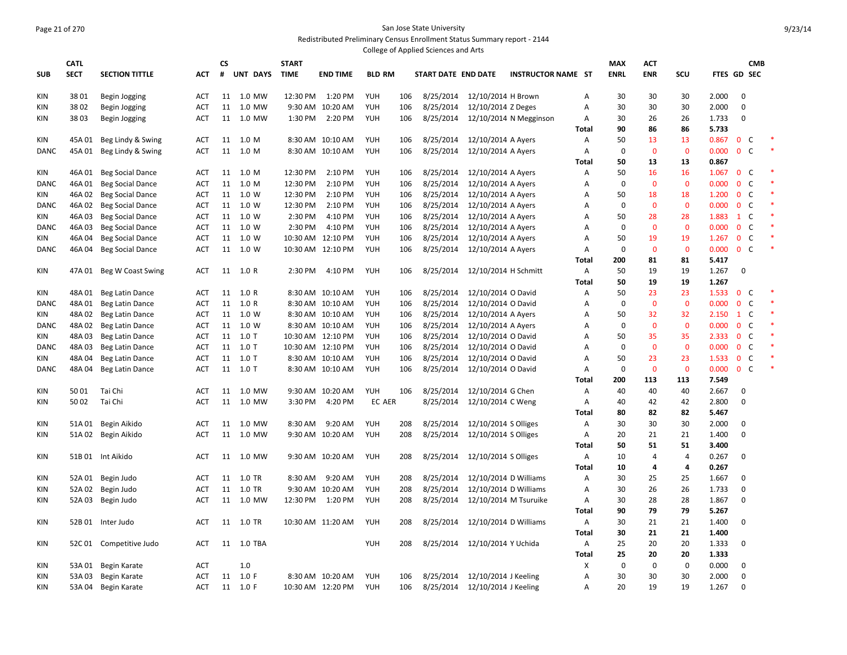## Page 21 of 270 San Jose State University Redistributed Preliminary Census Enrollment Status Summary report - 2144

|             |             |                                        |                   |          |                  |              |                   |                          |            | College of Applied Sciences and Arts |                       |                           |                   |             |                |                |                |                              |            |        |
|-------------|-------------|----------------------------------------|-------------------|----------|------------------|--------------|-------------------|--------------------------|------------|--------------------------------------|-----------------------|---------------------------|-------------------|-------------|----------------|----------------|----------------|------------------------------|------------|--------|
|             | <b>CATL</b> |                                        |                   | CS       |                  | <b>START</b> |                   |                          |            |                                      |                       |                           |                   | <b>MAX</b>  | <b>ACT</b>     |                |                |                              | <b>CMB</b> |        |
| <b>SUB</b>  | <b>SECT</b> | <b>SECTION TITTLE</b>                  | <b>ACT</b>        | #        | UNT DAYS         | <b>TIME</b>  | <b>END TIME</b>   | <b>BLD RM</b>            |            | START DATE END DATE                  |                       | <b>INSTRUCTOR NAME ST</b> |                   | <b>ENRL</b> | <b>ENR</b>     | SCU            |                | FTES GD SEC                  |            |        |
|             |             |                                        |                   |          |                  |              | 1:20 PM           |                          |            |                                      |                       |                           |                   |             |                |                |                | $\mathbf 0$                  |            |        |
| <b>KIN</b>  | 38 01       | <b>Begin Jogging</b>                   | <b>ACT</b>        | 11<br>11 | 1.0 MW<br>1.0 MW | 12:30 PM     |                   | <b>YUH</b><br><b>YUH</b> | 106<br>106 | 8/25/2014                            | 12/10/2014 H Brown    |                           | Α                 | 30<br>30    | 30<br>30       | 30<br>30       | 2.000          | $\mathbf 0$                  |            |        |
| <b>KIN</b>  | 3802        | <b>Begin Jogging</b>                   | <b>ACT</b>        |          |                  |              | 9:30 AM 10:20 AM  |                          |            | 8/25/2014                            | 12/10/2014 Z Deges    |                           | А                 |             |                |                | 2.000          |                              |            |        |
| <b>KIN</b>  | 38 03       | <b>Begin Jogging</b>                   | <b>ACT</b>        | 11       | 1.0 MW           | 1:30 PM      | 2:20 PM           | YUH                      | 106        | 8/25/2014                            |                       | 12/10/2014 N Megginson    | Α                 | 30<br>90    | 26<br>86       | 26<br>86       | 1.733<br>5.733 | $\mathbf 0$                  |            |        |
| <b>KIN</b>  | 45A 01      |                                        |                   | 11       | 1.0 M            |              | 8:30 AM 10:10 AM  | YUH                      | 106        | 8/25/2014                            | 12/10/2014 A Ayers    |                           | <b>Total</b><br>Α | 50          | 13             | 13             | 0.867          | $\mathsf{C}$<br>$\mathbf{0}$ |            | $\ast$ |
| <b>DANC</b> | 45A 01      | Beg Lindy & Swing<br>Beg Lindy & Swing | ACT<br><b>ACT</b> | 11       | 1.0 M            |              | 8:30 AM 10:10 AM  | YUH                      | 106        | 8/25/2014                            | 12/10/2014 A Ayers    |                           | А                 | $\mathbf 0$ | $\mathbf{0}$   | $\mathbf 0$    | 0.000          | $0-$                         |            | $\ast$ |
|             |             |                                        |                   |          |                  |              |                   |                          |            |                                      |                       |                           | Total             | 50          | 13             | 13             | 0.867          |                              |            |        |
| KIN         | 46A01       | <b>Beg Social Dance</b>                | <b>ACT</b>        | 11       | 1.0 M            | 12:30 PM     | 2:10 PM           | YUH                      | 106        | 8/25/2014                            | 12/10/2014 A Ayers    |                           | А                 | 50          | 16             | 16             | 1.067          | 0 <sup>o</sup>               |            |        |
| DANC        | 46A01       | <b>Beg Social Dance</b>                | ACT               | 11       | 1.0 M            | 12:30 PM     | 2:10 PM           | YUH                      | 106        | 8/25/2014                            | 12/10/2014 A Ayers    |                           | A                 | 0           | $\mathbf 0$    | $\mathbf 0$    | 0.000          | C<br>$\bf{0}$                |            | $\ast$ |
| KIN         | 46A 02      | <b>Beg Social Dance</b>                | ACT               | 11       | 1.0 W            | 12:30 PM     | 2:10 PM           | YUH                      | 106        | 8/25/2014                            | 12/10/2014 A Ayers    |                           | А                 | 50          | 18             | 18             | 1.200          | $\mathbf{0}$<br><b>C</b>     |            |        |
| <b>DANC</b> | 46A 02      | <b>Beg Social Dance</b>                | ACT               | 11       | 1.0 W            | 12:30 PM     | 2:10 PM           | <b>YUH</b>               | 106        | 8/25/2014                            | 12/10/2014 A Ayers    |                           | A                 | 0           | $\mathbf{0}$   | $\mathbf{0}$   | 0.000          | $\mathsf{C}$<br>$\mathbf 0$  |            | *      |
| KIN         | 46A03       | <b>Beg Social Dance</b>                | <b>ACT</b>        | 11       | 1.0 W            | 2:30 PM      | 4:10 PM           | <b>YUH</b>               | 106        | 8/25/2014                            | 12/10/2014 A Ayers    |                           | Α                 | 50          | 28             | 28             | 1.883          | $1\quad$ C                   |            |        |
| <b>DANC</b> | 46A03       | <b>Beg Social Dance</b>                | ACT               | 11       | 1.0 W            | 2:30 PM      | 4:10 PM           | <b>YUH</b>               | 106        | 8/25/2014                            | 12/10/2014 A Ayers    |                           | A                 | 0           | $\mathbf{0}$   | $\mathbf{0}$   | 0.000          | $\mathbf{0}$<br>$\mathsf{C}$ |            |        |
| KIN         | 46A 04      | <b>Beg Social Dance</b>                | ACT               | 11       | 1.0 W            |              | 10:30 AM 12:10 PM | YUH                      | 106        | 8/25/2014                            | 12/10/2014 A Ayers    |                           | Α                 | 50          | 19             | 19             | 1.267          | $\mathbf 0$<br>C             |            |        |
| <b>DANC</b> | 46A04       | <b>Beg Social Dance</b>                | ACT               | 11       | 1.0 W            |              | 10:30 AM 12:10 PM | <b>YUH</b>               | 106        | 8/25/2014                            | 12/10/2014 A Ayers    |                           | А                 | $\mathbf 0$ | $\mathbf{0}$   | $\mathbf{0}$   | 0.000          | $0-$                         |            | $\ast$ |
|             |             |                                        |                   |          |                  |              |                   |                          |            |                                      |                       |                           | Total             | 200         | 81             | 81             | 5.417          |                              |            |        |
| <b>KIN</b>  |             | 47A 01 Beg W Coast Swing               | <b>ACT</b>        |          | 11 1.0 R         | 2:30 PM      | 4:10 PM           | YUH                      | 106        | 8/25/2014                            | 12/10/2014 H Schmitt  |                           | Α                 | 50          | 19             | 19             | 1.267          | $\mathbf 0$                  |            |        |
|             |             |                                        |                   |          |                  |              |                   |                          |            |                                      |                       |                           | Total             | 50          | 19             | 19             | 1.267          |                              |            |        |
| <b>KIN</b>  | 48A01       | Beg Latin Dance                        | <b>ACT</b>        | 11       | 1.0 R            |              | 8:30 AM 10:10 AM  | YUH                      | 106        | 8/25/2014                            | 12/10/2014 O David    |                           | А                 | 50          | 23             | 23             | 1.533          | 0 <sup>o</sup>               |            |        |
| <b>DANC</b> | 48A01       | Beg Latin Dance                        | ACT               | 11       | 1.0 R            |              | 8:30 AM 10:10 AM  | <b>YUH</b>               | 106        | 8/25/2014                            | 12/10/2014 O David    |                           | Α                 | $\Omega$    | $\mathbf 0$    | $\mathbf 0$    | 0.000          | $\mathsf{C}$<br>$\mathbf 0$  |            |        |
| KIN         | 48A 02      | Beg Latin Dance                        | ACT               |          | 11  1.0 W        |              | 8:30 AM 10:10 AM  | YUH                      | 106        | 8/25/2014                            | 12/10/2014 A Ayers    |                           | Α                 | 50          | 32             | 32             | 2.150          | $1\quad C$                   |            |        |
| <b>DANC</b> | 48A02       | Beg Latin Dance                        | ACT               | 11       | 1.0 W            |              | 8:30 AM 10:10 AM  | YUH                      | 106        | 8/25/2014                            | 12/10/2014 A Ayers    |                           | A                 | $\mathbf 0$ | $\mathbf{0}$   | $\mathbf{0}$   | 0.000          | $\mathbf{0}$<br>$\mathsf{C}$ |            |        |
| KIN         | 48A03       | Beg Latin Dance                        | <b>ACT</b>        | 11       | $1.0$ T          |              | 10:30 AM 12:10 PM | <b>YUH</b>               | 106        | 8/25/2014                            | 12/10/2014 O David    |                           | Α                 | 50          | 35             | 35             | 2.333          | $\mathsf{C}$<br>$\mathbf 0$  |            |        |
| <b>DANC</b> | 48A03       | Beg Latin Dance                        | ACT               | 11       | $1.0$ T          |              | 10:30 AM 12:10 PM | YUH                      | 106        | 8/25/2014                            | 12/10/2014 O David    |                           | Α                 | $\mathbf 0$ | $\mathbf{0}$   | $\mathbf{0}$   | 0.000          | $\mathbf{0}$<br>$\mathsf{C}$ |            |        |
| KIN         | 48A 04      | Beg Latin Dance                        | <b>ACT</b>        |          | 11 1.0 T         |              | 8:30 AM 10:10 AM  | YUH                      | 106        | 8/25/2014                            | 12/10/2014 O David    |                           | А                 | 50          | 23             | 23             | 1.533          | $\mathbf 0$<br>C             |            |        |
| <b>DANC</b> | 48A 04      | Beg Latin Dance                        | ACT               |          | 11 1.0 T         |              | 8:30 AM 10:10 AM  | YUH                      | 106        | 8/25/2014                            | 12/10/2014 O David    |                           | Α                 | $\mathbf 0$ | $\mathbf{0}$   | $\mathbf{0}$   | 0.000          | $0-$                         |            |        |
|             |             |                                        |                   |          |                  |              |                   |                          |            |                                      |                       |                           | <b>Total</b>      | 200         | 113            | 113            | 7.549          |                              |            |        |
| <b>KIN</b>  | 5001        | Tai Chi                                | ACT               |          | 11 1.0 MW        |              | 9:30 AM 10:20 AM  | <b>YUH</b>               | 106        | 8/25/2014                            | 12/10/2014 G Chen     |                           | Α                 | 40          | 40             | 40             | 2.667          | $\mathbf 0$                  |            |        |
| <b>KIN</b>  | 5002        | Tai Chi                                | <b>ACT</b>        |          | 11 1.0 MW        | 3:30 PM      | 4:20 PM           | EC AER                   |            | 8/25/2014                            | 12/10/2014 C Weng     |                           | Α                 | 40          | 42             | 42             | 2.800          | $\mathbf 0$                  |            |        |
|             |             |                                        |                   |          |                  |              |                   |                          |            |                                      |                       |                           | <b>Total</b>      | 80          | 82             | 82             | 5.467          |                              |            |        |
| <b>KIN</b>  | 51A 01      | Begin Aikido                           | <b>ACT</b>        |          | 11 1.0 MW        | 8:30 AM      | 9:20 AM           | <b>YUH</b>               | 208        | 8/25/2014                            | 12/10/2014 S Olliges  |                           | Α                 | 30          | 30             | 30             | 2.000          | 0                            |            |        |
| <b>KIN</b>  |             | 51A 02 Begin Aikido                    | <b>ACT</b>        | 11       | 1.0 MW           |              | 9:30 AM 10:20 AM  | <b>YUH</b>               | 208        | 8/25/2014                            | 12/10/2014 S Olliges  |                           | Α                 | 20          | 21             | 21             | 1.400          | $\mathbf 0$                  |            |        |
|             |             |                                        |                   |          |                  |              |                   |                          |            |                                      |                       |                           | <b>Total</b>      | 50          | 51             | 51             | 3.400          |                              |            |        |
| <b>KIN</b>  |             | 51B 01 Int Aikido                      | <b>ACT</b>        | 11       | 1.0 MW           |              | 9:30 AM 10:20 AM  | YUH                      | 208        | 8/25/2014                            | 12/10/2014 S Olliges  |                           | A                 | 10          | $\overline{4}$ | $\overline{4}$ | 0.267          | $\mathbf 0$                  |            |        |
|             |             |                                        |                   |          |                  |              |                   |                          |            |                                      |                       |                           | <b>Total</b>      | 10          | 4              | 4              | 0.267          |                              |            |        |
| <b>KIN</b>  | 52A 01      | Begin Judo                             | <b>ACT</b>        | 11       | 1.0 TR           | 8:30 AM      | 9:20 AM           | YUH                      | 208        | 8/25/2014                            |                       | 12/10/2014 D Williams     | Α                 | 30          | 25             | 25             | 1.667          | $\mathbf 0$                  |            |        |
| KIN         | 52A 02      | Begin Judo                             | ACT               | 11       | 1.0 TR           |              | 9:30 AM 10:20 AM  | YUH                      | 208        | 8/25/2014                            |                       | 12/10/2014 D Williams     | A                 | 30          | 26             | 26             | 1.733          | $\mathbf 0$                  |            |        |
| <b>KIN</b>  | 52A 03      | Begin Judo                             | ACT               | 11       | 1.0 MW           | 12:30 PM     | 1:20 PM           | YUH                      | 208        | 8/25/2014                            |                       | 12/10/2014 M Tsuruike     | Α                 | 30          | 28             | 28             | 1.867          | $\mathbf 0$                  |            |        |
|             |             |                                        |                   |          |                  |              |                   |                          |            |                                      |                       |                           | <b>Total</b>      | 90          | 79             | 79             | 5.267          |                              |            |        |
| <b>KIN</b>  |             | 52B 01 Inter Judo                      | <b>ACT</b>        |          | 11 1.0 TR        |              | 10:30 AM 11:20 AM | YUH                      | 208        | 8/25/2014                            | 12/10/2014 D Williams |                           | Α                 | 30          | 21             | 21             | 1.400          | 0                            |            |        |
|             |             |                                        |                   |          |                  |              |                   |                          |            |                                      |                       |                           | <b>Total</b>      | 30          | 21             | 21             | 1.400          |                              |            |        |
| KIN         | 52C 01      | Competitive Judo                       | ACT               | 11       | 1.0 TBA          |              |                   | YUH                      | 208        | 8/25/2014                            | 12/10/2014 Y Uchida   |                           | Α                 | 25          | 20             | 20             | 1.333          | $\mathbf 0$                  |            |        |
|             |             |                                        |                   |          |                  |              |                   |                          |            |                                      |                       |                           | <b>Total</b>      | 25          | 20             | 20             | 1.333          |                              |            |        |
| <b>KIN</b>  | 53A01       | Begin Karate                           | ACT               |          | 1.0              |              |                   |                          |            |                                      |                       |                           | X                 | $\mathbf 0$ | $\mathbf 0$    | $\mathbf 0$    | 0.000          | $\mathbf 0$                  |            |        |
| <b>KIN</b>  | 53A03       | Begin Karate                           | <b>ACT</b>        | 11       | 1.0 F            |              | 8:30 AM 10:20 AM  | <b>YUH</b>               | 106        | 8/25/2014                            | 12/10/2014 J Keeling  |                           | А                 | 30          | 30             | 30             | 2.000          | $\mathbf 0$                  |            |        |
| KIN         | 53A 04      | Begin Karate                           | <b>ACT</b>        |          | 11 1.0 F         |              | 10:30 AM 12:20 PM | YUH                      | 106        | 8/25/2014                            | 12/10/2014 J Keeling  |                           | Α                 | 20          | 19             | 19             | 1.267          | 0                            |            |        |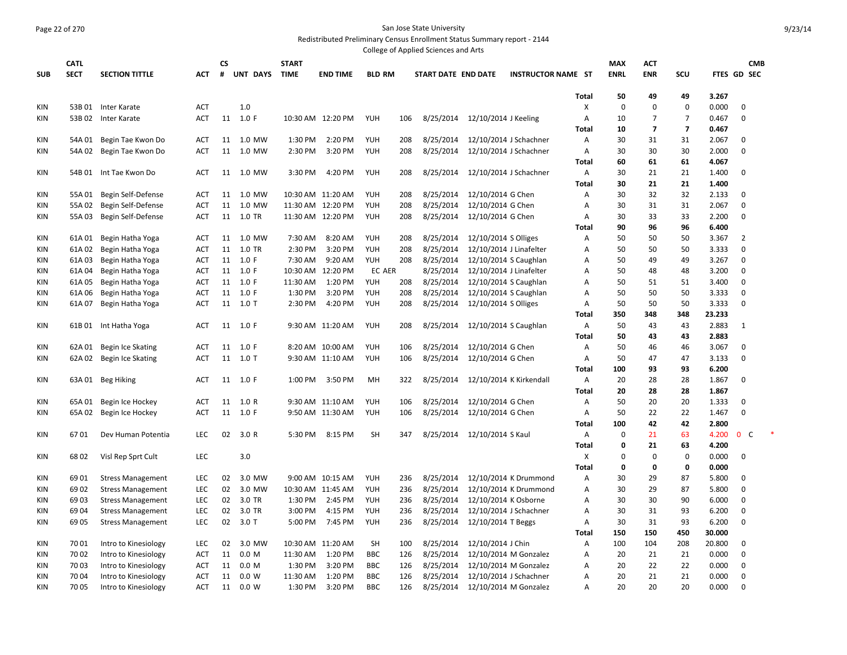# Page 22 of 270 San Jose State University

Redistributed Preliminary Census Enrollment Status Summary report - 2144 College of Applied Sciences and Arts

|            |             |                          |            |           |           |              |                   |               |     | conced or Applica Sciences and Arts |                                |                           |                |             |                |                         |        |                   |  |
|------------|-------------|--------------------------|------------|-----------|-----------|--------------|-------------------|---------------|-----|-------------------------------------|--------------------------------|---------------------------|----------------|-------------|----------------|-------------------------|--------|-------------------|--|
|            | <b>CATL</b> |                          |            | <b>CS</b> |           | <b>START</b> |                   |               |     |                                     |                                |                           |                | <b>MAX</b>  | <b>ACT</b>     |                         |        | <b>CMB</b>        |  |
| <b>SUB</b> | <b>SECT</b> | <b>SECTION TITTLE</b>    | ACT        | #         | UNT DAYS  | <b>TIME</b>  | <b>END TIME</b>   | <b>BLD RM</b> |     | START DATE END DATE                 |                                | <b>INSTRUCTOR NAME ST</b> |                | <b>ENRL</b> | <b>ENR</b>     | SCU                     |        | FTES GD SEC       |  |
|            |             |                          |            |           |           |              |                   |               |     |                                     |                                |                           |                |             |                |                         |        |                   |  |
|            |             |                          |            |           |           |              |                   |               |     |                                     |                                |                           | <b>Total</b>   | 50          | 49             | 49                      | 3.267  |                   |  |
| KIN        |             | 53B 01 Inter Karate      | <b>ACT</b> |           | 1.0       |              |                   |               |     |                                     |                                |                           | X              | $\mathbf 0$ | 0              | $\mathbf 0$             | 0.000  | $\mathbf 0$       |  |
| KIN        | 53B 02      | Inter Karate             | <b>ACT</b> | 11        | 1.0 F     |              | 10:30 AM 12:20 PM | <b>YUH</b>    | 106 |                                     | 8/25/2014 12/10/2014 J Keeling |                           | Α              | 10          | $\overline{7}$ | $\overline{7}$          | 0.467  | $\mathbf 0$       |  |
|            |             |                          |            |           |           |              |                   |               |     |                                     |                                |                           | <b>Total</b>   | 10          | $\overline{7}$ | $\overline{\mathbf{z}}$ | 0.467  |                   |  |
| KIN        | 54A 01      | Begin Tae Kwon Do        | ACT        | 11        | 1.0 MW    | 1:30 PM      | 2:20 PM           | <b>YUH</b>    | 208 | 8/25/2014                           |                                | 12/10/2014 J Schachner    | Α              | 30          | 31             | 31                      | 2.067  | 0                 |  |
| KIN        | 54A 02      | Begin Tae Kwon Do        | ACT        | 11        | 1.0 MW    | 2:30 PM      | 3:20 PM           | <b>YUH</b>    | 208 | 8/25/2014                           |                                | 12/10/2014 J Schachner    | Α              | 30          | 30             | 30                      | 2.000  | $\Omega$          |  |
|            |             |                          |            |           |           |              |                   |               |     |                                     |                                |                           | <b>Total</b>   | 60          | 61             | 61                      | 4.067  |                   |  |
| KIN        | 54B 01      | Int Tae Kwon Do          | <b>ACT</b> | 11        | 1.0 MW    | 3:30 PM      | 4:20 PM           | <b>YUH</b>    | 208 | 8/25/2014                           |                                | 12/10/2014 J Schachner    | Α              | 30          | 21             | 21                      | 1.400  | $\mathbf{0}$      |  |
|            |             |                          |            |           |           |              |                   |               |     |                                     |                                |                           | <b>Total</b>   | 30          | 21             | 21                      | 1.400  |                   |  |
| KIN        | 55A 01      | Begin Self-Defense       | ACT        | 11        | 1.0 MW    |              | 10:30 AM 11:20 AM | YUH           | 208 | 8/25/2014                           | 12/10/2014 G Chen              |                           | Α              | 30          | 32             | 32                      | 2.133  | 0                 |  |
| KIN        | 55A 02      | Begin Self-Defense       | <b>ACT</b> | 11        | 1.0 MW    |              | 11:30 AM 12:20 PM | YUH           | 208 | 8/25/2014                           | 12/10/2014 G Chen              |                           | Α              | 30          | 31             | 31                      | 2.067  | $\mathbf 0$       |  |
| KIN        | 55A03       | Begin Self-Defense       | ACT        |           | 11 1.0 TR |              | 11:30 AM 12:20 PM | YUH           | 208 | 8/25/2014                           | 12/10/2014 G Chen              |                           | Α              | 30          | 33             | 33                      | 2.200  | 0                 |  |
|            |             |                          |            |           |           |              |                   |               |     |                                     |                                |                           | <b>Total</b>   | 90          | 96             | 96                      | 6.400  |                   |  |
| <b>KIN</b> | 61A01       | Begin Hatha Yoga         | <b>ACT</b> | 11        | 1.0 MW    | 7:30 AM      | 8:20 AM           | YUH           | 208 | 8/25/2014                           | 12/10/2014 S Olliges           |                           | Α              | 50          | 50             | 50                      | 3.367  | $\overline{2}$    |  |
| <b>KIN</b> | 61A02       | Begin Hatha Yoga         | ACT        | 11        | 1.0 TR    | 2:30 PM      | 3:20 PM           | YUH           | 208 | 8/25/2014                           | 12/10/2014 J Linafelter        |                           | Α              | 50          | 50             | 50                      | 3.333  | $\mathbf 0$       |  |
| <b>KIN</b> | 61A03       | Begin Hatha Yoga         | ACT        | 11        | 1.0 F     | 7:30 AM      | 9:20 AM           | YUH           | 208 | 8/25/2014                           | 12/10/2014 S Caughlan          |                           | Α              | 50          | 49             | 49                      | 3.267  | $\mathbf 0$       |  |
| <b>KIN</b> | 61A04       | Begin Hatha Yoga         | ACT        |           | 11 1.0 F  | 10:30 AM     | 12:20 PM          | EC AER        |     | 8/25/2014                           | 12/10/2014 J Linafelter        |                           | Α              | 50          | 48             | 48                      | 3.200  | $\mathbf 0$       |  |
| <b>KIN</b> | 61A05       | Begin Hatha Yoga         | ACT        | 11        | 1.0 F     | 11:30 AM     | 1:20 PM           | YUH           | 208 | 8/25/2014                           | 12/10/2014 S Caughlan          |                           | A              | 50          | 51             | 51                      | 3.400  | $\mathbf 0$       |  |
| KIN        | 61A 06      | Begin Hatha Yoga         | ACT        | 11        | 1.0 F     | 1:30 PM      | 3:20 PM           | YUH           | 208 | 8/25/2014                           | 12/10/2014 S Caughlan          |                           | A              | 50          | 50             | 50                      | 3.333  | $\mathbf 0$       |  |
| KIN        | 61A 07      | Begin Hatha Yoga         | ACT        | 11        | $1.0$ T   | 2:30 PM      | 4:20 PM           | YUH           | 208 | 8/25/2014                           | 12/10/2014 S Olliges           |                           | A              | 50          | 50             | 50                      | 3.333  | $\mathbf 0$       |  |
|            |             |                          |            |           |           |              |                   |               |     |                                     |                                |                           | Total          | 350         | 348            | 348                     | 23.233 |                   |  |
| KIN        | 61B 01      | Int Hatha Yoga           | ACT        | 11        | 1.0 F     |              | 9:30 AM 11:20 AM  | YUH           | 208 | 8/25/2014                           | 12/10/2014 S Caughlan          |                           | Α              | 50          | 43             | 43                      | 2.883  | 1                 |  |
|            |             |                          |            |           |           |              |                   |               |     |                                     |                                |                           | Total          | 50          | 43             | 43                      | 2.883  |                   |  |
| KIN        | 62A 01      | Begin Ice Skating        | ACT        | 11        | 1.0 F     |              | 8:20 AM 10:00 AM  | <b>YUH</b>    | 106 | 8/25/2014                           | 12/10/2014 G Chen              |                           | A              | 50          | 46             | 46                      | 3.067  | $\mathbf 0$       |  |
| KIN        | 62A 02      | Begin Ice Skating        | <b>ACT</b> |           | 11 1.0 T  |              | 9:30 AM 11:10 AM  | YUH           | 106 | 8/25/2014                           | 12/10/2014 G Chen              |                           | $\overline{A}$ | 50          | 47             | 47                      | 3.133  | $\mathbf 0$       |  |
|            |             |                          |            |           |           |              |                   |               |     |                                     |                                |                           | Total          | 100         | 93             | 93                      | 6.200  |                   |  |
| KIN        |             | 63A 01 Beg Hiking        | ACT        |           | 11 1.0 F  | 1:00 PM      | 3:50 PM           | MH            | 322 | 8/25/2014                           | 12/10/2014 K Kirkendall        |                           | Α              | 20          | 28             | 28                      | 1.867  | $\mathbf{0}$      |  |
|            |             |                          |            |           |           |              |                   |               |     |                                     |                                |                           | Total          | 20          | 28             | 28                      | 1.867  |                   |  |
| KIN        | 65A 01      | Begin Ice Hockey         | ACT        | 11        | 1.0 R     |              | 9:30 AM 11:10 AM  | YUH           | 106 | 8/25/2014                           | 12/10/2014 G Chen              |                           | Α              | 50          | 20             | 20                      | 1.333  | 0                 |  |
| KIN        | 65A 02      | Begin Ice Hockey         | ACT        | 11        | 1.0 F     |              | 9:50 AM 11:30 AM  | YUH           | 106 | 8/25/2014                           | 12/10/2014 G Chen              |                           | Α              | 50          | 22             | 22                      | 1.467  | $\mathbf 0$       |  |
|            |             |                          |            |           |           |              |                   |               |     |                                     |                                |                           | Total          | 100         | 42             | 42                      | 2.800  |                   |  |
| <b>KIN</b> | 6701        | Dev Human Potentia       | LEC        | 02        | 3.0 R     | 5:30 PM      | 8:15 PM           | <b>SH</b>     | 347 | 8/25/2014                           | 12/10/2014 S Kaul              |                           | Α              | $\Omega$    | 21             | 63                      | 4.200  | $\mathbf{0}$<br>C |  |
|            |             |                          |            |           |           |              |                   |               |     |                                     |                                |                           | Total          | 0           | 21             | 63                      | 4.200  |                   |  |
| KIN        | 6802        | Visl Rep Sprt Cult       | LEC        |           | 3.0       |              |                   |               |     |                                     |                                |                           | х              | $\Omega$    | $\mathbf 0$    | $\pmb{0}$               | 0.000  | $\mathbf 0$       |  |
|            |             |                          |            |           |           |              |                   |               |     |                                     |                                |                           | <b>Total</b>   | 0           | $\mathbf 0$    | 0                       | 0.000  |                   |  |
| <b>KIN</b> | 6901        | <b>Stress Management</b> | <b>LEC</b> | 02        | 3.0 MW    |              | 9:00 AM 10:15 AM  | <b>YUH</b>    | 236 | 8/25/2014                           |                                | 12/10/2014 K Drummond     | A              | 30          | 29             | 87                      | 5.800  | $\mathbf 0$       |  |
| <b>KIN</b> | 6902        | <b>Stress Management</b> | <b>LEC</b> | 02        | 3.0 MW    |              | 10:30 AM 11:45 AM | YUH           | 236 | 8/25/2014                           |                                | 12/10/2014 K Drummond     | Α              | 30          | 29             | 87                      | 5.800  | $\mathbf 0$       |  |
| KIN        | 6903        | <b>Stress Management</b> | <b>LEC</b> | 02        | 3.0 TR    | 1:30 PM      | 2:45 PM           | YUH           | 236 | 8/25/2014                           | 12/10/2014 K Osborne           |                           | A              | 30          | 30             | 90                      | 6.000  | $\mathbf 0$       |  |
| KIN        | 6904        | <b>Stress Management</b> | <b>LEC</b> | 02        | 3.0 TR    | 3:00 PM      | 4:15 PM           | <b>YUH</b>    | 236 | 8/25/2014                           |                                | 12/10/2014 J Schachner    | Α              | 30          | 31             | 93                      | 6.200  | 0                 |  |
| KIN        | 6905        | <b>Stress Management</b> | <b>LEC</b> | 02        | $3.0$ T   | 5:00 PM      | 7:45 PM           | YUH           | 236 | 8/25/2014                           | 12/10/2014 T Beggs             |                           | Α              | 30          | 31             | 93                      | 6.200  | $\mathbf 0$       |  |
|            |             |                          |            |           |           |              |                   |               |     |                                     |                                |                           | <b>Total</b>   | 150         | 150            | 450                     | 30.000 |                   |  |
| KIN        | 7001        | Intro to Kinesiology     | <b>LEC</b> | 02        | 3.0 MW    |              | 10:30 AM 11:20 AM | <b>SH</b>     | 100 | 8/25/2014                           | 12/10/2014 J Chin              |                           | A              | 100         | 104            | 208                     | 20.800 | $\mathbf 0$       |  |
| <b>KIN</b> | 70 02       | Intro to Kinesiology     | ACT        | 11        | 0.0 M     | 11:30 AM     | 1:20 PM           | <b>BBC</b>    | 126 | 8/25/2014                           |                                | 12/10/2014 M Gonzalez     | A              | 20          | 21             | 21                      | 0.000  | $\mathbf 0$       |  |
| KIN        | 70 03       | Intro to Kinesiology     | ACT        | 11        | 0.0 M     | 1:30 PM      | 3:20 PM           | <b>BBC</b>    | 126 | 8/25/2014                           |                                | 12/10/2014 M Gonzalez     | Α              | 20          | 22             | 22                      | 0.000  | $\mathbf 0$       |  |
| <b>KIN</b> | 70 04       | Intro to Kinesiology     | ACT        | 11        | 0.0 W     | 11:30 AM     | 1:20 PM           | <b>BBC</b>    | 126 | 8/25/2014                           |                                | 12/10/2014 J Schachner    | Α              | 20          | 21             | 21                      | 0.000  | $\mathbf 0$       |  |
| <b>KIN</b> | 70 05       | Intro to Kinesiology     | ACT        | 11        | 0.0 W     | 1:30 PM      | 3:20 PM           | <b>BBC</b>    | 126 | 8/25/2014                           |                                | 12/10/2014 M Gonzalez     | A              | 20          | 20             | 20                      | 0.000  | $\Omega$          |  |
|            |             |                          |            |           |           |              |                   |               |     |                                     |                                |                           |                |             |                |                         |        |                   |  |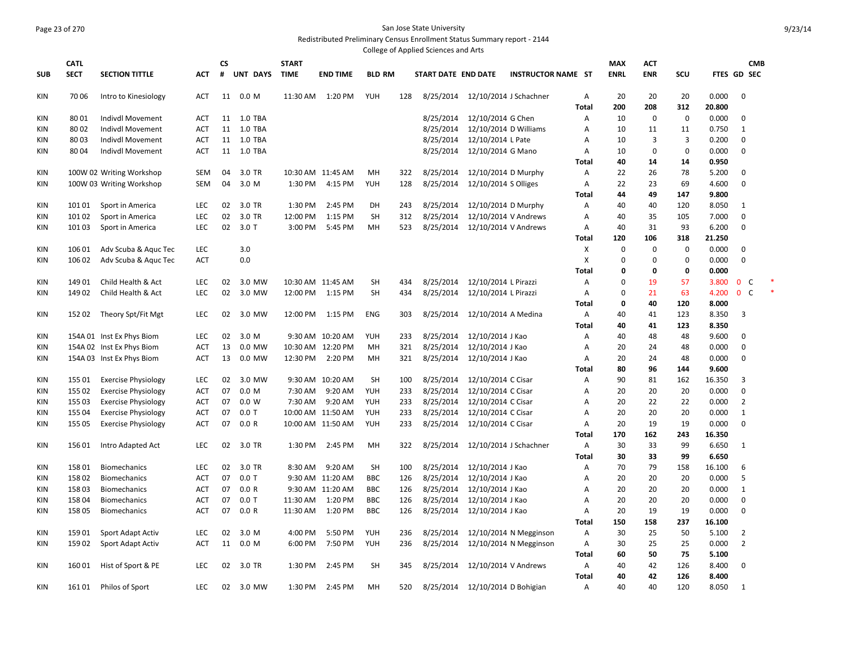## Page 23 of 270 San Jose State University Redistributed Preliminary Census Enrollment Status Summary report - 2144

College of Applied Sciences and Arts

|            | <b>CATL</b> |                                                          |            | <b>CS</b> |                | <b>START</b> |                   |               |     |                     |                                 |                                  |                | <b>MAX</b>  | <b>ACT</b>  |             |             |                   | <b>CMB</b> |
|------------|-------------|----------------------------------------------------------|------------|-----------|----------------|--------------|-------------------|---------------|-----|---------------------|---------------------------------|----------------------------------|----------------|-------------|-------------|-------------|-------------|-------------------|------------|
| <b>SUB</b> | <b>SECT</b> | <b>SECTION TITTLE</b>                                    | <b>ACT</b> | #         | UNT DAYS       | <b>TIME</b>  | <b>END TIME</b>   | <b>BLD RM</b> |     | START DATE END DATE |                                 | <b>INSTRUCTOR NAME ST</b>        |                | <b>ENRL</b> | <b>ENR</b>  | SCU         | FTES GD SEC |                   |            |
| KIN        | 70 06       | Intro to Kinesiology                                     | <b>ACT</b> |           | 11 0.0 M       |              | 11:30 AM  1:20 PM | <b>YUH</b>    | 128 |                     |                                 | 8/25/2014 12/10/2014 J Schachner | Α              | 20          | 20          | 20          | 0.000       | $\mathbf 0$       |            |
|            |             |                                                          |            |           |                |              |                   |               |     |                     |                                 |                                  | <b>Total</b>   | 200         | 208         | 312         | 20.800      |                   |            |
| <b>KIN</b> | 8001        | <b>Indivdl Movement</b>                                  | <b>ACT</b> |           | 11 1.0 TBA     |              |                   |               |     | 8/25/2014           | 12/10/2014 G Chen               |                                  | Α              | 10          | $\mathbf 0$ | 0           | 0.000       | $\mathbf 0$       |            |
| KIN        | 8002        | <b>Indivdl Movement</b>                                  | <b>ACT</b> | 11        | <b>1.0 TBA</b> |              |                   |               |     | 8/25/2014           |                                 | 12/10/2014 D Williams            | Α              | 10          | 11          | 11          | 0.750       | $\mathbf{1}$      |            |
| <b>KIN</b> | 8003        | Indivdl Movement                                         | <b>ACT</b> |           | 11 1.0 TBA     |              |                   |               |     | 8/25/2014           | 12/10/2014 L Pate               |                                  | $\overline{A}$ | 10          | 3           | 3           | 0.200       | $\mathbf 0$       |            |
| KIN        | 8004        | Indivdl Movement                                         | ACT        | 11        | 1.0 TBA        |              |                   |               |     | 8/25/2014           | 12/10/2014 G Mano               |                                  | A              | 10          | $\mathbf 0$ | $\mathbf 0$ | 0.000       | $\mathbf 0$       |            |
|            |             |                                                          |            |           |                |              |                   |               |     |                     |                                 |                                  | Total          | 40          | 14          | 14          | 0.950       |                   |            |
| KIN        |             | 100W 02 Writing Workshop                                 | SEM        | 04        | 3.0 TR         |              | 10:30 AM 11:45 AM | MН            | 322 | 8/25/2014           | 12/10/2014 D Murphy             |                                  | A              | 22          | 26          | 78          | 5.200       | $\mathbf{0}$      |            |
| KIN        |             | 100W 03 Writing Workshop                                 | SEM        | 04        | 3.0 M          | 1:30 PM      | 4:15 PM           | <b>YUH</b>    | 128 | 8/25/2014           | 12/10/2014 S Olliges            |                                  | A              | 22          | 23          | 69          | 4.600       | $\mathbf 0$       |            |
|            |             |                                                          |            |           |                |              |                   |               |     |                     |                                 |                                  | Total          | 44          | 49          | 147         | 9.800       |                   |            |
| KIN        | 10101       | Sport in America                                         | <b>LEC</b> | 02        | 3.0 TR         | 1:30 PM      | 2:45 PM           | DH            | 243 | 8/25/2014           | 12/10/2014 D Murphy             |                                  | Α              | 40          | 40          | 120         | 8.050       | 1                 |            |
| KIN        | 10102       | Sport in America                                         | <b>LEC</b> | 02        | 3.0 TR         | 12:00 PM     | 1:15 PM           | <b>SH</b>     | 312 | 8/25/2014           |                                 | 12/10/2014 V Andrews             | A              | 40          | 35          | 105         | 7.000       | $\mathbf 0$       |            |
| <b>KIN</b> | 10103       | Sport in America                                         | <b>LEC</b> | 02        | $3.0$ T        | 3:00 PM      | 5:45 PM           | MH            | 523 | 8/25/2014           |                                 | 12/10/2014 V Andrews             | Α              | 40          | 31          | 93          | 6.200       | $\mathbf 0$       |            |
|            |             |                                                          |            |           |                |              |                   |               |     |                     |                                 |                                  | <b>Total</b>   | 120         | 106         | 318         | 21.250      |                   |            |
| KIN        | 10601       | Adv Scuba & Aquc Tec                                     | <b>LEC</b> |           | 3.0            |              |                   |               |     |                     |                                 |                                  | Х              | $\Omega$    | $\mathbf 0$ | $\mathbf 0$ | 0.000       | $\mathbf 0$       |            |
| KIN        | 106 02      | Adv Scuba & Aquc Tec                                     | <b>ACT</b> |           | 0.0            |              |                   |               |     |                     |                                 |                                  | X              | $\Omega$    | $\mathbf 0$ | $\mathbf 0$ | 0.000       | $\mathbf 0$       |            |
|            |             |                                                          |            |           |                |              |                   |               |     |                     |                                 |                                  | <b>Total</b>   | $\Omega$    | $\mathbf 0$ | 0           | 0.000       |                   |            |
| <b>KIN</b> | 14901       | Child Health & Act                                       | <b>LEC</b> | 02        | 3.0 MW         |              | 10:30 AM 11:45 AM | SH            | 434 | 8/25/2014           | 12/10/2014 L Pirazzi            |                                  | A              | $\Omega$    | 19          | 57          | 3.800       | $0-$              |            |
| KIN        | 14902       | Child Health & Act                                       | <b>LEC</b> | 02        | 3.0 MW         | 12:00 PM     | 1:15 PM           | SH            | 434 | 8/25/2014           | 12/10/2014 L Pirazzi            |                                  | A              | $\Omega$    | 21          | 63          | 4.200       | $\mathbf{0}$<br>C |            |
|            |             |                                                          |            |           |                |              |                   |               |     |                     |                                 |                                  | <b>Total</b>   | 0           | 40          | 120         | 8.000       |                   |            |
| <b>KIN</b> | 15202       | Theory Spt/Fit Mgt                                       | <b>LEC</b> | 02        | 3.0 MW         | 12:00 PM     | 1:15 PM           | <b>ENG</b>    | 303 | 8/25/2014           | 12/10/2014 A Medina             |                                  | Α              | 40          | 41          | 123         | 8.350       | $\overline{3}$    |            |
|            |             |                                                          |            |           |                |              |                   |               |     |                     |                                 |                                  | Total          | 40          | 41          | 123         | 8.350       |                   |            |
| <b>KIN</b> |             | 154A 01 Inst Ex Phys Biom                                | <b>LEC</b> | 02        | 3.0 M          |              | 9:30 AM 10:20 AM  | YUH           | 233 | 8/25/2014           | 12/10/2014 J Kao                |                                  | A              | 40          | 48          | 48          | 9.600       | $\mathbf 0$       |            |
| <b>KIN</b> |             | 154A 02 Inst Ex Phys Biom                                | <b>ACT</b> | 13        | 0.0 MW         |              | 10:30 AM 12:20 PM | MH            | 321 | 8/25/2014           | 12/10/2014 J Kao                |                                  | Α              | 20          | 24          | 48          | 0.000       | $\mathbf 0$       |            |
| <b>KIN</b> |             | 154A 03 Inst Ex Phys Biom                                | <b>ACT</b> | 13        | 0.0 MW         | 12:30 PM     | 2:20 PM           | MH            | 321 | 8/25/2014           | 12/10/2014 J Kao                |                                  | A              | 20          | 24          | 48          | 0.000       | $\mathbf 0$       |            |
|            |             |                                                          |            |           |                |              |                   |               |     |                     |                                 |                                  | Total          | 80          | 96          | 144         | 9.600       |                   |            |
| KIN        | 155 01      | <b>Exercise Physiology</b>                               | <b>LEC</b> | 02        | 3.0 MW         |              | 9:30 AM 10:20 AM  | <b>SH</b>     | 100 | 8/25/2014           | 12/10/2014 C Cisar              |                                  | A              | 90          | 81          | 162         | 16.350      | 3                 |            |
|            | 155 02      |                                                          | <b>ACT</b> | 07        | 0.0 M          | 7:30 AM      | 9:20 AM           | YUH           | 233 | 8/25/2014           | 12/10/2014 C Cisar              |                                  | Α              | 20          | 20          | 20          | 0.000       | $\mathbf 0$       |            |
| KIN        | 155 03      | <b>Exercise Physiology</b><br><b>Exercise Physiology</b> | <b>ACT</b> | 07        | 0.0 W          | 7:30 AM      | 9:20 AM           | YUH           | 233 | 8/25/2014           | 12/10/2014 C Cisar              |                                  |                | 20          | 22          | 22          | 0.000       | $\overline{2}$    |            |
| KIN        |             |                                                          |            | 07        | $0.0$ T        |              | 10:00 AM 11:50 AM | YUH           | 233 |                     |                                 |                                  | Α<br>A         | 20          | 20          | 20          | 0.000       | $\mathbf{1}$      |            |
| <b>KIN</b> | 155 04      | <b>Exercise Physiology</b>                               | <b>ACT</b> |           |                |              |                   |               |     | 8/25/2014           | 12/10/2014 C Cisar              |                                  |                |             |             |             |             |                   |            |
| <b>KIN</b> | 155 05      | <b>Exercise Physiology</b>                               | <b>ACT</b> | 07        | 0.0 R          |              | 10:00 AM 11:50 AM | YUH           | 233 | 8/25/2014           | 12/10/2014 C Cisar              |                                  | Α              | 20          | 19          | 19          | 0.000       | $\mathbf 0$       |            |
|            |             |                                                          |            |           |                |              |                   |               |     |                     |                                 |                                  | <b>Total</b>   | 170         | 162         | 243         | 16.350      |                   |            |
| KIN        | 15601       | Intro Adapted Act                                        | <b>LEC</b> | 02        | 3.0 TR         | 1:30 PM      | 2:45 PM           | MН            | 322 | 8/25/2014           |                                 | 12/10/2014 J Schachner           | Α              | 30          | 33          | 99          | 6.650       | 1                 |            |
|            |             |                                                          |            |           |                |              |                   |               |     |                     |                                 |                                  | Total          | 30          | 33          | 99          | 6.650       |                   |            |
| KIN        | 15801       | <b>Biomechanics</b>                                      | <b>LEC</b> | 02        | 3.0 TR         | 8:30 AM      | 9:20 AM           | <b>SH</b>     | 100 | 8/25/2014           | 12/10/2014 J Kao                |                                  | A              | 70          | 79          | 158         | 16.100      | 6                 |            |
| KIN        | 15802       | <b>Biomechanics</b>                                      | ACT        | 07        | $0.0$ T        |              | 9:30 AM 11:20 AM  | <b>BBC</b>    | 126 | 8/25/2014           | 12/10/2014 J Kao                |                                  | A              | 20          | 20          | 20          | 0.000       | 5                 |            |
| KIN        | 15803       | <b>Biomechanics</b>                                      | ACT        | 07        | 0.0 R          |              | 9:30 AM 11:20 AM  | <b>BBC</b>    | 126 | 8/25/2014           | 12/10/2014 J Kao                |                                  | A              | 20          | 20          | 20          | 0.000       | $\mathbf{1}$      |            |
| KIN        | 15804       | <b>Biomechanics</b>                                      | ACT        | 07        | $0.0$ T        | 11:30 AM     | 1:20 PM           | <b>BBC</b>    | 126 | 8/25/2014           | 12/10/2014 J Kao                |                                  | A              | 20          | 20          | 20          | 0.000       | 0                 |            |
| KIN        | 158 05      | <b>Biomechanics</b>                                      | ACT        | 07        | 0.0 R          | 11:30 AM     | 1:20 PM           | <b>BBC</b>    | 126 | 8/25/2014           | 12/10/2014 J Kao                |                                  | Α              | 20          | 19          | 19          | 0.000       | $\mathbf 0$       |            |
|            |             |                                                          |            |           |                |              |                   |               |     |                     |                                 |                                  | Total          | 150         | 158         | 237         | 16.100      |                   |            |
| <b>KIN</b> | 15901       | Sport Adapt Activ                                        | LEC        | 02        | 3.0 M          | 4:00 PM      | 5:50 PM           | YUH           | 236 | 8/25/2014           |                                 | 12/10/2014 N Megginson           | Α              | 30          | 25          | 50          | 5.100       | $\overline{2}$    |            |
| <b>KIN</b> | 15902       | Sport Adapt Activ                                        | <b>ACT</b> | 11        | 0.0 M          | 6:00 PM      | 7:50 PM           | YUH           | 236 | 8/25/2014           |                                 | 12/10/2014 N Megginson           | Α              | 30          | 25          | 25          | 0.000       | $\overline{2}$    |            |
|            |             |                                                          |            |           |                |              |                   |               |     |                     |                                 |                                  | Total          | 60          | 50          | 75          | 5.100       |                   |            |
| <b>KIN</b> | 16001       | Hist of Sport & PE                                       | <b>LEC</b> | 02        | 3.0 TR         | 1:30 PM      | 2:45 PM           | <b>SH</b>     | 345 | 8/25/2014           | 12/10/2014 V Andrews            |                                  | Α              | 40          | 42          | 126         | 8.400       | 0                 |            |
|            |             |                                                          |            |           |                |              |                   |               |     |                     |                                 |                                  | <b>Total</b>   | 40          | 42          | 126         | 8.400       |                   |            |
| <b>KIN</b> | 16101       | Philos of Sport                                          | <b>LEC</b> | 02        | 3.0 MW         | 1:30 PM      | 2:45 PM           | MH            | 520 |                     | 8/25/2014 12/10/2014 D Bohigian |                                  | A              | 40          | 40          | 120         | 8.050       | -1                |            |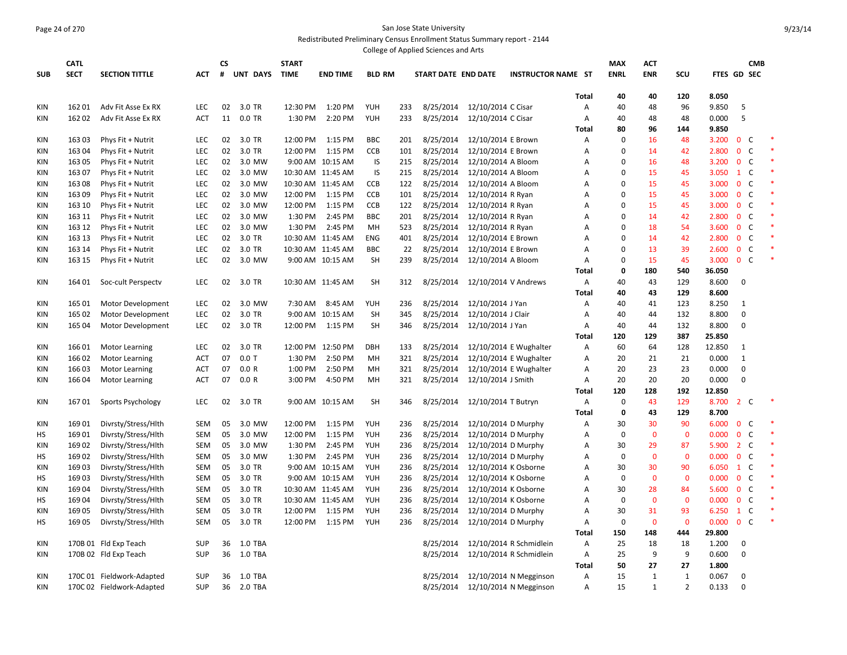#### Page 24 of 270 San Jose State University Redistributed Preliminary Census Enrollment Status Summary report - 2144

|            |             |                                          |            |           |                 |              |                   |               |     | College of Applied Sciences and Arts |                     |                           |                   |                    |              |                |                |                |              |        |
|------------|-------------|------------------------------------------|------------|-----------|-----------------|--------------|-------------------|---------------|-----|--------------------------------------|---------------------|---------------------------|-------------------|--------------------|--------------|----------------|----------------|----------------|--------------|--------|
|            | <b>CATL</b> |                                          |            | <b>CS</b> |                 | <b>START</b> |                   |               |     |                                      |                     |                           |                   | <b>MAX</b>         | ACT          |                |                |                | <b>CMB</b>   |        |
| <b>SUB</b> | <b>SECT</b> | <b>SECTION TITTLE</b>                    | <b>ACT</b> | #         | <b>UNT DAYS</b> | <b>TIME</b>  | <b>END TIME</b>   | <b>BLD RM</b> |     | START DATE END DATE                  |                     | <b>INSTRUCTOR NAME ST</b> |                   | <b>ENRL</b>        | <b>ENR</b>   | scu            | FTES GD SEC    |                |              |        |
|            |             |                                          |            |           |                 |              |                   |               |     |                                      |                     |                           |                   |                    |              |                |                |                |              |        |
|            | 16201       |                                          | <b>LEC</b> | 02        | 3.0 TR          | 12:30 PM     | 1:20 PM           | <b>YUH</b>    | 233 | 8/25/2014                            | 12/10/2014 C Cisar  |                           | <b>Total</b>      | 40                 | 40           | 120            | 8.050          |                |              |        |
| KIN<br>KIN | 16202       | Adv Fit Asse Ex RX<br>Adv Fit Asse Ex RX | <b>ACT</b> | 11        | 0.0 TR          | 1:30 PM      | 2:20 PM           | YUH           | 233 | 8/25/2014                            | 12/10/2014 C Cisar  |                           | A<br>Α            | 40<br>40           | 48<br>48     | 96<br>48       | 9.850<br>0.000 | 5<br>5         |              |        |
|            |             |                                          |            |           |                 |              |                   |               |     |                                      |                     |                           | <b>Total</b>      | 80                 | 96           | 144            | 9.850          |                |              |        |
| KIN        | 16303       | Phys Fit + Nutrit                        | LEC        | 02        | 3.0 TR          | 12:00 PM     | 1:15 PM           | <b>BBC</b>    | 201 | 8/25/2014                            | 12/10/2014 E Brown  |                           | Α                 | 0                  | 16           | 48             | 3.200          | $\mathbf{0}$   | C            |        |
| <b>KIN</b> | 163 04      | Phys Fit + Nutrit                        | <b>LEC</b> | 02        | 3.0 TR          | 12:00 PM     | 1:15 PM           | <b>CCB</b>    | 101 | 8/25/2014                            | 12/10/2014 E Brown  |                           | A                 | $\Omega$           | 14           | 42             | 2.800          | $\mathbf{0}$   | $\mathsf{C}$ |        |
| KIN        | 16305       | Phys Fit + Nutrit                        | LEC        | 02        | 3.0 MW          |              | 9:00 AM 10:15 AM  | IS            | 215 | 8/25/2014                            | 12/10/2014 A Bloom  |                           | A                 | $\Omega$           | 16           | 48             | 3.200          | $\mathbf 0$    | $\mathsf{C}$ |        |
| <b>KIN</b> | 16307       | Phys Fit + Nutrit                        | LEC        | 02        | 3.0 MW          |              | 10:30 AM 11:45 AM | IS            | 215 | 8/25/2014                            | 12/10/2014 A Bloom  |                           | A                 | $\Omega$           | 15           | 45             | 3.050          | $1\,c$         |              |        |
| KIN        | 16308       | Phys Fit + Nutrit                        | <b>LEC</b> | 02        | 3.0 MW          |              | 10:30 AM 11:45 AM | CCB           | 122 | 8/25/2014                            | 12/10/2014 A Bloom  |                           | A                 | $\Omega$           | 15           | 45             | 3.000          | $\mathbf{0}$   | - C          |        |
| <b>KIN</b> | 16309       | Phys Fit + Nutrit                        | LEC        | 02        | 3.0 MW          | 12:00 PM     | 1:15 PM           | <b>CCB</b>    | 101 | 8/25/2014                            | 12/10/2014 R Ryan   |                           | Α                 | $\Omega$           | 15           | 45             | 3.000          | 0 <sup>o</sup> |              |        |
| KIN        | 163 10      | Phys Fit + Nutrit                        | LEC        | 02        | 3.0 MW          | 12:00 PM     | 1:15 PM           | <b>CCB</b>    | 122 | 8/25/2014                            | 12/10/2014 R Ryan   |                           | A                 | $\Omega$           | 15           | 45             | 3.000          | $\mathbf{0}$   | $\mathsf{C}$ |        |
| <b>KIN</b> | 163 11      | Phys Fit + Nutrit                        | LEC        | 02        | 3.0 MW          | 1:30 PM      | 2:45 PM           | <b>BBC</b>    | 201 | 8/25/2014                            | 12/10/2014 R Ryan   |                           | A                 | $\Omega$           | 14           | 42             | 2.800          | 0 <sup>o</sup> |              |        |
| KIN        | 163 12      | Phys Fit + Nutrit                        | LEC        | 02        | 3.0 MW          | 1:30 PM      | 2:45 PM           | MH            | 523 | 8/25/2014                            | 12/10/2014 R Ryan   |                           | A                 | $\Omega$           | 18           | 54             | 3.600          | $\mathbf{0}$   | $\mathsf{C}$ |        |
| <b>KIN</b> | 163 13      | Phys Fit + Nutrit                        | LEC        | 02        | 3.0 TR          |              | 10:30 AM 11:45 AM | ENG           | 401 | 8/25/2014                            | 12/10/2014 E Brown  |                           | A                 | $\Omega$           | 14           | 42             | 2.800          | $\mathbf{0}$   | C            |        |
| <b>KIN</b> | 163 14      | Phys Fit + Nutrit                        | LEC        | 02        | 3.0 TR          |              | 10:30 AM 11:45 AM | <b>BBC</b>    | 22  | 8/25/2014                            | 12/10/2014 E Brown  |                           | A                 | $\Omega$           | 13           | 39             | 2.600          | $\mathbf{0}$   | $\mathsf{C}$ |        |
| <b>KIN</b> | 163 15      | Phys Fit + Nutrit                        | <b>LEC</b> | 02        | 3.0 MW          |              | 9:00 AM 10:15 AM  | SH            | 239 | 8/25/2014                            | 12/10/2014 A Bloom  |                           | Α                 | 0                  | 15           | 45             | 3.000          | 0 <sup>o</sup> |              |        |
|            |             |                                          |            |           |                 |              |                   |               |     |                                      |                     |                           | <b>Total</b>      | $\mathbf 0$        | 180          | 540            | 36.050         |                |              |        |
| KIN        | 164 01      | Soc-cult Perspectv                       | <b>LEC</b> | 02        | 3.0 TR          |              | 10:30 AM 11:45 AM | SH            | 312 | 8/25/2014                            |                     | 12/10/2014 V Andrews      | Α                 | 40                 | 43           | 129            | 8.600          | $\Omega$       |              |        |
|            |             |                                          |            |           |                 |              |                   |               |     |                                      |                     |                           | Total             | 40                 | 43           | 129            | 8.600          |                |              |        |
| KIN        | 165 01      | Motor Development                        | LEC        | 02        | 3.0 MW          | 7:30 AM      | 8:45 AM           | <b>YUH</b>    | 236 | 8/25/2014                            | 12/10/2014 J Yan    |                           | Α                 | 40                 | 41           | 123            | 8.250          | $\mathbf{1}$   |              |        |
| <b>KIN</b> | 165 02      | Motor Development                        | LEC        | 02        | 3.0 TR          |              | 9:00 AM 10:15 AM  | <b>SH</b>     | 345 | 8/25/2014                            | 12/10/2014 J Clair  |                           | Α                 | 40                 | 44           | 132            | 8.800          | $\mathbf 0$    |              |        |
| KIN        | 165 04      | Motor Development                        | LEC        | 02        | 3.0 TR          | 12:00 PM     | 1:15 PM           | SH            | 346 | 8/25/2014                            | 12/10/2014 J Yan    |                           | A                 | 40                 | 44           | 132            | 8.800          | $\Omega$       |              |        |
|            |             |                                          |            |           |                 |              |                   |               |     |                                      |                     |                           | <b>Total</b>      | 120                | 129          | 387            | 25.850         |                |              |        |
| <b>KIN</b> | 16601       | <b>Motor Learning</b>                    | <b>LEC</b> | 02        | 3.0 TR          |              | 12:00 PM 12:50 PM | <b>DBH</b>    | 133 | 8/25/2014                            |                     | 12/10/2014 E Wughalter    | Α                 | 60                 | 64           | 128            | 12.850         | $\mathbf{1}$   |              |        |
| <b>KIN</b> | 16602       | <b>Motor Learning</b>                    | ACT        | 07        | $0.0$ T         | 1:30 PM      | 2:50 PM           | MH            | 321 | 8/25/2014                            |                     | 12/10/2014 E Wughalter    | Α                 | 20                 | 21           | 21             | 0.000          | 1              |              |        |
| <b>KIN</b> | 16603       | <b>Motor Learning</b>                    | <b>ACT</b> | 07        | 0.0 R           | 1:00 PM      | 2:50 PM           | MH            | 321 | 8/25/2014                            |                     | 12/10/2014 E Wughalter    | Α                 | 20                 | 23           | 23             | 0.000          | $\Omega$       |              |        |
| KIN        | 16604       | <b>Motor Learning</b>                    | ACT        | 07        | 0.0 R           | 3:00 PM      | 4:50 PM           | MН            | 321 | 8/25/2014                            | 12/10/2014 J Smith  |                           | Α                 | 20                 | 20           | 20             | 0.000          | $\Omega$       |              |        |
|            |             |                                          |            |           |                 |              |                   |               |     |                                      |                     |                           | <b>Total</b>      | 120<br>$\mathbf 0$ | 128<br>43    | 192<br>129     | 12.850         | 2 <sub>c</sub> |              |        |
| KIN        | 16701       | Sports Psychology                        | <b>LEC</b> | 02        | 3.0 TR          |              | 9:00 AM 10:15 AM  | SH            | 346 | 8/25/2014                            | 12/10/2014 T Butryn |                           | A<br><b>Total</b> | $\mathbf 0$        | 43           | 129            | 8.700<br>8.700 |                |              |        |
| <b>KIN</b> | 16901       | Divrsty/Stress/Hlth                      | <b>SEM</b> | 05        | 3.0 MW          | 12:00 PM     | 1:15 PM           | <b>YUH</b>    | 236 | 8/25/2014                            |                     | 12/10/2014 D Murphy       | Α                 | 30                 | 30           | 90             | 6.000          | 0 <sup>o</sup> |              |        |
| HS         | 16901       | Divrsty/Stress/Hlth                      | SEM        | 05        | 3.0 MW          | 12:00 PM     | 1:15 PM           | YUH           | 236 | 8/25/2014                            |                     | 12/10/2014 D Murphy       | Α                 | $\mathbf 0$        | $\mathbf 0$  | $\mathbf 0$    | 0.000          | $\mathbf 0$    | C            |        |
| KIN        | 16902       | Divrsty/Stress/Hlth                      | <b>SEM</b> | 05        | 3.0 MW          | 1:30 PM      | 2:45 PM           | <b>YUH</b>    | 236 | 8/25/2014                            |                     | 12/10/2014 D Murphy       | Α                 | 30                 | 29           | 87             | 5.900          | 2 <sub>c</sub> |              |        |
| нs         | 16902       | Divrsty/Stress/Hlth                      | SEM        | 05        | 3.0 MW          | 1:30 PM      | 2:45 PM           | YUH           | 236 | 8/25/2014                            |                     | 12/10/2014 D Murphy       | Α                 | $\mathbf 0$        | $\mathbf 0$  | $\mathbf 0$    | 0.000          | $\mathbf 0$    | C            |        |
| <b>KIN</b> | 16903       | Divrsty/Stress/Hlth                      | SEM        | 05        | 3.0 TR          |              | 9:00 AM 10:15 AM  | <b>YUH</b>    | 236 | 8/25/2014                            |                     | 12/10/2014 K Osborne      | A                 | 30                 | 30           | 90             | 6.050          | $1\,c$         |              |        |
| HS         | 16903       | Divrsty/Stress/Hlth                      | SEM        | 05        | 3.0 TR          |              | 9:00 AM 10:15 AM  | YUH           | 236 | 8/25/2014                            |                     | 12/10/2014 K Osborne      | Α                 | $\Omega$           | 0            | $\mathbf 0$    | 0.000          | $\mathbf 0$    | C            |        |
| <b>KIN</b> | 16904       | Divrsty/Stress/Hlth                      | SEM        | 05        | 3.0 TR          |              | 10:30 AM 11:45 AM | YUH           | 236 | 8/25/2014                            |                     | 12/10/2014 K Osborne      | A                 | 30                 | 28           | 84             | 5.600          | 0 <sup>o</sup> |              |        |
| НS         | 16904       | Divrsty/Stress/Hlth                      | <b>SEM</b> | 05        | 3.0 TR          |              | 10:30 AM 11:45 AM | YUH           | 236 | 8/25/2014                            |                     | 12/10/2014 K Osborne      | Α                 | $\Omega$           | $\mathbf 0$  | $\mathbf 0$    | 0.000          | $\mathbf 0$    | $\mathsf{C}$ |        |
| <b>KIN</b> | 16905       | Divrsty/Stress/Hlth                      | SEM        | 05        | 3.0 TR          | 12:00 PM     | 1:15 PM           | <b>YUH</b>    | 236 | 8/25/2014                            |                     | 12/10/2014 D Murphy       | Α                 | 30                 | 31           | 93             | 6.250          | $1\quad C$     |              |        |
| HS         | 16905       | Divrsty/Stress/Hlth                      | <b>SEM</b> | 05        | 3.0 TR          | 12:00 PM     | 1:15 PM           | <b>YUH</b>    | 236 | 8/25/2014                            |                     | 12/10/2014 D Murphy       | Α                 | $\mathbf 0$        | $\mathbf{0}$ | $\mathbf{0}$   | 0.000          | $0-$           |              | $\ast$ |
|            |             |                                          |            |           |                 |              |                   |               |     |                                      |                     |                           | <b>Total</b>      | 150                | 148          | 444            | 29.800         |                |              |        |
| <b>KIN</b> |             | 170B 01 Fld Exp Teach                    | <b>SUP</b> | 36        | 1.0 TBA         |              |                   |               |     | 8/25/2014                            |                     | 12/10/2014 R Schmidlein   | A                 | 25                 | 18           | 18             | 1.200          | $\Omega$       |              |        |
| KIN        |             | 170B 02 Fld Exp Teach                    | <b>SUP</b> |           | 36 1.0 TBA      |              |                   |               |     | 8/25/2014                            |                     | 12/10/2014 R Schmidlein   | Α                 | 25                 | 9            | 9              | 0.600          | $\mathbf 0$    |              |        |
|            |             |                                          |            |           |                 |              |                   |               |     |                                      |                     |                           | Total             | 50                 | 27           | 27             | 1.800          |                |              |        |
| KIN        |             | 170C 01 Fieldwork-Adapted                | <b>SUP</b> | 36        | 1.0 TBA         |              |                   |               |     | 8/25/2014                            |                     | 12/10/2014 N Megginson    | Α                 | 15                 | 1            | $\mathbf{1}$   | 0.067          | 0              |              |        |
| KIN        |             | 170C 02 Fieldwork-Adapted                | <b>SUP</b> | 36        | 2.0 TBA         |              |                   |               |     | 8/25/2014                            |                     | 12/10/2014 N Megginson    | A                 | 15                 | $\mathbf{1}$ | $\overline{2}$ | 0.133          | $\mathbf 0$    |              |        |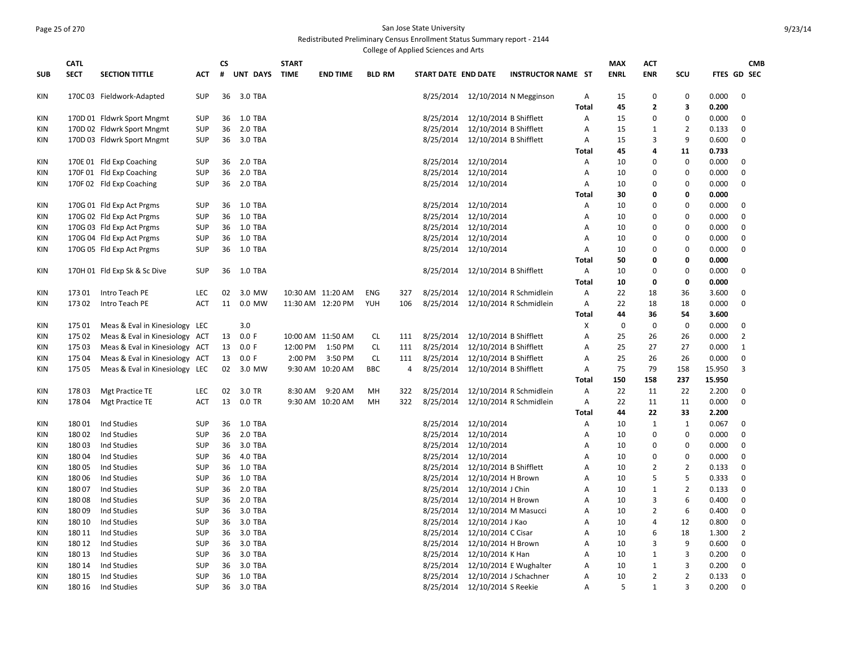#### Page 25 of 270 San Jose State University Redistributed Preliminary Census Enrollment Status Summary report - 2144

College of Applied Sciences and Arts **SUB CATL SECT SECTION TITTLE ACT CS # UNT DAYS START TIME END TIME BLD RM START DATE END DATE INSTRUCTOR NAME ST MAX ENRL ACT ENR SCU FTES GD SEC CMB**  KIN 170C 03 Fieldwork-Adapted SUP 36 3.0 TBA 800 800 800 8/25/2014 12/10/2014 N Megginson A 15 0 0 0.000 0 **Total 45 2 3 0.200** KIN 170D 01 Fldwrk Sport Mngmt SUP 36 1.0 TBA 8/25/2014 12/10/2014 B Shifflett A 15 0 0 0.000 0 KIN 170D 02 Fldwrk Sport Mngmt SUP 36 2.0 TBA 80 8/25/2014 12/10/2014 B Shifflett A 15 1 2 0.133 0 KIN 170D 03 Fldwrk Sport Mngmt SUP 36 3.0 TBA 800 8 8/25/2014 12/10/2014 B Shifflett A 15 3 9 0.600 0 **Total 45 4 11 0.733** KIN 170E 01 Fld Exp Coaching SUP 36 2.0 TBA 8 8/25/2014 12/10/2014 12/10/2014 A 10 0 0.000 0 KIN 170F 01 Fld Exp Coaching SUP 36 2.0 TBA 8 8/25/2014 12/10/2014 12/10/2014 A 10 0 0.000 0 KIN 170F 02 Fld Exp Coaching SUP 36 2.0 TBA 8/25/2014 8/25/2014 12/10/2014 A 10 0 0.000 0 **Total 30 0 0 0.000** KIN 170G 01 Fld Exp Act Prgms SUP 36 1.0 TBA 8 and the state of the S/25/2014 12/10/2014 A 10 0 0 0.000 0 KIN 170G 02 Fld Exp Act Prgms SUP 36 1.0 TBA 8/25/2014 8/25/2014 12/10/2014 A 10 0 0.000 0 KIN 170G 03 Fld Exp Act Prgms SUP 36 1.0 TBA 8 8/25/2014 12/10/2014 A 10 0 0.000 0 KIN 170G 04 Fld Exp Act Prgms SUP 36 1.0 TBA 800 10 10 8/25/2014 12/10/2014 A 10 0 0.000 0 KIN 170G 05 Fld Exp Act Prgms SUP 36 1.0 TBA 8 8/25/2014 12/10/2014 12/10/2014 A 10 0 0.000 0 **Total 50 0 0 0.000** KIN 170H 01 Fld Exp Sk & Sc Dive SUP 36 1.0 TBA 8/25/2014 12/10/2014 B Shifflett A 10 0 0 0.000 0 **Total 10 0 0 0.000** KIN 173 01 Intro Teach PE LEC 02 3.0 MW 10:30 AM 11:20 AM ENG 327 8/25/2014 12/10/2014 R Schmidlein A 22 18 36 3.600 0 KIN 173 02 Intro Teach PE ACT 11 0.0 MW 11:30 AM 12:20 PM YUH 106 8/25/2014 12/10/2014 R Schmidlein A 22 18 18 0.000 0 **Total 44 36 54 3.600** KIN 175 01 Meas & Eval in Kinesiology LEC 3.0 KIN 175 02 Meas & Eval in Kinesiology ACT 13 0.0 F 10:00 AM 11:50 AM CL 111 8/25/2014 12/10/2014 B Shifflett A 25 26 26 0.000 2 KIN 175 03 Meas & Eval in Kinesiology ACT 13 0.0 F 12:00 PM 1:50 PM CL 111 8/25/2014 12/10/2014 B Shifflett A 25 27 27 0.000 1 KIN 175 04 Meas & Eval in Kinesiology ACT 13 0.0 F 2:00 PM 3:50 PM CL 111 8/25/2014 12/10/2014 B Shifflett A 25 26 26 0.000 0 KIN 175 05 Meas & Eval in Kinesiology LEC 02 3.0 MW 9:30 AM 10:20 AM BBC 4 8/25/2014 12/10/2014 B Shifflett A 75 79 158 15.950 3 **Total 150 158 237 15.950** KIN 178 03 Mgt Practice TE LEC 02 3.0 TR 8:30 AM 9:20 AM MH 322 8/25/2014 12/10/2014 R Schmidlein A 22 11 22 2.200 0 KIN 178 04 Mgt Practice TE ACT 13 0.0 TR 9:30 AM 10:20 AM MH 322 8/25/2014 12/10/2014 R Schmidlein A 22 11 11 0.000 0 **Total 44 22 33 2.200** KIN 180 01 Ind Studies SUP 36 1.0 TBA 8/25/2014 12/10/2014 A 10 1 1 0.067 0 KIN 180 02 Ind Studies SUP 36 2.0 TBA 8/25/2014 12/10/2014 A 10 0 0 0.000 0 KIN 180 03 Ind Studies SUP 36 3.0 TBA 8/25/2014 12/10/2014 A 10 0 0 0.000 0 KIN 180 04 Ind Studies SUP 36 4.0 TBA 8/25/2014 12/10/2014 A 10 0 0 0.000 0 KIN 180 05 Ind Studies SUP 36 1.0 TBA 8/25/2014 12/10/2014 B Shifflett A 10 2 2 0.133 0 KIN 180 06 Ind Studies SUP 36 1.0 TBA 8/25/2014 12/10/2014 H Brown A 10 5 5 0.333 0 KIN 180 07 Ind Studies SUP 36 2.0 TBA 8/25/2014 12/10/2014 J Chin A 10 1 2 0.133 0 KIN 180 08 Ind Studies SUP 36 2.0 TBA 8/25/2014 12/10/2014 H Brown A 10 3 6 0.400 0 KIN 180 09 Ind Studies SUP 36 3.0 TBA 8/25/2014 12/10/2014 M Masucci A 10 2 6 0.400 0 KIN 180 10 Ind Studies SUP 36 3.0 TBA 8/25/2014 12/10/2014 J Kao A 10 4 12 0.800 0 KIN 180 11 Ind Studies SUP 36 3.0 TBA 8/25/2014 12/10/2014 C Cisar A 10 6 18 1.300 2 KIN 180 12 Ind Studies SUP 36 3.0 TBA 8/25/2014 12/10/2014 H Brown A 10 3 9 0.600 0 KIN 180 13 Ind Studies SUP 36 3.0 TBA 8/25/2014 12/10/2014 K Han A 10 1 3 0.200 0 KIN 180 14 Ind Studies SUP 36 3.0 TBA 8/25/2014 12/10/2014 E Wughalter A 10 1 3 0.200 0 KIN 180 15 Ind Studies 6 SUP 36 1.0 TBA 8/25/2014 12/10/2014 15chachner A 10 2 2 0.133 0 KIN 180 16 Ind Studies SUP 36 3.0 TBA 8/25/2014 12/10/2014 S Reekie A 5 1 3 0.200 0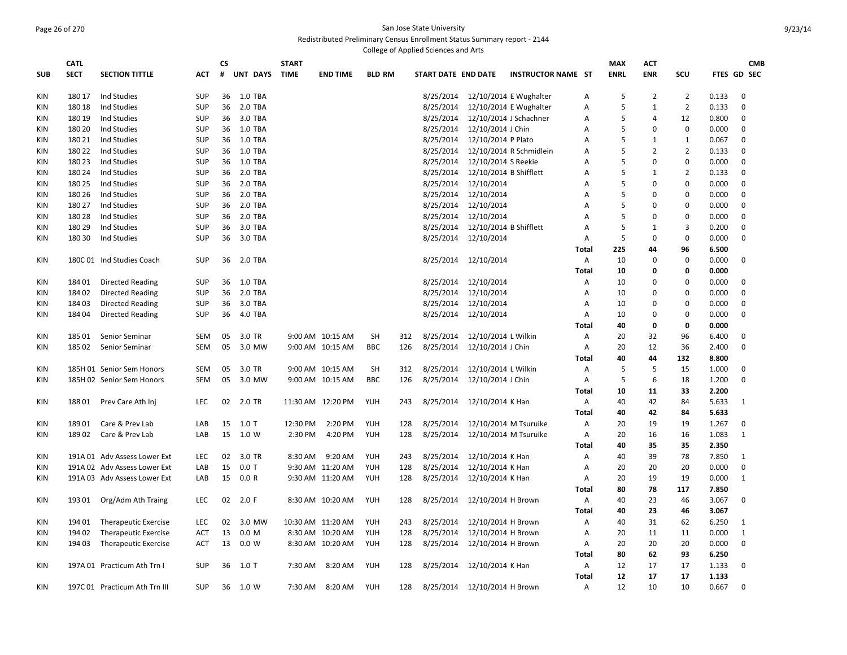#### Page 26 of 270 San Jose State University Redistributed Preliminary Census Enrollment Status Summary report - 2144 College of Applied Sciences and Arts

|            | <b>CATL</b> |                               |            | <b>CS</b> |          | <b>START</b> |                   |               |     |                     |                              |                           |              | <b>MAX</b>  | <b>ACT</b>     |                |                | <b>CMB</b>         |
|------------|-------------|-------------------------------|------------|-----------|----------|--------------|-------------------|---------------|-----|---------------------|------------------------------|---------------------------|--------------|-------------|----------------|----------------|----------------|--------------------|
| <b>SUB</b> | <b>SECT</b> | <b>SECTION TITTLE</b>         | <b>ACT</b> | #         | UNT DAYS | <b>TIME</b>  | <b>END TIME</b>   | <b>BLD RM</b> |     | START DATE END DATE |                              | <b>INSTRUCTOR NAME ST</b> |              | <b>ENRL</b> | <b>ENR</b>     | SCU            |                | <b>FTES GD SEC</b> |
|            |             |                               |            |           |          |              |                   |               |     |                     |                              |                           |              |             |                |                |                |                    |
| <b>KIN</b> | 180 17      | Ind Studies                   | <b>SUP</b> | 36        | 1.0 TBA  |              |                   |               |     | 8/25/2014           |                              | 12/10/2014 E Wughalter    | Α            | .5          | $\overline{2}$ | $\overline{2}$ | 0.133          | $\mathbf 0$        |
| KIN        | 180 18      | <b>Ind Studies</b>            | <b>SUP</b> | 36        | 2.0 TBA  |              |                   |               |     | 8/25/2014           |                              | 12/10/2014 E Wughalter    | A            | 5           | $\mathbf{1}$   | $\overline{2}$ | 0.133          | $\mathbf 0$        |
| KIN        | 180 19      | Ind Studies                   | <b>SUP</b> | 36        | 3.0 TBA  |              |                   |               |     | 8/25/2014           |                              | 12/10/2014 J Schachner    | Α            | 5           | 4              | 12             | 0.800          | $\mathbf 0$        |
| KIN        | 180 20      | Ind Studies                   | <b>SUP</b> | 36        | 1.0 TBA  |              |                   |               |     | 8/25/2014           | 12/10/2014 J Chin            |                           | А            | 5           | 0              | $\mathbf 0$    | 0.000          | $\mathbf 0$        |
| KIN        | 180 21      | Ind Studies                   | <b>SUP</b> | 36        | 1.0 TBA  |              |                   |               |     | 8/25/2014           | 12/10/2014 P Plato           |                           | Α            | 5           | 1              | 1              | 0.067          | $\mathbf 0$        |
| KIN        | 180 22      | Ind Studies                   | <b>SUP</b> | 36        | 1.0 TBA  |              |                   |               |     | 8/25/2014           |                              | 12/10/2014 R Schmidlein   | А            | 5           | $\overline{2}$ | $\overline{2}$ | 0.133          | $\mathbf 0$        |
| KIN        | 180 23      | <b>Ind Studies</b>            | <b>SUP</b> | 36        | 1.0 TBA  |              |                   |               |     | 8/25/2014           | 12/10/2014 S Reekie          |                           | Α            | 5           | $\Omega$       | 0              | 0.000          | $\mathbf 0$        |
| KIN        | 180 24      | <b>Ind Studies</b>            | <b>SUP</b> | 36        | 2.0 TBA  |              |                   |               |     | 8/25/2014           | 12/10/2014 B Shifflett       |                           | Α            | 5           | 1              | $\overline{2}$ | 0.133          | 0                  |
| KIN        | 180 25      | Ind Studies                   | <b>SUP</b> | 36        | 2.0 TBA  |              |                   |               |     | 8/25/2014           | 12/10/2014                   |                           | Α            | 5           | $\Omega$       | 0              | 0.000          | 0                  |
| KIN        | 180 26      | <b>Ind Studies</b>            | <b>SUP</b> | 36        | 2.0 TBA  |              |                   |               |     | 8/25/2014           | 12/10/2014                   |                           | Α            | 5           | $\Omega$       | 0              | 0.000          | $\mathbf 0$        |
| KIN        | 180 27      | <b>Ind Studies</b>            | <b>SUP</b> | 36        | 2.0 TBA  |              |                   |               |     | 8/25/2014           | 12/10/2014                   |                           | A            | 5           | $\Omega$       | 0              | 0.000          | $\mathbf 0$        |
|            |             |                               |            |           |          |              |                   |               |     | 8/25/2014           |                              |                           |              | 5           | 0              | 0              |                | $\mathbf 0$        |
| KIN        | 18028       | <b>Ind Studies</b>            | <b>SUP</b> | 36        | 2.0 TBA  |              |                   |               |     |                     | 12/10/2014                   |                           | Α            |             |                |                | 0.000          |                    |
| <b>KIN</b> | 180 29      | <b>Ind Studies</b>            | <b>SUP</b> | 36        | 3.0 TBA  |              |                   |               |     | 8/25/2014           | 12/10/2014 B Shifflett       |                           | A            | 5           | 1              | 3              | 0.200          | $\mathbf 0$        |
| <b>KIN</b> | 180 30      | Ind Studies                   | <b>SUP</b> | 36        | 3.0 TBA  |              |                   |               |     | 8/25/2014           | 12/10/2014                   |                           | Α            | 5           | $\mathbf 0$    | $\mathbf 0$    | 0.000          | $\mathbf 0$        |
|            |             |                               |            |           |          |              |                   |               |     |                     |                              |                           | Total        | 225         | 44             | 96             | 6.500          |                    |
| KIN        |             | 180C 01 Ind Studies Coach     | <b>SUP</b> | 36        | 2.0 TBA  |              |                   |               |     | 8/25/2014           | 12/10/2014                   |                           | Α            | 10          | 0              | $\mathbf 0$    | 0.000          | 0                  |
|            |             |                               |            |           |          |              |                   |               |     |                     |                              |                           | Total        | 10          | 0              | 0              | 0.000          |                    |
| <b>KIN</b> | 184 01      | <b>Directed Reading</b>       | <b>SUP</b> | 36        | 1.0 TBA  |              |                   |               |     | 8/25/2014           | 12/10/2014                   |                           | Α            | 10          | 0              | 0              | 0.000          | $\mathbf 0$        |
| <b>KIN</b> | 18402       | <b>Directed Reading</b>       | <b>SUP</b> | 36        | 2.0 TBA  |              |                   |               |     | 8/25/2014           | 12/10/2014                   |                           | A            | 10          | 0              | $\mathbf 0$    | 0.000          | $\mathbf 0$        |
| <b>KIN</b> | 18403       | Directed Reading              | <b>SUP</b> | 36        | 3.0 TBA  |              |                   |               |     | 8/25/2014           | 12/10/2014                   |                           | A            | 10          | 0              | $\mathbf 0$    | 0.000          | 0                  |
| <b>KIN</b> | 18404       | Directed Reading              | <b>SUP</b> | 36        | 4.0 TBA  |              |                   |               |     | 8/25/2014           | 12/10/2014                   |                           | A            | 10          | 0              | 0              | 0.000          | 0                  |
|            |             |                               |            |           |          |              |                   |               |     |                     |                              |                           | Total        | 40          | 0              | 0              | 0.000          |                    |
| KIN        | 185 01      | Senior Seminar                | <b>SEM</b> | 05        | 3.0 TR   |              | 9:00 AM 10:15 AM  | SH            | 312 | 8/25/2014           | 12/10/2014 L Wilkin          |                           | Α            | 20          | 32             | 96             | 6.400          | $\mathbf 0$        |
| KIN        | 18502       | Senior Seminar                | <b>SEM</b> | 05        | 3.0 MW   |              | 9:00 AM 10:15 AM  | <b>BBC</b>    | 126 | 8/25/2014           | 12/10/2014 J Chin            |                           | Α            | 20          | 12             | 36             | 2.400          | $\mathbf 0$        |
|            |             |                               |            |           |          |              |                   |               |     |                     |                              |                           | Total        | 40          | 44             | 132            | 8.800          |                    |
| KIN        |             | 185H 01 Senior Sem Honors     | <b>SEM</b> | 05        | 3.0 TR   |              | 9:00 AM 10:15 AM  | SH            | 312 | 8/25/2014           | 12/10/2014 L Wilkin          |                           | Α            | 5           | 5              | 15             | 1.000          | $\mathbf 0$        |
| KIN        |             | 185H 02 Senior Sem Honors     | SEM        | 05        | 3.0 MW   |              | 9:00 AM 10:15 AM  | <b>BBC</b>    | 126 | 8/25/2014           | 12/10/2014 J Chin            |                           | Α            | 5           | 6              | 18             | 1.200          | $\mathbf 0$        |
|            |             |                               |            |           |          |              |                   |               |     |                     |                              |                           | Total        | 10          | 11             | 33             | 2.200          |                    |
| KIN        | 18801       | Prev Care Ath Inj             | <b>LEC</b> | 02        | 2.0 TR   |              | 11:30 AM 12:20 PM | YUH           | 243 | 8/25/2014           | 12/10/2014 K Han             |                           | Α            | 40          | 42             | 84             | 5.633          | 1                  |
|            |             |                               |            |           |          |              |                   |               |     |                     |                              |                           | Total        | 40          | 42             | 84             | 5.633          |                    |
| KIN        | 18901       | Care & Prev Lab               | LAB        | 15        | $1.0$ T  | 12:30 PM     | 2:20 PM           | YUH           | 128 | 8/25/2014           |                              | 12/10/2014 M Tsuruike     | Α            | 20          | 19             | 19             | 1.267          | 0                  |
| KIN        | 18902       | Care & Prev Lab               | LAB        | 15        | 1.0 W    | 2:30 PM      | 4:20 PM           | <b>YUH</b>    | 128 | 8/25/2014           |                              | 12/10/2014 M Tsuruike     | Α            | 20          | 16             | 16             | 1.083          | 1                  |
|            |             |                               |            |           |          |              |                   |               |     |                     |                              |                           | Total        | 40          | 35             | 35             | 2.350          |                    |
| <b>KIN</b> |             | 191A 01 Adv Assess Lower Ext  | <b>LEC</b> | 02        | 3.0 TR   | 8:30 AM      | 9:20 AM           | <b>YUH</b>    | 243 | 8/25/2014           | 12/10/2014 K Han             |                           | A            | 40          | 39             | 78             | 7.850          | 1                  |
| <b>KIN</b> |             | 191A 02 Adv Assess Lower Ext  | LAB        | 15        | $0.0$ T  |              | 9:30 AM 11:20 AM  | YUH           | 128 | 8/25/2014           | 12/10/2014 K Han             |                           | Α            | 20          | 20             | 20             | 0.000          | $\mathbf 0$        |
| KIN        |             | 191A 03 Adv Assess Lower Ext  | LAB        | 15        | 0.0 R    |              | 9:30 AM 11:20 AM  | YUH           | 128 | 8/25/2014           | 12/10/2014 K Han             |                           | Α            | 20          | 19             | 19             | 0.000          | 1                  |
|            |             |                               |            |           |          |              |                   |               |     |                     |                              |                           | Total        | 80          | 78             | 117            | 7.850          |                    |
| KIN        | 19301       | Org/Adm Ath Traing            | <b>LEC</b> | 02        | 2.0 F    |              | 8:30 AM 10:20 AM  | <b>YUH</b>    | 128 | 8/25/2014           | 12/10/2014 H Brown           |                           | A            | 40          | 23             | 46             | 3.067          | 0                  |
|            |             |                               |            |           |          |              |                   |               |     |                     |                              |                           | Total        | 40          | 23             | 46             | 3.067          |                    |
| KIN        | 194 01      | <b>Therapeutic Exercise</b>   | <b>LEC</b> | 02        | 3.0 MW   |              | 10:30 AM 11:20 AM | <b>YUH</b>    | 243 | 8/25/2014           | 12/10/2014 H Brown           |                           | A            | 40          | 31             | 62             | 6.250          | 1                  |
| KIN        | 194 02      | Therapeutic Exercise          | ACT        | 13        | 0.0 M    |              | 8:30 AM 10:20 AM  | <b>YUH</b>    | 128 | 8/25/2014           | 12/10/2014 H Brown           |                           | A            | 20          | 11             | 11             | 0.000          | $\mathbf{1}$       |
| KIN        | 194 03      | Therapeutic Exercise          | ACT        | 13        | 0.0 W    |              | 8:30 AM 10:20 AM  | <b>YUH</b>    | 128 | 8/25/2014           | 12/10/2014 H Brown           |                           | A            | 20          | 20             | 20             | 0.000          | $\mathbf 0$        |
|            |             |                               |            |           |          |              |                   |               |     |                     |                              |                           | <b>Total</b> | 80          | 62             | 93             |                |                    |
|            |             | 197A 01 Practicum Ath Trn I   | <b>SUP</b> | 36        |          | 7:30 AM      | 8:20 AM           | <b>YUH</b>    | 128 |                     |                              |                           | A            | 12          | 17             | 17             | 6.250<br>1.133 | $\mathbf 0$        |
| ΚIΝ        |             |                               |            |           | 1.0 T    |              |                   |               |     | 8/25/2014           | 12/10/2014 K Han             |                           | Total        | 12          | 17             | 17             | 1.133          |                    |
|            |             |                               |            |           |          |              |                   |               |     |                     |                              |                           |              |             |                |                |                |                    |
| KIN        |             | 197C 01 Practicum Ath Trn III | <b>SUP</b> | 36        | 1.0 W    | 7:30 AM      | 8:20 AM           | YUH           | 128 |                     | 8/25/2014 12/10/2014 H Brown |                           | A            | 12          | 10             | 10             | 0.667          | $\Omega$           |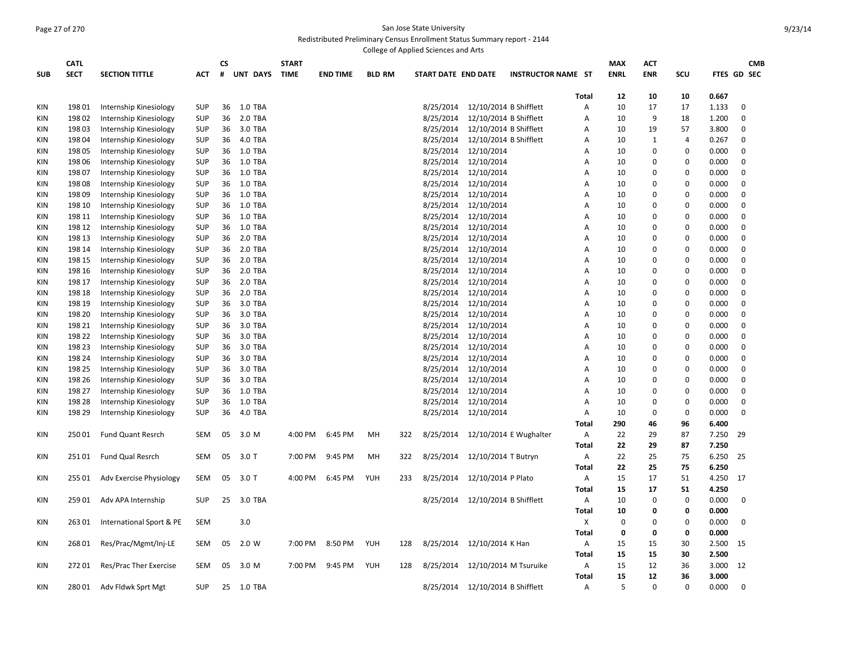## Page 27 of 270 San Jose State University Redistributed Preliminary Census Enrollment Status Summary report - 2144

|            |             |                          |            |           |                |              |                 |               | College of Applied Sciences and Arts |                                  |                           |              |             |             |                |       |             |            |
|------------|-------------|--------------------------|------------|-----------|----------------|--------------|-----------------|---------------|--------------------------------------|----------------------------------|---------------------------|--------------|-------------|-------------|----------------|-------|-------------|------------|
|            | <b>CATL</b> |                          |            | <b>CS</b> |                | <b>START</b> |                 |               |                                      |                                  |                           |              | <b>MAX</b>  | ACT         |                |       |             | <b>CMB</b> |
| <b>SUB</b> | <b>SECT</b> | <b>SECTION TITTLE</b>    | <b>ACT</b> | #         | UNT DAYS       | <b>TIME</b>  | <b>END TIME</b> | <b>BLD RM</b> | START DATE END DATE                  |                                  | <b>INSTRUCTOR NAME ST</b> |              | <b>ENRL</b> | <b>ENR</b>  | SCU            |       | FTES GD SEC |            |
|            |             |                          |            |           |                |              |                 |               |                                      |                                  |                           |              |             |             |                |       |             |            |
|            |             |                          |            |           |                |              |                 |               |                                      |                                  |                           | <b>Total</b> | 12          | 10          | 10             | 0.667 |             |            |
| <b>KIN</b> | 19801       | Internship Kinesiology   | <b>SUP</b> | 36        | 1.0 TBA        |              |                 |               | 8/25/2014                            | 12/10/2014 B Shifflett           |                           | A            | 10          | 17          | 17             | 1.133 | $\mathbf 0$ |            |
| KIN        | 19802       | Internship Kinesiology   | <b>SUP</b> | 36        | 2.0 TBA        |              |                 |               | 8/25/2014                            | 12/10/2014 B Shifflett           |                           | A            | 10          | 9           | 18             | 1.200 | $\mathbf 0$ |            |
| <b>KIN</b> | 19803       | Internship Kinesiology   | <b>SUP</b> | 36        | 3.0 TBA        |              |                 |               | 8/25/2014                            | 12/10/2014 B Shifflett           |                           | A            | 10          | 19          | 57             | 3.800 | $\mathbf 0$ |            |
| <b>KIN</b> | 198 04      | Internship Kinesiology   | <b>SUP</b> | 36        | 4.0 TBA        |              |                 |               | 8/25/2014                            | 12/10/2014 B Shifflett           |                           | Α            | 10          | 1           | $\overline{4}$ | 0.267 | $\mathbf 0$ |            |
| <b>KIN</b> | 198 05      | Internship Kinesiology   | <b>SUP</b> | 36        | 1.0 TBA        |              |                 |               | 8/25/2014                            | 12/10/2014                       |                           | Α            | 10          | $\Omega$    | 0              | 0.000 | $\mathbf 0$ |            |
| <b>KIN</b> | 198 06      | Internship Kinesiology   | <b>SUP</b> | 36        | 1.0 TBA        |              |                 |               | 8/25/2014                            | 12/10/2014                       |                           | Α            | 10          | 0           | 0              | 0.000 | $\mathbf 0$ |            |
| <b>KIN</b> | 19807       | Internship Kinesiology   | <b>SUP</b> | 36        | 1.0 TBA        |              |                 |               | 8/25/2014                            | 12/10/2014                       |                           | Α            | 10          | 0           | 0              | 0.000 | 0           |            |
| <b>KIN</b> | 19808       | Internship Kinesiology   | <b>SUP</b> | 36        | <b>1.0 TBA</b> |              |                 |               | 8/25/2014                            | 12/10/2014                       |                           | Α            | 10          | 0           | 0              | 0.000 | $\mathbf 0$ |            |
| <b>KIN</b> | 19809       | Internship Kinesiology   | <b>SUP</b> | 36        | 1.0 TBA        |              |                 |               | 8/25/2014                            | 12/10/2014                       |                           | Α            | 10          | 0           | 0              | 0.000 | $\mathbf 0$ |            |
| <b>KIN</b> | 198 10      | Internship Kinesiology   | <b>SUP</b> | 36        | 1.0 TBA        |              |                 |               | 8/25/2014                            | 12/10/2014                       |                           | Α            | 10          | 0           | 0              | 0.000 | $\mathbf 0$ |            |
| <b>KIN</b> | 198 11      | Internship Kinesiology   | <b>SUP</b> | 36        | 1.0 TBA        |              |                 |               | 8/25/2014                            | 12/10/2014                       |                           | A            | 10          | 0           | 0              | 0.000 | $\mathbf 0$ |            |
| <b>KIN</b> | 198 12      | Internship Kinesiology   | <b>SUP</b> | 36        | 1.0 TBA        |              |                 |               | 8/25/2014                            | 12/10/2014                       |                           | A            | 10          | 0           | 0              | 0.000 | 0           |            |
| <b>KIN</b> | 198 13      | Internship Kinesiology   | <b>SUP</b> | 36        | 2.0 TBA        |              |                 |               | 8/25/2014                            | 12/10/2014                       |                           | A            | 10          | 0           | 0              | 0.000 | $\mathbf 0$ |            |
| <b>KIN</b> | 198 14      | Internship Kinesiology   | <b>SUP</b> | 36        | 2.0 TBA        |              |                 |               | 8/25/2014                            | 12/10/2014                       |                           | A            | 10          | $\Omega$    | $\Omega$       | 0.000 | $\mathbf 0$ |            |
| <b>KIN</b> | 198 15      | Internship Kinesiology   | <b>SUP</b> | 36        | 2.0 TBA        |              |                 |               | 8/25/2014                            | 12/10/2014                       |                           | A            | 10          | 0           | 0              | 0.000 | $\Omega$    |            |
| <b>KIN</b> | 198 16      | Internship Kinesiology   | <b>SUP</b> | 36        | 2.0 TBA        |              |                 |               | 8/25/2014                            | 12/10/2014                       |                           | A            | 10          | 0           | 0              | 0.000 | $\mathbf 0$ |            |
| <b>KIN</b> | 198 17      | Internship Kinesiology   | <b>SUP</b> | 36        | 2.0 TBA        |              |                 |               | 8/25/2014                            | 12/10/2014                       |                           | A            | 10          | 0           | 0              | 0.000 | 0           |            |
| KIN        | 198 18      | Internship Kinesiology   | <b>SUP</b> | 36        | 2.0 TBA        |              |                 |               | 8/25/2014                            | 12/10/2014                       |                           | Α            | 10          | 0           | 0              | 0.000 | $\mathbf 0$ |            |
| <b>KIN</b> | 198 19      | Internship Kinesiology   | <b>SUP</b> | 36        | 3.0 TBA        |              |                 |               | 8/25/2014                            | 12/10/2014                       |                           | A            | 10          | $\Omega$    | 0              | 0.000 | $\mathbf 0$ |            |
| <b>KIN</b> | 198 20      | Internship Kinesiology   | <b>SUP</b> | 36        | 3.0 TBA        |              |                 |               | 8/25/2014                            | 12/10/2014                       |                           | A            | 10          | 0           | 0              | 0.000 | $\mathbf 0$ |            |
| <b>KIN</b> | 198 21      | Internship Kinesiology   | <b>SUP</b> | 36        | 3.0 TBA        |              |                 |               | 8/25/2014                            | 12/10/2014                       |                           | A            | 10          | 0           | 0              | 0.000 | $\mathbf 0$ |            |
| <b>KIN</b> | 198 22      | Internship Kinesiology   | <b>SUP</b> | 36        | 3.0 TBA        |              |                 |               | 8/25/2014                            | 12/10/2014                       |                           | A            | 10          | 0           | 0              | 0.000 | $\mathbf 0$ |            |
| <b>KIN</b> | 198 23      | Internship Kinesiology   | <b>SUP</b> | 36        | 3.0 TBA        |              |                 |               | 8/25/2014                            | 12/10/2014                       |                           | A            | 10          | 0           | 0              | 0.000 | $\mathbf 0$ |            |
| <b>KIN</b> | 198 24      | Internship Kinesiology   | <b>SUP</b> | 36        | 3.0 TBA        |              |                 |               | 8/25/2014                            | 12/10/2014                       |                           | A            | 10          | 0           | 0              | 0.000 | $\mathbf 0$ |            |
| <b>KIN</b> | 198 25      | Internship Kinesiology   | <b>SUP</b> | 36        | 3.0 TBA        |              |                 |               | 8/25/2014                            | 12/10/2014                       |                           | Α            | 10          | 0           | 0              | 0.000 | 0           |            |
| <b>KIN</b> | 198 26      | Internship Kinesiology   | <b>SUP</b> | 36        | 3.0 TBA        |              |                 |               | 8/25/2014                            | 12/10/2014                       |                           | Α            | 10          | 0           | 0              | 0.000 | $\mathbf 0$ |            |
| <b>KIN</b> | 198 27      | Internship Kinesiology   | <b>SUP</b> | 36        | 1.0 TBA        |              |                 |               | 8/25/2014                            | 12/10/2014                       |                           | A            | 10          | 0           | 0              | 0.000 | 0           |            |
| KIN        | 198 28      | Internship Kinesiology   | <b>SUP</b> | 36        | 1.0 TBA        |              |                 |               | 8/25/2014                            | 12/10/2014                       |                           | Α            | 10          | 0           | 0              | 0.000 | $\mathbf 0$ |            |
| <b>KIN</b> | 198 29      | Internship Kinesiology   | <b>SUP</b> | 36        | 4.0 TBA        |              |                 |               | 8/25/2014                            | 12/10/2014                       |                           | Α            | 10          | $\mathbf 0$ | $\mathbf 0$    | 0.000 | $\mathbf 0$ |            |
|            |             |                          |            |           |                |              |                 |               |                                      |                                  |                           | <b>Total</b> | 290         | 46          | 96             | 6.400 |             |            |
| <b>KIN</b> | 25001       | <b>Fund Quant Resrch</b> | <b>SEM</b> | 05        | 3.0 M          | 4:00 PM      | 6:45 PM         | MH            | 322<br>8/25/2014                     |                                  | 12/10/2014 E Wughalter    | Α            | 22          | 29          | 87             | 7.250 | 29          |            |
|            |             |                          |            |           |                |              |                 |               |                                      |                                  |                           | <b>Total</b> | 22          | 29          | 87             | 7.250 |             |            |
| KIN        | 25101       | Fund Qual Resrch         | <b>SEM</b> | 05        | $3.0$ T        | 7:00 PM      | 9:45 PM         | MH            | 322<br>8/25/2014                     | 12/10/2014 T Butryn              |                           | Α            | 22          | 25          | 75             | 6.250 | 25          |            |
|            |             |                          |            |           |                |              |                 |               |                                      |                                  |                           | <b>Total</b> | 22          | 25          | 75             | 6.250 |             |            |
| KIN        | 255 01      | Adv Exercise Physiology  | <b>SEM</b> | 05        | 3.0 T          | 4:00 PM      | 6:45 PM         | <b>YUH</b>    | 8/25/2014<br>233                     | 12/10/2014 P Plato               |                           | Α            | 15          | 17          | 51             | 4.250 | 17          |            |
|            |             |                          |            |           |                |              |                 |               |                                      |                                  |                           | Total        | 15          | 17          | 51             | 4.250 |             |            |
| KIN        | 259 01      | Adv APA Internship       | <b>SUP</b> | 25        | 3.0 TBA        |              |                 |               | 8/25/2014                            | 12/10/2014 B Shifflett           |                           | Α            | 10          | $\mathbf 0$ | $\pmb{0}$      | 0.000 | $\mathbf 0$ |            |
|            |             |                          |            |           |                |              |                 |               |                                      |                                  |                           | Total        | 10          | 0           | 0              | 0.000 |             |            |
| <b>KIN</b> | 26301       | International Sport & PE | <b>SEM</b> |           | 3.0            |              |                 |               |                                      |                                  |                           | X            | 0           | $\mathbf 0$ | $\mathbf 0$    | 0.000 | $\mathbf 0$ |            |
|            |             |                          |            |           |                |              |                 |               |                                      |                                  |                           | <b>Total</b> | 0           | 0           | 0              | 0.000 |             |            |
|            |             |                          |            |           | 2.0 W          |              |                 | YUH           |                                      |                                  |                           |              |             |             |                |       |             |            |
| <b>KIN</b> | 26801       | Res/Prac/Mgmt/Inj-LE     | <b>SEM</b> | 05        |                | 7:00 PM      | 8:50 PM         |               | 8/25/2014<br>128                     | 12/10/2014 K Han                 |                           | А            | 15          | 15          | 30             | 2.500 | 15          |            |
|            |             |                          |            |           |                |              |                 |               |                                      |                                  |                           | Total        | 15          | 15          | 30             | 2.500 |             |            |
| <b>KIN</b> | 27201       | Res/Prac Ther Exercise   | <b>SEM</b> | 05        | 3.0 M          | 7:00 PM      | 9:45 PM         | YUH           | 128<br>8/25/2014                     | 12/10/2014 M Tsuruike            |                           | Α            | 15          | 12          | 36             | 3.000 | 12          |            |
|            |             |                          |            |           |                |              |                 |               |                                      |                                  |                           | Total        | 15          | 12          | 36             | 3.000 |             |            |
| KIN        | 28001       | Adv Fldwk Sprt Mgt       | <b>SUP</b> | 25        | 1.0 TBA        |              |                 |               |                                      | 8/25/2014 12/10/2014 B Shifflett |                           | А            | 5           | U           | $\Omega$       | 0.000 | $\mathbf 0$ |            |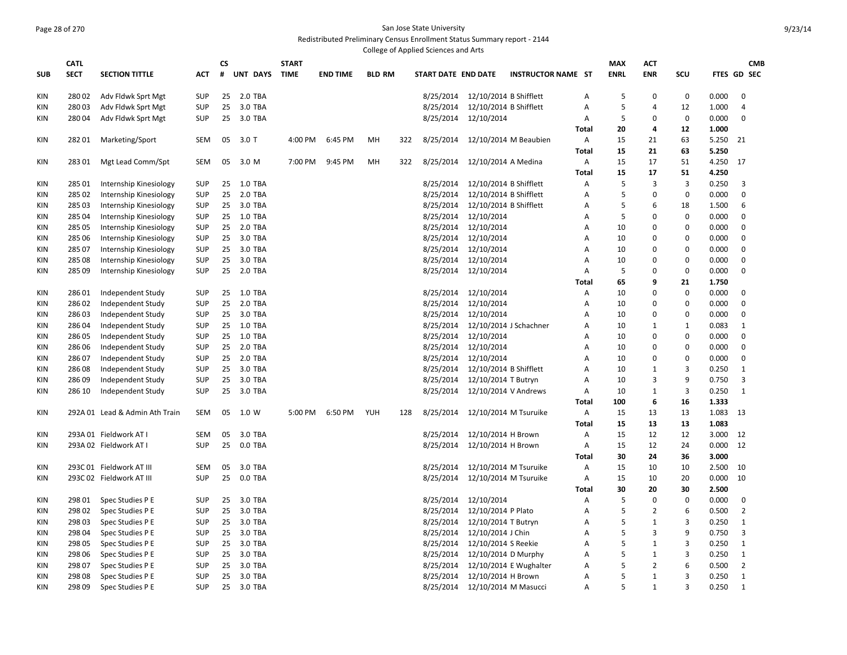## Page 28 of 270 San Jose State University Redistributed Preliminary Census Enrollment Status Summary report - 2144

|            |             |                                |            |    |                 |              |                 |               |     | College of Applied Sciences and Arts |                        |                           |              |             |                |                |             |                |            |
|------------|-------------|--------------------------------|------------|----|-----------------|--------------|-----------------|---------------|-----|--------------------------------------|------------------------|---------------------------|--------------|-------------|----------------|----------------|-------------|----------------|------------|
|            | <b>CATL</b> |                                |            | CS |                 | <b>START</b> |                 |               |     |                                      |                        |                           |              | MAX         | ACT            |                |             |                | <b>CMB</b> |
| <b>SUB</b> | <b>SECT</b> | <b>SECTION TITTLE</b>          | <b>ACT</b> | #  | <b>UNT DAYS</b> | <b>TIME</b>  | <b>END TIME</b> | <b>BLD RM</b> |     | START DATE END DATE                  |                        | <b>INSTRUCTOR NAME ST</b> |              | <b>ENRL</b> | <b>ENR</b>     | SCU            | FTES GD SEC |                |            |
| KIN        | 28002       | Adv Fldwk Sprt Mgt             | <b>SUP</b> | 25 | 2.0 TBA         |              |                 |               |     | 8/25/2014                            | 12/10/2014 B Shifflett |                           | А            | 5           | $\mathbf 0$    | 0              | 0.000       | $\mathbf 0$    |            |
| KIN        | 28003       | Adv Fldwk Sprt Mgt             | SUP        | 25 | 3.0 TBA         |              |                 |               |     | 8/25/2014                            | 12/10/2014 B Shifflett |                           | Α            | 5           | $\overline{4}$ | 12             | 1.000       | $\overline{4}$ |            |
| KIN        | 28004       | Adv Fldwk Sprt Mgt             | <b>SUP</b> | 25 | 3.0 TBA         |              |                 |               |     | 8/25/2014                            | 12/10/2014             |                           | A            | 5           | $\mathbf 0$    | 0              | 0.000       | 0              |            |
|            |             |                                |            |    |                 |              |                 |               |     |                                      |                        |                           | <b>Total</b> | 20          | 4              | 12             | 1.000       |                |            |
| KIN        | 28201       | Marketing/Sport                | SEM        | 05 | $3.0$ T         | 4:00 PM      | 6:45 PM         | MH            | 322 | 8/25/2014                            |                        | 12/10/2014 M Beaubien     | Α            | 15          | 21             | 63             | 5.250       | 21             |            |
|            |             |                                |            |    |                 |              |                 |               |     |                                      |                        |                           | <b>Total</b> | 15          | 21             | 63             | 5.250       |                |            |
| KIN        | 28301       | Mgt Lead Comm/Spt              | SEM        | 05 | 3.0 M           | 7:00 PM      | 9:45 PM         | MH            | 322 | 8/25/2014                            | 12/10/2014 A Medina    |                           | Α            | 15          | 17             | 51             | 4.250       | - 17           |            |
|            |             |                                |            |    |                 |              |                 |               |     |                                      |                        |                           | Total        | 15          | 17             | 51             | 4.250       |                |            |
| KIN        | 28501       | Internship Kinesiology         | <b>SUP</b> | 25 | 1.0 TBA         |              |                 |               |     | 8/25/2014                            | 12/10/2014 B Shifflett |                           | Α            | 5           | 3              | 3              | 0.250       | 3              |            |
| KIN        | 285 02      | Internship Kinesiology         | <b>SUP</b> | 25 | 2.0 TBA         |              |                 |               |     | 8/25/2014                            | 12/10/2014 B Shifflett |                           | Α            | 5           | 0              | 0              | 0.000       | $\mathbf 0$    |            |
| ΚIΝ        | 28503       | Internship Kinesiology         | <b>SUP</b> | 25 | 3.0 TBA         |              |                 |               |     | 8/25/2014                            | 12/10/2014 B Shifflett |                           | А            | 5           | 6              | 18             | 1.500       | 6              |            |
| KIN        | 285 04      | Internship Kinesiology         | <b>SUP</b> | 25 | 1.0 TBA         |              |                 |               |     | 8/25/2014                            | 12/10/2014             |                           | A            | 5           | $\Omega$       | 0              | 0.000       | $\mathbf 0$    |            |
| KIN        | 285 05      | Internship Kinesiology         | SUP        | 25 | 2.0 TBA         |              |                 |               |     | 8/25/2014                            | 12/10/2014             |                           | A            | 10          | $\Omega$       | $\mathbf 0$    | 0.000       | $\mathbf 0$    |            |
| KIN        | 285 06      | Internship Kinesiology         | <b>SUP</b> | 25 | 3.0 TBA         |              |                 |               |     | 8/25/2014                            | 12/10/2014             |                           | Α            | 10          | $\Omega$       | 0              | 0.000       | 0              |            |
| KIN        | 285 07      | Internship Kinesiology         | <b>SUP</b> | 25 | 3.0 TBA         |              |                 |               |     | 8/25/2014                            | 12/10/2014             |                           | A            | 10          | $\Omega$       | 0              | 0.000       | $\mathbf 0$    |            |
| KIN        | 28508       | Internship Kinesiology         | <b>SUP</b> | 25 | 3.0 TBA         |              |                 |               |     | 8/25/2014                            | 12/10/2014             |                           | A            | 10          | $\Omega$       | 0              | 0.000       | $\mathbf 0$    |            |
| KIN        | 285 09      | Internship Kinesiology         | <b>SUP</b> | 25 | 2.0 TBA         |              |                 |               |     | 8/25/2014                            | 12/10/2014             |                           | A            | 5           | $\mathbf 0$    | 0              | 0.000       | $\mathbf 0$    |            |
|            |             |                                |            |    |                 |              |                 |               |     |                                      |                        |                           | <b>Total</b> | 65          | q              | 21             | 1.750       |                |            |
| KIN        | 28601       | Independent Study              | <b>SUP</b> | 25 | 1.0 TBA         |              |                 |               |     | 8/25/2014                            | 12/10/2014             |                           | А            | 10          | $\mathbf 0$    | $\mathbf 0$    | 0.000       | 0              |            |
| KIN        | 28602       | Independent Study              | SUP        | 25 | 2.0 TBA         |              |                 |               |     | 8/25/2014                            | 12/10/2014             |                           | A            | 10          | $\Omega$       | 0              | 0.000       | $\mathbf 0$    |            |
| KIN        | 28603       | Independent Study              | SUP        | 25 | 3.0 TBA         |              |                 |               |     | 8/25/2014                            | 12/10/2014             |                           | Α            | 10          | $\mathbf 0$    | $\Omega$       | 0.000       | $\mathbf 0$    |            |
| KIN        | 28604       | Independent Study              | <b>SUP</b> | 25 | 1.0 TBA         |              |                 |               |     | 8/25/2014                            | 12/10/2014 J Schachner |                           | А            | 10          | 1              | 1              | 0.083       | 1              |            |
| KIN        | 28605       | Independent Study              | <b>SUP</b> | 25 | 1.0 TBA         |              |                 |               |     | 8/25/2014                            | 12/10/2014             |                           | A            | 10          | 0              | 0              | 0.000       | $\mathbf 0$    |            |
| KIN        | 286 06      | Independent Study              | <b>SUP</b> | 25 | 2.0 TBA         |              |                 |               |     | 8/25/2014                            | 12/10/2014             |                           | A            | 10          | $\Omega$       | 0              | 0.000       | $\mathbf 0$    |            |
| KIN        | 28607       | Independent Study              | <b>SUP</b> | 25 | 2.0 TBA         |              |                 |               |     | 8/25/2014                            | 12/10/2014             |                           | Α            | 10          | 0              | $\Omega$       | 0.000       | 0              |            |
| KIN        | 28608       | Independent Study              | <b>SUP</b> | 25 | 3.0 TBA         |              |                 |               |     | 8/25/2014                            | 12/10/2014 B Shifflett |                           | А            | 10          | $\mathbf{1}$   | 3              | 0.250       | 1              |            |
| ΚIΝ        | 28609       | Independent Study              | <b>SUP</b> | 25 | 3.0 TBA         |              |                 |               |     | 8/25/2014                            | 12/10/2014 T Butryn    |                           | А            | 10          | $\overline{3}$ | 9              | 0.750       | 3              |            |
| KIN        | 286 10      | Independent Study              | SUP        | 25 | 3.0 TBA         |              |                 |               |     | 8/25/2014                            | 12/10/2014 V Andrews   |                           | A            | 10          | 1              | $\overline{3}$ | 0.250       | $\mathbf{1}$   |            |
|            |             |                                |            |    |                 |              |                 |               |     |                                      |                        |                           | Total        | 100         | 6              | 16             | 1.333       |                |            |
| KIN        |             | 292A 01 Lead & Admin Ath Train | SEM        | 05 | 1.0 W           | 5:00 PM      | 6:50 PM         | YUH           | 128 | 8/25/2014                            | 12/10/2014 M Tsuruike  |                           | Α            | 15          | 13             | 13             | 1.083       | 13             |            |
|            |             |                                |            |    |                 |              |                 |               |     |                                      |                        |                           | <b>Total</b> | 15          | 13             | 13             | 1.083       |                |            |
| KIN        |             | 293A 01 Fieldwork AT I         | <b>SEM</b> | 05 | 3.0 TBA         |              |                 |               |     | 8/25/2014                            | 12/10/2014 H Brown     |                           | Α            | 15          | 12             | 12             | 3.000       | 12             |            |
| KIN        |             | 293A 02 Fieldwork AT I         | <b>SUP</b> | 25 | 0.0 TBA         |              |                 |               |     | 8/25/2014                            | 12/10/2014 H Brown     |                           | Α            | 15          | 12             | 24             | 0.000       | 12             |            |
|            |             |                                |            |    |                 |              |                 |               |     |                                      |                        |                           | Total        | 30          | 24             | 36             | 3.000       |                |            |
| KIN        |             | 293C 01 Fieldwork AT III       | <b>SEM</b> | 05 | 3.0 TBA         |              |                 |               |     | 8/25/2014                            | 12/10/2014 M Tsuruike  |                           | Α            | 15          | 10             | 10             | 2.500       | 10             |            |
| KIN        |             | 293C 02 Fieldwork AT III       | <b>SUP</b> | 25 | $0.0$ TBA       |              |                 |               |     | 8/25/2014                            | 12/10/2014 M Tsuruike  |                           | Α            | 15          | 10             | 20             | 0.000       | 10             |            |
|            |             |                                |            |    |                 |              |                 |               |     |                                      |                        |                           | Total        | 30          | 20             | 30             | 2.500       |                |            |
| KIN        | 298 01      | Spec Studies P E               | <b>SUP</b> | 25 | 3.0 TBA         |              |                 |               |     | 8/25/2014                            | 12/10/2014             |                           | А            | 5           | $\mathbf 0$    | 0              | 0.000       | $\mathbf 0$    |            |
| KIN        | 298 02      | Spec Studies P E               | <b>SUP</b> | 25 | 3.0 TBA         |              |                 |               |     | 8/25/2014                            | 12/10/2014 P Plato     |                           | A            | 5           | $\overline{2}$ | 6              | 0.500       | $\overline{2}$ |            |
| KIN        | 298 03      | Spec Studies P E               | <b>SUP</b> | 25 | 3.0 TBA         |              |                 |               |     | 8/25/2014                            | 12/10/2014 T Butryn    |                           | Α            | 5           | $\mathbf{1}$   | 3              | 0.250       | 1              |            |
| KIN        | 298 04      | Spec Studies P E               | <b>SUP</b> | 25 | 3.0 TBA         |              |                 |               |     | 8/25/2014                            | 12/10/2014 J Chin      |                           | А            | 5           | 3              | 9              | 0.750       | 3              |            |
| <b>KIN</b> | 298 05      | Spec Studies P E               | <b>SUP</b> | 25 | 3.0 TBA         |              |                 |               |     | 8/25/2014                            | 12/10/2014 S Reekie    |                           | А            | 5           | 1              | 3              | 0.250       | 1              |            |
| ΚIΝ        | 298 06      | Spec Studies P E               | <b>SUP</b> | 25 | 3.0 TBA         |              |                 |               |     | 8/25/2014                            | 12/10/2014 D Murphy    |                           | Α            | 5           | $\mathbf{1}$   | 3              | 0.250       | $\mathbf{1}$   |            |
| KIN        | 29807       | Spec Studies P E               | <b>SUP</b> | 25 | 3.0 TBA         |              |                 |               |     | 8/25/2014                            |                        | 12/10/2014 E Wughalter    | А            | 5           | $\overline{2}$ | 6              | 0.500       | $\overline{2}$ |            |
| KIN        | 298 08      | Spec Studies P E               | <b>SUP</b> | 25 | 3.0 TBA         |              |                 |               |     | 8/25/2014                            | 12/10/2014 H Brown     |                           | А            | 5           | $\mathbf{1}$   | 3              | 0.250       | $\mathbf{1}$   |            |
| KIN        | 298 09      | Spec Studies P E               | <b>SUP</b> | 25 | 3.0 TBA         |              |                 |               |     | 8/25/2014                            | 12/10/2014 M Masucci   |                           | A            | 5           | $\mathbf{1}$   | 3              | 0.250       | $\mathbf{1}$   |            |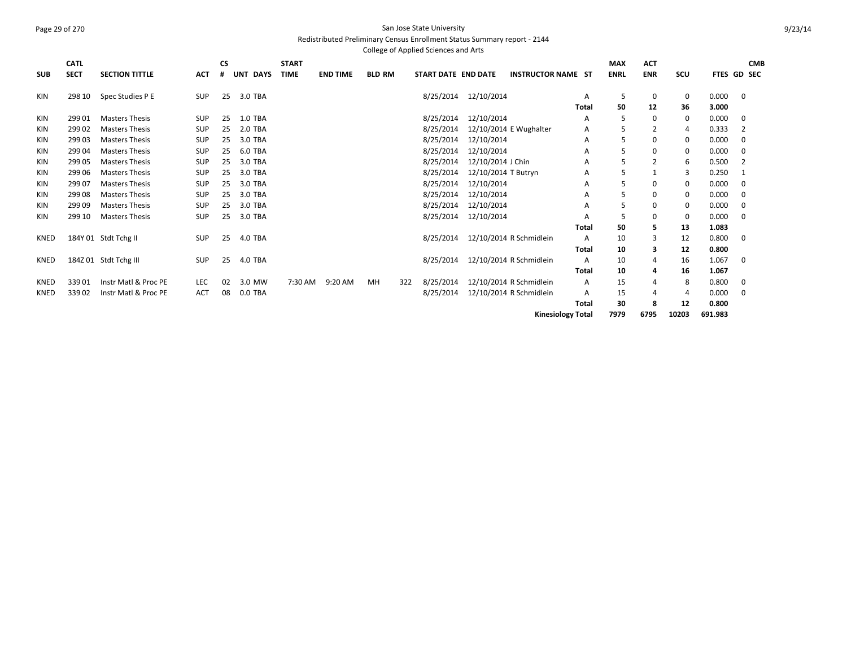#### Page 29 of 270 San Jose State University Redistributed Preliminary Census Enrollment Status Summary report - 2144 College of Applied Sciences and Arts

|             | <b>CATL</b> |                       |            | СS |                           | <b>START</b> |                 |               |     |                     |                     |                           |              | <b>MAX</b>  | <b>ACT</b> |             |             |             | <b>CMB</b> |
|-------------|-------------|-----------------------|------------|----|---------------------------|--------------|-----------------|---------------|-----|---------------------|---------------------|---------------------------|--------------|-------------|------------|-------------|-------------|-------------|------------|
| <b>SUB</b>  | <b>SECT</b> | <b>SECTION TITTLE</b> | <b>ACT</b> | #  | <b>DAYS</b><br><b>UNT</b> | <b>TIME</b>  | <b>END TIME</b> | <b>BLD RM</b> |     | START DATE END DATE |                     | <b>INSTRUCTOR NAME ST</b> |              | <b>ENRL</b> | <b>ENR</b> | SCU         | FTES GD SEC |             |            |
|             |             |                       |            |    |                           |              |                 |               |     |                     |                     |                           |              |             |            |             |             |             |            |
| KIN         | 298 10      | Spec Studies P E      | <b>SUP</b> | 25 | 3.0 TBA                   |              |                 |               |     | 8/25/2014           | 12/10/2014          |                           | Α            | 5           | 0          | $\mathbf 0$ | 0.000       | $\mathbf 0$ |            |
|             |             |                       |            |    |                           |              |                 |               |     |                     |                     |                           | <b>Total</b> | 50          | 12         | 36          | 3.000       |             |            |
| KIN         | 299 01      | <b>Masters Thesis</b> | <b>SUP</b> | 25 | <b>1.0 TBA</b>            |              |                 |               |     | 8/25/2014           | 12/10/2014          |                           | Α            | 5           | 0          | 0           | 0.000       | 0           |            |
| <b>KIN</b>  | 299 02      | <b>Masters Thesis</b> | <b>SUP</b> | 25 | 2.0 TBA                   |              |                 |               |     | 8/25/2014           |                     | 12/10/2014 E Wughalter    | Α            | 5           |            | 4           | 0.333       | 2           |            |
| <b>KIN</b>  | 29903       | <b>Masters Thesis</b> | <b>SUP</b> | 25 | 3.0 TBA                   |              |                 |               |     | 8/25/2014           | 12/10/2014          |                           | А            | 5           | $\Omega$   | 0           | 0.000       | 0           |            |
| <b>KIN</b>  | 299 04      | <b>Masters Thesis</b> | <b>SUP</b> | 25 | 6.0 TBA                   |              |                 |               |     | 8/25/2014           | 12/10/2014          |                           | Α            | 5           | $\Omega$   | 0           | 0.000       | 0           |            |
| <b>KIN</b>  | 299 05      | <b>Masters Thesis</b> | <b>SUP</b> | 25 | 3.0 TBA                   |              |                 |               |     | 8/25/2014           | 12/10/2014 J Chin   |                           | Α            | 5           |            | 6           | 0.500       | 2           |            |
| <b>KIN</b>  | 299 06      | <b>Masters Thesis</b> | <b>SUP</b> | 25 | 3.0 TBA                   |              |                 |               |     | 8/25/2014           | 12/10/2014 T Butryn |                           | А            | 5           |            | 3           | 0.250       | 1           |            |
| KIN         | 299 07      | <b>Masters Thesis</b> | <b>SUP</b> | 25 | 3.0 TBA                   |              |                 |               |     | 8/25/2014           | 12/10/2014          |                           | А            | 5           | 0          | 0           | 0.000       | 0           |            |
| <b>KIN</b>  | 299 08      | <b>Masters Thesis</b> | <b>SUP</b> | 25 | 3.0 TBA                   |              |                 |               |     | 8/25/2014           | 12/10/2014          |                           | А            | 5           | 0          | 0           | 0.000       | 0           |            |
| <b>KIN</b>  | 29909       | <b>Masters Thesis</b> | <b>SUP</b> | 25 | 3.0 TBA                   |              |                 |               |     | 8/25/2014           | 12/10/2014          |                           | Α            | 5           | 0          | 0           | 0.000       | 0           |            |
| <b>KIN</b>  | 299 10      | <b>Masters Thesis</b> | <b>SUP</b> | 25 | 3.0 TBA                   |              |                 |               |     | 8/25/2014           | 12/10/2014          |                           | Α            | 5           | 0          | 0           | 0.000       | 0           |            |
|             |             |                       |            |    |                           |              |                 |               |     |                     |                     |                           | <b>Total</b> | 50          | 5          | 13          | 1.083       |             |            |
| KNED        |             | 184Y 01 Stdt Tchg II  | <b>SUP</b> | 25 | 4.0 TBA                   |              |                 |               |     | 8/25/2014           |                     | 12/10/2014 R Schmidlein   | A            | 10          | 3          | 12          | 0.800       | 0           |            |
|             |             |                       |            |    |                           |              |                 |               |     |                     |                     |                           | <b>Total</b> | 10          | 3          | 12          | 0.800       |             |            |
| KNED        |             | 184Z 01 Stdt Tchg III | <b>SUP</b> | 25 | 4.0 TBA                   |              |                 |               |     | 8/25/2014           |                     | 12/10/2014 R Schmidlein   | A            | 10          | 4          | 16          | 1.067       | 0           |            |
|             |             |                       |            |    |                           |              |                 |               |     |                     |                     |                           | <b>Total</b> | 10          | 4          | 16          | 1.067       |             |            |
| <b>KNED</b> | 33901       | Instr Matl & Proc PE  | LEC        | 02 | 3.0 MW                    | 7:30 AM      | 9:20 AM         | MН            | 322 | 8/25/2014           |                     | 12/10/2014 R Schmidlein   | Α            | 15          | 4          | 8           | 0.800       | 0           |            |
| <b>KNED</b> | 33902       | Instr Matl & Proc PE  | <b>ACT</b> | 08 | 0.0 TBA                   |              |                 |               |     | 8/25/2014           |                     | 12/10/2014 R Schmidlein   | Α            | 15          |            | 4           | 0.000       | 0           |            |
|             |             |                       |            |    |                           |              |                 |               |     |                     |                     |                           | <b>Total</b> | 30          |            | 12          | 0.800       |             |            |
|             |             |                       |            |    |                           |              |                 |               |     |                     |                     | <b>Kinesiology Total</b>  |              | 7979        | 6795       | 10203       | 691.983     |             |            |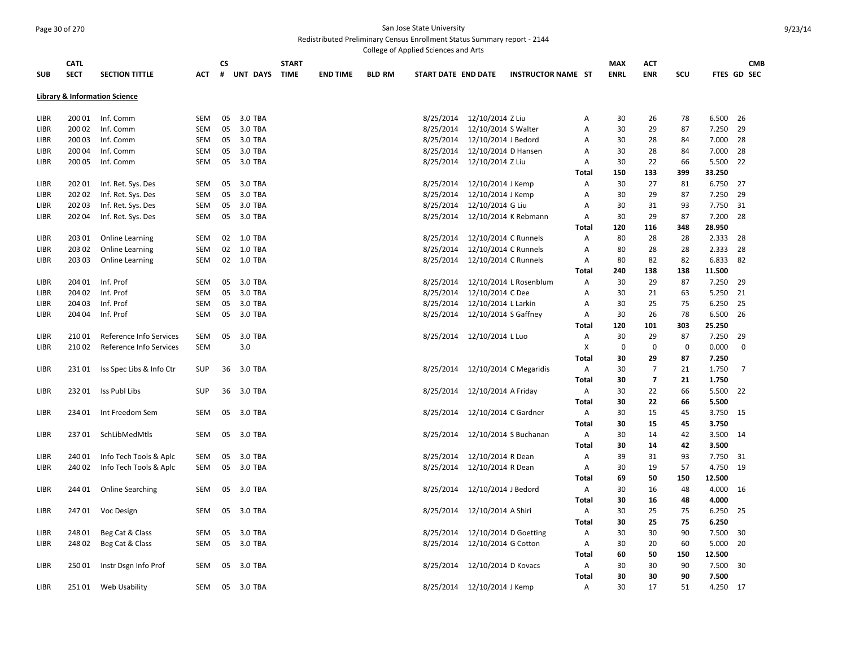**CATL** 

**SUB**

#### Page 30 of 270 San Jose State University Redistributed Preliminary Census Enrollment Status Summary report - 2144

College of Applied Sciences and Arts **SECT SECTION TITTLE ACT CS # UNT DAYS START TIME END TIME BLD RM START DATE END DATE INSTRUCTOR NAME ST MAX ENRL ACT Library & Information Science** LIBR 200 01 Inf. Comm SEM 05 3.0 TBA 8/25/2014 12/10/2014 Z Liu A LIBR 200 02 Inf. Comm SEM 05 3.0 TBA 8/25/2014 12/10/2014 S Walter A LIBR 200 03 Inf. Comm SEM 05 3.0 TBA 8/25/2014 12/10/2014 J Bedord A LIBR 200 04 Inf. Comm SEM 05 3.0 TBA 8/25/2014 12/10/2014 D Hansen A LIBR 200 05 Inf. Comm SEM 05 3.0 TBA 8/25/2014 12/10/2014 Z Liu A 30 225/2014 2 Liu **Total 150 133 399 33.250** LIBR 202 01 Inf. Ret. Sys. Des SEM 05 3.0 TBA 8/25/2014 12/10/2014 J Kemp A 30 27 81 6.750 2014 12 LIBR 202 02 Inf. Ret. Sys. Des SEM 05 3.0 TBA 8/25/2014 12/10/2014 J Kemp A 30 29 LIBR 202 03 Inf. Ret. Sys. Des SEM 05 3.0 TBA 8/25/2014 12/10/2014 G Liu A 30 31 93/25/2014 A LIBR 202 04 Inf. Ret. Sys. Des SEM 05 3.0 TBA 8/25/2014 12/10/2014 K Rebmann A **Total 120 116 348 28.950** LIBR 203 01 Online Learning SEM 02 1.0 TBA 80 20 1 20 10 10 8/25/2014 12/10/2014 C Runnels A 80 28 28 2.333 28 LIBR 20302 Online Learning SEM 02 1.0 TBA 80 200 1 2010 8/25/2014 12/10/2014 C Runnels A 80 28 28 2.333 28 LIBR 20303 Online Learning SEM 02 1.0 TBA 80 8/25/2014 12/10/2014 C Runnels A 80 82 82 6.833 82 LIBR 204 01 Inf. Prof SEM 05 3.0 TBA 8/25/2014 12/10/2014 L Rosenblum A 30 29 87 7.250 29 LIBR 204 02 Inf. Prof SEM 05 3.0 TBA 8/25/2014 12/10/2014 C Dee A 30 21 63 5.250 21 LIBR 204 03 Inf. Prof SEM 05 3.0 TBA 8/25/2014 12/10/2014 L Larkin A 30 25 75 6.250 25 LIBR 20404 Inf. Prof SEM 05 3.0 TBA 8/25/2014 12/10/2014 S Gaffney A 30 26 78 6.500 26 LIBR 210 01 Reference Info Services SEM 05 3.0 TBA 8 8/25/2014 12/10/2014 LLuo A 30 29 87 7.250 29 LIBR 210 02 Reference Info Services SEM 3.0 X 0 0 0 0.000 0 LIBR 231 01 Iss Spec Libs & Info Ctr SUP 36 3.0 TBA 8/25/2014 12/10/2014 C Megaridis A 30 7 21 1.750 7

| <b>MAX</b>  | ACT        |     |        | <b>CMB</b>         |
|-------------|------------|-----|--------|--------------------|
| <b>ENRL</b> | <b>ENR</b> | SCU |        | <b>FTES GD SEC</b> |
|             |            |     |        |                    |
|             |            |     |        |                    |
| 30          | 26         | 78  | 6.500  | 26                 |
| 30          | 29         | 87  | 7.250  | 29                 |
| 30          | 28         | 84  | 7.000  | 28                 |
| 30          | 28         | 84  | 7.000  | 28                 |
|             |            |     | 5.500  | 22                 |
| 30          | 22         | 66  |        |                    |
| 150         | 133        | 399 | 33.250 |                    |
| 30          | 27         | 81  | 6.750  | 27                 |
| 30          | 29         | 87  | 7.250  | 29                 |
| 30          | 31         | 93  | 7.750  | 31                 |
| 30          | 29         | 87  | 7.200  | 28                 |
|             |            |     |        |                    |

|             |        |                          |            |    |         |           |                        | <b>Total</b> | 240 | 138         | 138         | 11.500   |             |
|-------------|--------|--------------------------|------------|----|---------|-----------|------------------------|--------------|-----|-------------|-------------|----------|-------------|
| LIBR        | 204 01 | Inf. Prof                | <b>SEM</b> | 05 | 3.0 TBA | 8/25/2014 | 12/10/2014 L Rosenblum | A            | 30  | 29          | 87          | 7.250 29 |             |
| LIBR        | 204 02 | Inf. Prof                | <b>SEM</b> | 05 | 3.0 TBA | 8/25/2014 | 12/10/2014 C Dee       | Α            | 30  | 21          | 63          | 5.250 21 |             |
| LIBR        | 204 03 | Inf. Prof                | <b>SEM</b> | 05 | 3.0 TBA | 8/25/2014 | 12/10/2014 L Larkin    | A            | 30  | 25          | 75          | 6.250 25 |             |
| <b>LIBR</b> | 204 04 | Inf. Prof                | <b>SEM</b> | 05 | 3.0 TBA | 8/25/2014 | 12/10/2014 S Gaffney   | A            | 30  | 26          | 78          | 6.500 26 |             |
|             |        |                          |            |    |         |           |                        | <b>Total</b> | 120 | 101         | 303         | 25.250   |             |
| LIBR        | 21001  | Reference Info Services  | <b>SEM</b> | 05 | 3.0 TBA | 8/25/2014 | 12/10/2014 L Luo       | A            | 30  | 29          | 87          | 7.250    | 29          |
| LIBR        | 21002  | Reference Info Services  | <b>SEM</b> |    | 3.0     |           |                        | X            | 0   | $\mathbf 0$ | $\mathbf 0$ | 0.000    | $\mathbf 0$ |
|             |        |                          |            |    |         |           |                        | <b>Total</b> | 30  | 29          | 87          | 7.250    |             |
| <b>LIBR</b> | 23101  | Iss Spec Libs & Info Ctr | <b>SUP</b> | 36 | 3.0 TBA | 8/25/2014 | 12/10/2014 C Megaridis | A            | 30  | 7           | 21          | 1.750    | 7           |
|             |        |                          |            |    |         |           |                        | <b>Total</b> | 30  | 7           | 21          | 1.750    |             |
| <b>LIBR</b> | 23201  | Iss Publ Libs            | <b>SUP</b> | 36 | 3.0 TBA | 8/25/2014 | 12/10/2014 A Friday    | A            | 30  | 22          | 66          | 5.500 22 |             |
|             |        |                          |            |    |         |           |                        | Total        | 30  | 22          | 66          | 5.500    |             |
| LIBR        | 234 01 | Int Freedom Sem          | SEM        | 05 | 3.0 TBA | 8/25/2014 | 12/10/2014 C Gardner   | Α            | 30  | 15          | 45          | 3.750 15 |             |
|             |        |                          |            |    |         |           |                        | Total        | 30  | 15          | 45          | 3.750    |             |
| LIBR        | 23701  | SchLibMedMtls            | <b>SEM</b> | 05 | 3.0 TBA | 8/25/2014 | 12/10/2014 S Buchanan  | A            | 30  | 14          | 42          | 3.500 14 |             |
|             |        |                          |            |    |         |           |                        | <b>Total</b> | 30  | 14          | 42          | 3.500    |             |
| <b>LIBR</b> | 240 01 | Info Tech Tools & Aplc   | <b>SEM</b> | 05 | 3.0 TBA | 8/25/2014 | 12/10/2014 R Dean      | A            | 39  | 31          | 93          | 7.750 31 |             |
| LIBR        | 240 02 | Info Tech Tools & Aplc   | SEM        | 05 | 3.0 TBA | 8/25/2014 | 12/10/2014 R Dean      | A            | 30  | 19          | 57          | 4.750 19 |             |
|             |        |                          |            |    |         |           |                        | <b>Total</b> | 69  | 50          | 150         | 12.500   |             |
| LIBR        | 244 01 | <b>Online Searching</b>  | <b>SEM</b> | 05 | 3.0 TBA | 8/25/2014 | 12/10/2014 J Bedord    | А            | 30  | 16          | 48          | 4.000 16 |             |
|             |        |                          |            |    |         |           |                        | Total        | 30  | 16          | 48          | 4.000    |             |
| <b>LIBR</b> | 24701  | Voc Design               | SEM        | 05 | 3.0 TBA | 8/25/2014 | 12/10/2014 A Shiri     | Α            | 30  | 25          | 75          | 6.250 25 |             |
|             |        |                          |            |    |         |           |                        | Total        | 30  | 25          | 75          | 6.250    |             |
| <b>LIBR</b> | 24801  | Beg Cat & Class          | <b>SEM</b> | 05 | 3.0 TBA | 8/25/2014 | 12/10/2014 D Goetting  | A            | 30  | 30          | 90          | 7.500 30 |             |
| <b>LIBR</b> | 24802  | Beg Cat & Class          | <b>SEM</b> | 05 | 3.0 TBA | 8/25/2014 | 12/10/2014 G Cotton    | A            | 30  | 20          | 60          | 5.000 20 |             |
|             |        |                          |            |    |         |           |                        | <b>Total</b> | 60  | 50          | 150         | 12.500   |             |
| <b>LIBR</b> | 25001  | Instr Dsgn Info Prof     | <b>SEM</b> | 05 | 3.0 TBA | 8/25/2014 | 12/10/2014 D Kovacs    | A            | 30  | 30          | 90          | 7.500 30 |             |
|             |        |                          |            |    |         |           |                        | - - -        |     |             |             |          |             |

| <b>LIBR</b> | 203 03 | <b>Online Learning</b>   | <b>SEM</b> | 02 | 1.0 TBA | 8/25/2014 | 12/10/2014 C Runnels   | А            | 80  | 82  | 82  | 6.833    | -82  |
|-------------|--------|--------------------------|------------|----|---------|-----------|------------------------|--------------|-----|-----|-----|----------|------|
|             |        |                          |            |    |         |           |                        | Total        | 240 | 138 | 138 | 11.500   |      |
| <b>LIBR</b> | 204 01 | Inf. Prof                | <b>SEM</b> | 05 | 3.0 TBA | 8/25/2014 | 12/10/2014 L Rosenblum | A            | 30  | 29  | 87  | 7.250    | 29   |
| LIBR        | 204 02 | Inf. Prof                | <b>SEM</b> | 05 | 3.0 TBA | 8/25/2014 | 12/10/2014 C Dee       | Α            | 30  | 21  | 63  | 5.250 21 |      |
| LIBR        | 204 03 | Inf. Prof                | <b>SEM</b> | 05 | 3.0 TBA | 8/25/2014 | 12/10/2014 L Larkin    | A            | 30  | 25  | 75  | 6.250    | 25   |
| LIBR        | 204 04 | Inf. Prof                | SEM        | 05 | 3.0 TBA | 8/25/2014 | 12/10/2014 S Gaffney   | Α            | 30  | 26  | 78  | 6.500    | - 26 |
|             |        |                          |            |    |         |           |                        | <b>Total</b> | 120 | 101 | 303 | 25.250   |      |
| LIBR        | 21001  | Reference Info Services  | <b>SEM</b> | 05 | 3.0 TBA | 8/25/2014 | 12/10/2014 L Luo       | A            | 30  | 29  | 87  | 7.250    | 29   |
| <b>LIBR</b> | 21002  | Reference Info Services  | <b>SEM</b> |    | 3.0     |           |                        | X            | 0   | 0   | 0   | 0.000    | 0    |
|             |        |                          |            |    |         |           |                        | <b>Total</b> | 30  | 29  | 87  | 7.250    |      |
| <b>LIBR</b> | 23101  | Iss Spec Libs & Info Ctr | <b>SUP</b> | 36 | 3.0 TBA | 8/25/2014 | 12/10/2014 C Megaridis | Α            | 30  | 7   | 21  | 1.750    | 7    |
|             |        |                          |            |    |         |           |                        | <b>Total</b> | 30  | 7   | 21  | 1.750    |      |
| <b>LIBR</b> | 23201  | Iss Publ Libs            | <b>SUP</b> | 36 | 3.0 TBA | 8/25/2014 | 12/10/2014 A Friday    | Α            | 30  | 22  | 66  | 5.500    | 22   |
|             |        |                          |            |    |         |           |                        | <b>Total</b> | 30  | 22  | 66  | 5.500    |      |
| LIBR        | 234 01 | Int Freedom Sem          | SEM        | 05 | 3.0 TBA | 8/25/2014 | 12/10/2014 C Gardner   | Α            | 30  | 15  | 45  | 3.750    | 15   |
|             |        |                          |            |    |         |           |                        | <b>Total</b> | 30  | 15  | 45  | 3.750    |      |
| <b>LIBR</b> | 23701  | SchLibMedMtls            | <b>SEM</b> | 05 | 3.0 TBA | 8/25/2014 | 12/10/2014 S Buchanan  | A            | 30  | 14  | 42  | 3.500 14 |      |
|             |        |                          |            |    |         |           |                        | <b>Total</b> | 30  | 14  | 42  | 3.500    |      |
| <b>LIBR</b> | 240 01 | Info Tech Tools & Aplc   | <b>SEM</b> | 05 | 3.0 TBA | 8/25/2014 | 12/10/2014 R Dean      | А            | 39  | 31  | 93  | 7.750 31 |      |
| LIBR        | 240 02 | Info Tech Tools & Aplc   | <b>SEM</b> | 05 | 3.0 TBA | 8/25/2014 | 12/10/2014 R Dean      | A            | 30  | 19  | 57  | 4.750 19 |      |
|             |        |                          |            |    |         |           |                        | <b>Total</b> | 69  | 50  | 150 | 12.500   |      |
| LIBR        | 244 01 | <b>Online Searching</b>  | SEM        | 05 | 3.0 TBA | 8/25/2014 | 12/10/2014 J Bedord    | А            | 30  | 16  | 48  | 4.000    | 16   |
|             |        |                          |            |    |         |           |                        | <b>Total</b> | 30  | 16  | 48  | 4.000    |      |
| LIBR        | 24701  | Voc Design               | SEM        | 05 | 3.0 TBA | 8/25/2014 | 12/10/2014 A Shiri     | Α            | 30  | 25  | 75  | 6.250    | 25   |
|             |        |                          |            |    |         |           |                        | <b>Total</b> | 30  | 25  | 75  | 6.250    |      |
| LIBR        | 24801  | Beg Cat & Class          | SEM        | 05 | 3.0 TBA | 8/25/2014 | 12/10/2014 D Goetting  | Α            | 30  | 30  | 90  | 7.500    | 30   |
| <b>LIBR</b> | 24802  | Beg Cat & Class          | SEM        | 05 | 3.0 TBA | 8/25/2014 | 12/10/2014 G Cotton    | А            | 30  | 20  | 60  | 5.000    | 20   |
|             |        |                          |            |    |         |           |                        | <b>Total</b> | 60  | 50  | 150 | 12.500   |      |
| <b>LIBR</b> | 25001  | Instr Dsgn Info Prof     | SEM        | 05 | 3.0 TBA | 8/25/2014 | 12/10/2014 D Kovacs    | A            | 30  | 30  | 90  | 7.500    | 30   |
|             |        |                          |            |    |         |           |                        | <b>Total</b> | 30  | 30  | 90  | 7.500    |      |
| <b>LIBR</b> | 25101  | Web Usability            | <b>SEM</b> | 05 | 3.0 TBA | 8/25/2014 | 12/10/2014 J Kemp      | A            | 30  | 17  | 51  | 4.250 17 |      |
|             |        |                          |            |    |         |           |                        |              |     |     |     |          |      |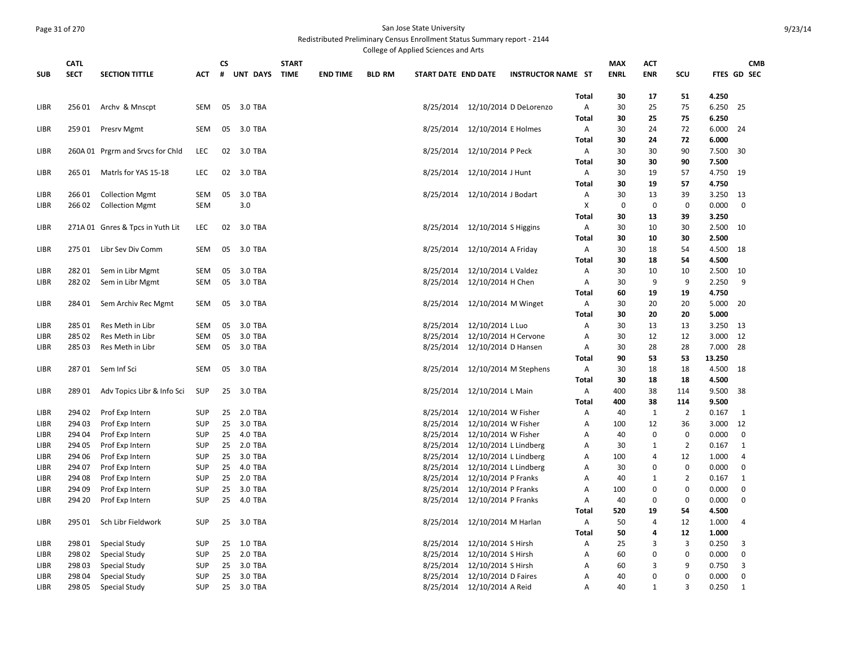## Page 31 of 270 San Jose State University Redistributed Preliminary Census Enrollment Status Summary report - 2144

College of Applied Sciences and Arts

|             | <b>CATL</b> |                                  |            | <b>CS</b> |            | <b>START</b> |                 |               |                     |                                            |                           |              | <b>MAX</b>  | ACT            |                  |        | <b>CMB</b>     |
|-------------|-------------|----------------------------------|------------|-----------|------------|--------------|-----------------|---------------|---------------------|--------------------------------------------|---------------------------|--------------|-------------|----------------|------------------|--------|----------------|
| <b>SUB</b>  | <b>SECT</b> | <b>SECTION TITTLE</b>            | <b>ACT</b> | #         | UNT DAYS   | <b>TIME</b>  | <b>END TIME</b> | <b>BLD RM</b> | START DATE END DATE |                                            | <b>INSTRUCTOR NAME ST</b> |              | <b>ENRL</b> | <b>ENR</b>     | SCU              |        | FTES GD SEC    |
|             |             |                                  |            |           |            |              |                 |               |                     |                                            |                           |              |             |                |                  |        |                |
|             |             |                                  |            |           |            |              |                 |               |                     |                                            |                           | <b>Total</b> | 30          | 17             | 51               | 4.250  |                |
| LIBR        | 25601       | Archy & Mnscpt                   | SEM        | 05        | 3.0 TBA    |              |                 |               | 8/25/2014           |                                            | 12/10/2014 D DeLorenzo    | A            | 30          | 25             | 75               | 6.250  | 25             |
|             |             |                                  |            |           |            |              |                 |               |                     |                                            |                           | <b>Total</b> | 30          | 25             | 75               | 6.250  |                |
| LIBR        | 25901       | Presrv Mgmt                      | SEM        | 05        | 3.0 TBA    |              |                 |               |                     | 8/25/2014 12/10/2014 E Holmes              |                           | Α            | 30          | 24             | 72               | 6.000  | 24             |
|             |             |                                  |            |           |            |              |                 |               |                     |                                            |                           | Total        | 30          | 24             | 72               | 6.000  |                |
| <b>LIBR</b> |             | 260A 01 Prgrm and Srvcs for Chld | <b>LEC</b> | 02        | 3.0 TBA    |              |                 |               |                     | 8/25/2014 12/10/2014 P Peck                |                           | Α            | 30          | 30             | 90               | 7.500  | 30             |
|             |             |                                  |            |           |            |              |                 |               |                     |                                            |                           | <b>Total</b> | 30          | 30             | 90               | 7.500  |                |
| LIBR        | 265 01      | Matrls for YAS 15-18             | LEC        | 02        | 3.0 TBA    |              |                 |               |                     | 8/25/2014 12/10/2014 J Hunt                |                           | Α            | 30          | 19             | 57               | 4.750  | 19             |
|             |             |                                  |            |           |            |              |                 |               |                     |                                            |                           | Total        | 30          | 19             | 57               | 4.750  |                |
| LIBR        | 26601       | <b>Collection Mgmt</b>           | <b>SEM</b> | 05        | 3.0 TBA    |              |                 |               |                     | 8/25/2014 12/10/2014 J Bodart              |                           | Α            | 30          | 13             | 39               | 3.250  | 13             |
| <b>LIBR</b> | 266 02      | <b>Collection Mgmt</b>           | <b>SEM</b> |           | 3.0        |              |                 |               |                     |                                            |                           | X            | 0           | $\mathbf 0$    | $\mathbf 0$      | 0.000  | $\mathbf 0$    |
|             |             |                                  |            |           |            |              |                 |               |                     |                                            |                           | <b>Total</b> | 30          | 13             | 39               | 3.250  |                |
| LIBR        |             | 271A 01 Gnres & Tpcs in Yuth Lit | LEC        | 02        | 3.0 TBA    |              |                 |               |                     | 8/25/2014 12/10/2014 S Higgins             |                           | Α            | 30          | 10             | 30               | 2.500  | 10             |
|             |             |                                  |            |           |            |              |                 |               |                     |                                            |                           | Total        | 30          | 10             | 30               | 2.500  |                |
| LIBR        | 275 01      | Libr Sev Div Comm                | SEM        | 05        | 3.0 TBA    |              |                 |               |                     | 8/25/2014 12/10/2014 A Friday              |                           | Α            | 30          | 18             | 54               | 4.500  | 18             |
|             |             |                                  |            |           |            |              |                 |               |                     |                                            |                           | Total        | 30          | 18             | 54               | 4.500  |                |
| LIBR        | 28201       | Sem in Libr Mgmt                 | <b>SEM</b> | 05        | 3.0 TBA    |              |                 |               |                     | 8/25/2014 12/10/2014 L Valdez              |                           | Α            | 30          | 10             | 10               | 2.500  | 10             |
| LIBR        | 28202       | Sem in Libr Mgmt                 | SEM        | 05        | 3.0 TBA    |              |                 |               |                     | 8/25/2014 12/10/2014 H Chen                |                           | Α            | 30          | 9              | 9                | 2.250  | 9              |
|             |             |                                  |            |           |            |              |                 |               |                     |                                            |                           | <b>Total</b> | 60          | 19             | 19               | 4.750  |                |
| LIBR        | 28401       | Sem Archiv Rec Mgmt              | <b>SEM</b> | 05        | 3.0 TBA    |              |                 |               |                     | 8/25/2014 12/10/2014 M Winget              |                           | Α            | 30          | 20             | 20               | 5.000  | 20             |
|             |             |                                  |            |           |            |              |                 |               |                     |                                            |                           | <b>Total</b> | 30          | 20             | 20               | 5.000  |                |
| LIBR        | 285 01      | Res Meth in Libr                 | <b>SEM</b> | 05        | 3.0 TBA    |              |                 |               |                     | 8/25/2014 12/10/2014 L Luo                 |                           | Α            | 30          | 13             | 13               | 3.250  | 13             |
| LIBR        | 28502       | Res Meth in Libr                 | SEM        | 05        | 3.0 TBA    |              |                 |               | 8/25/2014           | 12/10/2014 H Cervone                       |                           | A            | 30          | 12             | 12               | 3.000  | 12             |
| LIBR        | 285 03      | Res Meth in Libr                 | SEM        | 05        | 3.0 TBA    |              |                 |               |                     | 8/25/2014 12/10/2014 D Hansen              |                           | Α            | 30          | 28             | 28               | 7.000  | 28             |
|             |             |                                  |            |           |            |              |                 |               |                     |                                            |                           | Total        | 90          | 53             | 53               | 13.250 |                |
| <b>LIBR</b> | 28701       | Sem Inf Sci                      | <b>SEM</b> |           | 05 3.0 TBA |              |                 |               |                     | 8/25/2014 12/10/2014 M Stephens            |                           | Α            | 30          | 18             | 18               | 4.500  | 18             |
|             |             |                                  |            |           |            |              |                 |               |                     |                                            |                           | Total        | 30          | 18             | 18               | 4.500  |                |
| LIBR        | 28901       | Adv Topics Libr & Info Sci       | <b>SUP</b> |           | 25 3.0 TBA |              |                 |               |                     | 8/25/2014 12/10/2014 L Main                |                           | Α            | 400         | 38             | 114              | 9.500  | 38             |
|             |             |                                  |            |           |            |              |                 |               |                     |                                            |                           | <b>Total</b> | 400         | 38             | 114              | 9.500  |                |
| LIBR        | 294 02      | Prof Exp Intern                  | <b>SUP</b> |           | 25 2.0 TBA |              |                 |               |                     | 8/25/2014 12/10/2014 W Fisher              |                           | Α            | 40          | $\mathbf{1}$   | $\overline{2}$   | 0.167  | 1              |
| LIBR        | 294 03      | Prof Exp Intern                  | <b>SUP</b> | 25        | 3.0 TBA    |              |                 |               | 8/25/2014           | 12/10/2014 W Fisher                        |                           | Α            | 100         | 12             | 36               | 3.000  | 12             |
| LIBR        | 294 04      | Prof Exp Intern                  | <b>SUP</b> | 25        | 4.0 TBA    |              |                 |               |                     | 8/25/2014 12/10/2014 W Fisher              |                           | Α            | 40          | 0              | 0                | 0.000  | $\mathbf 0$    |
| LIBR        | 294 05      | Prof Exp Intern                  | SUP        | 25        | 2.0 TBA    |              |                 |               | 8/25/2014           | 12/10/2014 L Lindberg                      |                           | Α            | 30          | $\mathbf{1}$   | $\overline{2}$   | 0.167  | 1              |
| <b>LIBR</b> | 294 06      | Prof Exp Intern                  | <b>SUP</b> | 25        | 3.0 TBA    |              |                 |               | 8/25/2014           | 12/10/2014 L Lindberg                      |                           | A            | 100         | $\overline{4}$ | 12               | 1.000  | $\overline{4}$ |
| LIBR        | 294 07      | Prof Exp Intern                  | <b>SUP</b> | 25        | 4.0 TBA    |              |                 |               | 8/25/2014           | 12/10/2014 L Lindberg                      |                           | Α            | 30          | $\mathbf 0$    | $\boldsymbol{0}$ | 0.000  | $\pmb{0}$      |
| <b>LIBR</b> | 294 08      | Prof Exp Intern                  | <b>SUP</b> | 25        | 2.0 TBA    |              |                 |               | 8/25/2014           |                                            |                           | A            | 40          | $\mathbf{1}$   | $\overline{2}$   | 0.167  | 1              |
| LIBR        | 294 09      | Prof Exp Intern                  | <b>SUP</b> | 25        | 3.0 TBA    |              |                 |               | 8/25/2014           | 12/10/2014 P Franks<br>12/10/2014 P Franks |                           | Α            | 100         | 0              | 0                | 0.000  | 0              |
|             |             |                                  |            |           |            |              |                 |               |                     |                                            |                           |              |             | $\mathbf 0$    | 0                |        |                |
| LIBR        | 294 20      | Prof Exp Intern                  | <b>SUP</b> | 25        | 4.0 TBA    |              |                 |               |                     | 8/25/2014 12/10/2014 P Franks              |                           | Α            | 40          |                |                  | 0.000  | 0              |
|             |             |                                  |            |           |            |              |                 |               |                     |                                            |                           | <b>Total</b> | 520         | 19             | 54               | 4.500  |                |
| LIBR        | 295 01      | Sch Libr Fieldwork               | <b>SUP</b> | 25        | 3.0 TBA    |              |                 |               |                     | 8/25/2014 12/10/2014 M Harlan              |                           | Α            | 50          | $\overline{4}$ | 12               | 1.000  | 4              |
|             |             |                                  |            |           |            |              |                 |               |                     |                                            |                           | <b>Total</b> | 50          | $\overline{4}$ | 12               | 1.000  |                |
| LIBR        | 298 01      | <b>Special Study</b>             | SUP        | 25        | 1.0 TBA    |              |                 |               | 8/25/2014           | 12/10/2014 S Hirsh                         |                           | Α            | 25          | $\overline{3}$ | 3                | 0.250  | 3              |
| <b>LIBR</b> | 298 02      | Special Study                    | SUP        | 25        | 2.0 TBA    |              |                 |               | 8/25/2014           | 12/10/2014 S Hirsh                         |                           | A            | 60          | $\Omega$       | 0                | 0.000  | $\pmb{0}$      |
| LIBR        | 298 03      | Special Study                    | <b>SUP</b> | 25        | 3.0 TBA    |              |                 |               | 8/25/2014           | 12/10/2014 S Hirsh                         |                           | A            | 60          | $\overline{3}$ | 9                | 0.750  | 3              |
| LIBR        | 298 04      | Special Study                    | <b>SUP</b> | 25        | 3.0 TBA    |              |                 |               | 8/25/2014           | 12/10/2014 D Faires                        |                           | A            | 40          | $\Omega$       | 0                | 0.000  | $\mathbf 0$    |
| <b>LIBR</b> | 298 05      | <b>Special Study</b>             | <b>SUP</b> | 25        | 3.0 TBA    |              |                 |               |                     | 8/25/2014 12/10/2014 A Reid                |                           | A            | 40          | $\mathbf{1}$   | 3                | 0.250  | 1              |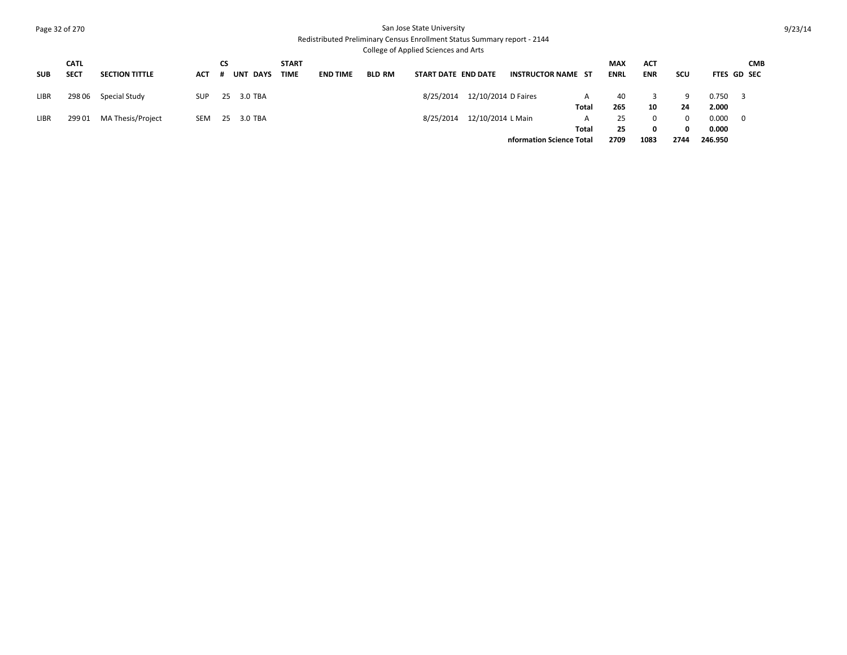## Page 32 of 270 San Jose State University Redistributed Preliminary Census Enrollment Status Summary report - 2144

College of Applied Sciences and Arts

|             | <b>CATL</b> |                       |      | CS |            | <b>START</b> |                 |               |                     |                     |                           |              | <b>MAX</b>  | <b>ACT</b> |            |         | <b>CMB</b>         |
|-------------|-------------|-----------------------|------|----|------------|--------------|-----------------|---------------|---------------------|---------------------|---------------------------|--------------|-------------|------------|------------|---------|--------------------|
| <b>SUB</b>  | <b>SECT</b> | <b>SECTION TITTLE</b> | ACT  | #  | UNT DAYS   | <b>TIME</b>  | <b>END TIME</b> | <b>BLD RM</b> | START DATE END DATE |                     | <b>INSTRUCTOR NAME ST</b> |              | <b>ENRL</b> | <b>ENR</b> | <b>SCU</b> |         | <b>FTES GD SEC</b> |
| <b>LIBR</b> | 298 06      | Special Study         | SUP. |    | 25 3.0 TBA |              |                 |               | 8/25/2014           | 12/10/2014 D Faires |                           | A            | 40          |            | 9          | 0.750   |                    |
|             |             |                       |      |    |            |              |                 |               |                     |                     |                           | Total        | 265         | 10         | 24         | 2.000   |                    |
| <b>LIBR</b> | 29901       | MA Thesis/Project     | SEM  |    | 25 3.0 TBA |              |                 |               | 8/25/2014           | 12/10/2014 L Main   |                           | $\mathsf{A}$ | 25          |            | 0          | 0.000   | - 0                |
|             |             |                       |      |    |            |              |                 |               |                     |                     |                           | Total        | 25          |            | 0          | 0.000   |                    |
|             |             |                       |      |    |            |              |                 |               |                     |                     | nformation Science Total  |              | 2709        | 1083       | 2744       | 246.950 |                    |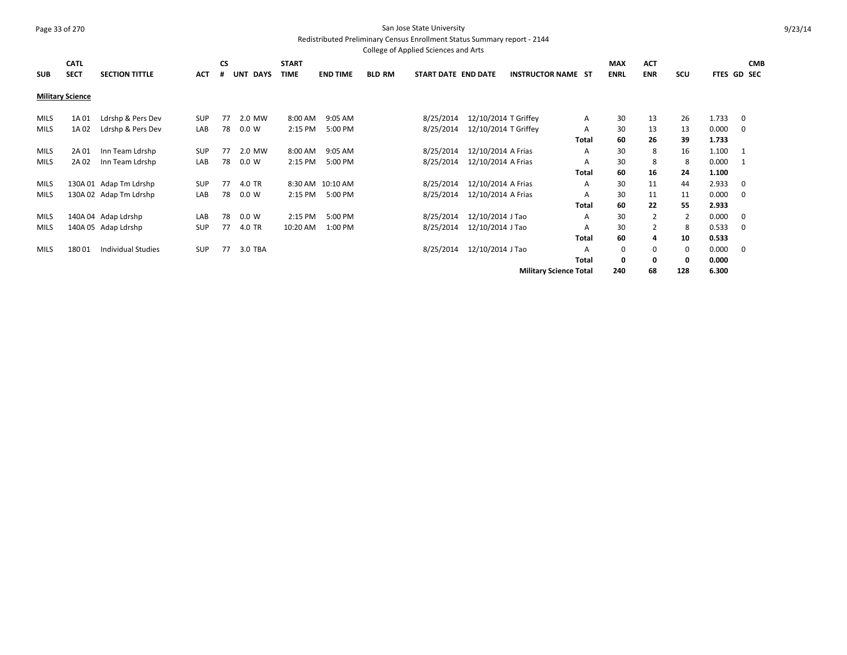#### Page 33 of 270 San Jose State University Redistributed Preliminary Census Enrollment Status Summary report - 2144

College of Applied Sciences and Arts **SUB CATL SECT SECTION TITTLE ACT CS # UNT DAYS START TIME END TIME BLD RM START DATE END DATE INSTRUCTOR NAME ST MAX ENRL ACT ENR SCU FTES GD SEC CMB Military Science** MILS 1A 01 Ldrshp & Pers Dev SUP 77 2.0 MW 8:00 AM 9:05 AM 8/25/2014 12/10/2014 T Griffey A 30 13 26 1.733 0 MILS 1A 02 Ldrshp & Pers Dev LAB 78 0.0 W 2:15 PM 5:00 PM 8/25/2014 12/10/2014 T Griffey A 30 13 13 0.000 0 **Total 60 26 39 1.733** MILS 2A 01 Inn Team Ldrshp SUP 77 2.0 MW 8:00 AM 9:05 AM 8/25/2014 12/10/2014 A Frias A 30 8 16 1.100 1 MILS 2A 02 Inn Team Ldrshp LAB 78 0.0 W 2:15 PM 5:00 PM 8/25/2014 12/10/2014 A Frias A 30 8 8 0.000 1 **Total 60 16 24 1.100** MILS 130A 01 Adap Tm Ldrshp SUP 77 4.0 TR 8:30 AM 10:10 AM 8/25/2014 12/10/2014 A Frias A 30 11 44 2.933 0 MILS 130A 02 Adap Tm Ldrshp LAB 78 0.0 W 2:15 PM 5:00 PM 8/25/2014 12/10/2014 A Frias A 30 11 11 0.000 0 **Total 60 22 55 2.933** MILS 140A 04 Adap Ldrshp LAB 78 0.0 W 2:15 PM 5:00 PM 8/25/2014 12/10/2014 J Tao A 30 2 2 0.000 0 MILS 140A 05 Adap Ldrshp SUP 77 4.0 TR 10:20 AM 1:00 PM 8/25/2014 12/10/2014 J Tao A 30 2 8 0.533 0 **Total 60 4 10 0.533** MILS 180 01 Individual Studies SUP 77 3.0 TBA 8/25/2014 12/10/2014 17ao A 0 0 0 0.000 0 **Total 0 0 0 0.000 Military Science Total 240 68 128 6.300**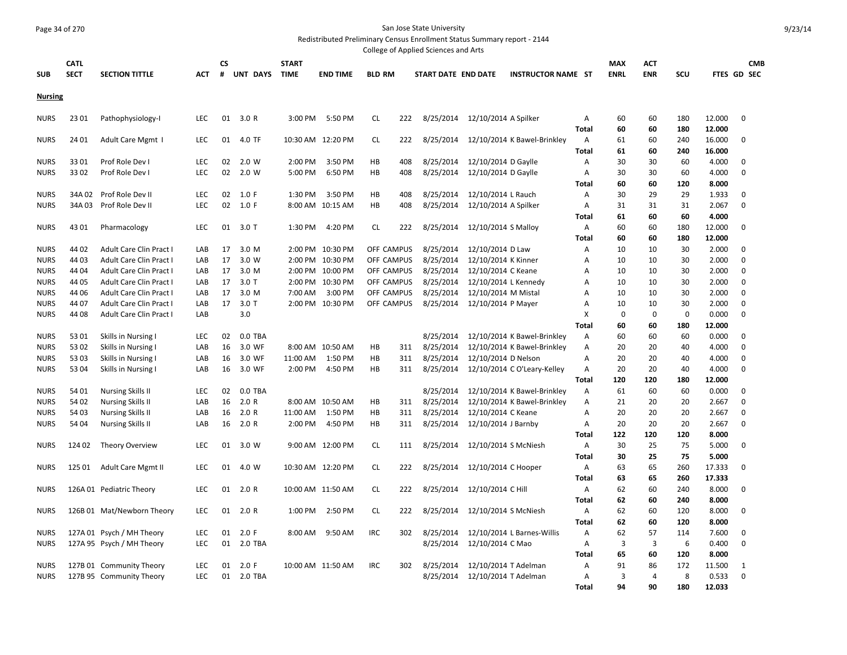# Page 34 of 270 San Jose State University

Redistributed Preliminary Census Enrollment Status Summary report - 2144

|                |             |                                |            |    |           |              |                   |                   |     | College of Applied Sciences and Arts |                      |                             |                |                |            |             |        |             |
|----------------|-------------|--------------------------------|------------|----|-----------|--------------|-------------------|-------------------|-----|--------------------------------------|----------------------|-----------------------------|----------------|----------------|------------|-------------|--------|-------------|
|                | <b>CATL</b> |                                |            | СS |           | <b>START</b> |                   |                   |     |                                      |                      |                             |                | <b>MAX</b>     | ACT        |             |        | <b>CMB</b>  |
| <b>SUB</b>     | <b>SECT</b> | <b>SECTION TITTLE</b>          | ACT        | #  | UNT DAYS  | <b>TIME</b>  | <b>END TIME</b>   | <b>BLD RM</b>     |     | START DATE END DATE                  |                      | <b>INSTRUCTOR NAME ST</b>   |                | <b>ENRL</b>    | <b>ENR</b> | SCU         |        | FTES GD SEC |
| <b>Nursing</b> |             |                                |            |    |           |              |                   |                   |     |                                      |                      |                             |                |                |            |             |        |             |
|                |             |                                |            |    |           |              |                   |                   |     |                                      |                      |                             |                |                |            |             |        |             |
| <b>NURS</b>    | 23 01       | Pathophysiology-I              | <b>LEC</b> | 01 | 3.0R      | 3:00 PM      | 5:50 PM           | CL                | 222 | 8/25/2014                            | 12/10/2014 A Spilker |                             | A              | 60             | 60         | 180         | 12.000 | 0           |
|                |             |                                |            |    |           |              |                   |                   |     |                                      |                      |                             | <b>Total</b>   | 60             | 60         | 180         | 12.000 |             |
| <b>NURS</b>    | 24 01       | Adult Care Mgmt 1              | <b>LEC</b> | 01 | 4.0 TF    |              | 10:30 AM 12:20 PM | CL.               | 222 | 8/25/2014                            |                      | 12/10/2014 K Bawel-Brinkley | A              | 61             | 60         | 240         | 16.000 | 0           |
|                |             |                                |            |    |           |              |                   |                   |     |                                      |                      |                             | <b>Total</b>   | 61             | 60         | 240         | 16.000 |             |
| <b>NURS</b>    | 3301        | Prof Role Dev I                | <b>LEC</b> | 02 | 2.0 W     | 2:00 PM      | 3:50 PM           | HB                | 408 | 8/25/2014                            | 12/10/2014 D Gaylle  |                             | Α              | 30             | 30         | 60          | 4.000  | $\mathbf 0$ |
| <b>NURS</b>    | 3302        | Prof Role Dev I                | LEC        | 02 | 2.0 W     | 5:00 PM      | 6:50 PM           | HB                | 408 | 8/25/2014                            | 12/10/2014 D Gaylle  |                             | Α              | 30             | 30         | 60          | 4.000  | $\mathbf 0$ |
|                |             |                                |            |    |           |              |                   |                   |     |                                      |                      |                             | Total          | 60             | 60         | 120         | 8.000  |             |
| <b>NURS</b>    | 34A 02      | Prof Role Dev II               | <b>LEC</b> | 02 | 1.0 F     | 1:30 PM      | 3:50 PM           | HB                | 408 | 8/25/2014                            | 12/10/2014 L Rauch   |                             | A              | 30             | 29         | 29          | 1.933  | $\mathbf 0$ |
| <b>NURS</b>    | 34A 03      | Prof Role Dev II               | LEC        | 02 | 1.0 F     |              | 8:00 AM 10:15 AM  | HB                | 408 | 8/25/2014                            | 12/10/2014 A Spilker |                             | Α              | 31             | 31         | 31          | 2.067  | $\mathbf 0$ |
|                |             |                                |            |    |           |              |                   |                   |     |                                      |                      |                             | <b>Total</b>   | 61             | 60         | 60          | 4.000  |             |
| <b>NURS</b>    | 4301        | Pharmacology                   | <b>LEC</b> | 01 | $3.0$ T   | 1:30 PM      | 4:20 PM           | CL.               | 222 | 8/25/2014                            | 12/10/2014 S Malloy  |                             | $\overline{A}$ | 60             | 60         | 180         | 12.000 | $\mathbf 0$ |
|                |             |                                |            |    |           |              |                   |                   |     |                                      |                      |                             | <b>Total</b>   | 60             | 60         | 180         | 12.000 |             |
| <b>NURS</b>    | 44 02       | Adult Care Clin Pract I        | LAB        | 17 | 3.0 M     |              | 2:00 PM 10:30 PM  | OFF CAMPUS        |     | 8/25/2014                            | 12/10/2014 D Law     |                             | Α              | 10             | 10         | 30          | 2.000  | $\mathbf 0$ |
| <b>NURS</b>    | 44 03       | Adult Care Clin Pract I        | LAB        | 17 | 3.0 W     |              | 2:00 PM 10:30 PM  | <b>OFF CAMPUS</b> |     | 8/25/2014                            | 12/10/2014 K Kinner  |                             | Α              | 10             | 10         | 30          | 2.000  | 0           |
| <b>NURS</b>    | 44 04       | Adult Care Clin Pract I        | LAB        | 17 | 3.0 M     |              | 2:00 PM 10:00 PM  | OFF CAMPUS        |     | 8/25/2014                            | 12/10/2014 C Keane   |                             | Α              | 10             | 10         | 30          | 2.000  | $\mathbf 0$ |
| <b>NURS</b>    | 44 05       | Adult Care Clin Pract I        | LAB        | 17 | $3.0$ T   |              | 2:00 PM 10:30 PM  | OFF CAMPUS        |     | 8/25/2014                            | 12/10/2014 L Kennedy |                             | Α              | 10             | 10         | 30          | 2.000  | $\mathbf 0$ |
| <b>NURS</b>    | 44 06       | Adult Care Clin Pract I        | LAB        | 17 | 3.0 M     | 7:00 AM      | 3:00 PM           | OFF CAMPUS        |     | 8/25/2014                            | 12/10/2014 M Mistal  |                             | Α              | 10             | 10         | 30          | 2.000  | $\mathbf 0$ |
| <b>NURS</b>    | 44 07       | <b>Adult Care Clin Pract I</b> | LAB        | 17 | $3.0$ T   |              | 2:00 PM 10:30 PM  | OFF CAMPUS        |     | 8/25/2014                            | 12/10/2014 P Mayer   |                             | Α              | 10             | 10         | 30          | 2.000  | $\mathbf 0$ |
| <b>NURS</b>    | 44 08       | Adult Care Clin Pract I        | LAB        |    | 3.0       |              |                   |                   |     |                                      |                      |                             | X              | $\mathbf 0$    | $\Omega$   | $\mathbf 0$ | 0.000  | $\mathbf 0$ |
|                |             |                                |            |    |           |              |                   |                   |     |                                      |                      |                             | <b>Total</b>   | 60             | 60         | 180         | 12.000 |             |
| <b>NURS</b>    | 53 01       | Skills in Nursing I            | <b>LEC</b> | 02 | $0.0$ TBA |              |                   |                   |     | 8/25/2014                            |                      | 12/10/2014 K Bawel-Brinkley | $\overline{A}$ | 60             | 60         | 60          | 0.000  | $\mathbf 0$ |
| <b>NURS</b>    | 53 02       | Skills in Nursing I            | LAB        | 16 | 3.0 WF    |              | 8:00 AM 10:50 AM  | HB                | 311 | 8/25/2014                            |                      | 12/10/2014 K Bawel-Brinkley | Α              | 20             | 20         | 40          | 4.000  | 0           |
| <b>NURS</b>    | 53 03       | Skills in Nursing I            | LAB        | 16 | 3.0 WF    | 11:00 AM     | 1:50 PM           | HB                | 311 | 8/25/2014                            | 12/10/2014 D Nelson  |                             | $\overline{A}$ | 20             | 20         | 40          | 4.000  | $\mathbf 0$ |
| <b>NURS</b>    | 5304        | Skills in Nursing I            | LAB        | 16 | 3.0 WF    | 2:00 PM      | 4:50 PM           | HB                | 311 | 8/25/2014                            |                      | 12/10/2014 C O'Leary-Kelley | $\overline{A}$ | 20             | 20         | 40          | 4.000  | $\mathbf 0$ |
|                |             |                                |            |    |           |              |                   |                   |     |                                      |                      |                             | <b>Total</b>   | 120            | 120        | 180         | 12.000 |             |
| <b>NURS</b>    | 54 01       | <b>Nursing Skills II</b>       | <b>LEC</b> | 02 | $0.0$ TBA |              |                   |                   |     | 8/25/2014                            |                      | 12/10/2014 K Bawel-Brinkley | $\overline{A}$ | 61             | 60         | 60          | 0.000  | $\mathbf 0$ |
| <b>NURS</b>    | 54 02       | <b>Nursing Skills II</b>       | LAB        | 16 | 2.0 R     |              | 8:00 AM 10:50 AM  | HB                | 311 | 8/25/2014                            |                      | 12/10/2014 K Bawel-Brinkley | $\overline{A}$ | 21             | 20         | 20          | 2.667  | $\mathbf 0$ |
| <b>NURS</b>    | 54 03       | <b>Nursing Skills II</b>       | LAB        | 16 | 2.0 R     | 11:00 AM     | 1:50 PM           | HB                | 311 | 8/25/2014                            | 12/10/2014 C Keane   |                             | Α              | 20             | 20         | 20          | 2.667  | 0           |
| <b>NURS</b>    | 54 04       | <b>Nursing Skills II</b>       | LAB        | 16 | 2.0 R     | 2:00 PM      | 4:50 PM           | HB                | 311 | 8/25/2014                            | 12/10/2014 J Barnby  |                             | Α              | 20             | 20         | 20          | 2.667  | $\mathbf 0$ |
|                |             |                                |            |    |           |              |                   |                   |     |                                      |                      |                             | Total          | 122            | 120        | 120         | 8.000  |             |
| <b>NURS</b>    | 124 02      | <b>Theory Overview</b>         | LEC        | 01 | 3.0 W     |              | 9:00 AM 12:00 PM  | CL.               | 111 | 8/25/2014                            | 12/10/2014 S McNiesh |                             | A              | 30             | 25         | 75          | 5.000  | $\mathbf 0$ |
|                |             |                                |            |    |           |              |                   |                   |     |                                      |                      |                             | Total          | 30             | 25         | 75          | 5.000  |             |
| <b>NURS</b>    | 125 01      | Adult Care Mgmt II             | LEC        | 01 | 4.0 W     |              | 10:30 AM 12:20 PM | CL                | 222 | 8/25/2014                            | 12/10/2014 C Hooper  |                             | Α              | 63             | 65         | 260         | 17.333 | 0           |
|                |             |                                |            |    |           |              |                   |                   |     |                                      |                      |                             | <b>Total</b>   | 63             | 65         | 260         | 17.333 |             |
| <b>NURS</b>    |             | 126A 01 Pediatric Theory       | <b>LEC</b> | 01 | 2.0 R     |              | 10:00 AM 11:50 AM | <b>CL</b>         | 222 | 8/25/2014                            | 12/10/2014 C Hill    |                             | A              | 62             | 60         | 240         | 8.000  | $\mathbf 0$ |
|                |             |                                |            |    |           |              |                   |                   |     |                                      |                      |                             | <b>Total</b>   | 62             | 60         | 240         | 8.000  |             |
| <b>NURS</b>    |             | 126B 01 Mat/Newborn Theory     | <b>LEC</b> | 01 | 2.0 R     | 1:00 PM      | 2:50 PM           | <b>CL</b>         | 222 | 8/25/2014                            | 12/10/2014 S McNiesh |                             | A              | 62             | 60         | 120         | 8.000  | $\mathbf 0$ |
|                |             |                                |            |    |           |              |                   |                   |     |                                      |                      |                             | <b>Total</b>   | 62             | 60         | 120         | 8.000  |             |
| <b>NURS</b>    |             | 127A 01 Psych / MH Theory      | <b>LEC</b> | 01 | 2.0 F     | 8:00 AM      | 9:50 AM           | <b>IRC</b>        | 302 | 8/25/2014                            |                      | 12/10/2014 L Barnes-Willis  | Α              | 62             | 57         | 114         | 7.600  | 0           |
| <b>NURS</b>    |             | 127A 95 Psych / MH Theory      | <b>LEC</b> | 01 | 2.0 TBA   |              |                   |                   |     | 8/25/2014                            | 12/10/2014 C Mao     |                             | Α              | $\overline{3}$ | 3          | 6           | 0.400  | $\mathbf 0$ |
|                |             |                                |            |    |           |              |                   |                   |     |                                      |                      |                             | <b>Total</b>   | 65             | 60         | 120         | 8.000  |             |
| <b>NURS</b>    |             | 127B 01 Community Theory       | LEC        | 01 | 2.0 F     |              | 10:00 AM 11:50 AM | <b>IRC</b>        | 302 | 8/25/2014                            | 12/10/2014 T Adelman |                             | Α              | 91             | 86         | 172         | 11.500 | 1           |
| <b>NURS</b>    |             | 127B 95 Community Theory       | LEC.       | 01 | 2.0 TBA   |              |                   |                   |     | 8/25/2014                            | 12/10/2014 T Adelman |                             | Α              | $\overline{3}$ | 4          | 8           | 0.533  | $\Omega$    |
|                |             |                                |            |    |           |              |                   |                   |     |                                      |                      |                             | <b>Total</b>   | 94             | 90         | 180         | 12.033 |             |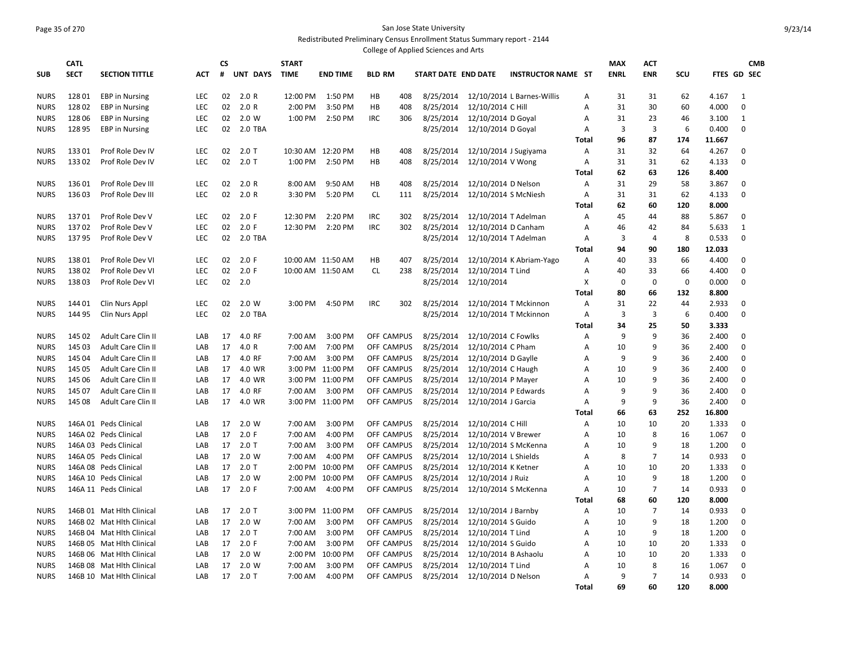#### Page 35 of 270 San Jose State University Redistributed Preliminary Census Enrollment Status Summary report - 2144 College of Applied Sciences and Arts

|             | <b>CATL</b> |                           |            | CS       |          | <b>START</b> |                   |                   |     |                     |                       |                            |              | <b>MAX</b>  | <b>ACT</b>     |             |        | <b>CMB</b>       |
|-------------|-------------|---------------------------|------------|----------|----------|--------------|-------------------|-------------------|-----|---------------------|-----------------------|----------------------------|--------------|-------------|----------------|-------------|--------|------------------|
| <b>SUB</b>  | <b>SECT</b> | <b>SECTION TITTLE</b>     | <b>ACT</b> | #        | UNT DAYS | <b>TIME</b>  | <b>END TIME</b>   | <b>BLD RM</b>     |     | START DATE END DATE |                       | <b>INSTRUCTOR NAME ST</b>  |              | <b>ENRL</b> | <b>ENR</b>     | SCU         |        | FTES GD SEC      |
|             |             |                           |            |          |          |              |                   |                   |     |                     |                       |                            |              |             |                |             |        |                  |
| <b>NURS</b> | 12801       | <b>EBP</b> in Nursing     | <b>LEC</b> | 02<br>02 | 2.0 R    | 12:00 PM     | 1:50 PM           | HB<br>HB          | 408 | 8/25/2014           |                       | 12/10/2014 L Barnes-Willis | A            | 31          | 31             | 62          | 4.167  | 1<br>$\mathbf 0$ |
| <b>NURS</b> | 12802       | <b>EBP</b> in Nursing     | <b>LEC</b> |          | 2.0 R    | 2:00 PM      | 3:50 PM           |                   | 408 | 8/25/2014           | 12/10/2014 C Hill     |                            | A            | 31          | 30             | 60          | 4.000  |                  |
| <b>NURS</b> | 128 06      | <b>EBP</b> in Nursing     | <b>LEC</b> | 02       | 2.0 W    | 1:00 PM      | 2:50 PM           | <b>IRC</b>        | 306 | 8/25/2014           | 12/10/2014 D Goyal    |                            | A            | 31          | 23             | 46          | 3.100  | 1                |
| <b>NURS</b> | 128 95      | <b>EBP</b> in Nursing     | <b>LEC</b> | 02       | 2.0 TBA  |              |                   |                   |     | 8/25/2014           | 12/10/2014 D Goyal    |                            | A            | 3           | 3              | 6           | 0.400  | $\mathbf 0$      |
|             |             |                           |            |          |          |              |                   |                   |     |                     |                       |                            | Total        | 96          | 87             | 174         | 11.667 |                  |
| <b>NURS</b> | 13301       | Prof Role Dev IV          | <b>LEC</b> | 02       | $2.0$ T  |              | 10:30 AM 12:20 PM | HB                | 408 | 8/25/2014           | 12/10/2014 J Sugiyama |                            | A            | 31          | 32             | 64          | 4.267  | $\mathbf 0$      |
| <b>NURS</b> | 13302       | Prof Role Dev IV          | <b>LEC</b> | 02       | $2.0$ T  | 1:00 PM      | 2:50 PM           | HB                | 408 | 8/25/2014           | 12/10/2014 V Wong     |                            | A            | 31          | 31             | 62          | 4.133  | $\mathbf 0$      |
|             |             |                           |            |          |          |              |                   |                   |     |                     |                       |                            | Total        | 62          | 63             | 126         | 8.400  |                  |
| <b>NURS</b> | 13601       | Prof Role Dev III         | <b>LEC</b> | 02       | 2.0R     | 8:00 AM      | 9:50 AM           | HB                | 408 | 8/25/2014           | 12/10/2014 D Nelson   |                            | A            | 31          | 29             | 58          | 3.867  | $\mathbf 0$      |
| <b>NURS</b> | 13603       | Prof Role Dev III         | LEC        | 02       | 2.0R     | 3:30 PM      | 5:20 PM           | <b>CL</b>         | 111 | 8/25/2014           | 12/10/2014 S McNiesh  |                            | A            | 31          | 31             | 62          | 4.133  | $\mathbf 0$      |
|             |             |                           |            |          |          |              |                   |                   |     |                     |                       |                            | Total        | 62          | 60             | 120         | 8.000  |                  |
| <b>NURS</b> | 13701       | Prof Role Dev V           | LEC        | 02       | 2.0 F    | 12:30 PM     | 2:20 PM           | <b>IRC</b>        | 302 | 8/25/2014           | 12/10/2014 T Adelman  |                            | A            | 45          | 44             | 88          | 5.867  | $\mathbf 0$      |
| <b>NURS</b> | 13702       | Prof Role Dev V           | LEC        | 02       | 2.0 F    | 12:30 PM     | 2:20 PM           | <b>IRC</b>        | 302 | 8/25/2014           | 12/10/2014 D Canham   |                            | Α            | 46          | 42             | 84          | 5.633  | $\mathbf{1}$     |
| <b>NURS</b> | 13795       | Prof Role Dev V           | LEC        | 02       | 2.0 TBA  |              |                   |                   |     | 8/25/2014           | 12/10/2014 T Adelman  |                            | Α            | 3           | $\overline{4}$ | 8           | 0.533  | $\mathbf 0$      |
|             |             |                           |            |          |          |              |                   |                   |     |                     |                       |                            | <b>Total</b> | 94          | 90             | 180         | 12.033 |                  |
| <b>NURS</b> | 13801       | Prof Role Dev VI          | <b>LEC</b> | 02       | 2.0 F    |              | 10:00 AM 11:50 AM | HB                | 407 | 8/25/2014           |                       | 12/10/2014 K Abriam-Yago   | A            | 40          | 33             | 66          | 4.400  | $\mathbf 0$      |
| <b>NURS</b> | 13802       | Prof Role Dev VI          | LEC        | 02       | 2.0 F    |              | 10:00 AM 11:50 AM | <b>CL</b>         | 238 | 8/25/2014           | 12/10/2014 T Lind     |                            | А            | 40          | 33             | 66          | 4.400  | $\mathbf 0$      |
| <b>NURS</b> | 13803       | Prof Role Dev VI          | LEC        | 02       | 2.0      |              |                   |                   |     | 8/25/2014           | 12/10/2014            |                            | X            | $\mathbf 0$ | $\Omega$       | $\mathbf 0$ | 0.000  | $\mathbf 0$      |
|             |             |                           |            |          |          |              |                   |                   |     |                     |                       |                            | Total        | 80          | 66             | 132         | 8.800  |                  |
| <b>NURS</b> | 14401       | Clin Nurs Appl            | LEC        | 02       | 2.0 W    | 3:00 PM      | 4:50 PM           | <b>IRC</b>        | 302 | 8/25/2014           |                       | 12/10/2014 T Mckinnon      | A            | 31          | 22             | 44          | 2.933  | $\mathbf 0$      |
| <b>NURS</b> | 144 95      | Clin Nurs Appl            | LEC        | 02       | 2.0 TBA  |              |                   |                   |     | 8/25/2014           |                       | 12/10/2014 T Mckinnon      | Α            | 3           | 3              | 6           | 0.400  | $\mathbf 0$      |
|             |             |                           |            |          |          |              |                   |                   |     |                     |                       |                            | Total        | 34          | 25             | 50          | 3.333  |                  |
| <b>NURS</b> | 145 02      | Adult Care Clin II        | LAB        | 17       | 4.0 RF   | 7:00 AM      | 3:00 PM           | OFF CAMPUS        |     | 8/25/2014           | 12/10/2014 C Fowlks   |                            | A            | 9           | 9              | 36          | 2.400  | $\mathbf 0$      |
| <b>NURS</b> | 145 03      | Adult Care Clin II        | LAB        | 17       | 4.0 R    | 7:00 AM      | 7:00 PM           | OFF CAMPUS        |     | 8/25/2014           | 12/10/2014 C Pham     |                            | A            | 10          | q              | 36          | 2.400  | $\mathbf 0$      |
| <b>NURS</b> | 145 04      | Adult Care Clin II        | LAB        | 17       | 4.0 RF   | 7:00 AM      | 3:00 PM           | OFF CAMPUS        |     | 8/25/2014           | 12/10/2014 D Gaylle   |                            | Α            | 9           | q              | 36          | 2.400  | 0                |
| <b>NURS</b> | 145 05      | Adult Care Clin II        | LAB        | 17       | 4.0 WR   | 3:00 PM      | 11:00 PM          | OFF CAMPUS        |     | 8/25/2014           | 12/10/2014 C Haugh    |                            | A            | 10          | q              | 36          | 2.400  | $\Omega$         |
| <b>NURS</b> | 145 06      | Adult Care Clin II        | LAB        | 17       | 4.0 WR   |              | 3:00 PM 11:00 PM  | OFF CAMPUS        |     | 8/25/2014           | 12/10/2014 P Mayer    |                            | A            | 10          | q              | 36          | 2.400  | $\Omega$         |
| <b>NURS</b> | 145 07      | Adult Care Clin II        | LAB        | 17       | 4.0 RF   | 7:00 AM      | 3:00 PM           | OFF CAMPUS        |     | 8/25/2014           | 12/10/2014 P Edwards  |                            | Α            | 9           | q              | 36          | 2.400  | $\Omega$         |
| <b>NURS</b> | 145 08      | Adult Care Clin II        | LAB        | 17       | 4.0 WR   |              | 3:00 PM 11:00 PM  | OFF CAMPUS        |     | 8/25/2014           | 12/10/2014 J Garcia   |                            | Α            | 9           | q              | 36          | 2.400  | $\Omega$         |
|             |             |                           |            |          |          |              |                   |                   |     |                     |                       |                            | <b>Total</b> | 66          | 63             | 252         | 16.800 |                  |
| <b>NURS</b> |             | 146A 01 Peds Clinical     | LAB        | 17       | 2.0 W    | 7:00 AM      | 3:00 PM           | OFF CAMPUS        |     | 8/25/2014           | 12/10/2014 C Hill     |                            | A            | 10          | 10             | 20          | 1.333  | 0                |
| <b>NURS</b> |             | 146A 02 Peds Clinical     | LAB        | 17       | 2.0 F    | 7:00 AM      | 4:00 PM           | OFF CAMPUS        |     | 8/25/2014           | 12/10/2014 V Brewer   |                            | A            | 10          | 8              | 16          | 1.067  | $\mathbf 0$      |
| <b>NURS</b> |             | 146A 03 Peds Clinical     | LAB        | 17       | $2.0$ T  | 7:00 AM      | 3:00 PM           | OFF CAMPUS        |     | 8/25/2014           | 12/10/2014 S McKenna  |                            | A            | 10          | q              | 18          | 1.200  | $\mathbf 0$      |
| <b>NURS</b> |             | 146A 05 Peds Clinical     | LAB        | 17       | 2.0 W    | 7:00 AM      | 4:00 PM           | OFF CAMPUS        |     | 8/25/2014           | 12/10/2014 L Shields  |                            | A            | 8           | 7              | 14          | 0.933  | $\mathbf 0$      |
| <b>NURS</b> |             | 146A 08 Peds Clinical     | LAB        | 17       | 2.0T     | 2:00 PM      | 10:00 PM          | OFF CAMPUS        |     | 8/25/2014           | 12/10/2014 K Ketner   |                            | A            | 10          | 10             | 20          | 1.333  | $\mathbf 0$      |
| <b>NURS</b> |             | 146A 10 Peds Clinical     | LAB        | 17       | 2.0 W    | 2:00 PM      | 10:00 PM          | OFF CAMPUS        |     | 8/25/2014           | 12/10/2014 J Ruiz     |                            | A            | 10          | 9              | 18          | 1.200  | $\mathbf 0$      |
| <b>NURS</b> |             | 146A 11 Peds Clinical     | LAB        | 17       | 2.0 F    | 7:00 AM      | 4:00 PM           | OFF CAMPUS        |     | 8/25/2014           | 12/10/2014 S McKenna  |                            | Α            | 10          | $\overline{7}$ | 14          | 0.933  | 0                |
|             |             |                           |            |          |          |              |                   |                   |     |                     |                       |                            | Total        | 68          | 60             | 120         | 8.000  |                  |
| <b>NURS</b> |             | 146B 01 Mat Hith Clinical | LAB        | 17       | $2.0$ T  |              | 3:00 PM 11:00 PM  | <b>OFF CAMPUS</b> |     | 8/25/2014           | 12/10/2014 J Barnby   |                            | A            | 10          | $\overline{7}$ | 14          | 0.933  | 0                |
| <b>NURS</b> |             | 146B 02 Mat Hith Clinical | LAB        | 17       | 2.0 W    | 7:00 AM      | 3:00 PM           | <b>OFF CAMPUS</b> |     | 8/25/2014           | 12/10/2014 S Guido    |                            | A            | 10          | 9              | 18          | 1.200  | 0                |
| <b>NURS</b> |             | 146B 04 Mat Hith Clinical | LAB        | 17       | $2.0$ T  | 7:00 AM      | $3:00$ PM         | OFF CAMPUS        |     | 8/25/2014           | 12/10/2014 T Lind     |                            | A            | 10          | 9              | 18          | 1.200  | $\mathbf 0$      |
| <b>NURS</b> |             | 146B 05 Mat Hith Clinical | LAB        | 17       | 2.0 F    | 7:00 AM      | 3:00 PM           | OFF CAMPUS        |     | 8/25/2014           | 12/10/2014 S Guido    |                            | A            | 10          | 10             | 20          | 1.333  | $\mathbf 0$      |
| <b>NURS</b> |             | 146B 06 Mat Hith Clinical | LAB        | 17       | 2.0 W    | 2:00 PM      | 10:00 PM          | OFF CAMPUS        |     | 8/25/2014           | 12/10/2014 B Ashaolu  |                            | A            | 10          | 10             | 20          | 1.333  | $\mathbf 0$      |
| <b>NURS</b> |             | 146B 08 Mat Hlth Clinical | LAB        | 17       | 2.0 W    | 7:00 AM      | 3:00 PM           | OFF CAMPUS        |     | 8/25/2014           | 12/10/2014 T Lind     |                            | A            | 10          | 8              | 16          | 1.067  | $\mathbf 0$      |
| <b>NURS</b> |             | 146B 10 Mat Hith Clinical | LAB        | 17       | $2.0$ T  | 7:00 AM      | 4:00 PM           | OFF CAMPUS        |     | 8/25/2014           | 12/10/2014 D Nelson   |                            | A            | 9           | $\overline{7}$ | 14          | 0.933  | $\mathbf 0$      |
|             |             |                           |            |          |          |              |                   |                   |     |                     |                       |                            | <b>Total</b> | 69          | 60             | 120         | 8.000  |                  |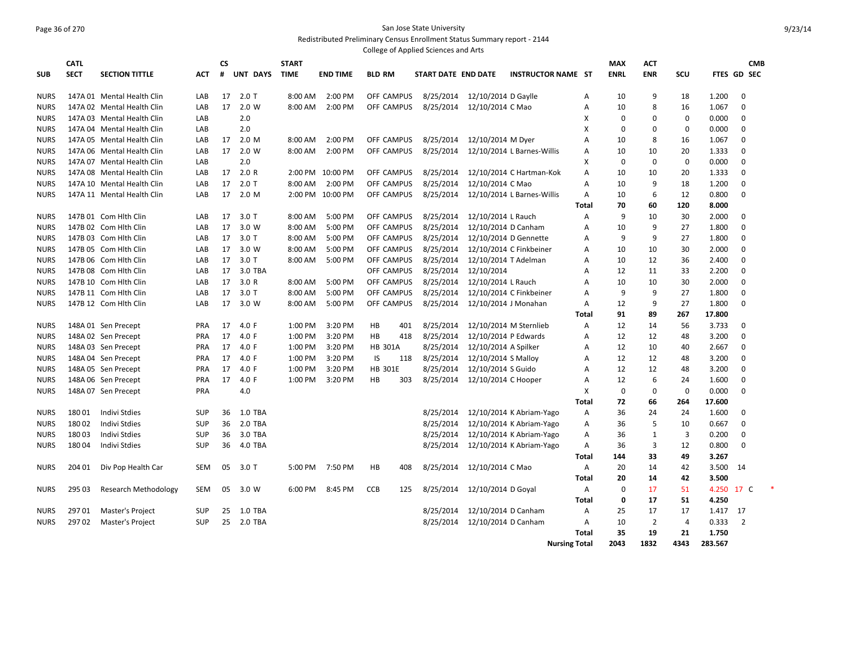#### Page 36 of 270 San Jose State University Redistributed Preliminary Census Enrollment Status Summary report - 2144 College of Applied Sciences and Arts

|             | <b>CATL</b> |                            |            |         |          | <b>START</b> |                  |                |     | conced on ripplied belendes and rinks |                      |                            |       | <b>MAX</b>  | <b>ACT</b>     |      |          | <b>CMB</b>     |  |
|-------------|-------------|----------------------------|------------|---------|----------|--------------|------------------|----------------|-----|---------------------------------------|----------------------|----------------------------|-------|-------------|----------------|------|----------|----------------|--|
|             | <b>SECT</b> |                            |            | CS<br># | UNT DAYS | <b>TIME</b>  |                  |                |     |                                       |                      |                            |       |             |                | SCU  |          | FTES GD SEC    |  |
| <b>SUB</b>  |             | <b>SECTION TITTLE</b>      | АСТ        |         |          |              | <b>END TIME</b>  | <b>BLD RM</b>  |     | START DATE END DATE                   |                      | <b>INSTRUCTOR NAME ST</b>  |       | <b>ENRL</b> | <b>ENR</b>     |      |          |                |  |
| <b>NURS</b> |             | 147A 01 Mental Health Clin | LAB        | 17      | $2.0$ T  | 8:00 AM      | 2:00 PM          | OFF CAMPUS     |     | 8/25/2014                             | 12/10/2014 D Gaylle  |                            | Α     | 10          | 9              | 18   | 1.200    | 0              |  |
| <b>NURS</b> |             | 147A 02 Mental Health Clin | LAB        | 17      | 2.0 W    | 8:00 AM      | 2:00 PM          | OFF CAMPUS     |     | 8/25/2014                             | 12/10/2014 C Mao     |                            | A     | 10          | 8              | 16   | 1.067    | 0              |  |
| <b>NURS</b> |             | 147A 03 Mental Health Clin | LAB        |         | 2.0      |              |                  |                |     |                                       |                      |                            | X     | 0           | 0              | 0    | 0.000    | 0              |  |
| <b>NURS</b> |             | 147A 04 Mental Health Clin | LAB        |         | 2.0      |              |                  |                |     |                                       |                      |                            | X     | $\mathbf 0$ | $\mathbf 0$    | 0    | 0.000    | $\mathbf 0$    |  |
| <b>NURS</b> |             | 147A 05 Mental Health Clin | LAB        | 17      | 2.0 M    | 8:00 AM      | 2:00 PM          | OFF CAMPUS     |     | 8/25/2014                             | 12/10/2014 M Dyer    |                            | A     | 10          | 8              | 16   | 1.067    | $\mathbf 0$    |  |
| <b>NURS</b> |             | 147A 06 Mental Health Clin | LAB        | 17      | 2.0 W    | 8:00 AM      | 2:00 PM          | OFF CAMPUS     |     | 8/25/2014                             |                      | 12/10/2014 L Barnes-Willis | A     | 10          | 10             | 20   | 1.333    | $\mathbf 0$    |  |
| <b>NURS</b> |             | 147A 07 Mental Health Clin | LAB        |         | 2.0      |              |                  |                |     |                                       |                      |                            | X     | 0           | $\mathbf 0$    | 0    | 0.000    | 0              |  |
| <b>NURS</b> |             | 147A 08 Mental Health Clin | LAB        | 17      | 2.0 R    |              | 2:00 PM 10:00 PM | OFF CAMPUS     |     | 8/25/2014                             |                      | 12/10/2014 C Hartman-Kok   | A     | 10          | 10             | 20   | 1.333    | 0              |  |
| <b>NURS</b> |             | 147A 10 Mental Health Clin | LAB        | 17      | $2.0$ T  | 8:00 AM      | 2:00 PM          | OFF CAMPUS     |     | 8/25/2014                             | 12/10/2014 C Mao     |                            | A     | 10          | 9              | 18   | 1.200    | 0              |  |
| <b>NURS</b> |             | 147A 11 Mental Health Clin | LAB        | 17      | 2.0 M    |              | 2:00 PM 10:00 PM | OFF CAMPUS     |     | 8/25/2014                             |                      | 12/10/2014 L Barnes-Willis | Α     | 10          | 6              | 12   | 0.800    | $\mathbf 0$    |  |
|             |             |                            |            |         |          |              |                  |                |     |                                       |                      |                            | Total | 70          | 60             | 120  | 8.000    |                |  |
| <b>NURS</b> |             | 147B 01 Com Hith Clin      | LAB        | 17      | $3.0$ T  | 8:00 AM      | 5:00 PM          | OFF CAMPUS     |     | 8/25/2014                             | 12/10/2014 L Rauch   |                            | A     | 9           | 10             | 30   | 2.000    | 0              |  |
| <b>NURS</b> |             | 147B 02 Com Hith Clin      | LAB        | 17      | 3.0 W    | 8:00 AM      | 5:00 PM          | OFF CAMPUS     |     | 8/25/2014                             | 12/10/2014 D Canham  |                            | A     | 10          | 9              | 27   | 1.800    | 0              |  |
| <b>NURS</b> |             | 147B 03 Com Hith Clin      | LAB        | 17      | $3.0$ T  | 8:00 AM      | 5:00 PM          | OFF CAMPUS     |     | 8/25/2014                             |                      | 12/10/2014 D Gennette      | A     | 9           | 9              | 27   | 1.800    | 0              |  |
| <b>NURS</b> |             | 147B 05 Com Hith Clin      | LAB        | 17      | 3.0 W    | 8:00 AM      | 5:00 PM          | OFF CAMPUS     |     | 8/25/2014                             |                      | 12/10/2014 C Finkbeiner    | A     | 10          | 10             | 30   | 2.000    | 0              |  |
| <b>NURS</b> |             | 147B 06 Com Hith Clin      | LAB        | 17      | $3.0$ T  | 8:00 AM      | 5:00 PM          | OFF CAMPUS     |     | 8/25/2014                             |                      | 12/10/2014 T Adelman       | A     | 10          | 12             | 36   | 2.400    | 0              |  |
| <b>NURS</b> |             | 147B 08 Com Hith Clin      | LAB        | 17      | 3.0 TBA  |              |                  | OFF CAMPUS     |     | 8/25/2014                             | 12/10/2014           |                            | A     | 12          | 11             | 33   | 2.200    | $\mathbf 0$    |  |
| <b>NURS</b> |             | 147B 10 Com Hith Clin      | LAB        | 17      | 3.0R     | 8:00 AM      | 5:00 PM          | OFF CAMPUS     |     | 8/25/2014                             | 12/10/2014 L Rauch   |                            | Α     | 10          | 10             | 30   | 2.000    | $\mathbf 0$    |  |
| <b>NURS</b> |             | 147B 11 Com Hith Clin      | LAB        | 17      | $3.0$ T  | 8:00 AM      | 5:00 PM          | OFF CAMPUS     |     | 8/25/2014                             |                      | 12/10/2014 C Finkbeiner    | A     | 9           | 9              | 27   | 1.800    | $\mathbf 0$    |  |
| <b>NURS</b> |             | 147B 12 Com Hith Clin      | LAB        | 17      | 3.0 W    | 8:00 AM      | 5:00 PM          | OFF CAMPUS     |     | 8/25/2014                             |                      | 12/10/2014 J Monahan       | Α     | 12          | 9              | 27   | 1.800    | 0              |  |
|             |             |                            |            |         |          |              |                  |                |     |                                       |                      |                            | Total | 91          | 89             | 267  | 17.800   |                |  |
| <b>NURS</b> |             | 148A 01 Sen Precept        | <b>PRA</b> | 17      | 4.0 $F$  | 1:00 PM      | 3:20 PM          | HB             | 401 | 8/25/2014                             |                      | 12/10/2014 M Sternlieb     | Α     | 12          | 14             | 56   | 3.733    | 0              |  |
| <b>NURS</b> |             | 148A 02 Sen Precept        | <b>PRA</b> | 17      | 4.0 F    | 1:00 PM      | 3:20 PM          | <b>HB</b>      | 418 | 8/25/2014                             | 12/10/2014 P Edwards |                            | A     | 12          | 12             | 48   | 3.200    | 0              |  |
| <b>NURS</b> |             | 148A 03 Sen Precept        | PRA        | 17      | 4.0 F    | 1:00 PM      | 3:20 PM          | <b>HB 301A</b> |     | 8/25/2014                             | 12/10/2014 A Spilker |                            | Α     | 12          | 10             | 40   | 2.667    | $\mathbf 0$    |  |
| <b>NURS</b> |             | 148A 04 Sen Precept        | <b>PRA</b> | 17      | 4.0 F    | 1:00 PM      | 3:20 PM          | IS             | 118 | 8/25/2014                             | 12/10/2014 S Malloy  |                            | Α     | 12          | 12             | 48   | 3.200    | $\mathbf 0$    |  |
| <b>NURS</b> |             | 148A 05 Sen Precept        | <b>PRA</b> | 17      | 4.0 F    | 1:00 PM      | 3:20 PM          | <b>HB 301E</b> |     | 8/25/2014                             | 12/10/2014 S Guido   |                            | A     | 12          | 12             | 48   | 3.200    | $\mathbf 0$    |  |
| <b>NURS</b> |             | 148A 06 Sen Precept        | <b>PRA</b> | 17      | 4.0 F    | 1:00 PM      | 3:20 PM          | HB             | 303 | 8/25/2014                             | 12/10/2014 C Hooper  |                            | Α     | 12          | 6              | 24   | 1.600    | 0              |  |
| <b>NURS</b> |             | 148A 07 Sen Precept        | <b>PRA</b> |         | 4.0      |              |                  |                |     |                                       |                      |                            | X     | 0           | $\mathbf 0$    | 0    | 0.000    | $\mathbf 0$    |  |
|             |             |                            |            |         |          |              |                  |                |     |                                       |                      |                            | Total | 72          | 66             | 264  | 17.600   |                |  |
| <b>NURS</b> | 18001       | <b>Indivi Stdies</b>       | <b>SUP</b> | 36      | 1.0 TBA  |              |                  |                |     | 8/25/2014                             |                      | 12/10/2014 K Abriam-Yago   | Α     | 36          | 24             | 24   | 1.600    | 0              |  |
| <b>NURS</b> | 18002       | <b>Indivi Stdies</b>       | SUP        | 36      | 2.0 TBA  |              |                  |                |     | 8/25/2014                             |                      | 12/10/2014 K Abriam-Yago   | Α     | 36          | 5              | 10   | 0.667    | $\mathbf 0$    |  |
| <b>NURS</b> | 18003       | <b>Indivi Stdies</b>       | <b>SUP</b> | 36      | 3.0 TBA  |              |                  |                |     | 8/25/2014                             |                      | 12/10/2014 K Abriam-Yago   | Α     | 36          | $\mathbf{1}$   | 3    | 0.200    | $\mathbf 0$    |  |
| <b>NURS</b> | 18004       | <b>Indivi Stdies</b>       | <b>SUP</b> | 36      | 4.0 TBA  |              |                  |                |     | 8/25/2014                             |                      | 12/10/2014 K Abriam-Yago   | Α     | 36          | 3              | 12   | 0.800    | $\mathbf 0$    |  |
|             |             |                            |            |         |          |              |                  |                |     |                                       |                      |                            | Total | 144         | 33             | 49   | 3.267    |                |  |
| <b>NURS</b> | 204 01      | Div Pop Health Car         | <b>SEM</b> | 05      | $3.0$ T  | 5:00 PM      | 7:50 PM          | HB             | 408 | 8/25/2014                             | 12/10/2014 C Mao     |                            | Α     | 20          | 14             | 42   | 3.500    | -14            |  |
|             |             |                            |            |         |          |              |                  |                |     |                                       |                      |                            | Total | 20          | 14             | 42   | 3.500    |                |  |
| <b>NURS</b> | 295 03      | Research Methodology       | SEM        | 05      | 3.0 W    | 6:00 PM      | 8:45 PM          | CCB            | 125 | 8/25/2014                             | 12/10/2014 D Goyal   |                            | A     | $\Omega$    | 17             | 51   | 4.250    | 17 C           |  |
|             |             |                            |            |         |          |              |                  |                |     |                                       |                      |                            | Total | $\mathbf 0$ | 17             | 51   | 4.250    |                |  |
| <b>NURS</b> | 29701       | Master's Project           | <b>SUP</b> | 25      | 1.0 TBA  |              |                  |                |     | 8/25/2014                             | 12/10/2014 D Canham  |                            | Α     | 25          | 17             | 17   | 1.417 17 |                |  |
| <b>NURS</b> | 29702       | Master's Project           | <b>SUP</b> | 25      | 2.0 TBA  |              |                  |                |     | 8/25/2014                             | 12/10/2014 D Canham  |                            | A     | 10          | $\overline{2}$ | 4    | 0.333    | $\overline{2}$ |  |
|             |             |                            |            |         |          |              |                  |                |     |                                       |                      |                            | Total | 35          | 19             | 21   | 1.750    |                |  |
|             |             |                            |            |         |          |              |                  |                |     |                                       |                      | <b>Nursing Total</b>       |       | 2043        | 1832           | 4343 | 283.567  |                |  |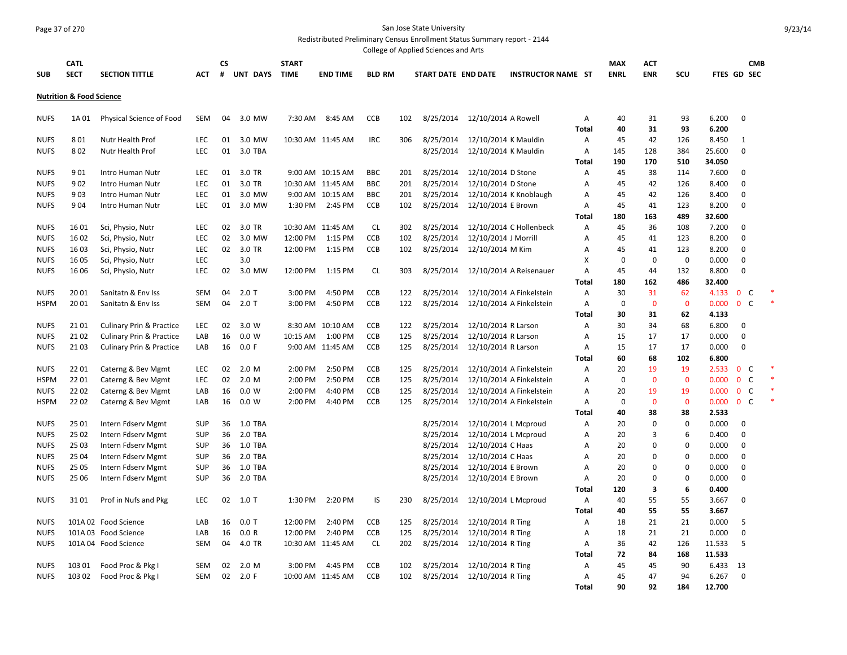# Page 37 of 270 San Jose State University

Redistributed Preliminary Census Enrollment Status Summary report - 2144 College of Applied Sciences and Arts

|                            |                                     |                                          |                          |          |                    |                             |                                     |                   |            | Conced or Applied Sciences and Arts |                                        |                           |              |                           |                          |                         |                |                              |  |
|----------------------------|-------------------------------------|------------------------------------------|--------------------------|----------|--------------------|-----------------------------|-------------------------------------|-------------------|------------|-------------------------------------|----------------------------------------|---------------------------|--------------|---------------------------|--------------------------|-------------------------|----------------|------------------------------|--|
| <b>SUB</b>                 | <b>CATL</b><br><b>SECT</b>          | <b>SECTION TITTLE</b>                    | АСТ                      | CS<br>#  | UNT DAYS           | <b>START</b><br><b>TIME</b> | <b>END TIME</b>                     | <b>BLD RM</b>     |            | START DATE END DATE                 |                                        | <b>INSTRUCTOR NAME ST</b> |              | <b>MAX</b><br><b>ENRL</b> | <b>ACT</b><br><b>ENR</b> | SCU                     |                | <b>CMB</b><br>FTES GD SEC    |  |
|                            | <b>Nutrition &amp; Food Science</b> |                                          |                          |          |                    |                             |                                     |                   |            |                                     |                                        |                           |              |                           |                          |                         |                |                              |  |
| <b>NUFS</b>                | 1A 01                               | Physical Science of Food                 | <b>SEM</b>               | 04       | 3.0 MW             | 7:30 AM                     | 8:45 AM                             | CCB               | 102        | 8/25/2014                           | 12/10/2014 A Rowell                    |                           | Α            | 40                        | 31                       | 93                      | 6.200          | $\mathbf 0$                  |  |
|                            |                                     |                                          |                          |          |                    |                             |                                     |                   |            |                                     |                                        |                           | <b>Total</b> | 40                        | 31                       | 93                      | 6.200          |                              |  |
| <b>NUFS</b>                | 801                                 | Nutr Health Prof                         | LEC                      | 01       | 3.0 MW             |                             | 10:30 AM 11:45 AM                   | <b>IRC</b>        | 306        | 8/25/2014                           | 12/10/2014 K Mauldin                   |                           | Α            | 45                        | 42                       | 126                     | 8.450          | $\mathbf{1}$                 |  |
| <b>NUFS</b>                | 802                                 | Nutr Health Prof                         | <b>LEC</b>               | 01       | 3.0 TBA            |                             |                                     |                   |            | 8/25/2014                           | 12/10/2014 K Mauldin                   |                           | A            | 145                       | 128                      | 384                     | 25.600         | $\mathbf 0$                  |  |
|                            |                                     |                                          |                          |          |                    |                             |                                     |                   |            |                                     |                                        |                           | Total        | 190                       | 170                      | 510                     | 34.050         |                              |  |
| <b>NUFS</b>                | 901                                 | Intro Human Nutr                         | LEC                      | 01       | 3.0 TR             |                             | 9:00 AM 10:15 AM                    | <b>BBC</b>        | 201        | 8/25/2014                           | 12/10/2014 D Stone                     |                           | A            | 45                        | 38                       | 114                     | 7.600          | $\mathbf 0$                  |  |
| <b>NUFS</b>                | 902                                 | Intro Human Nutr                         | LEC                      | 01       | 3.0 TR             |                             | 10:30 AM 11:45 AM                   | <b>BBC</b>        | 201        | 8/25/2014                           | 12/10/2014 D Stone                     |                           | Α            | 45                        | 42                       | 126                     | 8.400          | $\mathbf 0$                  |  |
| <b>NUFS</b><br><b>NUFS</b> | 903<br>904                          | Intro Human Nutr                         | LEC<br><b>LEC</b>        | 01<br>01 | 3.0 MW<br>3.0 MW   |                             | 9:00 AM 10:15 AM<br>1:30 PM 2:45 PM | <b>BBC</b><br>CCB | 201<br>102 | 8/25/2014                           |                                        | 12/10/2014 K Knoblaugh    | Α<br>Α       | 45<br>45                  | 42<br>41                 | 126<br>123              | 8.400<br>8.200 | 0<br>0                       |  |
|                            |                                     | Intro Human Nutr                         |                          |          |                    |                             |                                     |                   |            | 8/25/2014                           | 12/10/2014 E Brown                     |                           | <b>Total</b> | 180                       | 163                      | 489                     | 32.600         |                              |  |
| <b>NUFS</b>                | 1601                                | Sci, Physio, Nutr                        | LEC                      | 02       | 3.0 TR             |                             | 10:30 AM 11:45 AM                   | <b>CL</b>         | 302        | 8/25/2014                           |                                        | 12/10/2014 C Hollenbeck   | Α            | 45                        | 36                       | 108                     | 7.200          | $\mathbf 0$                  |  |
| <b>NUFS</b>                | 1602                                | Sci, Physio, Nutr                        | LEC                      | 02       | 3.0 MW             | 12:00 PM                    | 1:15 PM                             | CCB               | 102        | 8/25/2014                           | 12/10/2014 J Morrill                   |                           | Α            | 45                        | 41                       | 123                     | 8.200          | $\mathbf 0$                  |  |
| <b>NUFS</b>                | 1603                                | Sci, Physio, Nutr                        | LEC                      | 02       | 3.0 TR             | 12:00 PM                    | 1:15 PM                             | CCB               | 102        | 8/25/2014                           | 12/10/2014 M Kim                       |                           | Α            | 45                        | 41                       | 123                     | 8.200          | $\mathbf 0$                  |  |
| <b>NUFS</b>                | 16 05                               | Sci, Physio, Nutr                        | LEC                      |          | 3.0                |                             |                                     |                   |            |                                     |                                        |                           | X            | $\mathbf 0$               | $\mathbf 0$              | $\mathbf 0$             | 0.000          | $\mathbf 0$                  |  |
| <b>NUFS</b>                | 16 06                               | Sci, Physio, Nutr                        | LEC                      | 02       | 3.0 MW             | 12:00 PM                    | 1:15 PM                             | <b>CL</b>         | 303        | 8/25/2014                           |                                        | 12/10/2014 A Reisenauer   | A            | 45                        | 44                       | 132                     | 8.800          | $\mathbf 0$                  |  |
|                            |                                     |                                          |                          |          |                    |                             |                                     |                   |            |                                     |                                        |                           | <b>Total</b> | 180                       | 162                      | 486                     | 32.400         |                              |  |
| <b>NUFS</b>                | 20 01                               | Sanitatn & Env Iss                       | <b>SEM</b>               | 04       | $2.0$ T            | 3:00 PM                     | 4:50 PM                             | CCB               | 122        | 8/25/2014                           |                                        | 12/10/2014 A Finkelstein  | Α            | 30                        | 31                       | 62                      | 4.133          | C<br>$\mathbf{0}$            |  |
| <b>HSPM</b>                | 2001                                | Sanitatn & Env Iss                       | <b>SEM</b>               | 04       | $2.0$ T            | 3:00 PM                     | 4:50 PM                             | CCB               | 122        | 8/25/2014                           |                                        | 12/10/2014 A Finkelstein  | Α            | 0                         | $\mathbf{0}$             | $\mathbf{0}$            | 0.000          | $\mathbf{0}$<br>C            |  |
|                            |                                     |                                          |                          |          |                    |                             |                                     |                   |            |                                     |                                        |                           | Total        | 30                        | 31                       | 62                      | 4.133          |                              |  |
| <b>NUFS</b>                | 2101                                | <b>Culinary Prin &amp; Practice</b>      | LEC                      | 02       | 3.0 W              |                             | 8:30 AM 10:10 AM                    | CCB               | 122        | 8/25/2014                           | 12/10/2014 R Larson                    |                           | Α            | 30                        | 34                       | 68                      | 6.800          | $\mathbf 0$                  |  |
| <b>NUFS</b>                | 2102                                | <b>Culinary Prin &amp; Practice</b>      | LAB                      | 16       | 0.0 W              | 10:15 AM                    | 1:00 PM                             | CCB               | 125        | 8/25/2014                           | 12/10/2014 R Larson                    |                           | Α            | 15                        | 17                       | 17                      | 0.000          | $\mathbf 0$                  |  |
| <b>NUFS</b>                | 2103                                | <b>Culinary Prin &amp; Practice</b>      | LAB                      | 16       | 0.0 F              |                             | 9:00 AM 11:45 AM                    | CCB               | 125        | 8/25/2014                           | 12/10/2014 R Larson                    |                           | Α            | 15                        | 17                       | 17                      | 0.000          | $\mathbf 0$                  |  |
|                            |                                     |                                          |                          |          |                    |                             |                                     |                   |            |                                     |                                        |                           | Total        | 60                        | 68                       | 102                     | 6.800          |                              |  |
| <b>NUFS</b>                | 2201                                | Caterng & Bev Mgmt                       | LEC                      | 02       | 2.0 M              | 2:00 PM                     | 2:50 PM                             | CCB               | 125        | 8/25/2014                           |                                        | 12/10/2014 A Finkelstein  | Α            | 20                        | 19                       | 19                      | 2.533          | $\mathbf{0}$<br>C            |  |
| <b>HSPM</b>                | 2201                                | Caterng & Bev Mgmt                       | LEC                      | 02       | 2.0 M              | 2:00 PM                     | 2:50 PM                             | CCB               | 125        | 8/25/2014                           |                                        | 12/10/2014 A Finkelstein  | Α            | 0                         | $\mathbf{0}$             | $\mathbf 0$             | 0.000          | $\mathsf{C}$<br>$\mathbf{0}$ |  |
| <b>NUFS</b>                | 2202                                | Caterng & Bev Mgmt                       | LAB                      | 16       | 0.0 W              | 2:00 PM                     | 4:40 PM                             | <b>CCB</b>        | 125        | 8/25/2014                           |                                        | 12/10/2014 A Finkelstein  | A            | 20                        | 19                       | 19                      | 0.000          | C<br>$\mathbf{0}$            |  |
| <b>HSPM</b>                | 2202                                | Caterng & Bev Mgmt                       | LAB                      | 16       | 0.0 W              | 2:00 PM                     | 4:40 PM                             | <b>CCB</b>        | 125        | 8/25/2014                           |                                        | 12/10/2014 A Finkelstein  | Α            | 0                         | $\mathbf 0$              | $\mathbf 0$             | 0.000          | $\mathbf{0}$<br>C            |  |
|                            |                                     |                                          |                          |          |                    |                             |                                     |                   |            |                                     |                                        |                           | Total        | 40                        | 38                       | 38                      | 2.533          |                              |  |
| <b>NUFS</b>                | 25 01                               | Intern Fdserv Mgmt                       | <b>SUP</b>               | 36       | 1.0 TBA            |                             |                                     |                   |            | 8/25/2014                           | 12/10/2014 L Mcproud                   |                           | Α            | 20                        | 0                        | $\mathbf 0$<br>6        | 0.000          | $\mathbf 0$                  |  |
| <b>NUFS</b>                | 25 02                               | Intern Fdserv Mgmt                       | <b>SUP</b>               | 36       | 2.0 TBA            |                             |                                     |                   |            | 8/25/2014                           | 12/10/2014 L Mcproud                   |                           | Α            | 20                        | 3                        |                         | 0.400          | $\mathbf 0$                  |  |
| <b>NUFS</b><br><b>NUFS</b> | 25 03<br>25 04                      | Intern Fdserv Mgmt<br>Intern Fdserv Mgmt | <b>SUP</b><br><b>SUP</b> | 36<br>36 | 1.0 TBA<br>2.0 TBA |                             |                                     |                   |            | 8/25/2014<br>8/25/2014              | 12/10/2014 C Haas<br>12/10/2014 C Haas |                           | Α<br>A       | 20<br>20                  | 0<br>$\Omega$            | $\mathbf 0$<br>$\Omega$ | 0.000<br>0.000 | $\mathbf 0$<br>$\mathbf 0$   |  |
| <b>NUFS</b>                | 25 05                               | Intern Fdserv Mgmt                       | SUP                      | 36       | 1.0 TBA            |                             |                                     |                   |            | 8/25/2014                           | 12/10/2014 E Brown                     |                           | Α            | 20                        | 0                        | $\Omega$                | 0.000          | $\mathbf 0$                  |  |
| <b>NUFS</b>                | 25 06                               | Intern Fdserv Mgmt                       | SUP                      | 36       | 2.0 TBA            |                             |                                     |                   |            | 8/25/2014                           | 12/10/2014 E Brown                     |                           | A            | 20                        | 0                        | $\Omega$                | 0.000          | $\mathbf 0$                  |  |
|                            |                                     |                                          |                          |          |                    |                             |                                     |                   |            |                                     |                                        |                           | Total        | 120                       | 3                        | 6                       | 0.400          |                              |  |
| <b>NUFS</b>                | 3101                                | Prof in Nufs and Pkg                     | LEC                      | 02       | $1.0$ T            | 1:30 PM                     | 2:20 PM                             | IS                | 230        | 8/25/2014                           | 12/10/2014 L Mcproud                   |                           | A            | 40                        | 55                       | 55                      | 3.667          | $\mathbf 0$                  |  |
|                            |                                     |                                          |                          |          |                    |                             |                                     |                   |            |                                     |                                        |                           | <b>Total</b> | 40                        | 55                       | 55                      | 3.667          |                              |  |
| <b>NUFS</b>                |                                     | 101A 02 Food Science                     | LAB                      | 16       | $0.0$ T            | 12:00 PM                    | 2:40 PM                             | <b>CCB</b>        | 125        | 8/25/2014                           | 12/10/2014 R Ting                      |                           | Α            | 18                        | 21                       | 21                      | 0.000          | 5                            |  |
| <b>NUFS</b>                |                                     | 101A 03 Food Science                     | LAB                      | 16       | 0.0 R              | 12:00 PM                    | 2:40 PM                             | <b>CCB</b>        | 125        | 8/25/2014                           | 12/10/2014 R Ting                      |                           | Α            | 18                        | 21                       | 21                      | 0.000          | $\mathbf 0$                  |  |
| <b>NUFS</b>                |                                     | 101A 04 Food Science                     | <b>SEM</b>               | 04       | 4.0 TR             |                             | 10:30 AM 11:45 AM                   | CL                | 202        | 8/25/2014                           | 12/10/2014 R Ting                      |                           | Α            | 36                        | 42                       | 126                     | 11.533         | 5                            |  |
|                            |                                     |                                          |                          |          |                    |                             |                                     |                   |            |                                     |                                        |                           | <b>Total</b> | 72                        | 84                       | 168                     | 11.533         |                              |  |
| <b>NUFS</b>                | 103 01                              | Food Proc & Pkg I                        | <b>SEM</b>               | 02       | 2.0 M              | 3:00 PM                     | 4:45 PM                             | <b>CCB</b>        | 102        | 8/25/2014                           | 12/10/2014 R Ting                      |                           | A            | 45                        | 45                       | 90                      | 6.433          | 13                           |  |
| <b>NUFS</b>                | 103 02                              | Food Proc & Pkg I                        | SEM                      | 02       | 2.0 F              |                             | 10:00 AM 11:45 AM                   | <b>CCB</b>        | 102        | 8/25/2014                           | 12/10/2014 R Ting                      |                           | Α            | 45                        | 47                       | 94                      | 6.267          | $\Omega$                     |  |
|                            |                                     |                                          |                          |          |                    |                             |                                     |                   |            |                                     |                                        |                           | <b>Total</b> | 90                        | 92                       | 184                     | 12.700         |                              |  |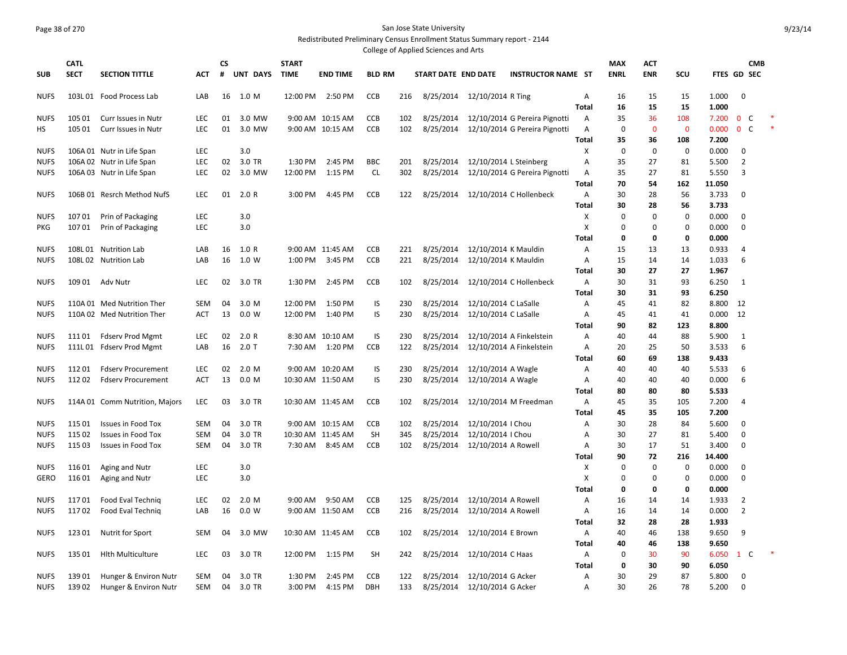## Page 38 of 270 San Jose State University Redistributed Preliminary Census Enrollment Status Summary report - 2144

College of Applied Sciences and Arts

| <b>SECT</b><br><b>UNT DAYS</b><br><b>BLD RM</b><br><b>ENRL</b><br><b>ENR</b><br>FTES GD SEC<br><b>SUB</b><br><b>SECTION TITTLE</b><br>#<br><b>TIME</b><br><b>END TIME</b><br>START DATE END DATE<br><b>INSTRUCTOR NAME ST</b><br><b>SCU</b><br>ACT<br><b>NUFS</b><br>103L 01 Food Process Lab<br>16 1.0 M<br>12:00 PM<br>2:50 PM<br><b>CCB</b><br>8/25/2014<br>12/10/2014 R Ting<br>15<br>15<br>1.000<br>0<br>LAB<br>216<br>A<br>16<br><b>Total</b><br>15<br>15<br>1.000<br>16<br><b>CCB</b><br>8/25/2014<br>12/10/2014 G Pereira Pignotti<br>36<br>$\mathbf{0}$<br>C<br><b>NUFS</b><br>105 01<br>Curr Issues in Nutr<br>LEC<br>01<br>3.0 MW<br>9:00 AM 10:15 AM<br>102<br>A<br>35<br>108<br>7.200<br>0 <sup>o</sup><br>01<br>3.0 MW<br>102<br>8/25/2014<br>12/10/2014 G Pereira Pignotti<br>$\mathbf{0}$<br>$\mathbf{0}$<br>0.000<br><b>HS</b><br>105 01<br>Curr Issues in Nutr<br><b>LEC</b><br>9:00 AM 10:15 AM<br><b>CCB</b><br>A<br>0<br>Total<br>35<br>36<br>108<br>7.200<br>LEC<br>3.0<br>Χ<br><b>NUFS</b><br>106A 01 Nutr in Life Span<br>0<br>0<br>0<br>0.000<br>0<br>3.0 TR<br>$\overline{2}$<br><b>NUFS</b><br>106A 02 Nutr in Life Span<br>LEC<br>02<br>1:30 PM<br>2:45 PM<br><b>BBC</b><br>201<br>8/25/2014<br>12/10/2014 L Steinberg<br>A<br>35<br>27<br>81<br>5.500<br>02<br>3.0 MW<br><b>CL</b><br>12/10/2014 G Pereira Pignotti<br>3<br><b>NUFS</b><br>106A 03 Nutr in Life Span<br>LEC<br>12:00 PM<br>1:15 PM<br>302<br>8/25/2014<br>Α<br>35<br>27<br>81<br>5.550<br><b>Total</b><br>70<br>54<br>162<br>11.050<br><b>CCB</b><br><b>NUFS</b><br>106B 01 Resrch Method NufS<br><b>LEC</b><br>01<br>2.0 R<br>3:00 PM<br>4:45 PM<br>122<br>8/25/2014<br>12/10/2014 C Hollenbeck<br>Α<br>30<br>28<br>56<br>3.733<br>0<br>28<br>3.733<br>Total<br>30<br>56<br>10701<br>Prin of Packaging<br>LEC<br>3.0<br>Х<br>0<br>0<br>0<br>0.000<br>0<br><b>NUFS</b><br>X<br>$\mathbf 0$<br>$\mathbf 0$<br><b>LEC</b><br>3.0<br>0<br>0<br>0.000<br>PKG<br>10701<br>Prin of Packaging<br>0<br>0<br>0<br>0.000<br>Total<br><b>NUFS</b><br>16<br>1.0 R<br>CCB<br>221<br>8/25/2014<br>12/10/2014 K Mauldin<br>Α<br>15<br>0.933<br>108L01 Nutrition Lab<br>LAB<br>9:00 AM 11:45 AM<br>13<br>13<br>4<br>16<br>CCB<br>8/25/2014<br>12/10/2014 K Mauldin<br>6<br><b>NUFS</b><br>108L02 Nutrition Lab<br>1.0 W<br>1:00 PM<br>3:45 PM<br>221<br>Α<br>15<br>14<br>14<br>1.033<br>LAB<br>27<br>27<br>30<br>1.967<br>Total<br>CCB<br>8/25/2014<br>12/10/2014 C Hollenbeck<br>93<br><b>NUFS</b><br>109 01 Adv Nutr<br><b>LEC</b><br>02<br>3.0 TR<br>1:30 PM<br>2:45 PM<br>102<br>A<br>30<br>31<br>6.250<br>$\mathbf{1}$<br>Total<br>30<br>31<br>93<br>6.250<br><b>NUFS</b><br>110A 01 Med Nutrition Ther<br><b>SEM</b><br>04<br>3.0 M<br>12:00 PM<br>1:50 PM<br>IS<br>230<br>8/25/2014<br>12/10/2014 C LaSalle<br>Α<br>45<br>41<br>82<br>8.800<br>12<br>IS<br>12<br><b>NUFS</b><br>110A 02 Med Nutrition Ther<br>13<br>0.0 W<br>12:00 PM<br>1:40 PM<br>230<br>8/25/2014<br>12/10/2014 C LaSalle<br>A<br>45<br>41<br>41<br>0.000<br>ACT<br>82<br>123<br>8.800<br>Total<br>90<br>IS<br><b>NUFS</b><br>11101<br>Fdserv Prod Mgmt<br><b>LEC</b><br>02<br>2.0 R<br>8:30 AM 10:10 AM<br>230<br>8/25/2014<br>12/10/2014 A Finkelstein<br>$\overline{A}$<br>40<br>44<br>88<br>5.900<br>1<br><b>NUFS</b><br>111L 01 Fdserv Prod Mgmt<br>16<br>$2.0$ T<br>7:30 AM<br>1:20 PM<br><b>CCB</b><br>122<br>8/25/2014<br>12/10/2014 A Finkelstein<br>Α<br>20<br>25<br>50<br>3.533<br>6<br>LAB<br>69<br>138<br>9.433<br>Total<br>60<br><b>NUFS</b><br>11201<br>02<br>2.0 M<br>9:00 AM 10:20 AM<br>IS<br>230<br>8/25/2014<br>12/10/2014 A Wagle<br>40<br>40<br>5.533<br>6<br><b>Fdserv Procurement</b><br>LEC<br>Α<br>40<br>11202<br>0.0 M<br>IS<br>8/25/2014<br>12/10/2014 A Wagle<br>0.000<br>6<br><b>NUFS</b><br><b>Fdserv Procurement</b><br><b>ACT</b><br>13<br>10:30 AM 11:50 AM<br>230<br>Α<br>40<br>40<br>40<br>80<br>80<br>80<br>5.533<br>Total<br>3.0 TR<br>CCB<br>8/25/2014<br>35<br><b>NUFS</b><br>LEC<br>03<br>10:30 AM 11:45 AM<br>102<br>12/10/2014 M Freedman<br>Α<br>45<br>105<br>7.200<br>$\overline{4}$<br>114A 01 Comm Nutrition, Majors<br>45<br>35<br>105<br>7.200<br>Total<br><b>NUFS</b><br>115 01<br>04<br>3.0 TR<br>9:00 AM 10:15 AM<br><b>CCB</b><br>102<br>8/25/2014<br>12/10/2014   Chou<br>30<br>28<br>0<br>Issues in Food Tox<br>SEM<br>Α<br>84<br>5.600<br>3.0 TR<br>SH<br>12/10/2014   Chou<br>27<br>$\mathbf 0$<br><b>NUFS</b><br>115 02<br><b>SEM</b><br>04<br>10:30 AM 11:45 AM<br>345<br>8/25/2014<br>Α<br>30<br>81<br>5.400<br><b>Issues in Food Tox</b><br>$\Omega$<br><b>NUFS</b><br><b>Issues in Food Tox</b><br><b>SEM</b><br>04<br>3.0 TR<br>7:30 AM<br>8:45 AM<br><b>CCB</b><br>102<br>8/25/2014<br>12/10/2014 A Rowell<br>30<br>17<br>51<br>3.400<br>11503<br>Α<br>Total<br>90<br>72<br>216<br>14.400<br><b>LEC</b><br>3.0<br>X<br>$\Omega$<br>0<br>0<br>0.000<br>$\mathbf 0$<br><b>NUFS</b><br>11601<br>Aging and Nutr<br>3.0<br><b>GERO</b><br><b>LEC</b><br>Х<br>$\Omega$<br>0<br>0<br>0<br>11601<br>Aging and Nutr<br>0.000<br>$\mathbf 0$<br>0<br>0.000<br>Total<br>0<br>02<br>2.0 M<br>9:50 AM<br>CCB<br>8/25/2014<br>12/10/2014 A Rowell<br>Α<br>1.933<br>$\overline{2}$<br><b>NUFS</b><br>11701<br>Food Eval Technig<br>LEC<br>9:00 AM<br>125<br>16<br>14<br>14<br>0.0 W<br>9:00 AM 11:50 AM<br>CCB<br>8/25/2014<br>12/10/2014 A Rowell<br>Α<br>0.000<br>$\overline{2}$<br><b>NUFS</b><br>11702<br>Food Eval Technig<br>LAB<br>16<br>216<br>14<br>16<br>14<br>28<br><b>Total</b><br>32<br>28<br>1.933<br>Nutrit for Sport<br>04<br>CCB<br>102<br>12/10/2014 E Brown<br>9.650<br>9<br><b>NUFS</b><br>12301<br><b>SEM</b><br>3.0 MW<br>10:30 AM 11:45 AM<br>8/25/2014<br>Α<br>40<br>46<br>138<br><b>Total</b><br>40<br>46<br>138<br>9.650<br>8/25/2014<br>$1\quad$ C<br><b>NUFS</b><br>135 01<br><b>Hith Multiculture</b><br>03<br>3.0 TR<br>12:00 PM<br>1:15 PM<br>SH<br>12/10/2014 C Haas<br>$\Omega$<br>30<br>90<br>6.050<br>LEC<br>242<br>Α<br>0<br>90<br>6.050<br>Total<br>30<br>29<br>87<br>13901<br>Hunger & Environ Nutr<br>3.0 TR<br><b>CCB</b><br>8/25/2014<br>12/10/2014 G Acker<br>30<br>5.800<br>$\mathbf 0$<br><b>NUFS</b><br><b>SEM</b><br>04<br>1:30 PM<br>2:45 PM<br>122<br>A<br>12/10/2014 G Acker |             | <b>CATL</b> |                       |     | <b>CS</b> |        | <b>START</b> |         |            |     |           |  |   | <b>MAX</b> | <b>ACT</b> |    |       | <b>CMB</b>  |  |
|---------------------------------------------------------------------------------------------------------------------------------------------------------------------------------------------------------------------------------------------------------------------------------------------------------------------------------------------------------------------------------------------------------------------------------------------------------------------------------------------------------------------------------------------------------------------------------------------------------------------------------------------------------------------------------------------------------------------------------------------------------------------------------------------------------------------------------------------------------------------------------------------------------------------------------------------------------------------------------------------------------------------------------------------------------------------------------------------------------------------------------------------------------------------------------------------------------------------------------------------------------------------------------------------------------------------------------------------------------------------------------------------------------------------------------------------------------------------------------------------------------------------------------------------------------------------------------------------------------------------------------------------------------------------------------------------------------------------------------------------------------------------------------------------------------------------------------------------------------------------------------------------------------------------------------------------------------------------------------------------------------------------------------------------------------------------------------------------------------------------------------------------------------------------------------------------------------------------------------------------------------------------------------------------------------------------------------------------------------------------------------------------------------------------------------------------------------------------------------------------------------------------------------------------------------------------------------------------------------------------------------------------------------------------------------------------------------------------------------------------------------------------------------------------------------------------------------------------------------------------------------------------------------------------------------------------------------------------------------------------------------------------------------------------------------------------------------------------------------------------------------------------------------------------------------------------------------------------------------------------------------------------------------------------------------------------------------------------------------------------------------------------------------------------------------------------------------------------------------------------------------------------------------------------------------------------------------------------------------------------------------------------------------------------------------------------------------------------------------------------------------------------------------------------------------------------------------------------------------------------------------------------------------------------------------------------------------------------------------------------------------------------------------------------------------------------------------------------------------------------------------------------------------------------------------------------------------------------------------------------------------------------------------------------------------------------------------------------------------------------------------------------------------------------------------------------------------------------------------------------------------------------------------------------------------------------------------------------------------------------------------------------------------------------------------------------------------------------------------------------------------------------------------------------------------------------------------------------------------------------------------------------------------------------------------------------------------------------------------------------------------------------------------------------------------------------------------------------------------------------------------------------------------------------------------------------------------------------------------------------------------------------------------------------------------------------------------------------------------------------------------------------------------------------------------------------------------------------------------------------------------------------------------------------------------------------------------------------------------------------------------------------------------------------------------------------------------------------------------------------------------------------------------------------------------------------------------------------------------------------------------------------------------------------------------------------------------------------------------------------------------------------------------------------------------------------------------------------------------------------------------------------------------------------------------------------------------------------------------------|-------------|-------------|-----------------------|-----|-----------|--------|--------------|---------|------------|-----|-----------|--|---|------------|------------|----|-------|-------------|--|
|                                                                                                                                                                                                                                                                                                                                                                                                                                                                                                                                                                                                                                                                                                                                                                                                                                                                                                                                                                                                                                                                                                                                                                                                                                                                                                                                                                                                                                                                                                                                                                                                                                                                                                                                                                                                                                                                                                                                                                                                                                                                                                                                                                                                                                                                                                                                                                                                                                                                                                                                                                                                                                                                                                                                                                                                                                                                                                                                                                                                                                                                                                                                                                                                                                                                                                                                                                                                                                                                                                                                                                                                                                                                                                                                                                                                                                                                                                                                                                                                                                                                                                                                                                                                                                                                                                                                                                                                                                                                                                                                                                                                                                                                                                                                                                                                                                                                                                                                                                                                                                                                                                                                                                                                                                                                                                                                                                                                                                                                                                                                                                                                                                                                                                                                                                                                                                                                                                                                                                                                                                                                                                                                                                                                                                       |             |             |                       |     |           |        |              |         |            |     |           |  |   |            |            |    |       |             |  |
|                                                                                                                                                                                                                                                                                                                                                                                                                                                                                                                                                                                                                                                                                                                                                                                                                                                                                                                                                                                                                                                                                                                                                                                                                                                                                                                                                                                                                                                                                                                                                                                                                                                                                                                                                                                                                                                                                                                                                                                                                                                                                                                                                                                                                                                                                                                                                                                                                                                                                                                                                                                                                                                                                                                                                                                                                                                                                                                                                                                                                                                                                                                                                                                                                                                                                                                                                                                                                                                                                                                                                                                                                                                                                                                                                                                                                                                                                                                                                                                                                                                                                                                                                                                                                                                                                                                                                                                                                                                                                                                                                                                                                                                                                                                                                                                                                                                                                                                                                                                                                                                                                                                                                                                                                                                                                                                                                                                                                                                                                                                                                                                                                                                                                                                                                                                                                                                                                                                                                                                                                                                                                                                                                                                                                                       |             |             |                       |     |           |        |              |         |            |     |           |  |   |            |            |    |       |             |  |
|                                                                                                                                                                                                                                                                                                                                                                                                                                                                                                                                                                                                                                                                                                                                                                                                                                                                                                                                                                                                                                                                                                                                                                                                                                                                                                                                                                                                                                                                                                                                                                                                                                                                                                                                                                                                                                                                                                                                                                                                                                                                                                                                                                                                                                                                                                                                                                                                                                                                                                                                                                                                                                                                                                                                                                                                                                                                                                                                                                                                                                                                                                                                                                                                                                                                                                                                                                                                                                                                                                                                                                                                                                                                                                                                                                                                                                                                                                                                                                                                                                                                                                                                                                                                                                                                                                                                                                                                                                                                                                                                                                                                                                                                                                                                                                                                                                                                                                                                                                                                                                                                                                                                                                                                                                                                                                                                                                                                                                                                                                                                                                                                                                                                                                                                                                                                                                                                                                                                                                                                                                                                                                                                                                                                                                       |             |             |                       |     |           |        |              |         |            |     |           |  |   |            |            |    |       |             |  |
|                                                                                                                                                                                                                                                                                                                                                                                                                                                                                                                                                                                                                                                                                                                                                                                                                                                                                                                                                                                                                                                                                                                                                                                                                                                                                                                                                                                                                                                                                                                                                                                                                                                                                                                                                                                                                                                                                                                                                                                                                                                                                                                                                                                                                                                                                                                                                                                                                                                                                                                                                                                                                                                                                                                                                                                                                                                                                                                                                                                                                                                                                                                                                                                                                                                                                                                                                                                                                                                                                                                                                                                                                                                                                                                                                                                                                                                                                                                                                                                                                                                                                                                                                                                                                                                                                                                                                                                                                                                                                                                                                                                                                                                                                                                                                                                                                                                                                                                                                                                                                                                                                                                                                                                                                                                                                                                                                                                                                                                                                                                                                                                                                                                                                                                                                                                                                                                                                                                                                                                                                                                                                                                                                                                                                                       |             |             |                       |     |           |        |              |         |            |     |           |  |   |            |            |    |       |             |  |
|                                                                                                                                                                                                                                                                                                                                                                                                                                                                                                                                                                                                                                                                                                                                                                                                                                                                                                                                                                                                                                                                                                                                                                                                                                                                                                                                                                                                                                                                                                                                                                                                                                                                                                                                                                                                                                                                                                                                                                                                                                                                                                                                                                                                                                                                                                                                                                                                                                                                                                                                                                                                                                                                                                                                                                                                                                                                                                                                                                                                                                                                                                                                                                                                                                                                                                                                                                                                                                                                                                                                                                                                                                                                                                                                                                                                                                                                                                                                                                                                                                                                                                                                                                                                                                                                                                                                                                                                                                                                                                                                                                                                                                                                                                                                                                                                                                                                                                                                                                                                                                                                                                                                                                                                                                                                                                                                                                                                                                                                                                                                                                                                                                                                                                                                                                                                                                                                                                                                                                                                                                                                                                                                                                                                                                       |             |             |                       |     |           |        |              |         |            |     |           |  |   |            |            |    |       |             |  |
|                                                                                                                                                                                                                                                                                                                                                                                                                                                                                                                                                                                                                                                                                                                                                                                                                                                                                                                                                                                                                                                                                                                                                                                                                                                                                                                                                                                                                                                                                                                                                                                                                                                                                                                                                                                                                                                                                                                                                                                                                                                                                                                                                                                                                                                                                                                                                                                                                                                                                                                                                                                                                                                                                                                                                                                                                                                                                                                                                                                                                                                                                                                                                                                                                                                                                                                                                                                                                                                                                                                                                                                                                                                                                                                                                                                                                                                                                                                                                                                                                                                                                                                                                                                                                                                                                                                                                                                                                                                                                                                                                                                                                                                                                                                                                                                                                                                                                                                                                                                                                                                                                                                                                                                                                                                                                                                                                                                                                                                                                                                                                                                                                                                                                                                                                                                                                                                                                                                                                                                                                                                                                                                                                                                                                                       |             |             |                       |     |           |        |              |         |            |     |           |  |   |            |            |    |       |             |  |
|                                                                                                                                                                                                                                                                                                                                                                                                                                                                                                                                                                                                                                                                                                                                                                                                                                                                                                                                                                                                                                                                                                                                                                                                                                                                                                                                                                                                                                                                                                                                                                                                                                                                                                                                                                                                                                                                                                                                                                                                                                                                                                                                                                                                                                                                                                                                                                                                                                                                                                                                                                                                                                                                                                                                                                                                                                                                                                                                                                                                                                                                                                                                                                                                                                                                                                                                                                                                                                                                                                                                                                                                                                                                                                                                                                                                                                                                                                                                                                                                                                                                                                                                                                                                                                                                                                                                                                                                                                                                                                                                                                                                                                                                                                                                                                                                                                                                                                                                                                                                                                                                                                                                                                                                                                                                                                                                                                                                                                                                                                                                                                                                                                                                                                                                                                                                                                                                                                                                                                                                                                                                                                                                                                                                                                       |             |             |                       |     |           |        |              |         |            |     |           |  |   |            |            |    |       |             |  |
|                                                                                                                                                                                                                                                                                                                                                                                                                                                                                                                                                                                                                                                                                                                                                                                                                                                                                                                                                                                                                                                                                                                                                                                                                                                                                                                                                                                                                                                                                                                                                                                                                                                                                                                                                                                                                                                                                                                                                                                                                                                                                                                                                                                                                                                                                                                                                                                                                                                                                                                                                                                                                                                                                                                                                                                                                                                                                                                                                                                                                                                                                                                                                                                                                                                                                                                                                                                                                                                                                                                                                                                                                                                                                                                                                                                                                                                                                                                                                                                                                                                                                                                                                                                                                                                                                                                                                                                                                                                                                                                                                                                                                                                                                                                                                                                                                                                                                                                                                                                                                                                                                                                                                                                                                                                                                                                                                                                                                                                                                                                                                                                                                                                                                                                                                                                                                                                                                                                                                                                                                                                                                                                                                                                                                                       |             |             |                       |     |           |        |              |         |            |     |           |  |   |            |            |    |       |             |  |
|                                                                                                                                                                                                                                                                                                                                                                                                                                                                                                                                                                                                                                                                                                                                                                                                                                                                                                                                                                                                                                                                                                                                                                                                                                                                                                                                                                                                                                                                                                                                                                                                                                                                                                                                                                                                                                                                                                                                                                                                                                                                                                                                                                                                                                                                                                                                                                                                                                                                                                                                                                                                                                                                                                                                                                                                                                                                                                                                                                                                                                                                                                                                                                                                                                                                                                                                                                                                                                                                                                                                                                                                                                                                                                                                                                                                                                                                                                                                                                                                                                                                                                                                                                                                                                                                                                                                                                                                                                                                                                                                                                                                                                                                                                                                                                                                                                                                                                                                                                                                                                                                                                                                                                                                                                                                                                                                                                                                                                                                                                                                                                                                                                                                                                                                                                                                                                                                                                                                                                                                                                                                                                                                                                                                                                       |             |             |                       |     |           |        |              |         |            |     |           |  |   |            |            |    |       |             |  |
|                                                                                                                                                                                                                                                                                                                                                                                                                                                                                                                                                                                                                                                                                                                                                                                                                                                                                                                                                                                                                                                                                                                                                                                                                                                                                                                                                                                                                                                                                                                                                                                                                                                                                                                                                                                                                                                                                                                                                                                                                                                                                                                                                                                                                                                                                                                                                                                                                                                                                                                                                                                                                                                                                                                                                                                                                                                                                                                                                                                                                                                                                                                                                                                                                                                                                                                                                                                                                                                                                                                                                                                                                                                                                                                                                                                                                                                                                                                                                                                                                                                                                                                                                                                                                                                                                                                                                                                                                                                                                                                                                                                                                                                                                                                                                                                                                                                                                                                                                                                                                                                                                                                                                                                                                                                                                                                                                                                                                                                                                                                                                                                                                                                                                                                                                                                                                                                                                                                                                                                                                                                                                                                                                                                                                                       |             |             |                       |     |           |        |              |         |            |     |           |  |   |            |            |    |       |             |  |
|                                                                                                                                                                                                                                                                                                                                                                                                                                                                                                                                                                                                                                                                                                                                                                                                                                                                                                                                                                                                                                                                                                                                                                                                                                                                                                                                                                                                                                                                                                                                                                                                                                                                                                                                                                                                                                                                                                                                                                                                                                                                                                                                                                                                                                                                                                                                                                                                                                                                                                                                                                                                                                                                                                                                                                                                                                                                                                                                                                                                                                                                                                                                                                                                                                                                                                                                                                                                                                                                                                                                                                                                                                                                                                                                                                                                                                                                                                                                                                                                                                                                                                                                                                                                                                                                                                                                                                                                                                                                                                                                                                                                                                                                                                                                                                                                                                                                                                                                                                                                                                                                                                                                                                                                                                                                                                                                                                                                                                                                                                                                                                                                                                                                                                                                                                                                                                                                                                                                                                                                                                                                                                                                                                                                                                       |             |             |                       |     |           |        |              |         |            |     |           |  |   |            |            |    |       |             |  |
|                                                                                                                                                                                                                                                                                                                                                                                                                                                                                                                                                                                                                                                                                                                                                                                                                                                                                                                                                                                                                                                                                                                                                                                                                                                                                                                                                                                                                                                                                                                                                                                                                                                                                                                                                                                                                                                                                                                                                                                                                                                                                                                                                                                                                                                                                                                                                                                                                                                                                                                                                                                                                                                                                                                                                                                                                                                                                                                                                                                                                                                                                                                                                                                                                                                                                                                                                                                                                                                                                                                                                                                                                                                                                                                                                                                                                                                                                                                                                                                                                                                                                                                                                                                                                                                                                                                                                                                                                                                                                                                                                                                                                                                                                                                                                                                                                                                                                                                                                                                                                                                                                                                                                                                                                                                                                                                                                                                                                                                                                                                                                                                                                                                                                                                                                                                                                                                                                                                                                                                                                                                                                                                                                                                                                                       |             |             |                       |     |           |        |              |         |            |     |           |  |   |            |            |    |       |             |  |
|                                                                                                                                                                                                                                                                                                                                                                                                                                                                                                                                                                                                                                                                                                                                                                                                                                                                                                                                                                                                                                                                                                                                                                                                                                                                                                                                                                                                                                                                                                                                                                                                                                                                                                                                                                                                                                                                                                                                                                                                                                                                                                                                                                                                                                                                                                                                                                                                                                                                                                                                                                                                                                                                                                                                                                                                                                                                                                                                                                                                                                                                                                                                                                                                                                                                                                                                                                                                                                                                                                                                                                                                                                                                                                                                                                                                                                                                                                                                                                                                                                                                                                                                                                                                                                                                                                                                                                                                                                                                                                                                                                                                                                                                                                                                                                                                                                                                                                                                                                                                                                                                                                                                                                                                                                                                                                                                                                                                                                                                                                                                                                                                                                                                                                                                                                                                                                                                                                                                                                                                                                                                                                                                                                                                                                       |             |             |                       |     |           |        |              |         |            |     |           |  |   |            |            |    |       |             |  |
|                                                                                                                                                                                                                                                                                                                                                                                                                                                                                                                                                                                                                                                                                                                                                                                                                                                                                                                                                                                                                                                                                                                                                                                                                                                                                                                                                                                                                                                                                                                                                                                                                                                                                                                                                                                                                                                                                                                                                                                                                                                                                                                                                                                                                                                                                                                                                                                                                                                                                                                                                                                                                                                                                                                                                                                                                                                                                                                                                                                                                                                                                                                                                                                                                                                                                                                                                                                                                                                                                                                                                                                                                                                                                                                                                                                                                                                                                                                                                                                                                                                                                                                                                                                                                                                                                                                                                                                                                                                                                                                                                                                                                                                                                                                                                                                                                                                                                                                                                                                                                                                                                                                                                                                                                                                                                                                                                                                                                                                                                                                                                                                                                                                                                                                                                                                                                                                                                                                                                                                                                                                                                                                                                                                                                                       |             |             |                       |     |           |        |              |         |            |     |           |  |   |            |            |    |       |             |  |
|                                                                                                                                                                                                                                                                                                                                                                                                                                                                                                                                                                                                                                                                                                                                                                                                                                                                                                                                                                                                                                                                                                                                                                                                                                                                                                                                                                                                                                                                                                                                                                                                                                                                                                                                                                                                                                                                                                                                                                                                                                                                                                                                                                                                                                                                                                                                                                                                                                                                                                                                                                                                                                                                                                                                                                                                                                                                                                                                                                                                                                                                                                                                                                                                                                                                                                                                                                                                                                                                                                                                                                                                                                                                                                                                                                                                                                                                                                                                                                                                                                                                                                                                                                                                                                                                                                                                                                                                                                                                                                                                                                                                                                                                                                                                                                                                                                                                                                                                                                                                                                                                                                                                                                                                                                                                                                                                                                                                                                                                                                                                                                                                                                                                                                                                                                                                                                                                                                                                                                                                                                                                                                                                                                                                                                       |             |             |                       |     |           |        |              |         |            |     |           |  |   |            |            |    |       |             |  |
|                                                                                                                                                                                                                                                                                                                                                                                                                                                                                                                                                                                                                                                                                                                                                                                                                                                                                                                                                                                                                                                                                                                                                                                                                                                                                                                                                                                                                                                                                                                                                                                                                                                                                                                                                                                                                                                                                                                                                                                                                                                                                                                                                                                                                                                                                                                                                                                                                                                                                                                                                                                                                                                                                                                                                                                                                                                                                                                                                                                                                                                                                                                                                                                                                                                                                                                                                                                                                                                                                                                                                                                                                                                                                                                                                                                                                                                                                                                                                                                                                                                                                                                                                                                                                                                                                                                                                                                                                                                                                                                                                                                                                                                                                                                                                                                                                                                                                                                                                                                                                                                                                                                                                                                                                                                                                                                                                                                                                                                                                                                                                                                                                                                                                                                                                                                                                                                                                                                                                                                                                                                                                                                                                                                                                                       |             |             |                       |     |           |        |              |         |            |     |           |  |   |            |            |    |       |             |  |
|                                                                                                                                                                                                                                                                                                                                                                                                                                                                                                                                                                                                                                                                                                                                                                                                                                                                                                                                                                                                                                                                                                                                                                                                                                                                                                                                                                                                                                                                                                                                                                                                                                                                                                                                                                                                                                                                                                                                                                                                                                                                                                                                                                                                                                                                                                                                                                                                                                                                                                                                                                                                                                                                                                                                                                                                                                                                                                                                                                                                                                                                                                                                                                                                                                                                                                                                                                                                                                                                                                                                                                                                                                                                                                                                                                                                                                                                                                                                                                                                                                                                                                                                                                                                                                                                                                                                                                                                                                                                                                                                                                                                                                                                                                                                                                                                                                                                                                                                                                                                                                                                                                                                                                                                                                                                                                                                                                                                                                                                                                                                                                                                                                                                                                                                                                                                                                                                                                                                                                                                                                                                                                                                                                                                                                       |             |             |                       |     |           |        |              |         |            |     |           |  |   |            |            |    |       |             |  |
|                                                                                                                                                                                                                                                                                                                                                                                                                                                                                                                                                                                                                                                                                                                                                                                                                                                                                                                                                                                                                                                                                                                                                                                                                                                                                                                                                                                                                                                                                                                                                                                                                                                                                                                                                                                                                                                                                                                                                                                                                                                                                                                                                                                                                                                                                                                                                                                                                                                                                                                                                                                                                                                                                                                                                                                                                                                                                                                                                                                                                                                                                                                                                                                                                                                                                                                                                                                                                                                                                                                                                                                                                                                                                                                                                                                                                                                                                                                                                                                                                                                                                                                                                                                                                                                                                                                                                                                                                                                                                                                                                                                                                                                                                                                                                                                                                                                                                                                                                                                                                                                                                                                                                                                                                                                                                                                                                                                                                                                                                                                                                                                                                                                                                                                                                                                                                                                                                                                                                                                                                                                                                                                                                                                                                                       |             |             |                       |     |           |        |              |         |            |     |           |  |   |            |            |    |       |             |  |
|                                                                                                                                                                                                                                                                                                                                                                                                                                                                                                                                                                                                                                                                                                                                                                                                                                                                                                                                                                                                                                                                                                                                                                                                                                                                                                                                                                                                                                                                                                                                                                                                                                                                                                                                                                                                                                                                                                                                                                                                                                                                                                                                                                                                                                                                                                                                                                                                                                                                                                                                                                                                                                                                                                                                                                                                                                                                                                                                                                                                                                                                                                                                                                                                                                                                                                                                                                                                                                                                                                                                                                                                                                                                                                                                                                                                                                                                                                                                                                                                                                                                                                                                                                                                                                                                                                                                                                                                                                                                                                                                                                                                                                                                                                                                                                                                                                                                                                                                                                                                                                                                                                                                                                                                                                                                                                                                                                                                                                                                                                                                                                                                                                                                                                                                                                                                                                                                                                                                                                                                                                                                                                                                                                                                                                       |             |             |                       |     |           |        |              |         |            |     |           |  |   |            |            |    |       |             |  |
|                                                                                                                                                                                                                                                                                                                                                                                                                                                                                                                                                                                                                                                                                                                                                                                                                                                                                                                                                                                                                                                                                                                                                                                                                                                                                                                                                                                                                                                                                                                                                                                                                                                                                                                                                                                                                                                                                                                                                                                                                                                                                                                                                                                                                                                                                                                                                                                                                                                                                                                                                                                                                                                                                                                                                                                                                                                                                                                                                                                                                                                                                                                                                                                                                                                                                                                                                                                                                                                                                                                                                                                                                                                                                                                                                                                                                                                                                                                                                                                                                                                                                                                                                                                                                                                                                                                                                                                                                                                                                                                                                                                                                                                                                                                                                                                                                                                                                                                                                                                                                                                                                                                                                                                                                                                                                                                                                                                                                                                                                                                                                                                                                                                                                                                                                                                                                                                                                                                                                                                                                                                                                                                                                                                                                                       |             |             |                       |     |           |        |              |         |            |     |           |  |   |            |            |    |       |             |  |
|                                                                                                                                                                                                                                                                                                                                                                                                                                                                                                                                                                                                                                                                                                                                                                                                                                                                                                                                                                                                                                                                                                                                                                                                                                                                                                                                                                                                                                                                                                                                                                                                                                                                                                                                                                                                                                                                                                                                                                                                                                                                                                                                                                                                                                                                                                                                                                                                                                                                                                                                                                                                                                                                                                                                                                                                                                                                                                                                                                                                                                                                                                                                                                                                                                                                                                                                                                                                                                                                                                                                                                                                                                                                                                                                                                                                                                                                                                                                                                                                                                                                                                                                                                                                                                                                                                                                                                                                                                                                                                                                                                                                                                                                                                                                                                                                                                                                                                                                                                                                                                                                                                                                                                                                                                                                                                                                                                                                                                                                                                                                                                                                                                                                                                                                                                                                                                                                                                                                                                                                                                                                                                                                                                                                                                       |             |             |                       |     |           |        |              |         |            |     |           |  |   |            |            |    |       |             |  |
|                                                                                                                                                                                                                                                                                                                                                                                                                                                                                                                                                                                                                                                                                                                                                                                                                                                                                                                                                                                                                                                                                                                                                                                                                                                                                                                                                                                                                                                                                                                                                                                                                                                                                                                                                                                                                                                                                                                                                                                                                                                                                                                                                                                                                                                                                                                                                                                                                                                                                                                                                                                                                                                                                                                                                                                                                                                                                                                                                                                                                                                                                                                                                                                                                                                                                                                                                                                                                                                                                                                                                                                                                                                                                                                                                                                                                                                                                                                                                                                                                                                                                                                                                                                                                                                                                                                                                                                                                                                                                                                                                                                                                                                                                                                                                                                                                                                                                                                                                                                                                                                                                                                                                                                                                                                                                                                                                                                                                                                                                                                                                                                                                                                                                                                                                                                                                                                                                                                                                                                                                                                                                                                                                                                                                                       |             |             |                       |     |           |        |              |         |            |     |           |  |   |            |            |    |       |             |  |
|                                                                                                                                                                                                                                                                                                                                                                                                                                                                                                                                                                                                                                                                                                                                                                                                                                                                                                                                                                                                                                                                                                                                                                                                                                                                                                                                                                                                                                                                                                                                                                                                                                                                                                                                                                                                                                                                                                                                                                                                                                                                                                                                                                                                                                                                                                                                                                                                                                                                                                                                                                                                                                                                                                                                                                                                                                                                                                                                                                                                                                                                                                                                                                                                                                                                                                                                                                                                                                                                                                                                                                                                                                                                                                                                                                                                                                                                                                                                                                                                                                                                                                                                                                                                                                                                                                                                                                                                                                                                                                                                                                                                                                                                                                                                                                                                                                                                                                                                                                                                                                                                                                                                                                                                                                                                                                                                                                                                                                                                                                                                                                                                                                                                                                                                                                                                                                                                                                                                                                                                                                                                                                                                                                                                                                       |             |             |                       |     |           |        |              |         |            |     |           |  |   |            |            |    |       |             |  |
|                                                                                                                                                                                                                                                                                                                                                                                                                                                                                                                                                                                                                                                                                                                                                                                                                                                                                                                                                                                                                                                                                                                                                                                                                                                                                                                                                                                                                                                                                                                                                                                                                                                                                                                                                                                                                                                                                                                                                                                                                                                                                                                                                                                                                                                                                                                                                                                                                                                                                                                                                                                                                                                                                                                                                                                                                                                                                                                                                                                                                                                                                                                                                                                                                                                                                                                                                                                                                                                                                                                                                                                                                                                                                                                                                                                                                                                                                                                                                                                                                                                                                                                                                                                                                                                                                                                                                                                                                                                                                                                                                                                                                                                                                                                                                                                                                                                                                                                                                                                                                                                                                                                                                                                                                                                                                                                                                                                                                                                                                                                                                                                                                                                                                                                                                                                                                                                                                                                                                                                                                                                                                                                                                                                                                                       |             |             |                       |     |           |        |              |         |            |     |           |  |   |            |            |    |       |             |  |
|                                                                                                                                                                                                                                                                                                                                                                                                                                                                                                                                                                                                                                                                                                                                                                                                                                                                                                                                                                                                                                                                                                                                                                                                                                                                                                                                                                                                                                                                                                                                                                                                                                                                                                                                                                                                                                                                                                                                                                                                                                                                                                                                                                                                                                                                                                                                                                                                                                                                                                                                                                                                                                                                                                                                                                                                                                                                                                                                                                                                                                                                                                                                                                                                                                                                                                                                                                                                                                                                                                                                                                                                                                                                                                                                                                                                                                                                                                                                                                                                                                                                                                                                                                                                                                                                                                                                                                                                                                                                                                                                                                                                                                                                                                                                                                                                                                                                                                                                                                                                                                                                                                                                                                                                                                                                                                                                                                                                                                                                                                                                                                                                                                                                                                                                                                                                                                                                                                                                                                                                                                                                                                                                                                                                                                       |             |             |                       |     |           |        |              |         |            |     |           |  |   |            |            |    |       |             |  |
|                                                                                                                                                                                                                                                                                                                                                                                                                                                                                                                                                                                                                                                                                                                                                                                                                                                                                                                                                                                                                                                                                                                                                                                                                                                                                                                                                                                                                                                                                                                                                                                                                                                                                                                                                                                                                                                                                                                                                                                                                                                                                                                                                                                                                                                                                                                                                                                                                                                                                                                                                                                                                                                                                                                                                                                                                                                                                                                                                                                                                                                                                                                                                                                                                                                                                                                                                                                                                                                                                                                                                                                                                                                                                                                                                                                                                                                                                                                                                                                                                                                                                                                                                                                                                                                                                                                                                                                                                                                                                                                                                                                                                                                                                                                                                                                                                                                                                                                                                                                                                                                                                                                                                                                                                                                                                                                                                                                                                                                                                                                                                                                                                                                                                                                                                                                                                                                                                                                                                                                                                                                                                                                                                                                                                                       |             |             |                       |     |           |        |              |         |            |     |           |  |   |            |            |    |       |             |  |
|                                                                                                                                                                                                                                                                                                                                                                                                                                                                                                                                                                                                                                                                                                                                                                                                                                                                                                                                                                                                                                                                                                                                                                                                                                                                                                                                                                                                                                                                                                                                                                                                                                                                                                                                                                                                                                                                                                                                                                                                                                                                                                                                                                                                                                                                                                                                                                                                                                                                                                                                                                                                                                                                                                                                                                                                                                                                                                                                                                                                                                                                                                                                                                                                                                                                                                                                                                                                                                                                                                                                                                                                                                                                                                                                                                                                                                                                                                                                                                                                                                                                                                                                                                                                                                                                                                                                                                                                                                                                                                                                                                                                                                                                                                                                                                                                                                                                                                                                                                                                                                                                                                                                                                                                                                                                                                                                                                                                                                                                                                                                                                                                                                                                                                                                                                                                                                                                                                                                                                                                                                                                                                                                                                                                                                       |             |             |                       |     |           |        |              |         |            |     |           |  |   |            |            |    |       |             |  |
|                                                                                                                                                                                                                                                                                                                                                                                                                                                                                                                                                                                                                                                                                                                                                                                                                                                                                                                                                                                                                                                                                                                                                                                                                                                                                                                                                                                                                                                                                                                                                                                                                                                                                                                                                                                                                                                                                                                                                                                                                                                                                                                                                                                                                                                                                                                                                                                                                                                                                                                                                                                                                                                                                                                                                                                                                                                                                                                                                                                                                                                                                                                                                                                                                                                                                                                                                                                                                                                                                                                                                                                                                                                                                                                                                                                                                                                                                                                                                                                                                                                                                                                                                                                                                                                                                                                                                                                                                                                                                                                                                                                                                                                                                                                                                                                                                                                                                                                                                                                                                                                                                                                                                                                                                                                                                                                                                                                                                                                                                                                                                                                                                                                                                                                                                                                                                                                                                                                                                                                                                                                                                                                                                                                                                                       |             |             |                       |     |           |        |              |         |            |     |           |  |   |            |            |    |       |             |  |
|                                                                                                                                                                                                                                                                                                                                                                                                                                                                                                                                                                                                                                                                                                                                                                                                                                                                                                                                                                                                                                                                                                                                                                                                                                                                                                                                                                                                                                                                                                                                                                                                                                                                                                                                                                                                                                                                                                                                                                                                                                                                                                                                                                                                                                                                                                                                                                                                                                                                                                                                                                                                                                                                                                                                                                                                                                                                                                                                                                                                                                                                                                                                                                                                                                                                                                                                                                                                                                                                                                                                                                                                                                                                                                                                                                                                                                                                                                                                                                                                                                                                                                                                                                                                                                                                                                                                                                                                                                                                                                                                                                                                                                                                                                                                                                                                                                                                                                                                                                                                                                                                                                                                                                                                                                                                                                                                                                                                                                                                                                                                                                                                                                                                                                                                                                                                                                                                                                                                                                                                                                                                                                                                                                                                                                       |             |             |                       |     |           |        |              |         |            |     |           |  |   |            |            |    |       |             |  |
|                                                                                                                                                                                                                                                                                                                                                                                                                                                                                                                                                                                                                                                                                                                                                                                                                                                                                                                                                                                                                                                                                                                                                                                                                                                                                                                                                                                                                                                                                                                                                                                                                                                                                                                                                                                                                                                                                                                                                                                                                                                                                                                                                                                                                                                                                                                                                                                                                                                                                                                                                                                                                                                                                                                                                                                                                                                                                                                                                                                                                                                                                                                                                                                                                                                                                                                                                                                                                                                                                                                                                                                                                                                                                                                                                                                                                                                                                                                                                                                                                                                                                                                                                                                                                                                                                                                                                                                                                                                                                                                                                                                                                                                                                                                                                                                                                                                                                                                                                                                                                                                                                                                                                                                                                                                                                                                                                                                                                                                                                                                                                                                                                                                                                                                                                                                                                                                                                                                                                                                                                                                                                                                                                                                                                                       |             |             |                       |     |           |        |              |         |            |     |           |  |   |            |            |    |       |             |  |
|                                                                                                                                                                                                                                                                                                                                                                                                                                                                                                                                                                                                                                                                                                                                                                                                                                                                                                                                                                                                                                                                                                                                                                                                                                                                                                                                                                                                                                                                                                                                                                                                                                                                                                                                                                                                                                                                                                                                                                                                                                                                                                                                                                                                                                                                                                                                                                                                                                                                                                                                                                                                                                                                                                                                                                                                                                                                                                                                                                                                                                                                                                                                                                                                                                                                                                                                                                                                                                                                                                                                                                                                                                                                                                                                                                                                                                                                                                                                                                                                                                                                                                                                                                                                                                                                                                                                                                                                                                                                                                                                                                                                                                                                                                                                                                                                                                                                                                                                                                                                                                                                                                                                                                                                                                                                                                                                                                                                                                                                                                                                                                                                                                                                                                                                                                                                                                                                                                                                                                                                                                                                                                                                                                                                                                       |             |             |                       |     |           |        |              |         |            |     |           |  |   |            |            |    |       |             |  |
|                                                                                                                                                                                                                                                                                                                                                                                                                                                                                                                                                                                                                                                                                                                                                                                                                                                                                                                                                                                                                                                                                                                                                                                                                                                                                                                                                                                                                                                                                                                                                                                                                                                                                                                                                                                                                                                                                                                                                                                                                                                                                                                                                                                                                                                                                                                                                                                                                                                                                                                                                                                                                                                                                                                                                                                                                                                                                                                                                                                                                                                                                                                                                                                                                                                                                                                                                                                                                                                                                                                                                                                                                                                                                                                                                                                                                                                                                                                                                                                                                                                                                                                                                                                                                                                                                                                                                                                                                                                                                                                                                                                                                                                                                                                                                                                                                                                                                                                                                                                                                                                                                                                                                                                                                                                                                                                                                                                                                                                                                                                                                                                                                                                                                                                                                                                                                                                                                                                                                                                                                                                                                                                                                                                                                                       |             |             |                       |     |           |        |              |         |            |     |           |  |   |            |            |    |       |             |  |
|                                                                                                                                                                                                                                                                                                                                                                                                                                                                                                                                                                                                                                                                                                                                                                                                                                                                                                                                                                                                                                                                                                                                                                                                                                                                                                                                                                                                                                                                                                                                                                                                                                                                                                                                                                                                                                                                                                                                                                                                                                                                                                                                                                                                                                                                                                                                                                                                                                                                                                                                                                                                                                                                                                                                                                                                                                                                                                                                                                                                                                                                                                                                                                                                                                                                                                                                                                                                                                                                                                                                                                                                                                                                                                                                                                                                                                                                                                                                                                                                                                                                                                                                                                                                                                                                                                                                                                                                                                                                                                                                                                                                                                                                                                                                                                                                                                                                                                                                                                                                                                                                                                                                                                                                                                                                                                                                                                                                                                                                                                                                                                                                                                                                                                                                                                                                                                                                                                                                                                                                                                                                                                                                                                                                                                       |             |             |                       |     |           |        |              |         |            |     |           |  |   |            |            |    |       |             |  |
|                                                                                                                                                                                                                                                                                                                                                                                                                                                                                                                                                                                                                                                                                                                                                                                                                                                                                                                                                                                                                                                                                                                                                                                                                                                                                                                                                                                                                                                                                                                                                                                                                                                                                                                                                                                                                                                                                                                                                                                                                                                                                                                                                                                                                                                                                                                                                                                                                                                                                                                                                                                                                                                                                                                                                                                                                                                                                                                                                                                                                                                                                                                                                                                                                                                                                                                                                                                                                                                                                                                                                                                                                                                                                                                                                                                                                                                                                                                                                                                                                                                                                                                                                                                                                                                                                                                                                                                                                                                                                                                                                                                                                                                                                                                                                                                                                                                                                                                                                                                                                                                                                                                                                                                                                                                                                                                                                                                                                                                                                                                                                                                                                                                                                                                                                                                                                                                                                                                                                                                                                                                                                                                                                                                                                                       |             |             |                       |     |           |        |              |         |            |     |           |  |   |            |            |    |       |             |  |
|                                                                                                                                                                                                                                                                                                                                                                                                                                                                                                                                                                                                                                                                                                                                                                                                                                                                                                                                                                                                                                                                                                                                                                                                                                                                                                                                                                                                                                                                                                                                                                                                                                                                                                                                                                                                                                                                                                                                                                                                                                                                                                                                                                                                                                                                                                                                                                                                                                                                                                                                                                                                                                                                                                                                                                                                                                                                                                                                                                                                                                                                                                                                                                                                                                                                                                                                                                                                                                                                                                                                                                                                                                                                                                                                                                                                                                                                                                                                                                                                                                                                                                                                                                                                                                                                                                                                                                                                                                                                                                                                                                                                                                                                                                                                                                                                                                                                                                                                                                                                                                                                                                                                                                                                                                                                                                                                                                                                                                                                                                                                                                                                                                                                                                                                                                                                                                                                                                                                                                                                                                                                                                                                                                                                                                       |             |             |                       |     |           |        |              |         |            |     |           |  |   |            |            |    |       |             |  |
|                                                                                                                                                                                                                                                                                                                                                                                                                                                                                                                                                                                                                                                                                                                                                                                                                                                                                                                                                                                                                                                                                                                                                                                                                                                                                                                                                                                                                                                                                                                                                                                                                                                                                                                                                                                                                                                                                                                                                                                                                                                                                                                                                                                                                                                                                                                                                                                                                                                                                                                                                                                                                                                                                                                                                                                                                                                                                                                                                                                                                                                                                                                                                                                                                                                                                                                                                                                                                                                                                                                                                                                                                                                                                                                                                                                                                                                                                                                                                                                                                                                                                                                                                                                                                                                                                                                                                                                                                                                                                                                                                                                                                                                                                                                                                                                                                                                                                                                                                                                                                                                                                                                                                                                                                                                                                                                                                                                                                                                                                                                                                                                                                                                                                                                                                                                                                                                                                                                                                                                                                                                                                                                                                                                                                                       |             |             |                       |     |           |        |              |         |            |     |           |  |   |            |            |    |       |             |  |
|                                                                                                                                                                                                                                                                                                                                                                                                                                                                                                                                                                                                                                                                                                                                                                                                                                                                                                                                                                                                                                                                                                                                                                                                                                                                                                                                                                                                                                                                                                                                                                                                                                                                                                                                                                                                                                                                                                                                                                                                                                                                                                                                                                                                                                                                                                                                                                                                                                                                                                                                                                                                                                                                                                                                                                                                                                                                                                                                                                                                                                                                                                                                                                                                                                                                                                                                                                                                                                                                                                                                                                                                                                                                                                                                                                                                                                                                                                                                                                                                                                                                                                                                                                                                                                                                                                                                                                                                                                                                                                                                                                                                                                                                                                                                                                                                                                                                                                                                                                                                                                                                                                                                                                                                                                                                                                                                                                                                                                                                                                                                                                                                                                                                                                                                                                                                                                                                                                                                                                                                                                                                                                                                                                                                                                       |             |             |                       |     |           |        |              |         |            |     |           |  |   |            |            |    |       |             |  |
|                                                                                                                                                                                                                                                                                                                                                                                                                                                                                                                                                                                                                                                                                                                                                                                                                                                                                                                                                                                                                                                                                                                                                                                                                                                                                                                                                                                                                                                                                                                                                                                                                                                                                                                                                                                                                                                                                                                                                                                                                                                                                                                                                                                                                                                                                                                                                                                                                                                                                                                                                                                                                                                                                                                                                                                                                                                                                                                                                                                                                                                                                                                                                                                                                                                                                                                                                                                                                                                                                                                                                                                                                                                                                                                                                                                                                                                                                                                                                                                                                                                                                                                                                                                                                                                                                                                                                                                                                                                                                                                                                                                                                                                                                                                                                                                                                                                                                                                                                                                                                                                                                                                                                                                                                                                                                                                                                                                                                                                                                                                                                                                                                                                                                                                                                                                                                                                                                                                                                                                                                                                                                                                                                                                                                                       |             |             |                       |     |           |        |              |         |            |     |           |  |   |            |            |    |       |             |  |
|                                                                                                                                                                                                                                                                                                                                                                                                                                                                                                                                                                                                                                                                                                                                                                                                                                                                                                                                                                                                                                                                                                                                                                                                                                                                                                                                                                                                                                                                                                                                                                                                                                                                                                                                                                                                                                                                                                                                                                                                                                                                                                                                                                                                                                                                                                                                                                                                                                                                                                                                                                                                                                                                                                                                                                                                                                                                                                                                                                                                                                                                                                                                                                                                                                                                                                                                                                                                                                                                                                                                                                                                                                                                                                                                                                                                                                                                                                                                                                                                                                                                                                                                                                                                                                                                                                                                                                                                                                                                                                                                                                                                                                                                                                                                                                                                                                                                                                                                                                                                                                                                                                                                                                                                                                                                                                                                                                                                                                                                                                                                                                                                                                                                                                                                                                                                                                                                                                                                                                                                                                                                                                                                                                                                                                       |             |             |                       |     |           |        |              |         |            |     |           |  |   |            |            |    |       |             |  |
|                                                                                                                                                                                                                                                                                                                                                                                                                                                                                                                                                                                                                                                                                                                                                                                                                                                                                                                                                                                                                                                                                                                                                                                                                                                                                                                                                                                                                                                                                                                                                                                                                                                                                                                                                                                                                                                                                                                                                                                                                                                                                                                                                                                                                                                                                                                                                                                                                                                                                                                                                                                                                                                                                                                                                                                                                                                                                                                                                                                                                                                                                                                                                                                                                                                                                                                                                                                                                                                                                                                                                                                                                                                                                                                                                                                                                                                                                                                                                                                                                                                                                                                                                                                                                                                                                                                                                                                                                                                                                                                                                                                                                                                                                                                                                                                                                                                                                                                                                                                                                                                                                                                                                                                                                                                                                                                                                                                                                                                                                                                                                                                                                                                                                                                                                                                                                                                                                                                                                                                                                                                                                                                                                                                                                                       |             |             |                       |     |           |        |              |         |            |     |           |  |   |            |            |    |       |             |  |
|                                                                                                                                                                                                                                                                                                                                                                                                                                                                                                                                                                                                                                                                                                                                                                                                                                                                                                                                                                                                                                                                                                                                                                                                                                                                                                                                                                                                                                                                                                                                                                                                                                                                                                                                                                                                                                                                                                                                                                                                                                                                                                                                                                                                                                                                                                                                                                                                                                                                                                                                                                                                                                                                                                                                                                                                                                                                                                                                                                                                                                                                                                                                                                                                                                                                                                                                                                                                                                                                                                                                                                                                                                                                                                                                                                                                                                                                                                                                                                                                                                                                                                                                                                                                                                                                                                                                                                                                                                                                                                                                                                                                                                                                                                                                                                                                                                                                                                                                                                                                                                                                                                                                                                                                                                                                                                                                                                                                                                                                                                                                                                                                                                                                                                                                                                                                                                                                                                                                                                                                                                                                                                                                                                                                                                       |             |             |                       |     |           |        |              |         |            |     |           |  |   |            |            |    |       |             |  |
|                                                                                                                                                                                                                                                                                                                                                                                                                                                                                                                                                                                                                                                                                                                                                                                                                                                                                                                                                                                                                                                                                                                                                                                                                                                                                                                                                                                                                                                                                                                                                                                                                                                                                                                                                                                                                                                                                                                                                                                                                                                                                                                                                                                                                                                                                                                                                                                                                                                                                                                                                                                                                                                                                                                                                                                                                                                                                                                                                                                                                                                                                                                                                                                                                                                                                                                                                                                                                                                                                                                                                                                                                                                                                                                                                                                                                                                                                                                                                                                                                                                                                                                                                                                                                                                                                                                                                                                                                                                                                                                                                                                                                                                                                                                                                                                                                                                                                                                                                                                                                                                                                                                                                                                                                                                                                                                                                                                                                                                                                                                                                                                                                                                                                                                                                                                                                                                                                                                                                                                                                                                                                                                                                                                                                                       |             |             |                       |     |           |        |              |         |            |     |           |  |   |            |            |    |       |             |  |
|                                                                                                                                                                                                                                                                                                                                                                                                                                                                                                                                                                                                                                                                                                                                                                                                                                                                                                                                                                                                                                                                                                                                                                                                                                                                                                                                                                                                                                                                                                                                                                                                                                                                                                                                                                                                                                                                                                                                                                                                                                                                                                                                                                                                                                                                                                                                                                                                                                                                                                                                                                                                                                                                                                                                                                                                                                                                                                                                                                                                                                                                                                                                                                                                                                                                                                                                                                                                                                                                                                                                                                                                                                                                                                                                                                                                                                                                                                                                                                                                                                                                                                                                                                                                                                                                                                                                                                                                                                                                                                                                                                                                                                                                                                                                                                                                                                                                                                                                                                                                                                                                                                                                                                                                                                                                                                                                                                                                                                                                                                                                                                                                                                                                                                                                                                                                                                                                                                                                                                                                                                                                                                                                                                                                                                       |             |             |                       |     |           |        |              |         |            |     |           |  |   |            |            |    |       |             |  |
|                                                                                                                                                                                                                                                                                                                                                                                                                                                                                                                                                                                                                                                                                                                                                                                                                                                                                                                                                                                                                                                                                                                                                                                                                                                                                                                                                                                                                                                                                                                                                                                                                                                                                                                                                                                                                                                                                                                                                                                                                                                                                                                                                                                                                                                                                                                                                                                                                                                                                                                                                                                                                                                                                                                                                                                                                                                                                                                                                                                                                                                                                                                                                                                                                                                                                                                                                                                                                                                                                                                                                                                                                                                                                                                                                                                                                                                                                                                                                                                                                                                                                                                                                                                                                                                                                                                                                                                                                                                                                                                                                                                                                                                                                                                                                                                                                                                                                                                                                                                                                                                                                                                                                                                                                                                                                                                                                                                                                                                                                                                                                                                                                                                                                                                                                                                                                                                                                                                                                                                                                                                                                                                                                                                                                                       |             |             |                       |     |           |        |              |         |            |     |           |  |   |            |            |    |       |             |  |
|                                                                                                                                                                                                                                                                                                                                                                                                                                                                                                                                                                                                                                                                                                                                                                                                                                                                                                                                                                                                                                                                                                                                                                                                                                                                                                                                                                                                                                                                                                                                                                                                                                                                                                                                                                                                                                                                                                                                                                                                                                                                                                                                                                                                                                                                                                                                                                                                                                                                                                                                                                                                                                                                                                                                                                                                                                                                                                                                                                                                                                                                                                                                                                                                                                                                                                                                                                                                                                                                                                                                                                                                                                                                                                                                                                                                                                                                                                                                                                                                                                                                                                                                                                                                                                                                                                                                                                                                                                                                                                                                                                                                                                                                                                                                                                                                                                                                                                                                                                                                                                                                                                                                                                                                                                                                                                                                                                                                                                                                                                                                                                                                                                                                                                                                                                                                                                                                                                                                                                                                                                                                                                                                                                                                                                       | <b>NUFS</b> | 13902       | Hunger & Environ Nutr | SEM | 04        | 3.0 TR | 3:00 PM      | 4:15 PM | <b>DBH</b> | 133 | 8/25/2014 |  | A | 30         | 26         | 78 | 5.200 | $\mathbf 0$ |  |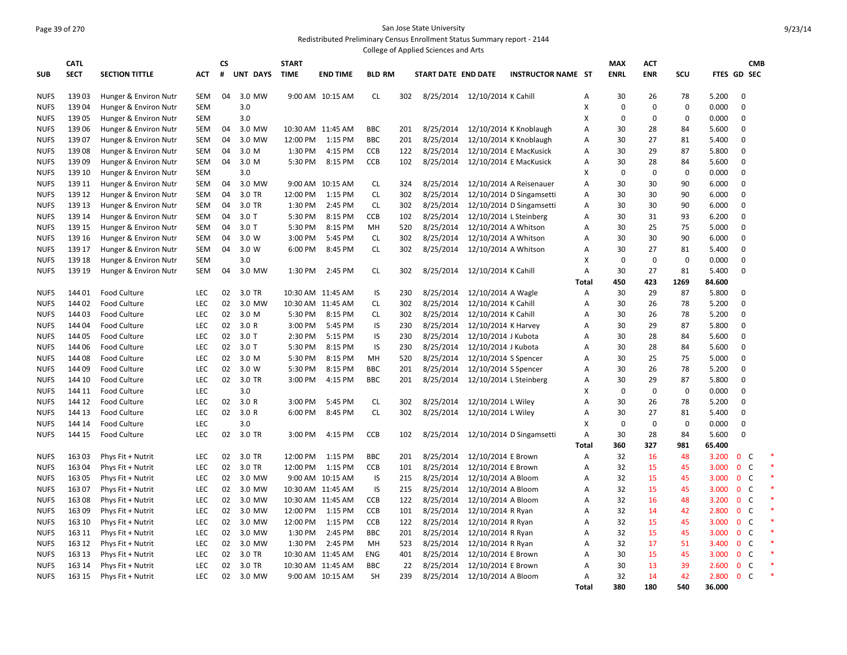## Page 39 of 270 San Jose State University Redistributed Preliminary Census Enrollment Status Summary report - 2144

|             |                  |                       |            |    |          |              |                   |               |            | College of Applied Sciences and Arts |                               |                                    |              |             |             |             |                |                |            |  |
|-------------|------------------|-----------------------|------------|----|----------|--------------|-------------------|---------------|------------|--------------------------------------|-------------------------------|------------------------------------|--------------|-------------|-------------|-------------|----------------|----------------|------------|--|
|             | <b>CATL</b>      |                       |            | CS |          | <b>START</b> |                   |               |            |                                      |                               |                                    |              | <b>MAX</b>  | <b>ACT</b>  |             |                |                | <b>CMB</b> |  |
| <b>SUB</b>  | <b>SECT</b>      | <b>SECTION TITTLE</b> | <b>ACT</b> | #  | UNT DAYS | <b>TIME</b>  | <b>END TIME</b>   | <b>BLD RM</b> |            | START DATE END DATE                  |                               | <b>INSTRUCTOR NAME ST</b>          |              | <b>ENRL</b> | <b>ENR</b>  | SCU         | FTES GD SEC    |                |            |  |
|             |                  |                       |            |    |          |              |                   |               |            |                                      |                               |                                    |              |             |             |             |                |                |            |  |
| <b>NUFS</b> | 13903            | Hunger & Environ Nutr | <b>SEM</b> | 04 | 3.0 MW   |              | 9:00 AM 10:15 AM  | <b>CL</b>     | 302        |                                      | 8/25/2014 12/10/2014 K Cahill |                                    | Α            | 30          | 26          | 78          | 5.200          | $\Omega$       |            |  |
| <b>NUFS</b> | 13904            | Hunger & Environ Nutr | <b>SEM</b> |    | 3.0      |              |                   |               |            |                                      |                               |                                    | X            | $\mathbf 0$ | $\mathbf 0$ | $\mathbf 0$ | 0.000          | $\overline{0}$ |            |  |
| <b>NUFS</b> | 13905            | Hunger & Environ Nutr | <b>SEM</b> |    | 3.0      |              |                   |               |            |                                      |                               |                                    | X            | 0           | $\mathbf 0$ | $\mathbf 0$ | 0.000          | $\mathbf 0$    |            |  |
| <b>NUFS</b> | 13906            | Hunger & Environ Nutr | <b>SEM</b> | 04 | 3.0 MW   |              | 10:30 AM 11:45 AM | <b>BBC</b>    | 201        | 8/25/2014                            |                               | 12/10/2014 K Knoblaugh             | Α            | 30          | 28          | 84          | 5.600          | $\mathbf 0$    |            |  |
| <b>NUFS</b> | 13907            | Hunger & Environ Nutr | <b>SEM</b> | 04 | 3.0 MW   | 12:00 PM     | 1:15 PM           | <b>BBC</b>    | 201        | 8/25/2014                            |                               | 12/10/2014 K Knoblaugh             | A            | 30          | 27          | 81          | 5.400          | $\Omega$       |            |  |
| <b>NUFS</b> | 13908            | Hunger & Environ Nutr | <b>SEM</b> | 04 | 3.0 M    | 1:30 PM      | 4:15 PM           | CCB           | 122        | 8/25/2014                            |                               | 12/10/2014 E MacKusick             | Α            | 30          | 29          | 87          | 5.800          | $\mathbf 0$    |            |  |
| <b>NUFS</b> | 13909            | Hunger & Environ Nutr | <b>SEM</b> | 04 | 3.0 M    | 5:30 PM      | 8:15 PM           | CCB           | 102        | 8/25/2014                            |                               | 12/10/2014 E MacKusick             | Α            | 30          | 28          | 84          | 5.600          | $\Omega$       |            |  |
| <b>NUFS</b> | 139 10           | Hunger & Environ Nutr | <b>SEM</b> |    | 3.0      |              |                   |               |            |                                      |                               |                                    | х            | $\Omega$    | $\mathbf 0$ | $\mathbf 0$ | 0.000          | $\Omega$       |            |  |
| <b>NUFS</b> | 139 11           | Hunger & Environ Nutr | <b>SEM</b> | 04 | 3.0 MW   |              | 9:00 AM 10:15 AM  | <b>CL</b>     | 324        | 8/25/2014                            |                               | 12/10/2014 A Reisenauer            | Α            | 30          | 30          | 90          | 6.000          | $\overline{0}$ |            |  |
| <b>NUFS</b> | 139 12           | Hunger & Environ Nutr | <b>SEM</b> | 04 | 3.0 TR   | 12:00 PM     | 1:15 PM           | <b>CL</b>     | 302        | 8/25/2014                            |                               | 12/10/2014 D Singamsetti           | Α            | 30          | 30          | 90          | 6.000          | $\Omega$       |            |  |
| <b>NUFS</b> | 139 13           | Hunger & Environ Nutr | <b>SEM</b> | 04 | 3.0 TR   | 1:30 PM      | 2:45 PM           | <b>CL</b>     | 302        | 8/25/2014                            |                               | 12/10/2014 D Singamsetti           | Α            | 30          | 30          | 90          | 6.000          | $\mathbf 0$    |            |  |
| <b>NUFS</b> | 139 14           | Hunger & Environ Nutr | <b>SEM</b> | 04 | $3.0$ T  | 5:30 PM      | 8:15 PM           | CCB           | 102        | 8/25/2014                            |                               | 12/10/2014 L Steinberg             | Α            | 30          | 31          | 93          | 6.200          | $\mathbf 0$    |            |  |
| <b>NUFS</b> | 139 15           | Hunger & Environ Nutr | <b>SEM</b> | 04 | $3.0$ T  | 5:30 PM      | 8:15 PM           | MH            | 520        | 8/25/2014                            |                               | 12/10/2014 A Whitson               | A            | 30          | 25          | 75          | 5.000          | $\Omega$       |            |  |
| <b>NUFS</b> | 139 16           | Hunger & Environ Nutr | <b>SEM</b> | 04 | 3.0 W    | 3:00 PM      | 5:45 PM           | <b>CL</b>     | 302        | 8/25/2014                            |                               | 12/10/2014 A Whitson               | Α            | 30          | 30          | 90          | 6.000          | $\mathbf 0$    |            |  |
| <b>NUFS</b> | 139 17           | Hunger & Environ Nutr | <b>SEM</b> | 04 | 3.0 W    | 6:00 PM      | 8:45 PM           | <b>CL</b>     | 302        | 8/25/2014                            |                               | 12/10/2014 A Whitson               | Α            | 30          | 27          | 81          | 5.400          | $\mathbf 0$    |            |  |
| <b>NUFS</b> | 139 18           | Hunger & Environ Nutr | <b>SEM</b> |    | 3.0      |              |                   |               |            |                                      |                               |                                    | х            | 0           | $\mathbf 0$ | $\Omega$    | 0.000          | $\Omega$       |            |  |
| <b>NUFS</b> | 139 19           | Hunger & Environ Nutr | <b>SEM</b> | 04 | 3.0 MW   | 1:30 PM      | 2:45 PM           | <b>CL</b>     | 302        | 8/25/2014                            | 12/10/2014 K Cahill           |                                    | Α            | 30          | 27          | 81          | 5.400          | $\mathbf 0$    |            |  |
|             |                  |                       |            |    |          |              |                   |               |            |                                      |                               |                                    | Total        | 450         | 423         | 1269        | 84.600         |                |            |  |
| <b>NUFS</b> | 144 01           | Food Culture          | LEC        | 02 | 3.0 TR   |              | 10:30 AM 11:45 AM | IS            | 230        | 8/25/2014                            | 12/10/2014 A Wagle            |                                    | Α            | 30          | 29          | 87          | 5.800          | $\mathbf 0$    |            |  |
| <b>NUFS</b> | 144 02           | Food Culture          | LEC        | 02 | 3.0 MW   |              | 10:30 AM 11:45 AM | CL.           | 302        | 8/25/2014                            | 12/10/2014 K Cahill           |                                    | Α            | 30          | 26          | 78          | 5.200          | $\mathbf 0$    |            |  |
| <b>NUFS</b> | 14403            | <b>Food Culture</b>   | <b>LEC</b> | 02 | 3.0 M    | 5:30 PM      | 8:15 PM           | CL            | 302        | 8/25/2014                            | 12/10/2014 K Cahill           |                                    | A            | 30          | 26          | 78          | 5.200          | $\Omega$       |            |  |
| <b>NUFS</b> | 144 04           | Food Culture          | <b>LEC</b> | 02 | 3.0 R    | 3:00 PM      | 5:45 PM           | IS            | 230        | 8/25/2014                            | 12/10/2014 K Harvey           |                                    | Α            | 30          | 29          | 87          | 5.800          | $\mathbf 0$    |            |  |
| <b>NUFS</b> | 144 05           | Food Culture          | LEC        | 02 | $3.0$ T  | 2:30 PM      | 5:15 PM           | IS            | 230        | 8/25/2014                            | 12/10/2014 J Kubota           |                                    | A            | 30          | 28          | 84          | 5.600          | $\Omega$       |            |  |
| <b>NUFS</b> | 144 06           | Food Culture          | LEC        | 02 | $3.0$ T  | 5:30 PM      | 8:15 PM           | IS            | 230        | 8/25/2014                            | 12/10/2014 J Kubota           |                                    | Α            | 30          | 28          | 84          | 5.600          | $\Omega$       |            |  |
| <b>NUFS</b> | 14408            | Food Culture          | LEC        | 02 | 3.0 M    | 5:30 PM      | 8:15 PM           | MH            | 520        | 8/25/2014                            | 12/10/2014 S Spencer          |                                    | A            | 30          | 25          | 75          | 5.000          | $\overline{0}$ |            |  |
| <b>NUFS</b> | 144 09           | Food Culture          | <b>LEC</b> | 02 | 3.0 W    | 5:30 PM      | 8:15 PM           | <b>BBC</b>    | 201        | 8/25/2014                            | 12/10/2014 S Spencer          |                                    | Α            | 30          | 26          | 78          | 5.200          | $\Omega$       |            |  |
| <b>NUFS</b> | 144 10           | Food Culture          | LEC        | 02 | 3.0 TR   | 3:00 PM      | 4:15 PM           | <b>BBC</b>    | 201        | 8/25/2014                            |                               | 12/10/2014 L Steinberg             | Α            | 30          | 29          | 87          | 5.800          | $\Omega$       |            |  |
| <b>NUFS</b> | 144 11           | Food Culture          | <b>LEC</b> |    | 3.0      |              |                   |               |            |                                      |                               |                                    | X            | $\mathbf 0$ | $\mathbf 0$ | $\mathbf 0$ | 0.000          | $\Omega$       |            |  |
| <b>NUFS</b> | 144 12           | <b>Food Culture</b>   | <b>LEC</b> | 02 | 3.0R     | 3:00 PM      | 5:45 PM           | CL            | 302        | 8/25/2014                            | 12/10/2014 L Wiley            |                                    | A            | 30          | 26          | 78          | 5.200          | $\Omega$       |            |  |
| <b>NUFS</b> | 144 13           | Food Culture          | LEC        | 02 | 3.0R     | 6:00 PM      | 8:45 PM           | <b>CL</b>     | 302        | 8/25/2014                            | 12/10/2014 L Wiley            |                                    | Α            | 30          | 27          | 81          | 5.400          | $\mathbf 0$    |            |  |
| <b>NUFS</b> | 144 14           | Food Culture          | LEC        |    | 3.0      |              |                   |               |            |                                      |                               |                                    | X            | $\mathbf 0$ | $\mathbf 0$ | $\mathbf 0$ | 0.000          | $\Omega$       |            |  |
| <b>NUFS</b> | 144 15           | Food Culture          | <b>LEC</b> | 02 | 3.0 TR   | 3:00 PM      | 4:15 PM           | CCB           | 102        |                                      |                               | 8/25/2014 12/10/2014 D Singamsetti | Α            | 30          | 28          | 84          | 5.600          | $\Omega$       |            |  |
|             |                  |                       |            |    |          |              |                   |               |            |                                      |                               |                                    | <b>Total</b> | 360         | 327         | 981         | 65.400         |                |            |  |
| <b>NUFS</b> | 163 03           | Phys Fit + Nutrit     | LEC        | 02 | 3.0 TR   | 12:00 PM     | 1:15 PM           | <b>BBC</b>    | 201        | 8/25/2014                            | 12/10/2014 E Brown            |                                    | Α            | 32          | 16          | 48          | 3.200          | $\mathbf{0}$   | C          |  |
|             |                  |                       | LEC        | 02 | 3.0 TR   |              |                   | CCB           |            |                                      |                               |                                    |              | 32          | 15          | 45          |                | $\mathbf 0$    | C          |  |
| <b>NUFS</b> | 163 04<br>163 05 | Phys Fit + Nutrit     | LEC        | 02 | 3.0 MW   | 12:00 PM     | 1:15 PM           | IS            | 101        | 8/25/2014                            | 12/10/2014 E Brown            |                                    | Α            | 32          | 15          | 45          | 3.000<br>3.000 | 0 <sup>o</sup> |            |  |
| <b>NUFS</b> |                  | Phys Fit + Nutrit     |            |    |          |              | 9:00 AM 10:15 AM  | IS            | 215<br>215 | 8/25/2014                            | 12/10/2014 A Bloom            |                                    | Α            |             | 15          |             | 3.000          | $\mathbf{0}$   | <b>C</b>   |  |
| <b>NUFS</b> | 163 07           | Phys Fit + Nutrit     | LEC        | 02 | 3.0 MW   |              | 10:30 AM 11:45 AM |               |            | 8/25/2014                            | 12/10/2014 A Bloom            |                                    | A            | 32          |             | 45          |                |                |            |  |
| <b>NUFS</b> | 16308            | Phys Fit + Nutrit     | LEC        | 02 | 3.0 MW   |              | 10:30 AM 11:45 AM | CCB           | 122        | 8/25/2014                            | 12/10/2014 A Bloom            |                                    | Α            | 32          | 16          | 48          | 3.200          | 0 <sup>o</sup> |            |  |
| <b>NUFS</b> | 16309            | Phys Fit + Nutrit     | LEC        | 02 | 3.0 MW   | 12:00 PM     | 1:15 PM           | CCB           | 101        | 8/25/2014                            | 12/10/2014 R Ryan             |                                    | Α            | 32          | 14          | 42          | 2.800          | $\mathbf 0$    | C          |  |
| <b>NUFS</b> | 163 10           | Phys Fit + Nutrit     | LEC        | 02 | 3.0 MW   | 12:00 PM     | 1:15 PM           | <b>CCB</b>    | 122        | 8/25/2014                            | 12/10/2014 R Ryan             |                                    | Α            | 32          | 15          | 45          | 3.000          | 0 <sup>o</sup> |            |  |
| <b>NUFS</b> | 163 11           | Phys Fit + Nutrit     | LEC        | 02 | 3.0 MW   | 1:30 PM      | 2:45 PM           | <b>BBC</b>    | 201        | 8/25/2014                            | 12/10/2014 R Ryan             |                                    | Α            | 32          | 15          | 45          | 3.000          | $\mathbf 0$    | C          |  |
| <b>NUFS</b> | 163 12           | Phys Fit + Nutrit     | LEC        | 02 | 3.0 MW   | 1:30 PM      | 2:45 PM           | MH            | 523        | 8/25/2014                            | 12/10/2014 R Ryan             |                                    | Α            | 32          | 17          | 51          | 3.400          | $\mathbf 0$    | <b>C</b>   |  |
| <b>NUFS</b> | 163 13           | Phys Fit + Nutrit     | LEC        | 02 | 3.0 TR   |              | 10:30 AM 11:45 AM | <b>ENG</b>    | 401        | 8/25/2014                            | 12/10/2014 E Brown            |                                    | Α            | 30          | 15          | 45          | 3.000          | $\mathbf 0$    | C          |  |
| <b>NUFS</b> | 163 14           | Phys Fit + Nutrit     | LEC        | 02 | 3.0 TR   |              | 10:30 AM 11:45 AM | <b>BBC</b>    | 22         | 8/25/2014                            | 12/10/2014 E Brown            |                                    | Α            | 30          | 13          | 39          | 2.600          | $\mathbf 0$    | C          |  |
| <b>NUFS</b> | 163 15           | Phys Fit + Nutrit     | LEC.       | 02 | 3.0 MW   |              | 9:00 AM 10:15 AM  | <b>SH</b>     | 239        | 8/25/2014                            | 12/10/2014 A Bloom            |                                    | A            | 32          | 14          | 42          | 2.800          | $\mathbf{0}$   | - C        |  |
|             |                  |                       |            |    |          |              |                   |               |            |                                      |                               |                                    | <b>Total</b> | 380         | 180         | 540         | 36.000         |                |            |  |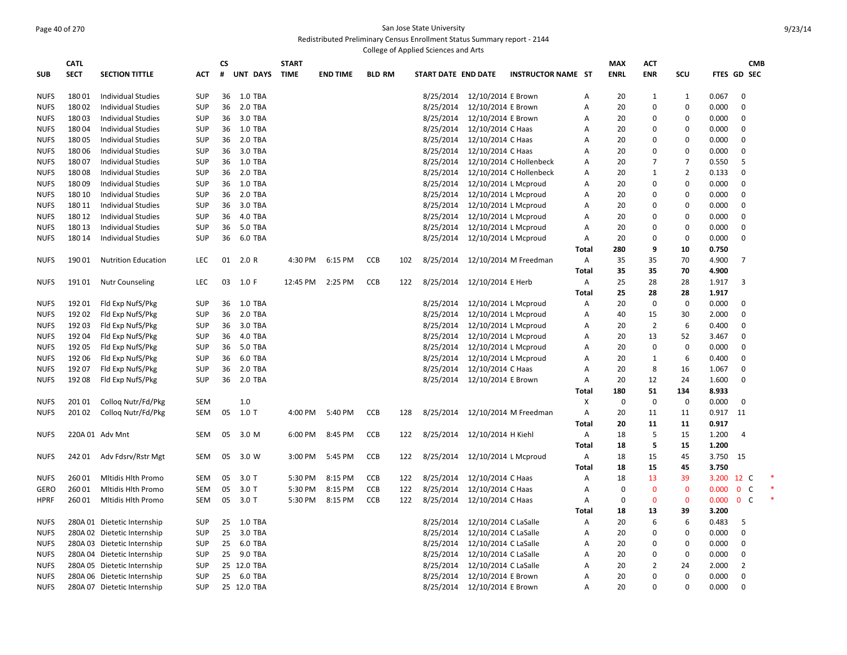#### Page 40 of 270 San Jose State University Redistributed Preliminary Census Enrollment Status Summary report - 2144 College of Applied Sciences and Arts

|             | <b>CATL</b> |                                                        |            | СS |                | <b>START</b> |                 |               |     |                        |                      |                           |              | <b>MAX</b>  | <b>ACT</b>        |                |       | <b>CMB</b>        |  |
|-------------|-------------|--------------------------------------------------------|------------|----|----------------|--------------|-----------------|---------------|-----|------------------------|----------------------|---------------------------|--------------|-------------|-------------------|----------------|-------|-------------------|--|
| <b>SUB</b>  | <b>SECT</b> | <b>SECTION TITTLE</b>                                  | <b>ACT</b> | #  | UNT DAYS       | <b>TIME</b>  | <b>END TIME</b> | <b>BLD RM</b> |     | START DATE END DATE    |                      | <b>INSTRUCTOR NAME ST</b> |              | <b>ENRL</b> | <b>ENR</b>        | scu            |       | FTES GD SEC       |  |
| <b>NUFS</b> | 18001       |                                                        | <b>SUP</b> | 36 | 1.0 TBA        |              |                 |               |     |                        | 12/10/2014 E Brown   |                           |              | 20          |                   | 1              | 0.067 | 0                 |  |
| <b>NUFS</b> | 18002       | <b>Individual Studies</b><br><b>Individual Studies</b> | <b>SUP</b> | 36 | 2.0 TBA        |              |                 |               |     | 8/25/2014<br>8/25/2014 | 12/10/2014 E Brown   |                           | Α<br>A       | 20          | $\mathbf{1}$<br>0 | 0              | 0.000 | $\mathbf 0$       |  |
|             |             |                                                        |            |    |                |              |                 |               |     |                        |                      |                           |              |             |                   |                |       |                   |  |
| <b>NUFS</b> | 18003       | <b>Individual Studies</b>                              | SUP        | 36 | 3.0 TBA        |              |                 |               |     | 8/25/2014              | 12/10/2014 E Brown   |                           | A            | 20          | 0                 | 0              | 0.000 | $\mathbf 0$       |  |
| <b>NUFS</b> | 18004       | <b>Individual Studies</b>                              | <b>SUP</b> | 36 | 1.0 TBA        |              |                 |               |     | 8/25/2014              | 12/10/2014 C Haas    |                           | A            | 20          | 0                 | 0              | 0.000 | $\mathbf 0$       |  |
| <b>NUFS</b> | 18005       | <b>Individual Studies</b>                              | <b>SUP</b> | 36 | 2.0 TBA        |              |                 |               |     | 8/25/2014              | 12/10/2014 C Haas    |                           | A            | 20          | 0                 | 0              | 0.000 | $\mathbf 0$       |  |
| <b>NUFS</b> | 18006       | <b>Individual Studies</b>                              | <b>SUP</b> | 36 | 3.0 TBA        |              |                 |               |     | 8/25/2014              | 12/10/2014 C Haas    |                           | A            | 20          | 0                 | 0              | 0.000 | $\mathbf 0$       |  |
| <b>NUFS</b> | 18007       | Individual Studies                                     | <b>SUP</b> | 36 | 1.0 TBA        |              |                 |               |     | 8/25/2014              |                      | 12/10/2014 C Hollenbeck   | Α            | 20          | $\overline{7}$    | 7              | 0.550 | 5                 |  |
| <b>NUFS</b> | 18008       | <b>Individual Studies</b>                              | <b>SUP</b> | 36 | 2.0 TBA        |              |                 |               |     | 8/25/2014              |                      | 12/10/2014 C Hollenbeck   | Α            | 20          | $\mathbf{1}$      | $\overline{2}$ | 0.133 | $\mathbf 0$       |  |
| <b>NUFS</b> | 18009       | <b>Individual Studies</b>                              | <b>SUP</b> | 36 | 1.0 TBA        |              |                 |               |     | 8/25/2014              |                      | 12/10/2014 L Mcproud      | A            | 20          | $\mathbf 0$       | 0              | 0.000 | $\mathbf 0$       |  |
| <b>NUFS</b> | 180 10      | <b>Individual Studies</b>                              | <b>SUP</b> | 36 | 2.0 TBA        |              |                 |               |     | 8/25/2014              |                      | 12/10/2014 L Mcproud      | Α            | 20          | $\mathbf 0$       | $\pmb{0}$      | 0.000 | $\mathbf 0$       |  |
| <b>NUFS</b> | 180 11      | <b>Individual Studies</b>                              | <b>SUP</b> | 36 | 3.0 TBA        |              |                 |               |     | 8/25/2014              |                      | 12/10/2014 L Mcproud      | Α            | 20          | 0                 | 0              | 0.000 | $\mathbf 0$       |  |
| <b>NUFS</b> | 180 12      | <b>Individual Studies</b>                              | <b>SUP</b> | 36 | 4.0 TBA        |              |                 |               |     | 8/25/2014              |                      | 12/10/2014 L Mcproud      | Α            | 20          | 0                 | 0              | 0.000 | $\mathbf 0$       |  |
| <b>NUFS</b> | 180 13      | <b>Individual Studies</b>                              | <b>SUP</b> | 36 | 5.0 TBA        |              |                 |               |     | 8/25/2014              |                      | 12/10/2014 L Mcproud      | Α            | 20          | $\overline{0}$    | 0              | 0.000 | $\mathbf 0$       |  |
| <b>NUFS</b> | 180 14      | <b>Individual Studies</b>                              | <b>SUP</b> | 36 | 6.0 TBA        |              |                 |               |     | 8/25/2014              |                      | 12/10/2014 L Mcproud      | Α            | 20          | $\mathbf 0$       | 0              | 0.000 | $\mathbf 0$       |  |
|             |             |                                                        |            |    |                |              |                 |               |     |                        |                      |                           | <b>Total</b> | 280         | 9                 | 10             | 0.750 |                   |  |
| <b>NUFS</b> | 19001       | <b>Nutrition Education</b>                             | <b>LEC</b> | 01 | 2.0 R          | 4:30 PM      | 6:15 PM         | CCB           | 102 | 8/25/2014              |                      | 12/10/2014 M Freedman     | Α            | 35          | 35                | 70             | 4.900 | $\overline{7}$    |  |
|             |             |                                                        |            |    |                |              |                 |               |     |                        |                      |                           | <b>Total</b> | 35          | 35                | 70             | 4.900 |                   |  |
| <b>NUFS</b> | 19101       | <b>Nutr Counseling</b>                                 | <b>LEC</b> | 03 | 1.0 F          | 12:45 PM     | 2:25 PM         | <b>CCB</b>    | 122 | 8/25/2014              | 12/10/2014 E Herb    |                           | Α            | 25          | 28                | 28             | 1.917 | 3                 |  |
|             |             |                                                        |            |    |                |              |                 |               |     |                        |                      |                           | Total        | 25          | 28                | 28             | 1.917 |                   |  |
| <b>NUFS</b> | 19201       | Fld Exp NufS/Pkg                                       | <b>SUP</b> | 36 | 1.0 TBA        |              |                 |               |     | 8/25/2014              |                      | 12/10/2014 L Mcproud      | Α            | 20          | $\mathbf 0$       | 0              | 0.000 | $\mathbf 0$       |  |
| <b>NUFS</b> | 192 02      | Fld Exp NufS/Pkg                                       | <b>SUP</b> | 36 | 2.0 TBA        |              |                 |               |     | 8/25/2014              |                      | 12/10/2014 L Mcproud      | A            | 40          | 15                | 30             | 2.000 | $\mathbf 0$       |  |
| <b>NUFS</b> | 192 03      | Fld Exp NufS/Pkg                                       | <b>SUP</b> | 36 | 3.0 TBA        |              |                 |               |     | 8/25/2014              |                      | 12/10/2014 L Mcproud      | Α            | 20          | $\overline{2}$    | 6              | 0.400 | $\mathbf 0$       |  |
| <b>NUFS</b> | 192 04      | Fld Exp NufS/Pkg                                       | <b>SUP</b> | 36 | 4.0 TBA        |              |                 |               |     | 8/25/2014              |                      | 12/10/2014 L Mcproud      | Α            | 20          | 13                | 52             | 3.467 | $\mathbf 0$       |  |
| <b>NUFS</b> | 192 05      | Fld Exp NufS/Pkg                                       | SUP        | 36 | 5.0 TBA        |              |                 |               |     | 8/25/2014              |                      | 12/10/2014 L Mcproud      | Α            | 20          | $\mathbf 0$       | $\mathbf 0$    | 0.000 | $\mathbf 0$       |  |
| <b>NUFS</b> | 192 06      | Fld Exp NufS/Pkg                                       | <b>SUP</b> | 36 | 6.0 TBA        |              |                 |               |     | 8/25/2014              |                      | 12/10/2014 L Mcproud      | A            | 20          | $\mathbf{1}$      | 6              | 0.400 | $\mathbf 0$       |  |
| <b>NUFS</b> | 19207       | Fld Exp NufS/Pkg                                       | <b>SUP</b> | 36 | 2.0 TBA        |              |                 |               |     | 8/25/2014              | 12/10/2014 C Haas    |                           | A            | 20          | 8                 | 16             | 1.067 | $\mathbf 0$       |  |
| <b>NUFS</b> | 19208       | Fld Exp NufS/Pkg                                       | <b>SUP</b> | 36 | 2.0 TBA        |              |                 |               |     | 8/25/2014              | 12/10/2014 E Brown   |                           | Α            | 20          | 12                | 24             | 1.600 | $\mathbf 0$       |  |
|             |             |                                                        |            |    |                |              |                 |               |     |                        |                      |                           | Total        | 180         | 51                | 134            | 8.933 |                   |  |
| <b>NUFS</b> | 20101       | Collog Nutr/Fd/Pkg                                     | <b>SEM</b> |    | 1.0            |              |                 |               |     |                        |                      |                           | Х            | 0           | $\mathbf 0$       | $\pmb{0}$      | 0.000 | $\mathbf 0$       |  |
| <b>NUFS</b> | 201 02      | Collog Nutr/Fd/Pkg                                     | <b>SEM</b> | 05 | $1.0$ T        | 4:00 PM      | 5:40 PM         | <b>CCB</b>    | 128 | 8/25/2014              |                      | 12/10/2014 M Freedman     | Α            | 20          | 11                | 11             | 0.917 | 11                |  |
|             |             |                                                        |            |    |                |              |                 |               |     |                        |                      |                           | Total        | 20          | 11                | 11             | 0.917 |                   |  |
| <b>NUFS</b> |             | 220A 01 Adv Mnt                                        | <b>SEM</b> | 05 | 3.0 M          | 6:00 PM      | 8:45 PM         | CCB           | 122 | 8/25/2014              | 12/10/2014 H Kiehl   |                           | Α            | 18          | 5                 | 15             | 1.200 | $\overline{4}$    |  |
|             |             |                                                        |            |    |                |              |                 |               |     |                        |                      |                           | Total        | 18          | 5                 | 15             | 1.200 |                   |  |
| <b>NUFS</b> | 24201       | Adv Fdsrv/Rstr Mgt                                     | <b>SEM</b> | 05 | 3.0 W          | 3:00 PM      | 5:45 PM         | <b>CCB</b>    | 122 | 8/25/2014              |                      | 12/10/2014 L Mcproud      | A            | 18          | 15                | 45             | 3.750 | 15                |  |
|             |             |                                                        |            |    |                |              |                 |               |     |                        |                      |                           | Total        | 18          | 15                | 45             | 3.750 |                   |  |
| <b>NUFS</b> | 26001       | Mitidis Hith Promo                                     | <b>SEM</b> | 05 | $3.0$ T        | 5:30 PM      | 8:15 PM         | <b>CCB</b>    | 122 | 8/25/2014              | 12/10/2014 C Haas    |                           | A            | 18          | 13                | 39             | 3.200 | 12 C              |  |
| GERO        | 26001       | <b>Mitidis Hith Promo</b>                              | <b>SEM</b> | 05 | $3.0$ T        | 5:30 PM      | 8:15 PM         | <b>CCB</b>    | 122 | 8/25/2014              | 12/10/2014 C Haas    |                           | A            | $\Omega$    | $\overline{0}$    | $\mathbf{0}$   | 0.000 | $\mathbf{0}$<br>C |  |
|             |             |                                                        |            |    |                |              |                 |               |     |                        |                      |                           |              |             |                   |                |       |                   |  |
| <b>HPRF</b> | 26001       | Mitidis Hith Promo                                     | <b>SEM</b> | 05 | $3.0$ T        | 5:30 PM      | 8:15 PM         | <b>CCB</b>    | 122 | 8/25/2014              | 12/10/2014 C Haas    |                           | A            | $\Omega$    | $\mathbf{0}$      | $\mathbf{0}$   | 0.000 | $\mathbf{0}$<br>C |  |
|             |             |                                                        |            |    |                |              |                 |               |     |                        |                      |                           | Total        | 18          | 13                | 39             | 3.200 |                   |  |
| <b>NUFS</b> |             | 280A 01 Dietetic Internship                            | <b>SUP</b> | 25 | <b>1.0 TBA</b> |              |                 |               |     | 8/25/2014              | 12/10/2014 C LaSalle |                           | A            | 20          | 6                 | 6              | 0.483 | 5                 |  |
| <b>NUFS</b> |             | 280A 02 Dietetic Internship                            | <b>SUP</b> | 25 | 3.0 TBA        |              |                 |               |     | 8/25/2014              | 12/10/2014 C LaSalle |                           | A            | 20          | 0                 | $\mathbf 0$    | 0.000 | $\mathbf 0$       |  |
| <b>NUFS</b> |             | 280A 03 Dietetic Internship                            | <b>SUP</b> | 25 | 6.0 TBA        |              |                 |               |     | 8/25/2014              | 12/10/2014 C LaSalle |                           | A            | 20          | 0                 | $\mathbf 0$    | 0.000 | $\mathbf 0$       |  |
| <b>NUFS</b> |             | 280A 04 Dietetic Internship                            | <b>SUP</b> | 25 | 9.0 TBA        |              |                 |               |     | 8/25/2014              | 12/10/2014 C LaSalle |                           | Α            | 20          | 0                 | 0              | 0.000 | $\mathbf 0$       |  |
| <b>NUFS</b> |             | 280A 05 Dietetic Internship                            | <b>SUP</b> |    | 25 12.0 TBA    |              |                 |               |     | 8/25/2014              | 12/10/2014 C LaSalle |                           | A            | 20          | 2                 | 24             | 2.000 | $\overline{2}$    |  |
| <b>NUFS</b> |             | 280A 06 Dietetic Internship                            | <b>SUP</b> | 25 | 6.0 TBA        |              |                 |               |     | 8/25/2014              | 12/10/2014 E Brown   |                           | A            | 20          | $\Omega$          | $\Omega$       | 0.000 | $\Omega$          |  |
| <b>NUFS</b> |             | 280A 07 Dietetic Internship                            | <b>SUP</b> |    | 25 12.0 TBA    |              |                 |               |     | 8/25/2014              | 12/10/2014 E Brown   |                           | A            | 20          | $\Omega$          | $\Omega$       | 0.000 | $\Omega$          |  |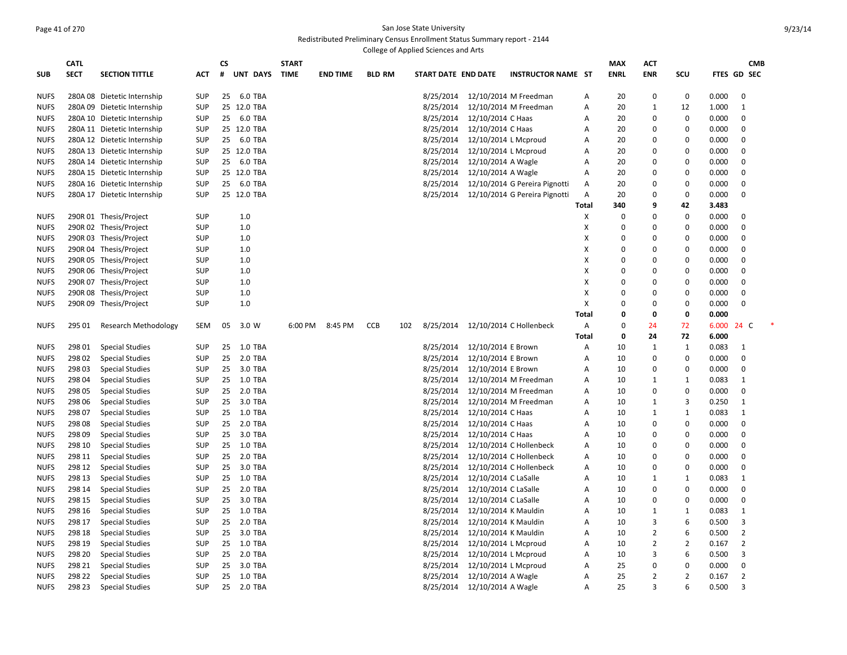#### Page 41 of 270 San Jose State University Redistributed Preliminary Census Enrollment Status Summary report - 2144 College of Applied Sciences and Arts

|             |             |                             |            |    |                |              |                 |               |     | iche of Applica Sciences and |                      |                               |       |             |                |                |       |                |  |
|-------------|-------------|-----------------------------|------------|----|----------------|--------------|-----------------|---------------|-----|------------------------------|----------------------|-------------------------------|-------|-------------|----------------|----------------|-------|----------------|--|
|             | <b>CATL</b> |                             |            | СS |                | <b>START</b> |                 |               |     |                              |                      |                               |       | <b>MAX</b>  | ACT            |                |       | <b>CMB</b>     |  |
| <b>SUB</b>  | <b>SECT</b> | <b>SECTION TITTLE</b>       | ACT        | #  | UNT DAYS       | <b>TIME</b>  | <b>END TIME</b> | <b>BLD RM</b> |     | START DATE END DATE          |                      | <b>INSTRUCTOR NAME ST</b>     |       | <b>ENRL</b> | <b>ENR</b>     | SCU            |       | FTES GD SEC    |  |
|             |             |                             |            |    |                |              |                 |               |     |                              |                      |                               |       |             |                |                |       |                |  |
| <b>NUFS</b> |             | 280A 08 Dietetic Internship | <b>SUP</b> | 25 | 6.0 TBA        |              |                 |               |     | 8/25/2014                    |                      | 12/10/2014 M Freedman         | A     | 20          | $\mathbf 0$    | 0              | 0.000 | 0              |  |
| <b>NUFS</b> |             | 280A 09 Dietetic Internship | <b>SUP</b> |    | 25 12.0 TBA    |              |                 |               |     | 8/25/2014                    |                      | 12/10/2014 M Freedman         | A     | 20          | 1              | 12             | 1.000 | 1              |  |
| <b>NUFS</b> |             | 280A 10 Dietetic Internship | <b>SUP</b> | 25 | 6.0 TBA        |              |                 |               |     | 8/25/2014                    | 12/10/2014 C Haas    |                               | A     | 20          | $\mathbf 0$    | 0              | 0.000 | 0              |  |
| <b>NUFS</b> |             | 280A 11 Dietetic Internship | <b>SUP</b> |    | 25 12.0 TBA    |              |                 |               |     | 8/25/2014                    | 12/10/2014 C Haas    |                               | Α     | 20          | $\Omega$       | 0              | 0.000 | 0              |  |
| <b>NUFS</b> |             | 280A 12 Dietetic Internship | <b>SUP</b> | 25 | 6.0 TBA        |              |                 |               |     | 8/25/2014                    | 12/10/2014 L Mcproud |                               | Α     | 20          | $\Omega$       | 0              | 0.000 | 0              |  |
| <b>NUFS</b> |             | 280A 13 Dietetic Internship | <b>SUP</b> |    | 25 12.0 TBA    |              |                 |               |     | 8/25/2014                    | 12/10/2014 L Mcproud |                               | Α     | 20          | $\Omega$       | 0              | 0.000 | 0              |  |
| <b>NUFS</b> |             | 280A 14 Dietetic Internship | <b>SUP</b> | 25 | 6.0 TBA        |              |                 |               |     | 8/25/2014                    | 12/10/2014 A Wagle   |                               | Α     | 20          | $\Omega$       | 0              | 0.000 | 0              |  |
| <b>NUFS</b> |             | 280A 15 Dietetic Internship | <b>SUP</b> |    | 25 12.0 TBA    |              |                 |               |     | 8/25/2014                    | 12/10/2014 A Wagle   |                               | Α     | 20          | $\Omega$       | 0              | 0.000 | 0              |  |
| <b>NUFS</b> |             | 280A 16 Dietetic Internship | <b>SUP</b> | 25 | 6.0 TBA        |              |                 |               |     | 8/25/2014                    |                      | 12/10/2014 G Pereira Pignotti | Α     | 20          | $\Omega$       | 0              | 0.000 | 0              |  |
| <b>NUFS</b> |             | 280A 17 Dietetic Internship | <b>SUP</b> |    | 25 12.0 TBA    |              |                 |               |     | 8/25/2014                    |                      | 12/10/2014 G Pereira Pignotti | Α     | 20          | $\Omega$       | 0              | 0.000 | 0              |  |
|             |             |                             |            |    |                |              |                 |               |     |                              |                      |                               | Total | 340         | 9              | 42             | 3.483 |                |  |
| <b>NUFS</b> |             | 290R 01 Thesis/Project      | SUP        |    | 1.0            |              |                 |               |     |                              |                      |                               | X     | 0           | $\Omega$       | 0              | 0.000 | $\mathbf 0$    |  |
| <b>NUFS</b> |             | 290R 02 Thesis/Project      | <b>SUP</b> |    | 1.0            |              |                 |               |     |                              |                      |                               | х     | 0           | $\Omega$       | 0              | 0.000 | $\mathbf 0$    |  |
| <b>NUFS</b> |             | 290R 03 Thesis/Project      | <b>SUP</b> |    | 1.0            |              |                 |               |     |                              |                      |                               | X     | $\Omega$    | $\Omega$       | 0              | 0.000 | $\mathbf 0$    |  |
| <b>NUFS</b> |             | 290R 04 Thesis/Project      | <b>SUP</b> |    | 1.0            |              |                 |               |     |                              |                      |                               | X     | $\Omega$    | $\Omega$       | 0              | 0.000 | $\mathbf 0$    |  |
| <b>NUFS</b> |             | 290R 05 Thesis/Project      | <b>SUP</b> |    | 1.0            |              |                 |               |     |                              |                      |                               | X     | $\Omega$    | $\Omega$       | 0              | 0.000 | $\mathbf 0$    |  |
| <b>NUFS</b> |             | 290R 06 Thesis/Project      | <b>SUP</b> |    | 1.0            |              |                 |               |     |                              |                      |                               | X     | $\Omega$    | $\Omega$       | 0              | 0.000 | $\mathbf 0$    |  |
| <b>NUFS</b> |             | 290R 07 Thesis/Project      | <b>SUP</b> |    | 1.0            |              |                 |               |     |                              |                      |                               | X     | $\Omega$    | $\Omega$       | $\Omega$       | 0.000 | $\mathbf 0$    |  |
| <b>NUFS</b> |             | 290R 08 Thesis/Project      | <b>SUP</b> |    | 1.0            |              |                 |               |     |                              |                      |                               | X     | $\Omega$    | $\Omega$       | $\Omega$       | 0.000 | $\mathbf 0$    |  |
| <b>NUFS</b> |             | 290R 09 Thesis/Project      | <b>SUP</b> |    | 1.0            |              |                 |               |     |                              |                      |                               | х     | $\Omega$    | $\Omega$       | 0              | 0.000 | $\mathbf 0$    |  |
|             |             |                             |            |    |                |              |                 |               |     |                              |                      |                               | Total | 0           | $\mathbf 0$    | 0              | 0.000 |                |  |
| <b>NUFS</b> | 295 01      | <b>Research Methodology</b> | SEM        | 05 | 3.0 W          | 6:00 PM      | 8:45 PM         | <b>CCB</b>    | 102 | 8/25/2014                    |                      | 12/10/2014 C Hollenbeck       | Α     | $\Omega$    | 24             | 72             | 6.000 | 24<br><b>C</b> |  |
|             |             |                             |            |    |                |              |                 |               |     |                              |                      |                               | Total | 0           | 24             | 72             | 6.000 |                |  |
| <b>NUFS</b> | 298 01      | <b>Special Studies</b>      | <b>SUP</b> | 25 | 1.0 TBA        |              |                 |               |     | 8/25/2014                    | 12/10/2014 E Brown   |                               | Α     | 10          | 1              | 1              | 0.083 | 1              |  |
| <b>NUFS</b> | 298 02      | <b>Special Studies</b>      | <b>SUP</b> | 25 | 2.0 TBA        |              |                 |               |     | 8/25/2014                    | 12/10/2014 E Brown   |                               | Α     | 10          | $\Omega$       | 0              | 0.000 | $\mathbf 0$    |  |
| <b>NUFS</b> | 29803       | <b>Special Studies</b>      | <b>SUP</b> | 25 | 3.0 TBA        |              |                 |               |     | 8/25/2014                    | 12/10/2014 E Brown   |                               | Α     | 10          | $\Omega$       | 0              | 0.000 | $\mathbf 0$    |  |
| <b>NUFS</b> | 298 04      | <b>Special Studies</b>      | <b>SUP</b> | 25 | 1.0 TBA        |              |                 |               |     | 8/25/2014                    |                      | 12/10/2014 M Freedman         | Α     | 10          | 1              | $\mathbf{1}$   | 0.083 | 1              |  |
| <b>NUFS</b> | 298 05      | <b>Special Studies</b>      | SUP        | 25 | 2.0 TBA        |              |                 |               |     | 8/25/2014                    |                      | 12/10/2014 M Freedman         | А     | 10          | $\mathbf 0$    | 0              | 0.000 | $\mathbf 0$    |  |
| <b>NUFS</b> | 298 06      | <b>Special Studies</b>      | <b>SUP</b> | 25 | 3.0 TBA        |              |                 |               |     | 8/25/2014                    |                      | 12/10/2014 M Freedman         | А     | 10          | 1              | 3              | 0.250 | $\mathbf{1}$   |  |
| <b>NUFS</b> | 298 07      | <b>Special Studies</b>      | <b>SUP</b> | 25 | 1.0 TBA        |              |                 |               |     | 8/25/2014                    | 12/10/2014 C Haas    |                               | А     | 10          | 1              | $\mathbf{1}$   | 0.083 | $\mathbf{1}$   |  |
| <b>NUFS</b> | 29808       | <b>Special Studies</b>      | <b>SUP</b> | 25 | 2.0 TBA        |              |                 |               |     | 8/25/2014                    | 12/10/2014 C Haas    |                               | Α     | 10          | $\mathbf 0$    | 0              | 0.000 | $\mathbf 0$    |  |
| <b>NUFS</b> | 298 09      | <b>Special Studies</b>      | <b>SUP</b> | 25 | 3.0 TBA        |              |                 |               |     | 8/25/2014                    | 12/10/2014 C Haas    |                               | А     | 10          | $\Omega$       | 0              | 0.000 | $\mathbf 0$    |  |
|             |             |                             |            |    |                |              |                 |               |     |                              |                      |                               |       |             | $\Omega$       |                |       | $\mathbf 0$    |  |
| <b>NUFS</b> | 298 10      | <b>Special Studies</b>      | <b>SUP</b> | 25 | 1.0 TBA        |              |                 |               |     | 8/25/2014                    |                      | 12/10/2014 C Hollenbeck       | Α     | 10          | $\Omega$       | 0<br>0         | 0.000 | $\mathbf 0$    |  |
| <b>NUFS</b> | 298 11      | <b>Special Studies</b>      | <b>SUP</b> | 25 | 2.0 TBA        |              |                 |               |     | 8/25/2014                    |                      | 12/10/2014 C Hollenbeck       | A     | 10          |                |                | 0.000 |                |  |
| <b>NUFS</b> | 298 12      | <b>Special Studies</b>      | <b>SUP</b> | 25 | 3.0 TBA        |              |                 |               |     | 8/25/2014                    |                      | 12/10/2014 C Hollenbeck       | A     | 10          | $\Omega$       | 0              | 0.000 | $\mathbf 0$    |  |
| <b>NUFS</b> | 298 13      | <b>Special Studies</b>      | SUP        | 25 | 1.0 TBA        |              |                 |               |     | 8/25/2014                    | 12/10/2014 C LaSalle |                               | A     | 10          | 1              | 1              | 0.083 | $\mathbf{1}$   |  |
| <b>NUFS</b> | 298 14      | <b>Special Studies</b>      | SUP        | 25 | 2.0 TBA        |              |                 |               |     | 8/25/2014                    | 12/10/2014 C LaSalle |                               | A     | 10          | $\Omega$       | 0              | 0.000 | $\mathbf 0$    |  |
| <b>NUFS</b> | 298 15      | <b>Special Studies</b>      | <b>SUP</b> | 25 | 3.0 TBA        |              |                 |               |     | 8/25/2014                    | 12/10/2014 C LaSalle |                               | Α     | 10          | $\mathbf 0$    | 0              | 0.000 | $\mathbf 0$    |  |
| <b>NUFS</b> | 298 16      | <b>Special Studies</b>      | <b>SUP</b> | 25 | 1.0 TBA        |              |                 |               |     | 8/25/2014                    | 12/10/2014 K Mauldin |                               | Α     | 10          | 1              | 1              | 0.083 | 1              |  |
| <b>NUFS</b> | 298 17      | <b>Special Studies</b>      | SUP        | 25 | 2.0 TBA        |              |                 |               |     | 8/25/2014                    | 12/10/2014 K Mauldin |                               | Α     | 10          | $\overline{3}$ | 6              | 0.500 | 3              |  |
| <b>NUFS</b> | 298 18      | <b>Special Studies</b>      | <b>SUP</b> | 25 | 3.0 TBA        |              |                 |               |     | 8/25/2014                    | 12/10/2014 K Mauldin |                               | Α     | 10          | $\overline{2}$ | 6              | 0.500 | $\overline{2}$ |  |
| <b>NUFS</b> | 298 19      | <b>Special Studies</b>      | <b>SUP</b> | 25 | 1.0 TBA        |              |                 |               |     | 8/25/2014                    | 12/10/2014 L Mcproud |                               | Α     | 10          | $\overline{2}$ | $\overline{2}$ | 0.167 | $\overline{2}$ |  |
| <b>NUFS</b> |             |                             |            |    |                |              |                 |               |     |                              |                      |                               |       |             |                |                |       |                |  |
|             | 298 20      | <b>Special Studies</b>      | <b>SUP</b> | 25 | 2.0 TBA        |              |                 |               |     | 8/25/2014                    | 12/10/2014 L Mcproud |                               | Α     | 10          | $\overline{3}$ | 6              | 0.500 | $\overline{3}$ |  |
| <b>NUFS</b> | 298 21      | <b>Special Studies</b>      | <b>SUP</b> | 25 | 3.0 TBA        |              |                 |               |     | 8/25/2014                    | 12/10/2014 L Mcproud |                               | Α     | 25          | $\mathbf 0$    | 0              | 0.000 | $\mathbf 0$    |  |
| <b>NUFS</b> | 298 22      | <b>Special Studies</b>      | SUP        | 25 | <b>1.0 TBA</b> |              |                 |               |     | 8/25/2014                    | 12/10/2014 A Wagle   |                               | Α     | 25          | $\overline{2}$ | $\overline{2}$ | 0.167 | $\overline{2}$ |  |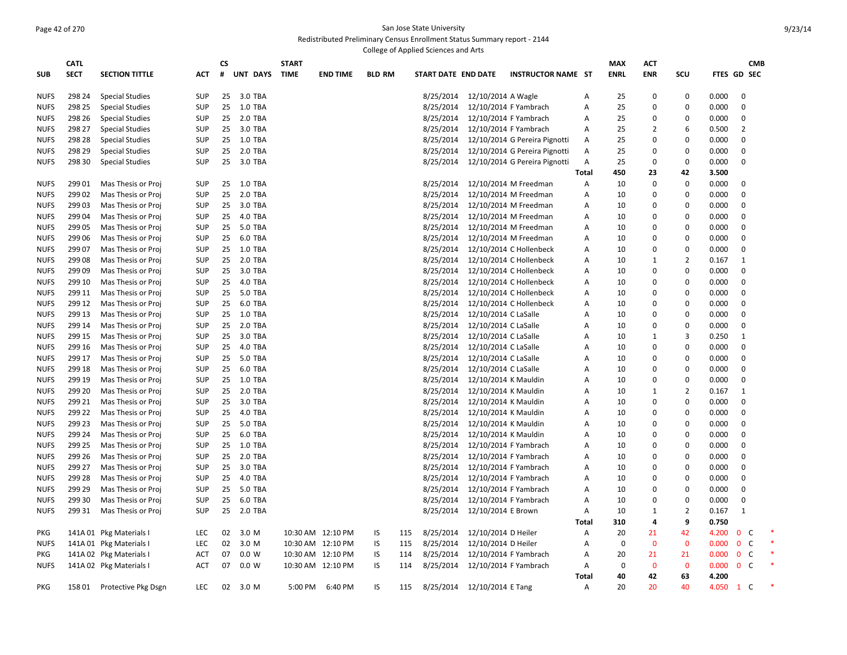#### Page 42 of 270 San Jose State University Redistributed Preliminary Census Enrollment Status Summary report - 2144 College of Applied Sciences and Arts

|             |             |                         |            |    |                |              |                   |               | rege of <i>ripplied</i> belefiees and |           |                             |                               |              |             |              |                |       |                   |            |  |
|-------------|-------------|-------------------------|------------|----|----------------|--------------|-------------------|---------------|---------------------------------------|-----------|-----------------------------|-------------------------------|--------------|-------------|--------------|----------------|-------|-------------------|------------|--|
|             | <b>CATL</b> |                         |            | СS |                | <b>START</b> |                   |               |                                       |           |                             |                               |              | <b>MAX</b>  | ACT          |                |       |                   | <b>CMB</b> |  |
| <b>SUB</b>  | <b>SECT</b> | <b>SECTION TITTLE</b>   | ACT        | #  | UNT DAYS       | <b>TIME</b>  | <b>END TIME</b>   | <b>BLD RM</b> |                                       |           | START DATE END DATE         | <b>INSTRUCTOR NAME ST</b>     |              | <b>ENRL</b> | <b>ENR</b>   | SCU            |       | FTES GD SEC       |            |  |
| <b>NUFS</b> | 298 24      | <b>Special Studies</b>  | <b>SUP</b> | 25 | 3.0 TBA        |              |                   |               |                                       | 8/25/2014 | 12/10/2014 A Wagle          |                               | A            | 25          | 0            | 0              | 0.000 | 0                 |            |  |
| <b>NUFS</b> | 298 25      | <b>Special Studies</b>  | <b>SUP</b> | 25 | 1.0 TBA        |              |                   |               |                                       | 8/25/2014 |                             | 12/10/2014 F Yambrach         | A            | 25          | $\mathbf 0$  | $\mathbf 0$    | 0.000 | $\Omega$          |            |  |
| <b>NUFS</b> | 298 26      | <b>Special Studies</b>  | <b>SUP</b> | 25 | 2.0 TBA        |              |                   |               |                                       | 8/25/2014 |                             | 12/10/2014 F Yambrach         | A            | 25          | 0            | 0              | 0.000 | $\mathbf 0$       |            |  |
| <b>NUFS</b> | 298 27      | <b>Special Studies</b>  | <b>SUP</b> | 25 | 3.0 TBA        |              |                   |               |                                       | 8/25/2014 |                             | 12/10/2014 F Yambrach         | A            | 25          | 2            | 6              | 0.500 | $\overline{2}$    |            |  |
| <b>NUFS</b> | 298 28      | <b>Special Studies</b>  | <b>SUP</b> | 25 | 1.0 TBA        |              |                   |               |                                       | 8/25/2014 |                             | 12/10/2014 G Pereira Pignotti | A            | 25          | 0            | 0              | 0.000 | $\mathbf 0$       |            |  |
| <b>NUFS</b> | 298 29      |                         | <b>SUP</b> | 25 | 2.0 TBA        |              |                   |               |                                       | 8/25/2014 |                             | 12/10/2014 G Pereira Pignotti | A            | 25          | $\Omega$     | 0              | 0.000 | $\Omega$          |            |  |
| <b>NUFS</b> | 298 30      | <b>Special Studies</b>  | <b>SUP</b> | 25 | 3.0 TBA        |              |                   |               |                                       | 8/25/2014 |                             | 12/10/2014 G Pereira Pignotti | A            | 25          | 0            | 0              | 0.000 | $\Omega$          |            |  |
|             |             | <b>Special Studies</b>  |            |    |                |              |                   |               |                                       |           |                             |                               |              |             |              |                |       |                   |            |  |
|             |             |                         |            |    |                |              |                   |               |                                       |           |                             |                               | <b>Total</b> | 450         | 23           | 42<br>0        | 3.500 | 0                 |            |  |
| <b>NUFS</b> | 299 01      | Mas Thesis or Proj      | <b>SUP</b> | 25 | 1.0 TBA        |              |                   |               |                                       | 8/25/2014 |                             | 12/10/2014 M Freedman         | A            | 10          | 0            |                | 0.000 |                   |            |  |
| <b>NUFS</b> | 299 02      | Mas Thesis or Proj      | <b>SUP</b> | 25 | 2.0 TBA        |              |                   |               |                                       | 8/25/2014 |                             | 12/10/2014 M Freedman         | Α            | 10          | 0            | 0              | 0.000 | 0                 |            |  |
| <b>NUFS</b> | 299 03      | Mas Thesis or Proj      | <b>SUP</b> | 25 | 3.0 TBA        |              |                   |               |                                       | 8/25/2014 |                             | 12/10/2014 M Freedman         | A            | 10          | 0            | 0              | 0.000 | $\Omega$          |            |  |
| <b>NUFS</b> | 29904       | Mas Thesis or Proj      | <b>SUP</b> | 25 | 4.0 TBA        |              |                   |               |                                       | 8/25/2014 |                             | 12/10/2014 M Freedman         | Α            | 10          | $\mathbf 0$  | $\mathbf 0$    | 0.000 | $\mathbf 0$       |            |  |
| <b>NUFS</b> | 299 05      | Mas Thesis or Proj      | <b>SUP</b> | 25 | 5.0 TBA        |              |                   |               |                                       | 8/25/2014 |                             | 12/10/2014 M Freedman         | Α            | 10          | $\Omega$     | 0              | 0.000 | $\Omega$          |            |  |
| <b>NUFS</b> | 299 06      | Mas Thesis or Proj      | <b>SUP</b> | 25 | 6.0 TBA        |              |                   |               |                                       | 8/25/2014 |                             | 12/10/2014 M Freedman         | A            | 10          | $\mathbf 0$  | $\mathbf 0$    | 0.000 | $\Omega$          |            |  |
| <b>NUFS</b> | 299 07      | Mas Thesis or Proj      | <b>SUP</b> | 25 | <b>1.0 TBA</b> |              |                   |               |                                       | 8/25/2014 |                             | 12/10/2014 C Hollenbeck       | Α            | 10          | $\mathbf 0$  | $\mathbf 0$    | 0.000 | $\mathbf 0$       |            |  |
| <b>NUFS</b> | 29908       | Mas Thesis or Proj      | <b>SUP</b> | 25 | 2.0 TBA        |              |                   |               |                                       | 8/25/2014 |                             | 12/10/2014 C Hollenbeck       | A            | 10          | $\mathbf{1}$ | $\overline{2}$ | 0.167 | $\mathbf{1}$      |            |  |
| <b>NUFS</b> | 29909       | Mas Thesis or Proj      | <b>SUP</b> | 25 | 3.0 TBA        |              |                   |               |                                       | 8/25/2014 |                             | 12/10/2014 C Hollenbeck       | Α            | 10          | $\mathbf 0$  | $\mathbf 0$    | 0.000 | $\Omega$          |            |  |
| <b>NUFS</b> | 299 10      | Mas Thesis or Proj      | <b>SUP</b> | 25 | 4.0 TBA        |              |                   |               |                                       | 8/25/2014 |                             | 12/10/2014 C Hollenbeck       | A            | 10          | $\mathbf 0$  | $\Omega$       | 0.000 | $\mathbf 0$       |            |  |
| <b>NUFS</b> | 299 11      | Mas Thesis or Proj      | <b>SUP</b> | 25 | 5.0 TBA        |              |                   |               |                                       | 8/25/2014 |                             | 12/10/2014 C Hollenbeck       | A            | 10          | $\Omega$     | $\Omega$       | 0.000 | $\mathbf 0$       |            |  |
| <b>NUFS</b> | 299 12      | Mas Thesis or Proj      | <b>SUP</b> | 25 | 6.0 TBA        |              |                   |               |                                       | 8/25/2014 |                             | 12/10/2014 C Hollenbeck       | Α            | 10          | $\mathbf 0$  | $\Omega$       | 0.000 | $\mathbf 0$       |            |  |
| <b>NUFS</b> | 299 13      | Mas Thesis or Proj      | <b>SUP</b> | 25 | 1.0 TBA        |              |                   |               |                                       | 8/25/2014 | 12/10/2014 C LaSalle        |                               | A            | 10          | $\Omega$     | $\Omega$       | 0.000 | $\mathbf 0$       |            |  |
| <b>NUFS</b> | 299 14      | Mas Thesis or Proj      | <b>SUP</b> | 25 | 2.0 TBA        |              |                   |               |                                       | 8/25/2014 | 12/10/2014 C LaSalle        |                               | A            | 10          | $\mathbf 0$  | $\Omega$       | 0.000 | $\mathbf 0$       |            |  |
| <b>NUFS</b> | 299 15      | Mas Thesis or Proj      | <b>SUP</b> | 25 | 3.0 TBA        |              |                   |               |                                       | 8/25/2014 | 12/10/2014 C LaSalle        |                               | Α            | 10          | 1            | $\overline{3}$ | 0.250 | 1                 |            |  |
| <b>NUFS</b> | 299 16      | Mas Thesis or Proj      | <b>SUP</b> | 25 | 4.0 TBA        |              |                   |               |                                       | 8/25/2014 | 12/10/2014 C LaSalle        |                               | Α            | 10          | $\mathbf 0$  | $\Omega$       | 0.000 | $\mathbf 0$       |            |  |
| <b>NUFS</b> | 299 17      | Mas Thesis or Proj      | <b>SUP</b> | 25 | 5.0 TBA        |              |                   |               |                                       | 8/25/2014 | 12/10/2014 C LaSalle        |                               | Α            | 10          | 0            | $\Omega$       | 0.000 | $\mathbf 0$       |            |  |
| <b>NUFS</b> | 299 18      | Mas Thesis or Proj      | <b>SUP</b> | 25 | 6.0 TBA        |              |                   |               |                                       | 8/25/2014 | 12/10/2014 C LaSalle        |                               | Α            | 10          | 0            | $\Omega$       | 0.000 | $\mathbf 0$       |            |  |
| <b>NUFS</b> | 299 19      | Mas Thesis or Proj      | <b>SUP</b> | 25 | 1.0 TBA        |              |                   |               |                                       | 8/25/2014 | 12/10/2014 K Mauldin        |                               | Α            | 10          | 0            | $\Omega$       | 0.000 | $\mathbf 0$       |            |  |
| <b>NUFS</b> | 299 20      | Mas Thesis or Proj      | <b>SUP</b> | 25 | 2.0 TBA        |              |                   |               |                                       | 8/25/2014 | 12/10/2014 K Mauldin        |                               | Α            | 10          | 1            | $\overline{2}$ | 0.167 | $\mathbf{1}$      |            |  |
| <b>NUFS</b> | 299 21      | Mas Thesis or Proj      | <b>SUP</b> | 25 | 3.0 TBA        |              |                   |               |                                       | 8/25/2014 | 12/10/2014 K Mauldin        |                               | Α            | 10          | $\mathbf 0$  | $\mathbf 0$    | 0.000 | $\mathbf 0$       |            |  |
| <b>NUFS</b> | 299 22      | Mas Thesis or Proj      | <b>SUP</b> | 25 | 4.0 TBA        |              |                   |               |                                       | 8/25/2014 | 12/10/2014 K Mauldin        |                               | Α            | 10          | 0            | 0              | 0.000 | $\mathbf 0$       |            |  |
| <b>NUFS</b> | 299 23      | Mas Thesis or Proj      | <b>SUP</b> | 25 | 5.0 TBA        |              |                   |               |                                       | 8/25/2014 | 12/10/2014 K Mauldin        |                               | Α            | 10          | 0            | $\mathbf 0$    | 0.000 | $\mathbf 0$       |            |  |
| <b>NUFS</b> | 299 24      | Mas Thesis or Proj      | <b>SUP</b> | 25 | 6.0 TBA        |              |                   |               |                                       | 8/25/2014 | 12/10/2014 K Mauldin        |                               | A            | 10          | 0            | $\mathbf 0$    | 0.000 | $\mathbf 0$       |            |  |
| <b>NUFS</b> | 299 25      | Mas Thesis or Proj      | <b>SUP</b> | 25 | 1.0 TBA        |              |                   |               |                                       | 8/25/2014 |                             | 12/10/2014 F Yambrach         | Α            | 10          | 0            | $\mathbf 0$    | 0.000 | $\Omega$          |            |  |
| <b>NUFS</b> | 299 26      | Mas Thesis or Proj      | <b>SUP</b> | 25 | 2.0 TBA        |              |                   |               |                                       | 8/25/2014 |                             | 12/10/2014 F Yambrach         | A            | 10          | 0            | $\mathbf 0$    | 0.000 | $\Omega$          |            |  |
| <b>NUFS</b> | 299 27      | Mas Thesis or Proj      | <b>SUP</b> | 25 | 3.0 TBA        |              |                   |               |                                       | 8/25/2014 |                             | 12/10/2014 F Yambrach         | A            | 10          | $\mathbf 0$  | $\mathbf 0$    | 0.000 | $\Omega$          |            |  |
| <b>NUFS</b> | 299 28      | Mas Thesis or Proj      | <b>SUP</b> | 25 | 4.0 TBA        |              |                   |               |                                       | 8/25/2014 |                             | 12/10/2014 F Yambrach         | A            | 10          | $\Omega$     | $\mathbf 0$    | 0.000 | $\Omega$          |            |  |
| <b>NUFS</b> | 299 29      | Mas Thesis or Proj      | <b>SUP</b> | 25 | 5.0 TBA        |              |                   |               |                                       | 8/25/2014 |                             | 12/10/2014 F Yambrach         | A            | 10          | 0            | $\mathbf 0$    | 0.000 | $\Omega$          |            |  |
|             | 299 30      | Mas Thesis or Proj      | <b>SUP</b> | 25 | 6.0 TBA        |              |                   |               |                                       | 8/25/2014 |                             | 12/10/2014 F Yambrach         | A            | 10          | 0            | $\mathbf 0$    | 0.000 | $\Omega$          |            |  |
| <b>NUFS</b> |             |                         |            |    |                |              |                   |               |                                       |           |                             |                               |              |             |              | $\overline{2}$ |       |                   |            |  |
| <b>NUFS</b> | 299 31      | Mas Thesis or Proj      | <b>SUP</b> | 25 | 2.0 TBA        |              |                   |               |                                       | 8/25/2014 | 12/10/2014 E Brown          |                               | Α            | 10          | 1            |                | 0.167 | 1                 |            |  |
|             |             |                         |            |    |                |              |                   |               |                                       |           |                             |                               | Total        | 310         | 4            | 9              | 0.750 |                   |            |  |
| PKG         |             | 141A 01 Pkg Materials I | <b>LEC</b> | 02 | 3.0 M          |              | 10:30 AM 12:10 PM | IS            | 115                                   | 8/25/2014 | 12/10/2014 D Heiler         |                               | Α            | 20          | 21           | 42             | 4.200 | $\mathbf{0}$<br>C |            |  |
| <b>NUFS</b> |             | 141A 01 Pkg Materials I | <b>LEC</b> | 02 | 3.0 M          |              | 10:30 AM 12:10 PM | IS            | 115                                   | 8/25/2014 | 12/10/2014 D Heiler         |                               | A            | 0           | 0            | $\mathbf 0$    | 0.000 | $\mathbf{0}$<br>C |            |  |
| PKG         |             | 141A 02 Pkg Materials I | ACT        | 07 | 0.0 W          |              | 10:30 AM 12:10 PM | IS            | 114                                   | 8/25/2014 |                             | 12/10/2014 F Yambrach         | Α            | 20          | 21           | 21             | 0.000 | $\mathbf 0$<br>C  |            |  |
| <b>NUFS</b> |             | 141A 02 Pkg Materials I | ACT        | 07 | 0.0 W          |              | 10:30 AM 12:10 PM | IS            | 114                                   | 8/25/2014 |                             | 12/10/2014 F Yambrach         | Α            | 0           | 0            | $\mathbf 0$    | 0.000 | 0 <sup>o</sup>    |            |  |
|             |             |                         |            |    |                |              |                   |               |                                       |           |                             |                               | Total        | 40          | 42           | 63             | 4.200 |                   |            |  |
| <b>PKG</b>  | 15801       | Protective Pkg Dsgn     | <b>LEC</b> | 02 | 3.0 M          | 5:00 PM      | 6:40 PM           | IS            | 115                                   |           | 8/25/2014 12/10/2014 E Tang |                               | A            | 20          | 20           | 40             | 4.050 | C<br>$\mathbf{1}$ |            |  |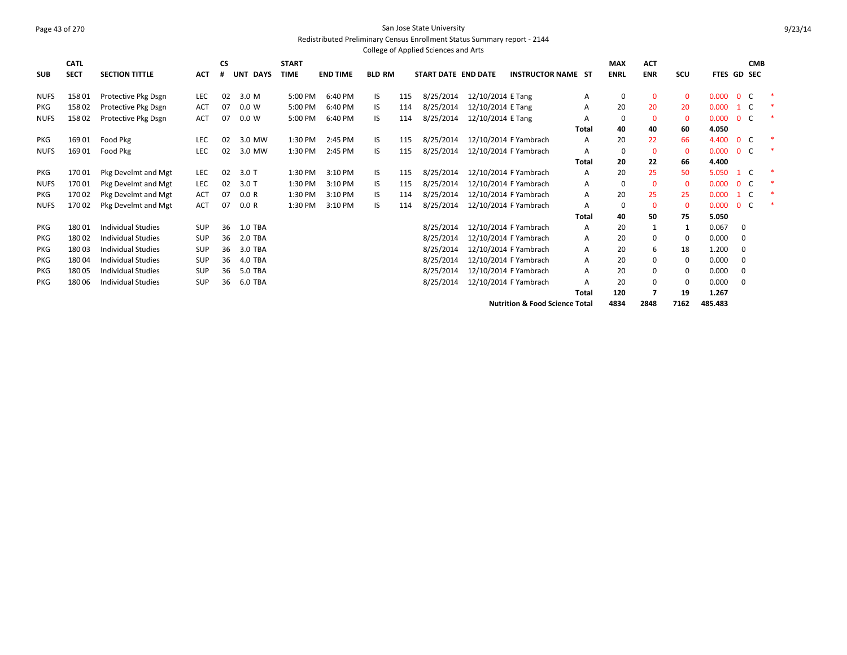#### Page 43 of 270 San Jose State University Redistributed Preliminary Census Enrollment Status Summary report - 2144 College of Applied Sciences and Arts

| <b>SUB</b>  | <b>CATL</b><br><b>SECT</b> | <b>SECTION TITTLE</b>     | <b>ACT</b> | CS<br># | <b>UNT</b><br><b>DAYS</b> | <b>START</b><br><b>TIME</b> | <b>END TIME</b> | <b>BLD RM</b> |     | START DATE END DATE |                   | <b>INSTRUCTOR NAME ST</b>                 |              | <b>MAX</b><br><b>ENRL</b> | <b>ACT</b><br><b>ENR</b> | SCU            | <b>FTES GD SEC</b> |                | <b>CMB</b> |  |
|-------------|----------------------------|---------------------------|------------|---------|---------------------------|-----------------------------|-----------------|---------------|-----|---------------------|-------------------|-------------------------------------------|--------------|---------------------------|--------------------------|----------------|--------------------|----------------|------------|--|
| <b>NUFS</b> | 15801                      | Protective Pkg Dsgn       | LEC        | 02      | 3.0 M                     | 5:00 PM                     | 6:40 PM         | IS            | 115 | 8/25/2014           | 12/10/2014 E Tang |                                           | A            | 0                         | $\mathbf 0$              | 0              | 0.000              | $\overline{0}$ | - C        |  |
| <b>PKG</b>  | 15802                      | Protective Pkg Dsgn       | <b>ACT</b> | 07      | 0.0 W                     | 5:00 PM                     | 6:40 PM         | IS            | 114 | 8/25/2014           | 12/10/2014 E Tang |                                           | А            | 20                        | 20                       | 20             | 0.000              | $\mathbf{1}$   | - C        |  |
| <b>NUFS</b> | 15802                      | Protective Pkg Dsgn       | <b>ACT</b> | 07      | 0.0 W                     | 5:00 PM                     | 6:40 PM         | IS            | 114 | 8/25/2014           | 12/10/2014 E Tang |                                           | А            | 0                         | $\mathbf 0$              | $\mathbf 0$    | 0.000              | $\Omega$       | <b>C</b>   |  |
|             |                            |                           |            |         |                           |                             |                 |               |     |                     |                   |                                           | <b>Total</b> | 40                        | 40                       | 60             | 4.050              |                |            |  |
| <b>PKG</b>  | 16901                      | Food Pkg                  | <b>LEC</b> | 02      | 3.0 MW                    | 1:30 PM                     | 2:45 PM         | IS            | 115 | 8/25/2014           |                   | 12/10/2014 F Yambrach                     | Α            | 20                        | 22                       | 66             | 4.400              | $\overline{0}$ | - C        |  |
| <b>NUFS</b> | 16901                      | Food Pkg                  | <b>LEC</b> | 02      | 3.0 MW                    | 1:30 PM                     | 2:45 PM         | IS            | 115 | 8/25/2014           |                   | 12/10/2014 F Yambrach                     | A            | $\Omega$                  | $\mathbf 0$              | $\mathbf 0$    | 0.000              | 0 <sup>o</sup> |            |  |
|             |                            |                           |            |         |                           |                             |                 |               |     |                     |                   |                                           | Total        | 20                        | 22                       | 66             | 4.400              |                |            |  |
| <b>PKG</b>  | 17001                      | Pkg Develmt and Mgt       | <b>LEC</b> | 02      | $3.0$ T                   | 1:30 PM                     | 3:10 PM         | IS            | 115 | 8/25/2014           |                   | 12/10/2014 F Yambrach                     | Α            | 20                        | 25                       | 50             | 5.050              | $\mathbf{1}$   | C          |  |
| <b>NUFS</b> | 17001                      | Pkg Develmt and Mgt       | <b>LEC</b> | 02      | $3.0$ T                   | 1:30 PM                     | 3:10 PM         | IS            | 115 | 8/25/2014           |                   | 12/10/2014 F Yambrach                     | A            | 0                         | $\mathbf 0$              | $\mathbf 0$    | 0.000              | $\overline{0}$ | - C        |  |
| <b>PKG</b>  | 17002                      | Pkg Develmt and Mgt       | <b>ACT</b> | 07      | 0.0 R                     | 1:30 PM                     | 3:10 PM         | IS            | 114 | 8/25/2014           |                   | 12/10/2014 F Yambrach                     | A            | 20                        | 25                       | 25             | 0.000              | $\mathbf{1}$   | - C        |  |
| <b>NUFS</b> | 17002                      | Pkg Develmt and Mgt       | <b>ACT</b> | 07      | 0.0 R                     | 1:30 PM                     | 3:10 PM         | IS            | 114 | 8/25/2014           |                   | 12/10/2014 F Yambrach                     | A            | $\Omega$                  | $\mathbf 0$              | $\overline{0}$ | 0.000              | $\overline{0}$ | - C        |  |
|             |                            |                           |            |         |                           |                             |                 |               |     |                     |                   |                                           | Total        | 40                        | 50                       | 75             | 5.050              |                |            |  |
| <b>PKG</b>  | 18001                      | <b>Individual Studies</b> | <b>SUP</b> | 36      | <b>1.0 TBA</b>            |                             |                 |               |     | 8/25/2014           |                   | 12/10/2014 F Yambrach                     | A            | 20                        | 1                        |                | 0.067              | 0              |            |  |
| <b>PKG</b>  | 18002                      | <b>Individual Studies</b> | <b>SUP</b> | 36      | 2.0 TBA                   |                             |                 |               |     | 8/25/2014           |                   | 12/10/2014 F Yambrach                     | A            | 20                        | 0                        | 0              | 0.000              | 0              |            |  |
| <b>PKG</b>  | 18003                      | <b>Individual Studies</b> | <b>SUP</b> | 36      | 3.0 TBA                   |                             |                 |               |     | 8/25/2014           |                   | 12/10/2014 F Yambrach                     | A            | 20                        | 6                        | 18             | 1.200              | $\Omega$       |            |  |
| <b>PKG</b>  | 18004                      | <b>Individual Studies</b> | <b>SUP</b> | 36      | 4.0 TBA                   |                             |                 |               |     | 8/25/2014           |                   | 12/10/2014 F Yambrach                     | A            | 20                        | 0                        | 0              | 0.000              | 0              |            |  |
| PKG         | 18005                      | <b>Individual Studies</b> | <b>SUP</b> | 36      | 5.0 TBA                   |                             |                 |               |     | 8/25/2014           |                   | 12/10/2014 F Yambrach                     | А            | 20                        | 0                        | 0              | 0.000              | 0              |            |  |
| <b>PKG</b>  | 18006                      | <b>Individual Studies</b> | <b>SUP</b> | 36      | 6.0 TBA                   |                             |                 |               |     | 8/25/2014           |                   | 12/10/2014 F Yambrach                     | A            | 20                        | 0                        | 0              | 0.000              | 0              |            |  |
|             |                            |                           |            |         |                           |                             |                 |               |     |                     |                   |                                           | Total        | 120                       |                          | 19             | 1.267              |                |            |  |
|             |                            |                           |            |         |                           |                             |                 |               |     |                     |                   | <b>Nutrition &amp; Food Science Total</b> |              | 4834                      | 2848                     | 7162           | 485.483            |                |            |  |

9/23/14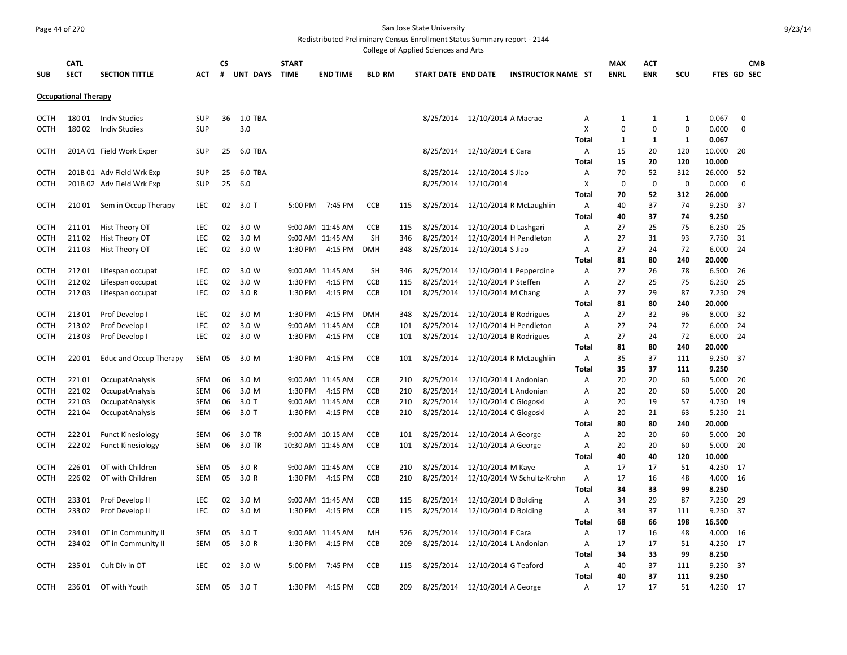## Page 44 of 270 San Jose State University

Redistributed Preliminary Census Enrollment Status Summary report - 2144 College of Applied Sciences and Arts

|             |                             |                               |            |         |          |                             |                   |               |     | concec or Applica Sciences and Arts |                       |                            |                   |                           |                   |              |                |                                  |  |
|-------------|-----------------------------|-------------------------------|------------|---------|----------|-----------------------------|-------------------|---------------|-----|-------------------------------------|-----------------------|----------------------------|-------------------|---------------------------|-------------------|--------------|----------------|----------------------------------|--|
| <b>SUB</b>  | <b>CATL</b><br><b>SECT</b>  | <b>SECTION TITTLE</b>         | <b>ACT</b> | CS<br># | UNT DAYS | <b>START</b><br><b>TIME</b> | <b>END TIME</b>   | <b>BLD RM</b> |     | <b>START DATE END DATE</b>          |                       | <b>INSTRUCTOR NAME ST</b>  |                   | <b>MAX</b><br><b>ENRL</b> | АСТ<br><b>ENR</b> | SCU          |                | <b>CMB</b><br><b>FTES GD SEC</b> |  |
|             |                             |                               |            |         |          |                             |                   |               |     |                                     |                       |                            |                   |                           |                   |              |                |                                  |  |
|             | <b>Occupational Therapy</b> |                               |            |         |          |                             |                   |               |     |                                     |                       |                            |                   |                           |                   |              |                |                                  |  |
| <b>OCTH</b> | 18001                       | <b>Indiv Studies</b>          | <b>SUP</b> | 36      | 1.0 TBA  |                             |                   |               |     | 8/25/2014                           | 12/10/2014 A Macrae   |                            | Α                 | 1                         | 1                 | 1            | 0.067          | $\mathbf 0$                      |  |
| <b>OCTH</b> | 18002                       | <b>Indiv Studies</b>          | <b>SUP</b> |         | 3.0      |                             |                   |               |     |                                     |                       |                            | X                 | $\mathbf 0$               | $\mathbf 0$       | $\mathbf 0$  | 0.000          | 0                                |  |
|             |                             |                               |            |         |          |                             |                   |               |     |                                     |                       |                            | <b>Total</b>      | 1                         | 1                 | $\mathbf{1}$ | 0.067          |                                  |  |
| <b>OCTH</b> |                             | 201A 01 Field Work Exper      | <b>SUP</b> | 25      | 6.0 TBA  |                             |                   |               |     | 8/25/2014                           | 12/10/2014 E Cara     |                            | Α                 | 15                        | 20                | 120          | 10.000         | 20                               |  |
|             |                             |                               |            |         |          |                             |                   |               |     |                                     |                       |                            | <b>Total</b>      | 15                        | 20                | 120          | 10.000         |                                  |  |
| OCTH        |                             | 201B 01 Adv Field Wrk Exp     | <b>SUP</b> | 25      | 6.0 TBA  |                             |                   |               |     | 8/25/2014                           | 12/10/2014 S Jiao     |                            | А                 | 70                        | 52                | 312          | 26.000         | 52                               |  |
| OCTH        |                             | 201B 02 Adv Field Wrk Exp     | <b>SUP</b> | 25      | 6.0      |                             |                   |               |     | 8/25/2014                           | 12/10/2014            |                            | X                 | $\mathbf 0$               | 0                 | $\mathbf 0$  | 0.000          | $\mathbf 0$                      |  |
|             |                             |                               |            |         |          |                             |                   |               |     |                                     |                       |                            | Total             | 70                        | 52                | 312          | 26.000         |                                  |  |
| OCTH        | 210 01                      | Sem in Occup Therapy          | LEC        | 02      | 3.0 T    | 5:00 PM                     | 7:45 PM           | CCB           | 115 | 8/25/2014                           |                       | 12/10/2014 R McLaughlin    | Α                 | 40                        | 37                | 74           | 9.250          | 37                               |  |
|             |                             |                               |            |         |          |                             |                   |               |     |                                     |                       |                            | Total             | 40                        | 37                | 74           | 9.250          |                                  |  |
| <b>OCTH</b> | 21101                       | Hist Theory OT                | <b>LEC</b> | 02      | 3.0 W    |                             | 9:00 AM 11:45 AM  | <b>CCB</b>    | 115 | 8/25/2014                           | 12/10/2014 D Lashgari |                            | Α                 | 27                        | 25                | 75           | 6.250          | 25                               |  |
| OCTH        | 21102                       | Hist Theory OT                | <b>LEC</b> | 02      | 3.0 M    |                             | 9:00 AM 11:45 AM  | <b>SH</b>     | 346 | 8/25/2014                           |                       | 12/10/2014 H Pendleton     | Α                 | 27                        | 31                | 93           | 7.750          | 31                               |  |
| OCTH        | 21103                       | Hist Theory OT                | LEC        | 02      | 3.0 W    | 1:30 PM                     | 4:15 PM           | DMH           | 348 | 8/25/2014                           | 12/10/2014 S Jiao     |                            | Α                 | 27                        | 24                | 72           | 6.000          | 24                               |  |
|             |                             |                               |            |         |          |                             |                   |               |     |                                     |                       |                            | Total             | 81                        | 80                | 240          | 20.000         |                                  |  |
| OCTH        | 21201                       | Lifespan occupat              | <b>LEC</b> | 02      | 3.0 W    |                             | 9:00 AM 11:45 AM  | <b>SH</b>     | 346 | 8/25/2014                           |                       | 12/10/2014 L Pepperdine    | Α                 | 27                        | 26                | 78           | 6.500          | -26                              |  |
| OCTH        | 21202                       | Lifespan occupat              | <b>LEC</b> | 02      | 3.0 W    | 1:30 PM                     | 4:15 PM           | <b>CCB</b>    | 115 | 8/25/2014                           | 12/10/2014 P Steffen  |                            | Α                 | 27                        | 25                | 75           | 6.250          | 25                               |  |
| OCTH        | 21203                       | Lifespan occupat              | LEC        | 02      | 3.0 R    | 1:30 PM                     | 4:15 PM           | <b>CCB</b>    | 101 | 8/25/2014                           | 12/10/2014 M Chang    |                            | A                 | 27                        | 29                | 87           | 7.250          | 29                               |  |
|             |                             |                               |            |         |          |                             |                   |               |     |                                     |                       |                            | Total             | 81                        | 80                | 240          | 20.000         |                                  |  |
| OCTH        | 21301                       | Prof Develop I                | <b>LEC</b> | 02      | 3.0 M    | 1:30 PM                     | 4:15 PM           | <b>DMH</b>    | 348 | 8/25/2014                           |                       | 12/10/2014 B Rodrigues     | A                 | 27                        | 32                | 96           | 8.000          | 32                               |  |
| OCTH        | 21302                       | Prof Develop I                | <b>LEC</b> | 02      | 3.0 W    |                             | 9:00 AM 11:45 AM  | <b>CCB</b>    | 101 | 8/25/2014                           |                       | 12/10/2014 H Pendleton     | A                 | 27                        | 24                | 72           | 6.000          | 24                               |  |
| <b>OCTH</b> | 21303                       | Prof Develop I                | <b>LEC</b> | 02      | 3.0 W    | 1:30 PM                     | 4:15 PM           | <b>CCB</b>    | 101 | 8/25/2014                           |                       | 12/10/2014 B Rodrigues     | Α                 | 27                        | 24                | 72           | 6.000          | 24                               |  |
|             |                             |                               |            |         |          |                             |                   |               |     |                                     |                       |                            | Total             | 81                        | 80                | 240          | 20.000         |                                  |  |
| OCTH        | 22001                       | <b>Educ and Occup Therapy</b> | <b>SEM</b> | 05      | 3.0 M    | 1:30 PM                     | 4:15 PM           | <b>CCB</b>    | 101 | 8/25/2014                           |                       | 12/10/2014 R McLaughlin    | Α                 | 35                        | 37                | 111          | 9.250          | -37                              |  |
|             |                             |                               |            |         |          |                             |                   |               |     |                                     |                       |                            | <b>Total</b>      | 35                        | 37                | 111          | 9.250          |                                  |  |
| OCTH        | 22101                       | OccupatAnalysis               | <b>SEM</b> | 06      | 3.0 M    |                             | 9:00 AM 11:45 AM  | <b>CCB</b>    | 210 | 8/25/2014                           |                       | 12/10/2014 L Andonian      | A                 | 20                        | 20                | 60           | 5.000          | 20                               |  |
| <b>OCTH</b> | 22102                       | OccupatAnalysis               | <b>SEM</b> | 06      | 3.0 M    | 1:30 PM                     | 4:15 PM           | <b>CCB</b>    | 210 | 8/25/2014                           |                       | 12/10/2014 L Andonian      | Α                 | 20                        | 20                | 60           | 5.000          | 20                               |  |
| OCTH        | 22103                       | OccupatAnalysis               | <b>SEM</b> | 06      | 3.0T     |                             | 9:00 AM 11:45 AM  | <b>CCB</b>    | 210 | 8/25/2014                           | 12/10/2014 C Glogoski |                            | Α                 | 20                        | 19                | 57           | 4.750          | 19                               |  |
| OCTH        | 22104                       | OccupatAnalysis               | SEM        | 06      | $3.0$ T  | 1:30 PM                     | 4:15 PM           | CCB           | 210 | 8/25/2014                           | 12/10/2014 C Glogoski |                            | Α                 | 20                        | 21                | 63           | 5.250          | 21                               |  |
|             |                             |                               |            |         |          |                             |                   |               |     |                                     |                       |                            | Total             | 80                        | 80                | 240          | 20.000         |                                  |  |
| <b>OCTH</b> | 22201                       | <b>Funct Kinesiology</b>      | <b>SEM</b> | 06      | 3.0 TR   |                             | 9:00 AM 10:15 AM  | <b>CCB</b>    | 101 | 8/25/2014                           | 12/10/2014 A George   |                            | Α                 | 20                        | 20                | 60           | 5.000          | 20                               |  |
| <b>OCTH</b> | 22202                       | <b>Funct Kinesiology</b>      | <b>SEM</b> | 06      | 3.0 TR   |                             | 10:30 AM 11:45 AM | <b>CCB</b>    | 101 | 8/25/2014                           | 12/10/2014 A George   |                            | Α                 | 20                        | 20                | 60           | 5.000          | 20                               |  |
|             |                             |                               |            |         |          |                             |                   |               |     |                                     |                       |                            | Total             | 40                        | 40                | 120          | 10.000         |                                  |  |
| <b>OCTH</b> | 226 01                      | OT with Children              | <b>SEM</b> | 05      | 3.0R     |                             | 9:00 AM 11:45 AM  | CCB           | 210 | 8/25/2014                           | 12/10/2014 M Kaye     |                            | Α                 | 17                        | 17                | 51           | 4.250          | 17                               |  |
| <b>OCTH</b> | 226 02                      | OT with Children              | <b>SEM</b> | 05      | 3.0 R    | 1:30 PM                     | 4:15 PM           | CCB           | 210 | 8/25/2014                           |                       | 12/10/2014 W Schultz-Krohn | Α                 | 17                        | 16                | 48           | 4.000          | 16                               |  |
|             |                             |                               |            |         |          |                             |                   |               |     |                                     |                       |                            | Total             | 34                        | 33                | 99           | 8.250          |                                  |  |
| OCTH        | 23301                       | Prof Develop II               | LEC        | 02      | 3.0 M    |                             | 9:00 AM 11:45 AM  | <b>CCB</b>    | 115 | 8/25/2014                           | 12/10/2014 D Bolding  |                            | Α                 | 34                        | 29                | 87           | 7.250          | 29                               |  |
| <b>OCTH</b> | 23302                       | Prof Develop II               | LEC        | 02      | 3.0 M    | 1:30 PM                     | 4:15 PM           | CCB           | 115 | 8/25/2014                           | 12/10/2014 D Bolding  |                            | Α                 | 34                        | 37                | 111          | 9.250          | 37                               |  |
|             |                             |                               |            |         |          |                             |                   |               |     |                                     |                       |                            | Total             | 68                        | 66                | 198          | 16.500         |                                  |  |
| OCTH        | 234 01                      | OT in Community II            | <b>SEM</b> | 05      | $3.0$ T  |                             | 9:00 AM 11:45 AM  | MH            | 526 | 8/25/2014                           | 12/10/2014 E Cara     |                            | Α                 | 17                        | 16                | 48           | 4.000          | 16                               |  |
| OCTH        | 234 02                      | OT in Community II            | <b>SEM</b> | 05      | 3.0R     | 1:30 PM                     | 4:15 PM           | <b>CCB</b>    | 209 | 8/25/2014                           |                       | 12/10/2014 L Andonian      | Α                 | 17                        | 17                | 51           | 4.250          | 17                               |  |
| OCTH        | 235 01                      |                               | <b>LEC</b> | 02      |          | 5:00 PM                     |                   | <b>CCB</b>    |     |                                     |                       |                            | <b>Total</b>      | 34                        | 33<br>37          | 99           | 8.250<br>9.250 | 37                               |  |
|             |                             | Cult Div in OT                |            |         | 3.0 W    |                             | 7:45 PM           |               | 115 | 8/25/2014                           | 12/10/2014 G Teaford  |                            | Α<br><b>Total</b> | 40<br>40                  | 37                | 111<br>111   | 9.250          |                                  |  |
| <b>OCTH</b> | 23601                       | OT with Youth                 | <b>SEM</b> | 05      | $3.0$ T  | 1:30 PM                     | 4:15 PM           | <b>CCB</b>    | 209 | 8/25/2014                           | 12/10/2014 A George   |                            | A                 | 17                        | 17                | 51           | 4.250          | 17                               |  |
|             |                             |                               |            |         |          |                             |                   |               |     |                                     |                       |                            |                   |                           |                   |              |                |                                  |  |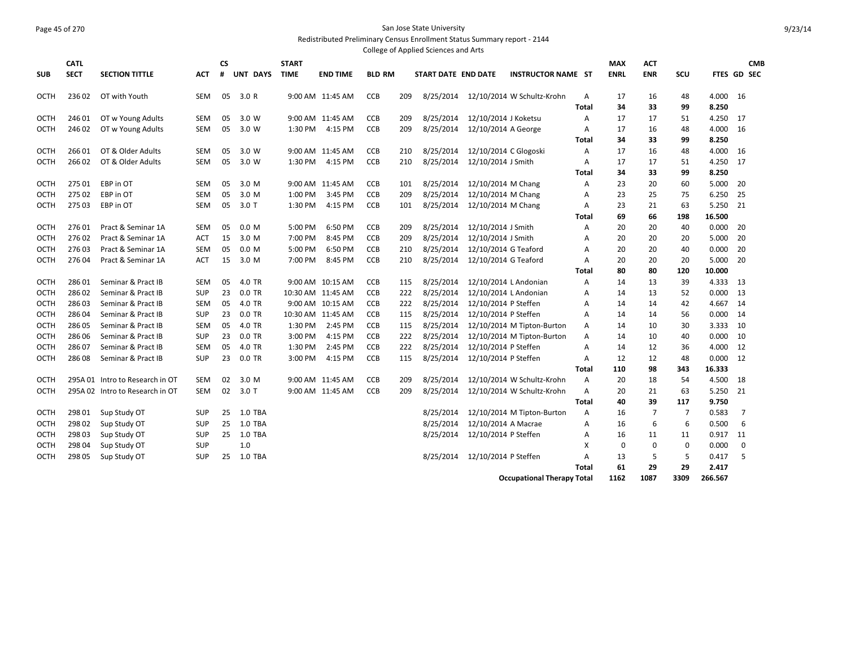#### Page 45 of 270 San Jose State University Redistributed Preliminary Census Enrollment Status Summary report - 2144

|             |                            |                                 |            |                |          |                             |                   |               |     | College of Applied Sciences and Arts |                       |                                   |                   |                           |                          |                |                 |             |            |
|-------------|----------------------------|---------------------------------|------------|----------------|----------|-----------------------------|-------------------|---------------|-----|--------------------------------------|-----------------------|-----------------------------------|-------------------|---------------------------|--------------------------|----------------|-----------------|-------------|------------|
| <b>SUB</b>  | <b>CATL</b><br><b>SECT</b> | <b>SECTION TITTLE</b>           | <b>ACT</b> | <b>CS</b><br># | UNT DAYS | <b>START</b><br><b>TIME</b> | <b>END TIME</b>   | <b>BLD RM</b> |     | START DATE END DATE                  |                       | <b>INSTRUCTOR NAME ST</b>         |                   | <b>MAX</b><br><b>ENRL</b> | <b>ACT</b><br><b>ENR</b> | SCU            | FTES GD SEC     |             | <b>CMB</b> |
| OCTH        | 23602                      | OT with Youth                   | <b>SEM</b> | 05             | 3.0R     |                             | 9:00 AM 11:45 AM  | <b>CCB</b>    | 209 | 8/25/2014                            |                       | 12/10/2014 W Schultz-Krohn        | A<br><b>Total</b> | 17<br>34                  | 16<br>33                 | 48<br>99       | 4.000<br>8.250  | 16          |            |
| <b>OCTH</b> | 24601                      | OT w Young Adults               | <b>SEM</b> | 05             | 3.0 W    |                             | 9:00 AM 11:45 AM  | CCB           | 209 | 8/25/2014                            | 12/10/2014 J Koketsu  |                                   | Α                 | 17                        | 17                       | 51             | 4.250           | 17          |            |
| OCTH        | 24602                      | OT w Young Adults               | <b>SEM</b> | 05             | 3.0 W    | 1:30 PM                     | 4:15 PM           | <b>CCB</b>    | 209 | 8/25/2014                            | 12/10/2014 A George   |                                   | A                 | 17                        | 16                       | 48             | 4.000           | -16         |            |
|             |                            |                                 |            |                |          |                             |                   |               |     |                                      |                       |                                   | <b>Total</b>      | 34                        | 33                       | 99             | 8.250           |             |            |
| OCTH        | 26601                      | OT & Older Adults               | <b>SEM</b> | 05             | 3.0 W    |                             | 9:00 AM 11:45 AM  | <b>CCB</b>    | 210 | 8/25/2014                            | 12/10/2014 C Glogoski |                                   | A                 | 17                        | 16                       | 48             | 4.000           | -16         |            |
| <b>OCTH</b> | 26602                      | OT & Older Adults               | <b>SEM</b> | 05             | 3.0 W    | 1:30 PM                     | 4:15 PM           | CCB           | 210 | 8/25/2014                            | 12/10/2014 J Smith    |                                   | A                 | 17                        | 17                       | 51             | 4.250           | 17          |            |
|             |                            |                                 |            |                |          |                             |                   |               |     |                                      |                       |                                   | <b>Total</b>      | 34                        | 33                       | 99             | 8.250           |             |            |
| OCTH        | 275 01                     | EBP in OT                       | <b>SEM</b> | 05             | 3.0 M    |                             | 9:00 AM 11:45 AM  | CCB           | 101 | 8/25/2014                            | 12/10/2014 M Chang    |                                   | Α                 | 23                        | 20                       | 60             | 5.000           | -20         |            |
| <b>OCTH</b> | 275 02                     | EBP in OT                       | <b>SEM</b> | 05             | 3.0 M    | 1:00 PM                     | 3:45 PM           | <b>CCB</b>    | 209 | 8/25/2014                            | 12/10/2014 M Chang    |                                   | A                 | 23                        | 25                       | 75             | 6.250           | 25          |            |
| OCTH        | 27503                      | EBP in OT                       | SEM        | 05             | 3.0T     | 1:30 PM                     | 4:15 PM           | <b>CCB</b>    | 101 | 8/25/2014                            | 12/10/2014 M Chang    |                                   | Α                 | 23                        | 21                       | 63             | 5.250           | 21          |            |
|             |                            |                                 |            |                |          |                             |                   |               |     |                                      |                       |                                   | <b>Total</b>      | 69                        | 66                       | 198            | 16.500          |             |            |
| OCTH        | 27601                      | Pract & Seminar 1A              | <b>SEM</b> | 05             | 0.0 M    | 5:00 PM                     | 6:50 PM           | <b>CCB</b>    | 209 | 8/25/2014                            | 12/10/2014 J Smith    |                                   | A                 | 20                        | 20                       | 40             | 0.000           | 20          |            |
| <b>OCTH</b> | 27602                      | Pract & Seminar 1A              | <b>ACT</b> | 15             | 3.0 M    | 7:00 PM                     | 8:45 PM           | <b>CCB</b>    | 209 | 8/25/2014                            | 12/10/2014 J Smith    |                                   | A                 | 20                        | 20                       | 20             | 5.000           | 20          |            |
| OCTH        | 27603                      | Pract & Seminar 1A              | <b>SEM</b> | 05             | 0.0 M    | 5:00 PM                     | 6:50 PM           | <b>CCB</b>    | 210 | 8/25/2014                            | 12/10/2014 G Teaford  |                                   | A                 | 20                        | 20                       | 40             | 0.000           | 20          |            |
| <b>OCTH</b> | 27604                      | Pract & Seminar 1A              | <b>ACT</b> | 15             | 3.0 M    | 7:00 PM                     | 8:45 PM           | CCB           | 210 | 8/25/2014                            | 12/10/2014 G Teaford  |                                   | A                 | 20                        | 20                       | 20             | 5.000           | 20          |            |
|             |                            |                                 |            |                |          |                             |                   |               |     |                                      |                       |                                   | Total             | 80                        | 80                       | 120            | 10.000          |             |            |
| OCTH        | 28601                      | Seminar & Pract IB              | <b>SEM</b> | 05             | 4.0 TR   |                             | 9:00 AM 10:15 AM  | CCB           | 115 | 8/25/2014                            | 12/10/2014 L Andonian |                                   | A                 | 14                        | 13                       | 39             | 4.333           | -13         |            |
| OCTH        | 28602                      | Seminar & Pract IB              | <b>SUP</b> | 23             | $0.0$ TR |                             | 10:30 AM 11:45 AM | CCB           | 222 | 8/25/2014                            | 12/10/2014 L Andonian |                                   | A                 | 14                        | 13                       | 52             | 0.000           | 13          |            |
| OCTH        | 28603                      | Seminar & Pract IB              | <b>SEM</b> | 05             | 4.0 TR   |                             | 9:00 AM 10:15 AM  | CCB           | 222 | 8/25/2014                            | 12/10/2014 P Steffen  |                                   | Α                 | 14                        | 14                       | 42             | 4.667           | -14         |            |
| OCTH        | 28604                      | Seminar & Pract IB              | <b>SUP</b> | 23             | 0.0 TR   |                             | 10:30 AM 11:45 AM | <b>CCB</b>    | 115 | 8/25/2014                            | 12/10/2014 P Steffen  |                                   | A                 | 14                        | 14                       | 56             | 0.000           | 14          |            |
| OCTH        | 28605                      | Seminar & Pract IB              | <b>SEM</b> | 05             | 4.0 TR   | 1:30 PM                     | 2:45 PM           | <b>CCB</b>    | 115 | 8/25/2014                            |                       | 12/10/2014 M Tipton-Burton        | Α                 | 14                        | 10                       | 30             | 3.333           | 10          |            |
| <b>OCTH</b> | 28606                      | Seminar & Pract IB              | <b>SUP</b> | 23             | 0.0 TR   | 3:00 PM                     | 4:15 PM           | <b>CCB</b>    | 222 | 8/25/2014                            |                       | 12/10/2014 M Tipton-Burton        | A                 | 14                        | 10                       | 40             | 0.000           | 10          |            |
| OCTH        | 28607                      | Seminar & Pract IB              | <b>SEM</b> | 05             | 4.0 TR   | 1:30 PM                     | 2:45 PM           | <b>CCB</b>    | 222 | 8/25/2014                            | 12/10/2014 P Steffen  |                                   | Α                 | 14                        | 12                       | 36             | 4.000           | 12          |            |
| OCTH        | 28608                      | Seminar & Pract IB              | <b>SUP</b> | 23             | 0.0 TR   | 3:00 PM                     | 4:15 PM           | <b>CCB</b>    | 115 | 8/25/2014                            | 12/10/2014 P Steffen  |                                   | A<br><b>Total</b> | 12<br>110                 | 12<br>98                 | 48<br>343      | 0.000<br>16.333 | 12          |            |
| OCTH        |                            | 295A 01 Intro to Research in OT | <b>SEM</b> | 02             | 3.0 M    |                             | 9:00 AM 11:45 AM  | <b>CCB</b>    | 209 | 8/25/2014                            |                       | 12/10/2014 W Schultz-Krohn        | A                 | 20                        | 18                       | 54             | 4.500           | -18         |            |
| <b>OCTH</b> |                            | 295A 02 Intro to Research in OT | <b>SEM</b> | 02             | 3.0T     |                             | 9:00 AM 11:45 AM  | CCB           | 209 | 8/25/2014                            |                       | 12/10/2014 W Schultz-Krohn        | A                 | 20                        | 21                       | 63             | 5.250           | 21          |            |
|             |                            |                                 |            |                |          |                             |                   |               |     |                                      |                       |                                   | <b>Total</b>      | 40                        | 39                       | 117            | 9.750           |             |            |
| OCTH        | 298 01                     | Sup Study OT                    | <b>SUP</b> | 25             | 1.0 TBA  |                             |                   |               |     | 8/25/2014                            |                       | 12/10/2014 M Tipton-Burton        | Α                 | 16                        | 7                        | $\overline{7}$ | 0.583           | 7           |            |
| OCTH        | 29802                      | Sup Study OT                    | <b>SUP</b> | 25             | 1.0 TBA  |                             |                   |               |     | 8/25/2014                            | 12/10/2014 A Macrae   |                                   | A                 | 16                        | 6                        | 6              | 0.500           | 6           |            |
| OCTH        | 298 03                     | Sup Study OT                    | <b>SUP</b> | 25             | 1.0 TBA  |                             |                   |               |     | 8/25/2014                            | 12/10/2014 P Steffen  |                                   | А                 | 16                        | 11                       | 11             | 0.917           | 11          |            |
| <b>OCTH</b> | 298 04                     | Sup Study OT                    | <b>SUP</b> |                | 1.0      |                             |                   |               |     |                                      |                       |                                   | X                 | $\mathbf 0$               | $\mathbf 0$              | $\mathbf 0$    | 0.000           | $\mathbf 0$ |            |
| OCTH        | 298 05                     | Sup Study OT                    | <b>SUP</b> | 25             | 1.0 TBA  |                             |                   |               |     | 8/25/2014                            | 12/10/2014 P Steffen  |                                   | A                 | 13                        | 5                        | 5              | 0.417           | -5          |            |
|             |                            |                                 |            |                |          |                             |                   |               |     |                                      |                       |                                   | <b>Total</b>      | 61                        | 29                       | 29             | 2.417           |             |            |
|             |                            |                                 |            |                |          |                             |                   |               |     |                                      |                       | <b>Occupational Therapy Total</b> |                   | 1162                      | 1087                     | 3309           | 266.567         |             |            |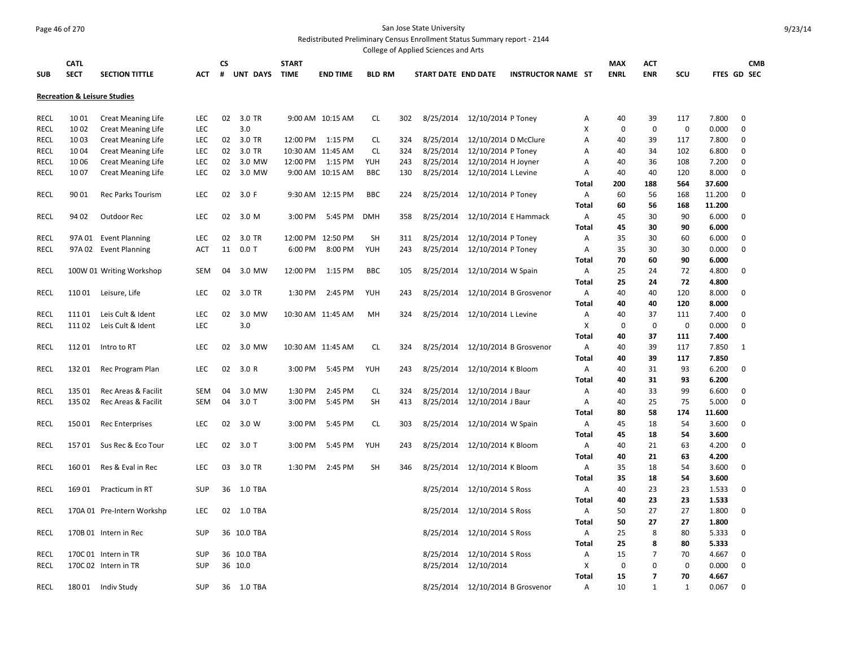#### Page 46 of 270 San Jose State University Redistributed Preliminary Census Enrollment Status Summary report - 2144

|                     |             |                                         |            |               |              |                   |               |     | College of Applied Sciences and Arts |                                  |                           |              |             |                |             |        |              |  |
|---------------------|-------------|-----------------------------------------|------------|---------------|--------------|-------------------|---------------|-----|--------------------------------------|----------------------------------|---------------------------|--------------|-------------|----------------|-------------|--------|--------------|--|
|                     | <b>CATL</b> |                                         |            | СS            | <b>START</b> |                   |               |     |                                      |                                  |                           |              | <b>MAX</b>  | <b>ACT</b>     |             |        | <b>CMB</b>   |  |
| <b>SUB</b>          | <b>SECT</b> | <b>SECTION TITTLE</b>                   | <b>ACT</b> | #<br>UNT DAYS | <b>TIME</b>  | <b>END TIME</b>   | <b>BLD RM</b> |     | START DATE END DATE                  |                                  | <b>INSTRUCTOR NAME ST</b> |              | <b>ENRL</b> | <b>ENR</b>     | SCU         |        | FTES GD SEC  |  |
|                     |             | <b>Recreation &amp; Leisure Studies</b> |            |               |              |                   |               |     |                                      |                                  |                           |              |             |                |             |        |              |  |
| RECL                | 1001        | <b>Creat Meaning Life</b>               | LEC        | 02<br>3.0 TR  |              | 9:00 AM 10:15 AM  | <b>CL</b>     | 302 | 8/25/2014                            | 12/10/2014 P Toney               |                           | Α            | 40          | 39             | 117         | 7.800  | 0            |  |
| <b>RECL</b>         | 10 02       | <b>Creat Meaning Life</b>               | <b>LEC</b> | 3.0           |              |                   |               |     |                                      |                                  |                           | X            | $\mathbf 0$ | 0              | $\mathbf 0$ | 0.000  | $\mathbf 0$  |  |
| RECL                | 10 03       | <b>Creat Meaning Life</b>               | <b>LEC</b> | 02<br>3.0 TR  | 12:00 PM     | 1:15 PM           | <b>CL</b>     | 324 | 8/25/2014                            | 12/10/2014 D McClure             |                           | А            | 40          | 39             | 117         | 7.800  | 0            |  |
| RECL                | 10 04       | <b>Creat Meaning Life</b>               | LEC        | 3.0 TR<br>02  |              | 10:30 AM 11:45 AM | <b>CL</b>     | 324 | 8/25/2014                            | 12/10/2014 P Toney               |                           | Α            | 40          | 34             | 102         | 6.800  | 0            |  |
| RECL                | 10 06       | <b>Creat Meaning Life</b>               | LEC        | 3.0 MW<br>02  | 12:00 PM     | 1:15 PM           | YUH           | 243 | 8/25/2014                            | 12/10/2014 H Joyner              |                           | Α            | 40          | 36             | 108         | 7.200  | $\mathbf 0$  |  |
| RECL                | 1007        | Creat Meaning Life                      | LEC        | 3.0 MW<br>02  |              | 9:00 AM 10:15 AM  | <b>BBC</b>    | 130 | 8/25/2014                            | 12/10/2014 L Levine              |                           | Α            | 40          | 40             | 120         | 8.000  | $\mathbf 0$  |  |
|                     |             |                                         |            |               |              |                   |               |     |                                      |                                  |                           | Total        | 200         | 188            | 564         | 37.600 |              |  |
| <b>RECL</b>         | 90 01       | <b>Rec Parks Tourism</b>                | <b>LEC</b> | 02<br>3.0 F   |              | 9:30 AM 12:15 PM  | <b>BBC</b>    | 224 | 8/25/2014                            | 12/10/2014 P Toney               |                           | Α            | 60          | 56             | 168         | 11.200 | 0            |  |
|                     |             |                                         |            |               |              |                   |               |     |                                      |                                  |                           | Total        | 60          | 56             | 168         | 11.200 |              |  |
| <b>RECL</b>         | 94 02       | Outdoor Rec                             | <b>LEC</b> | 02<br>3.0 M   | 3:00 PM      | 5:45 PM           | <b>DMH</b>    | 358 | 8/25/2014                            | 12/10/2014 E Hammack             |                           | А            | 45          | 30             | 90          | 6.000  | $\mathbf 0$  |  |
|                     |             |                                         |            |               |              |                   |               |     |                                      |                                  |                           | <b>Total</b> | 45          | 30             | 90          | 6.000  |              |  |
| <b>RECL</b>         |             | 97A 01 Event Planning                   | LEC        | 02<br>3.0 TR  |              | 12:00 PM 12:50 PM | <b>SH</b>     | 311 | 8/25/2014                            | 12/10/2014 P Toney               |                           | Α            | 35          | 30             | 60          | 6.000  | $\mathbf 0$  |  |
| RECL                |             | 97A 02 Event Planning                   | ACT        | 11<br>$0.0$ T | 6:00 PM      | 8:00 PM           | YUH           | 243 | 8/25/2014                            | 12/10/2014 P Toney               |                           | Α            | 35          | 30             | 30          | 0.000  | 0            |  |
|                     |             |                                         |            |               |              |                   |               |     |                                      |                                  |                           | <b>Total</b> | 70          | 60             | 90          | 6.000  |              |  |
| RECL                |             | 100W 01 Writing Workshop                | <b>SEM</b> | 04<br>3.0 MW  | 12:00 PM     | 1:15 PM           | <b>BBC</b>    | 105 | 8/25/2014                            | 12/10/2014 W Spain               |                           | A            | 25          | 24             | 72          | 4.800  | $\Omega$     |  |
|                     |             |                                         |            |               |              |                   |               |     |                                      |                                  |                           | <b>Total</b> | 25          | 24             | 72          | 4.800  |              |  |
| <b>RECL</b>         | 11001       | Leisure, Life                           | <b>LEC</b> | 02<br>3.0 TR  | 1:30 PM      | 2:45 PM           | YUH           | 243 | 8/25/2014                            |                                  | 12/10/2014 B Grosvenor    | Α            | 40          | 40             | 120         | 8.000  | $\mathbf 0$  |  |
|                     |             |                                         |            |               |              |                   |               |     |                                      |                                  |                           | Total        |             | 40             | 120         | 8.000  |              |  |
|                     | 11101       | Leis Cult & Ident                       | <b>LEC</b> | 02<br>3.0 MW  |              | 10:30 AM 11:45 AM | MH            |     |                                      |                                  |                           | Α            | 40<br>40    | 37             | 111         | 7.400  | 0            |  |
| RECL<br><b>RECL</b> | 11102       |                                         | <b>LEC</b> | 3.0           |              |                   |               | 324 |                                      | 8/25/2014 12/10/2014 L Levine    |                           | X            | $\mathbf 0$ | $\mathbf 0$    | $\mathbf 0$ | 0.000  | $\mathbf 0$  |  |
|                     |             | Leis Cult & Ident                       |            |               |              |                   |               |     |                                      |                                  |                           |              |             |                |             |        |              |  |
|                     |             |                                         |            |               |              |                   |               |     |                                      |                                  |                           | Total        | 40          | 37             | 111         | 7.400  |              |  |
| RECL                | 11201       | Intro to RT                             | <b>LEC</b> | 02<br>3.0 MW  |              | 10:30 AM 11:45 AM | <b>CL</b>     | 324 |                                      | 8/25/2014 12/10/2014 B Grosvenor |                           | Α            | 40          | 39             | 117         | 7.850  | $\mathbf{1}$ |  |
|                     |             |                                         |            |               |              |                   |               |     |                                      |                                  |                           | Total        | 40          | 39             | 117         | 7.850  |              |  |
| RECL                | 13201       | Rec Program Plan                        | <b>LEC</b> | 02<br>3.0 R   | 3:00 PM      | 5:45 PM           | YUH           | 243 | 8/25/2014                            | 12/10/2014 K Bloom               |                           | Α            | 40          | 31             | 93          | 6.200  | 0            |  |
|                     |             |                                         |            |               |              |                   |               |     |                                      |                                  |                           | <b>Total</b> | 40          | 31             | 93          | 6.200  |              |  |
| <b>RECL</b>         | 135 01      | Rec Areas & Facilit                     | SEM        | 04<br>3.0 MW  | 1:30 PM      | 2:45 PM           | <b>CL</b>     | 324 | 8/25/2014                            | 12/10/2014 J Baur                |                           | Α            | 40          | 33             | 99          | 6.600  | 0            |  |
| RECL                | 135 02      | Rec Areas & Facilit                     | <b>SEM</b> | 04<br>$3.0$ T | 3:00 PM      | 5:45 PM           | SH            | 413 | 8/25/2014                            | 12/10/2014 J Baur                |                           | Α            | 40          | 25             | 75          | 5.000  | $\mathbf 0$  |  |
|                     |             |                                         |            |               |              |                   |               |     |                                      |                                  |                           | Total        | 80          | 58             | 174         | 11.600 |              |  |
| <b>RECL</b>         | 15001       | <b>Rec Enterprises</b>                  | <b>LEC</b> | 02<br>3.0 W   | 3:00 PM      | 5:45 PM           | <b>CL</b>     | 303 | 8/25/2014                            | 12/10/2014 W Spain               |                           | Α            | 45          | 18             | 54          | 3.600  | 0            |  |
|                     |             |                                         |            |               |              |                   |               |     |                                      |                                  |                           | Total        | 45          | 18             | 54          | 3.600  |              |  |
| RECL                | 15701       | Sus Rec & Eco Tour                      | LEC        | 02<br>$3.0$ T | 3:00 PM      | 5:45 PM           | YUH           | 243 | 8/25/2014                            | 12/10/2014 K Bloom               |                           | Α            | 40          | 21             | 63          | 4.200  | $\Omega$     |  |
|                     |             |                                         |            |               |              |                   |               |     |                                      |                                  |                           | <b>Total</b> | 40          | 21             | 63          | 4.200  |              |  |
| RECL                | 16001       | Res & Eval in Rec                       | LEC        | 03<br>3.0 TR  | 1:30 PM      | 2:45 PM           | <b>SH</b>     | 346 | 8/25/2014                            | 12/10/2014 K Bloom               |                           | A            | 35          | 18             | 54          | 3.600  | $\mathbf 0$  |  |
|                     |             |                                         |            |               |              |                   |               |     |                                      |                                  |                           | <b>Total</b> | 35          | 18             | 54          | 3.600  |              |  |
| RECL                | 16901       | Practicum in RT                         | <b>SUP</b> | 36<br>1.0 TBA |              |                   |               |     | 8/25/2014                            | 12/10/2014 S Ross                |                           | Α            | 40          | 23             | 23          | 1.533  | $\mathbf 0$  |  |
|                     |             |                                         |            |               |              |                   |               |     |                                      |                                  |                           | <b>Total</b> | 40          | 23             | 23          | 1.533  |              |  |
| <b>RECL</b>         |             | 170A 01 Pre-Intern Workshp              | <b>LEC</b> | 02<br>1.0 TBA |              |                   |               |     | 8/25/2014                            | 12/10/2014 S Ross                |                           | Α            | 50          | 27             | 27          | 1.800  | 0            |  |
|                     |             |                                         |            |               |              |                   |               |     |                                      |                                  |                           | Total        | 50          | 27             | 27          | 1.800  |              |  |
| RECL                |             | 170B 01 Intern in Rec                   | <b>SUP</b> | 36 10.0 TBA   |              |                   |               |     | 8/25/2014                            | 12/10/2014 S Ross                |                           | Α            | 25          | 8              | 80          | 5.333  | 0            |  |
|                     |             |                                         |            |               |              |                   |               |     |                                      |                                  |                           | <b>Total</b> | 25          | 8              | 80          | 5.333  |              |  |
| RECL                |             | 170C 01 Intern in TR                    | <b>SUP</b> | 36 10.0 TBA   |              |                   |               |     | 8/25/2014                            | 12/10/2014 S Ross                |                           | Α            | 15          | 7              | 70          | 4.667  | 0            |  |
| <b>RECL</b>         |             | 170C 02 Intern in TR                    | <b>SUP</b> | 36 10.0       |              |                   |               |     | 8/25/2014                            | 12/10/2014                       |                           | X            | 0           | 0              | $\mathbf 0$ | 0.000  | $\mathbf 0$  |  |
|                     |             |                                         |            |               |              |                   |               |     |                                      |                                  |                           | Total        | 15          | $\overline{7}$ | 70          | 4.667  |              |  |
| RECL                | 18001       | Indiv Study                             | <b>SUP</b> | 36 1.0 TBA    |              |                   |               |     | 8/25/2014                            |                                  | 12/10/2014 B Grosvenor    | А            | 10          | 1              | 1           | 0.067  | $\mathbf 0$  |  |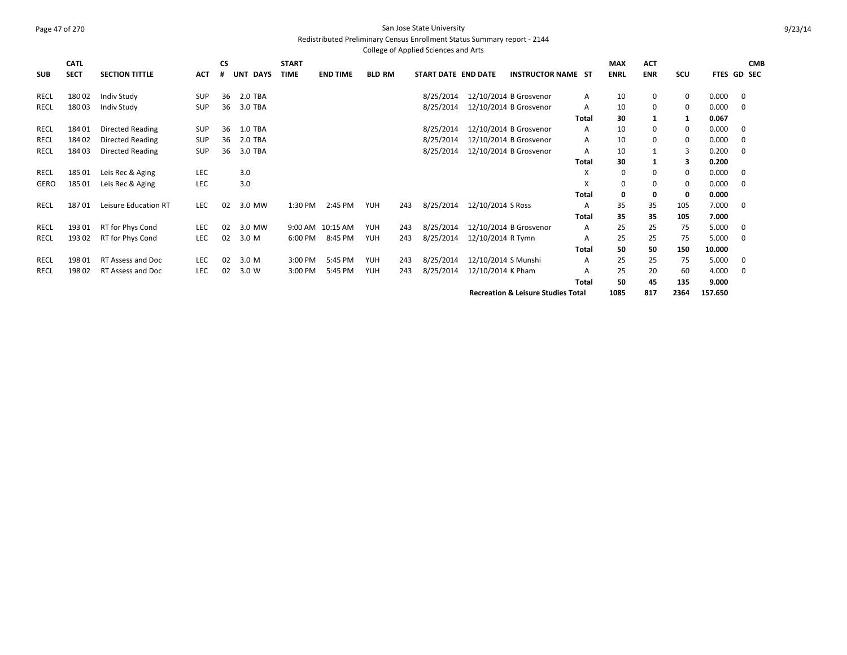#### Page 47 of 270 San Jose State University Redistributed Preliminary Census Enrollment Status Summary report - 2144

|            |             |                          |            |           |                           |              |                 |               |     | College of Applied Sciences and Arts |                     |                                               |              |             |            |             |         |                    |
|------------|-------------|--------------------------|------------|-----------|---------------------------|--------------|-----------------|---------------|-----|--------------------------------------|---------------------|-----------------------------------------------|--------------|-------------|------------|-------------|---------|--------------------|
|            | <b>CATL</b> |                          |            | <b>CS</b> |                           | <b>START</b> |                 |               |     |                                      |                     |                                               |              | <b>MAX</b>  | <b>ACT</b> |             |         | <b>CMB</b>         |
| <b>SUB</b> | <b>SECT</b> | <b>SECTION TITTLE</b>    | <b>ACT</b> | #         | <b>UNT</b><br><b>DAYS</b> | <b>TIME</b>  | <b>END TIME</b> | <b>BLD RM</b> |     | START DATE END DATE                  |                     | <b>INSTRUCTOR NAME ST</b>                     |              | <b>ENRL</b> | <b>ENR</b> | SCU         |         | <b>FTES GD SEC</b> |
| RECL       | 18002       | Indiv Study              | <b>SUP</b> | 36        | 2.0 TBA                   |              |                 |               |     | 8/25/2014                            |                     | 12/10/2014 B Grosvenor                        | A            | 10          | $\Omega$   | 0           | 0.000   | 0                  |
| RECL       | 18003       | Indiv Study              | SUP        | 36        | 3.0 TBA                   |              |                 |               |     | 8/25/2014                            |                     | 12/10/2014 B Grosvenor                        | A            | 10          | 0          | $\mathbf 0$ | 0.000   | 0                  |
|            |             |                          |            |           |                           |              |                 |               |     |                                      |                     |                                               | <b>Total</b> | 30          | 1          | 1           | 0.067   |                    |
| RECL       | 18401       | <b>Directed Reading</b>  | SUP        | 36        | 1.0 TBA                   |              |                 |               |     | 8/25/2014                            |                     | 12/10/2014 B Grosvenor                        | A            | 10          | 0          | 0           | 0.000   | 0                  |
| RECL       | 18402       | Directed Reading         | SUP        | 36        | 2.0 TBA                   |              |                 |               |     | 8/25/2014                            |                     | 12/10/2014 B Grosvenor                        | A            | 10          | $\Omega$   | 0           | 0.000   | 0                  |
| RECL       | 18403       | Directed Reading         | <b>SUP</b> | 36        | 3.0 TBA                   |              |                 |               |     | 8/25/2014                            |                     | 12/10/2014 B Grosvenor                        | A            | 10          |            | 3           | 0.200   | $\mathbf 0$        |
|            |             |                          |            |           |                           |              |                 |               |     |                                      |                     |                                               | <b>Total</b> | 30          |            | 3           | 0.200   |                    |
| RECL       | 18501       | Leis Rec & Aging         | LEC        |           | 3.0                       |              |                 |               |     |                                      |                     |                                               | X            | 0           | 0          | 0           | 0.000   | 0                  |
| GERO       | 18501       | Leis Rec & Aging         | <b>LEC</b> |           | 3.0                       |              |                 |               |     |                                      |                     |                                               | X            | 0           | $\Omega$   | 0           | 0.000   | $\mathbf 0$        |
|            |             |                          |            |           |                           |              |                 |               |     |                                      |                     |                                               | <b>Total</b> | 0           | 0          | 0           | 0.000   |                    |
| RECL       | 18701       | Leisure Education RT     | <b>LEC</b> | 02        | 3.0 MW                    | 1:30 PM      | 2:45 PM         | <b>YUH</b>    | 243 | 8/25/2014                            | 12/10/2014 S Ross   |                                               | A            | 35          | 35         | 105         | 7.000   | 0                  |
|            |             |                          |            |           |                           |              |                 |               |     |                                      |                     |                                               | <b>Total</b> | 35          | 35         | 105         | 7.000   |                    |
| RECL       | 19301       | RT for Phys Cond         | LEC        | 02        | 3.0 MW                    | 9:00 AM      | 10:15 AM        | YUH           | 243 | 8/25/2014                            |                     | 12/10/2014 B Grosvenor                        | A            | 25          | 25         | 75          | 5.000   | 0                  |
| RECL       | 193 02      | RT for Phys Cond         | <b>LEC</b> | 02        | 3.0 M                     | 6:00 PM      | 8:45 PM         | <b>YUH</b>    | 243 | 8/25/2014                            | 12/10/2014 R Tymn   |                                               | Α            | 25          | 25         | 75          | 5.000   | 0                  |
|            |             |                          |            |           |                           |              |                 |               |     |                                      |                     |                                               | Total        | 50          | 50         | 150         | 10.000  |                    |
| RECL       | 19801       | <b>RT Assess and Doc</b> | <b>LEC</b> | 02        | 3.0 M                     | 3:00 PM      | 5:45 PM         | <b>YUH</b>    | 243 | 8/25/2014                            | 12/10/2014 S Munshi |                                               | A            | 25          | 25         | 75          | 5.000   | 0                  |
| RECL       | 19802       | RT Assess and Doc        | <b>LEC</b> | 02        | 3.0 W                     | 3:00 PM      | 5:45 PM         | <b>YUH</b>    | 243 | 8/25/2014                            | 12/10/2014 K Pham   |                                               | A            | 25          | 20         | 60          | 4.000   | 0                  |
|            |             |                          |            |           |                           |              |                 |               |     |                                      |                     |                                               | Total        | 50          | 45         | 135         | 9.000   |                    |
|            |             |                          |            |           |                           |              |                 |               |     |                                      |                     | <b>Recreation &amp; Leisure Studies Total</b> |              | 1085        | 817        | 2364        | 157.650 |                    |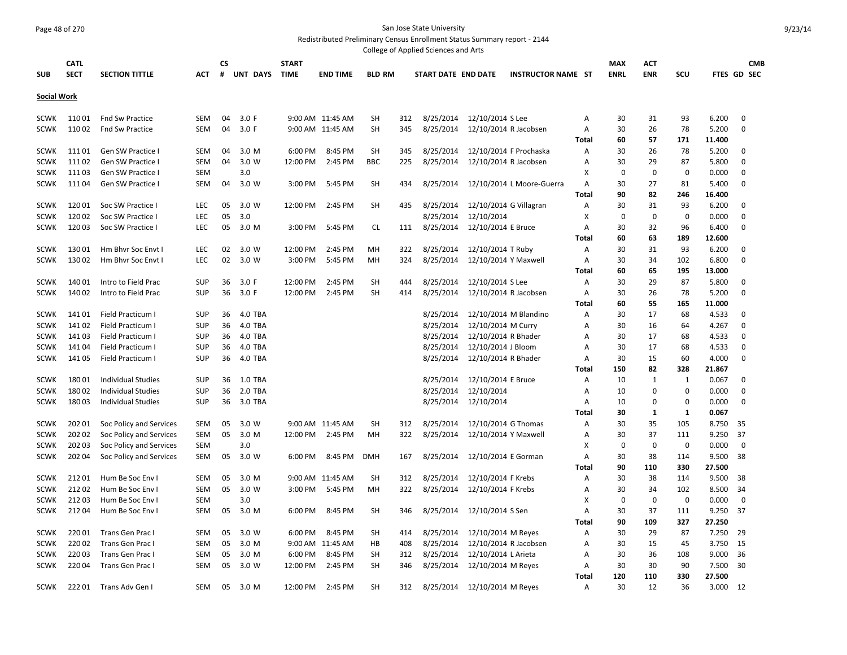## Page 48 of 270 San Jose State University

Redistributed Preliminary Census Enrollment Status Summary report - 2144 College of Applied Sciences and Arts

|                            |                            |                                        |            |          |                    |                      |                  |               |     | conced on reporce belences and rules |                        |                           |                |                           |                   |              |                |                           |  |
|----------------------------|----------------------------|----------------------------------------|------------|----------|--------------------|----------------------|------------------|---------------|-----|--------------------------------------|------------------------|---------------------------|----------------|---------------------------|-------------------|--------------|----------------|---------------------------|--|
| <b>SUB</b>                 | <b>CATL</b><br><b>SECT</b> | <b>SECTION TITTLE</b>                  | АСТ        | СS<br>#  | UNT DAYS           | <b>START</b><br>TIME | <b>END TIME</b>  | <b>BLD RM</b> |     | START DATE END DATE                  |                        | <b>INSTRUCTOR NAME ST</b> |                | <b>MAX</b><br><b>ENRL</b> | АСТ<br><b>ENR</b> | scu          |                | <b>CMB</b><br>FTES GD SEC |  |
| <b>Social Work</b>         |                            |                                        |            |          |                    |                      |                  |               |     |                                      |                        |                           |                |                           |                   |              |                |                           |  |
|                            |                            |                                        |            |          |                    |                      |                  |               |     |                                      |                        |                           |                |                           |                   |              |                |                           |  |
| <b>SCWK</b>                | 11001                      | Fnd Sw Practice                        | <b>SEM</b> | 04       | 3.0 F              |                      | 9:00 AM 11:45 AM | SH            | 312 | 8/25/2014                            | 12/10/2014 S Lee       |                           | Α              | 30                        | 31                | 93           | 6.200          | $\mathbf 0$               |  |
| <b>SCWK</b>                | 11002                      | Fnd Sw Practice                        | <b>SEM</b> | 04       | 3.0 F              |                      | 9:00 AM 11:45 AM | <b>SH</b>     | 345 | 8/25/2014                            | 12/10/2014 R Jacobsen  |                           | Α              | 30                        | 26                | 78           | 5.200          | $\mathbf 0$               |  |
|                            |                            |                                        |            |          |                    |                      |                  |               |     |                                      |                        |                           | <b>Total</b>   | 60                        | 57                | 171          | 11.400         |                           |  |
| <b>SCWK</b>                | 11101                      | Gen SW Practice I                      | <b>SEM</b> | 04       | 3.0 M              | 6:00 PM              | 8:45 PM          | <b>SH</b>     | 345 | 8/25/2014                            |                        | 12/10/2014 F Prochaska    | A              | 30                        | 26                | 78           | 5.200          | 0                         |  |
| <b>SCWK</b>                | 11102                      | Gen SW Practice                        | <b>SEM</b> | 04       | 3.0 W              | 12:00 PM             | 2:45 PM          | <b>BBC</b>    | 225 | 8/25/2014                            | 12/10/2014 R Jacobsen  |                           | A              | 30                        | 29                | 87           | 5.800          | $\mathbf 0$               |  |
| <b>SCWK</b>                | 11103                      | Gen SW Practice I                      | <b>SEM</b> |          | 3.0                |                      |                  |               |     |                                      |                        |                           | X              | $\mathbf 0$               | $\mathbf 0$       | $\mathbf 0$  | 0.000          | $\mathbf 0$               |  |
| <b>SCWK</b>                | 11104                      | Gen SW Practice I                      | <b>SEM</b> | 04       | 3.0 W              | 3:00 PM              | 5:45 PM          | <b>SH</b>     | 434 | 8/25/2014                            |                        | 12/10/2014 L Moore-Guerra | Α              | 30                        | 27                | 81           | 5.400          | $\mathbf 0$               |  |
|                            |                            |                                        |            |          |                    |                      |                  |               |     |                                      |                        |                           | <b>Total</b>   | 90                        | 82                | 246          | 16.400         |                           |  |
| <b>SCWK</b>                | 12001                      | Soc SW Practice I                      | <b>LEC</b> | 05       | 3.0 W              | 12:00 PM             | 2:45 PM          | SH            | 435 | 8/25/2014                            | 12/10/2014 G Villagran |                           | Α              | 30                        | 31                | 93           | 6.200          | 0                         |  |
| <b>SCWK</b>                | 12002                      | Soc SW Practice I                      | <b>LEC</b> | 05       | 3.0                |                      |                  |               |     | 8/25/2014                            | 12/10/2014             |                           | х              | 0                         | 0                 | $\mathbf 0$  | 0.000          | 0                         |  |
| <b>SCWK</b>                | 12003                      | Soc SW Practice I                      | <b>LEC</b> | 05       | 3.0 M              | 3:00 PM              | 5:45 PM          | <b>CL</b>     | 111 | 8/25/2014                            | 12/10/2014 E Bruce     |                           | Α              | 30                        | 32                | 96           | 6.400          | 0                         |  |
|                            |                            |                                        |            |          |                    |                      |                  |               |     |                                      |                        |                           | Total          | 60                        | 63                | 189          | 12.600         |                           |  |
| <b>SCWK</b>                | 13001                      | Hm Bhvr Soc Envt I                     | <b>LEC</b> | 02       | 3.0 W              | 12:00 PM             | 2:45 PM          | MH            | 322 | 8/25/2014                            | 12/10/2014 T Ruby      |                           | Α              | 30                        | 31                | 93           | 6.200          | 0                         |  |
| <b>SCWK</b>                | 13002                      | Hm Bhvr Soc Envt I                     | <b>LEC</b> | 02       | 3.0 W              | 3:00 PM              | 5:45 PM          | MH            | 324 | 8/25/2014                            | 12/10/2014 Y Maxwell   |                           | Α              | 30                        | 34                | 102<br>195   | 6.800          | 0                         |  |
|                            |                            |                                        |            |          |                    |                      |                  |               |     |                                      |                        |                           | Total          | 60                        | 65                |              | 13.000         |                           |  |
| <b>SCWK</b>                | 140 01                     | Intro to Field Prac                    | <b>SUP</b> | 36       | 3.0 F              | 12:00 PM             | 2:45 PM          | SH            | 444 | 8/25/2014                            | 12/10/2014 S Lee       |                           | Α              | 30                        | 29                | 87<br>78     | 5.800<br>5.200 | 0<br>$\mathbf 0$          |  |
| <b>SCWK</b>                | 140 02                     | Intro to Field Prac                    | <b>SUP</b> | 36       | 3.0 F              | 12:00 PM             | 2:45 PM          | SH            | 414 | 8/25/2014                            | 12/10/2014 R Jacobsen  |                           | Α              | 30                        | 26                |              | 11.000         |                           |  |
| <b>SCWK</b>                | 14101                      |                                        | <b>SUP</b> | 36       |                    |                      |                  |               |     |                                      |                        | 12/10/2014 M Blandino     | Total<br>Α     | 60<br>30                  | 55<br>17          | 165          |                | 0                         |  |
| <b>SCWK</b>                | 14102                      | Field Practicum I<br>Field Practicum I | <b>SUP</b> | 36       | 4.0 TBA<br>4.0 TBA |                      |                  |               |     | 8/25/2014<br>8/25/2014               | 12/10/2014 M Curry     |                           | А              | 30                        | 16                | 68<br>64     | 4.533<br>4.267 | 0                         |  |
|                            | 14103                      | Field Practicum I                      | <b>SUP</b> |          | 4.0 TBA            |                      |                  |               |     | 8/25/2014                            | 12/10/2014 R Bhader    |                           |                | 30                        | 17                | 68           | 4.533          | 0                         |  |
| <b>SCWK</b><br><b>SCWK</b> | 14104                      | Field Practicum I                      | <b>SUP</b> | 36<br>36 | 4.0 TBA            |                      |                  |               |     | 8/25/2014                            | 12/10/2014 J Bloom     |                           | Α              | 30                        | 17                | 68           | 4.533          | 0                         |  |
| <b>SCWK</b>                | 14105                      | Field Practicum I                      | <b>SUP</b> | 36       | 4.0 TBA            |                      |                  |               |     | 8/25/2014                            | 12/10/2014 R Bhader    |                           | А<br>Α         | 30                        | 15                | 60           | 4.000          | 0                         |  |
|                            |                            |                                        |            |          |                    |                      |                  |               |     |                                      |                        |                           | Total          | 150                       | 82                | 328          | 21.867         |                           |  |
| <b>SCWK</b>                | 18001                      | <b>Individual Studies</b>              | <b>SUP</b> | 36       | 1.0 TBA            |                      |                  |               |     | 8/25/2014                            | 12/10/2014 E Bruce     |                           | Α              | 10                        | 1                 | $\mathbf{1}$ | 0.067          | 0                         |  |
| <b>SCWK</b>                | 18002                      | <b>Individual Studies</b>              | <b>SUP</b> | 36       | 2.0 TBA            |                      |                  |               |     | 8/25/2014                            | 12/10/2014             |                           | A              | 10                        | 0                 | $\mathbf 0$  | 0.000          | $\mathbf 0$               |  |
| <b>SCWK</b>                | 18003                      | <b>Individual Studies</b>              | <b>SUP</b> | 36       | 3.0 TBA            |                      |                  |               |     | 8/25/2014                            | 12/10/2014             |                           | A              | 10                        | $\mathbf 0$       | $\mathbf 0$  | 0.000          | $\mathbf 0$               |  |
|                            |                            |                                        |            |          |                    |                      |                  |               |     |                                      |                        |                           | <b>Total</b>   | 30                        | 1                 | $\mathbf{1}$ | 0.067          |                           |  |
| <b>SCWK</b>                | 202 01                     | Soc Policy and Services                | <b>SEM</b> | 05       | 3.0 W              |                      | 9:00 AM 11:45 AM | SH            | 312 | 8/25/2014                            | 12/10/2014 G Thomas    |                           | A              | 30                        | 35                | 105          | 8.750          | 35                        |  |
| <b>SCWK</b>                | 20202                      | Soc Policy and Services                | <b>SEM</b> | 05       | 3.0 M              | 12:00 PM             | 2:45 PM          | MH            | 322 | 8/25/2014                            | 12/10/2014 Y Maxwell   |                           | A              | 30                        | 37                | 111          | 9.250          | 37                        |  |
| <b>SCWK</b>                | 202 03                     | Soc Policy and Services                | <b>SEM</b> |          | 3.0                |                      |                  |               |     |                                      |                        |                           | х              | $\mathbf 0$               | $\mathbf 0$       | $\mathbf 0$  | 0.000          | $\mathbf 0$               |  |
| <b>SCWK</b>                | 202 04                     | Soc Policy and Services                | <b>SEM</b> | 05       | 3.0 W              | 6:00 PM              | 8:45 PM          | <b>DMH</b>    | 167 | 8/25/2014                            | 12/10/2014 E Gorman    |                           | Α              | 30                        | 38                | 114          | 9.500          | 38                        |  |
|                            |                            |                                        |            |          |                    |                      |                  |               |     |                                      |                        |                           | Total          | 90                        | 110               | 330          | 27.500         |                           |  |
| <b>SCWK</b>                | 21201                      | Hum Be Soc Env I                       | <b>SEM</b> | 05       | 3.0 M              |                      | 9:00 AM 11:45 AM | SH            | 312 | 8/25/2014                            | 12/10/2014 F Krebs     |                           | A              | 30                        | 38                | 114          | 9.500          | 38                        |  |
| <b>SCWK</b>                | 21202                      | Hum Be Soc Env I                       | <b>SEM</b> | 05       | 3.0 W              | 3:00 PM              | 5:45 PM          | MH            | 322 | 8/25/2014                            | 12/10/2014 F Krebs     |                           | Α              | 30                        | 34                | 102          | 8.500          | 34                        |  |
| <b>SCWK</b>                | 21203                      | Hum Be Soc Env I                       | <b>SEM</b> |          | 3.0                |                      |                  |               |     |                                      |                        |                           | х              | 0                         | $\Omega$          | $\mathbf 0$  | 0.000          | $\mathbf 0$               |  |
| <b>SCWK</b>                | 21204                      | Hum Be Soc Env I                       | <b>SEM</b> | 05       | 3.0 M              | 6:00 PM              | 8:45 PM          | SH            | 346 | 8/25/2014                            | 12/10/2014 S Sen       |                           | Α              | 30                        | 37                | 111          | 9.250          | 37                        |  |
|                            |                            |                                        |            |          |                    |                      |                  |               |     |                                      |                        |                           | Total          | 90                        | 109               | 327          | 27.250         |                           |  |
| <b>SCWK</b>                | 22001                      | Trans Gen Prac I                       | <b>SEM</b> | 05       | 3.0 W              | 6:00 PM              | 8:45 PM          | <b>SH</b>     | 414 | 8/25/2014                            | 12/10/2014 M Reyes     |                           | Α              | 30                        | 29                | 87           | 7.250          | 29                        |  |
| <b>SCWK</b>                | 22002                      | Trans Gen Prac I                       | <b>SEM</b> | 05       | 3.0 M              | 9:00 AM              | 11:45 AM         | HB            | 408 | 8/25/2014                            | 12/10/2014 R Jacobsen  |                           | Α              | 30                        | 15                | 45           | 3.750          | 15                        |  |
| <b>SCWK</b>                | 22003                      | Trans Gen Prac I                       | SEM        | 05       | 3.0 M              | 6:00 PM              | 8:45 PM          | <b>SH</b>     | 312 | 8/25/2014                            | 12/10/2014 L Arieta    |                           | Α              | 30                        | 36                | 108          | 9.000          | 36                        |  |
| <b>SCWK</b>                | 22004                      | Trans Gen Prac I                       | SEM        | 05       | 3.0 W              | 12:00 PM             | 2:45 PM          | SH            | 346 | 8/25/2014                            | 12/10/2014 M Reyes     |                           | Α              | 30                        | 30                | 90           | 7.500          | 30                        |  |
|                            |                            |                                        |            |          |                    |                      |                  |               |     |                                      |                        |                           | Total          | 120                       | 110               | 330          | 27.500         |                           |  |
| <b>SCWK</b>                | 22201                      | Trans Adv Gen I                        | <b>SEM</b> | 05       | 3.0 M              | 12:00 PM             | 2:45 PM          | <b>SH</b>     | 312 | 8/25/2014                            | 12/10/2014 M Reyes     |                           | $\overline{A}$ | 30                        | 12                | 36           | 3.000          | 12                        |  |
|                            |                            |                                        |            |          |                    |                      |                  |               |     |                                      |                        |                           |                |                           |                   |              |                |                           |  |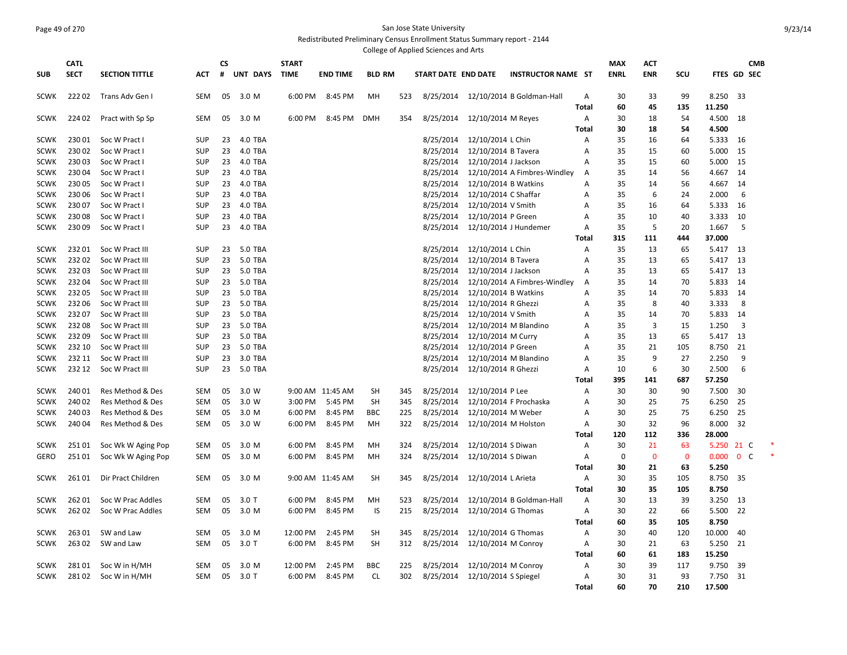## Page 49 of 270 San Jose State University Redistributed Preliminary Census Enrollment Status Summary report - 2144

|             |             |                       |            |    |                 |              |                  |               |     | College of Applied Sciences and Arts |                      |                              |              |             |                |             |                    |                         |            |
|-------------|-------------|-----------------------|------------|----|-----------------|--------------|------------------|---------------|-----|--------------------------------------|----------------------|------------------------------|--------------|-------------|----------------|-------------|--------------------|-------------------------|------------|
|             | <b>CATL</b> |                       |            | CS |                 | <b>START</b> |                  |               |     |                                      |                      |                              |              | <b>MAX</b>  | <b>ACT</b>     |             |                    |                         | <b>CMB</b> |
| <b>SUB</b>  | <b>SECT</b> | <b>SECTION TITTLE</b> | ACT        | #  | <b>UNT DAYS</b> | <b>TIME</b>  | <b>END TIME</b>  | <b>BLD RM</b> |     | START DATE END DATE                  |                      | <b>INSTRUCTOR NAME ST</b>    |              | <b>ENRL</b> | <b>ENR</b>     | <b>SCU</b>  | <b>FTES GD SEC</b> |                         |            |
| <b>SCWK</b> | 22202       | Trans Adv Gen I       | <b>SEM</b> | 05 | 3.0 M           | 6:00 PM      | 8:45 PM          | MH            | 523 | 8/25/2014                            |                      | 12/10/2014 B Goldman-Hall    | Α            | 30          | 33             | 99          | 8.250              | 33                      |            |
|             |             |                       |            |    |                 |              |                  |               |     |                                      |                      |                              | Total        | 60          | 45             | 135         | 11.250             |                         |            |
| <b>SCWK</b> | 224 02      | Pract with Sp Sp      | <b>SEM</b> | 05 | 3.0 M           | 6:00 PM      | 8:45 PM          | <b>DMH</b>    | 354 | 8/25/2014                            | 12/10/2014 M Reyes   |                              | A            | 30          | 18             | 54          | 4.500              | 18                      |            |
|             |             |                       |            |    |                 |              |                  |               |     |                                      |                      |                              | Total        | 30          | 18             | 54          | 4.500              |                         |            |
| <b>SCWK</b> | 23001       | Soc W Pract I         | <b>SUP</b> | 23 | 4.0 TBA         |              |                  |               |     | 8/25/2014                            | 12/10/2014 L Chin    |                              | A            | 35          | 16             | 64          | 5.333              | -16                     |            |
| <b>SCWK</b> | 23002       | Soc W Pract I         | <b>SUP</b> | 23 | 4.0 TBA         |              |                  |               |     | 8/25/2014                            | 12/10/2014 B Tavera  |                              | A            | 35          | 15             | 60          | 5.000              | 15                      |            |
| <b>SCWK</b> | 23003       | Soc W Pract I         | <b>SUP</b> | 23 | 4.0 TBA         |              |                  |               |     | 8/25/2014                            | 12/10/2014 J Jackson |                              | A            | 35          | 15             | 60          | 5.000              | 15                      |            |
| <b>SCWK</b> | 23004       | Soc W Pract I         | <b>SUP</b> | 23 | 4.0 TBA         |              |                  |               |     | 8/25/2014                            |                      | 12/10/2014 A Fimbres-Windley | Α            | 35          | 14             | 56          | 4.667              | 14                      |            |
| <b>SCWK</b> | 23005       | Soc W Pract I         | <b>SUP</b> | 23 | 4.0 TBA         |              |                  |               |     | 8/25/2014                            | 12/10/2014 B Watkins |                              | A            | 35          | 14             | 56          | 4.667              | 14                      |            |
| <b>SCWK</b> | 230 06      | Soc W Pract I         | <b>SUP</b> | 23 | 4.0 TBA         |              |                  |               |     | 8/25/2014                            | 12/10/2014 C Shaffar |                              | A            | 35          | -6             | 24          | 2.000              | 6                       |            |
| <b>SCWK</b> | 23007       | Soc W Pract I         | <b>SUP</b> | 23 | 4.0 TBA         |              |                  |               |     | 8/25/2014                            | 12/10/2014 V Smith   |                              | A            | 35          | 16             | 64          | 5.333              | 16                      |            |
| <b>SCWK</b> | 23008       | Soc W Pract I         | <b>SUP</b> | 23 | 4.0 TBA         |              |                  |               |     | 8/25/2014                            | 12/10/2014 P Green   |                              | A            | 35          | 10             | 40          | 3.333              | 10                      |            |
| <b>SCWK</b> | 23009       | Soc W Pract I         | <b>SUP</b> | 23 | 4.0 TBA         |              |                  |               |     | 8/25/2014                            |                      | 12/10/2014 J Hundemer        | A            | 35          | 5              | 20          | 1.667              | 5                       |            |
|             |             |                       |            |    |                 |              |                  |               |     |                                      |                      |                              | Total        | 315         | 111            | 444         | 37.000             |                         |            |
| <b>SCWK</b> | 23201       | Soc W Pract III       | <b>SUP</b> | 23 | 5.0 TBA         |              |                  |               |     | 8/25/2014                            | 12/10/2014 L Chin    |                              | A            | 35          | 13             | 65          | 5.417              | 13                      |            |
| <b>SCWK</b> | 23202       | Soc W Pract III       | <b>SUP</b> | 23 | 5.0 TBA         |              |                  |               |     | 8/25/2014                            | 12/10/2014 B Tavera  |                              | A            | 35          | 13             | 65          | 5.417              | 13                      |            |
| <b>SCWK</b> | 23203       | Soc W Pract III       | <b>SUP</b> | 23 | 5.0 TBA         |              |                  |               |     | 8/25/2014                            | 12/10/2014 J Jackson |                              | A            | 35          | 13             | 65          | 5.417              | 13                      |            |
| <b>SCWK</b> | 23204       | Soc W Pract III       | <b>SUP</b> | 23 | 5.0 TBA         |              |                  |               |     | 8/25/2014                            |                      | 12/10/2014 A Fimbres-Windley | Α            | 35          | 14             | 70          | 5.833              | 14                      |            |
| <b>SCWK</b> | 23205       | Soc W Pract III       | <b>SUP</b> | 23 | 5.0 TBA         |              |                  |               |     | 8/25/2014                            | 12/10/2014 B Watkins |                              | A            | 35          | 14             | 70          | 5.833              | 14                      |            |
| <b>SCWK</b> | 23206       | Soc W Pract III       | <b>SUP</b> | 23 | 5.0 TBA         |              |                  |               |     | 8/25/2014                            | 12/10/2014 R Ghezzi  |                              | A            | 35          | 8              | 40          | 3.333              | 8                       |            |
| <b>SCWK</b> | 23207       | Soc W Pract III       | <b>SUP</b> | 23 | 5.0 TBA         |              |                  |               |     | 8/25/2014                            | 12/10/2014 V Smith   |                              | A            | 35          | 14             | 70          | 5.833              | 14                      |            |
| <b>SCWK</b> | 23208       | Soc W Pract III       | <b>SUP</b> | 23 | 5.0 TBA         |              |                  |               |     | 8/25/2014                            |                      | 12/10/2014 M Blandino        | Α            | 35          | $\overline{3}$ | 15          | 1.250              | $\overline{\mathbf{3}}$ |            |
| <b>SCWK</b> | 23209       | Soc W Pract III       | <b>SUP</b> | 23 | 5.0 TBA         |              |                  |               |     | 8/25/2014                            | 12/10/2014 M Curry   |                              | A            | 35          | 13             | 65          | 5.417              | 13                      |            |
| <b>SCWK</b> | 232 10      | Soc W Pract III       | <b>SUP</b> | 23 | 5.0 TBA         |              |                  |               |     | 8/25/2014                            | 12/10/2014 P Green   |                              | A            | 35          | 21             | 105         | 8.750              | 21                      |            |
| <b>SCWK</b> | 232 11      | Soc W Pract III       | <b>SUP</b> | 23 | 3.0 TBA         |              |                  |               |     | 8/25/2014                            |                      | 12/10/2014 M Blandino        | A            | 35          | 9              | 27          | 2.250              | 9                       |            |
| SCWK        | 232 12      | Soc W Pract III       | <b>SUP</b> | 23 | 5.0 TBA         |              |                  |               |     | 8/25/2014                            | 12/10/2014 R Ghezzi  |                              | Α            | 10          | 6              | 30          | 2.500              | 6                       |            |
|             |             |                       |            |    |                 |              |                  |               |     |                                      |                      |                              | <b>Total</b> | 395         | 141            | 687         | 57.250             |                         |            |
| <b>SCWK</b> | 24001       | Res Method & Des      | <b>SEM</b> | 05 | 3.0 W           |              | 9:00 AM 11:45 AM | <b>SH</b>     | 345 | 8/25/2014                            | 12/10/2014 P Lee     |                              | A            | 30          | 30             | 90          | 7.500              | -30                     |            |
| <b>SCWK</b> | 24002       | Res Method & Des      | <b>SEM</b> | 05 | 3.0 W           | 3:00 PM      | 5:45 PM          | <b>SH</b>     | 345 | 8/25/2014                            |                      | 12/10/2014 F Prochaska       | A            | 30          | 25             | 75          | 6.250              | 25                      |            |
| <b>SCWK</b> | 24003       | Res Method & Des      | <b>SEM</b> | 05 | 3.0 M           | 6:00 PM      | 8:45 PM          | <b>BBC</b>    | 225 | 8/25/2014                            | 12/10/2014 M Weber   |                              | Α            | 30          | 25             | 75          | 6.250              | 25                      |            |
| <b>SCWK</b> | 24004       | Res Method & Des      | <b>SEM</b> | 05 | 3.0 W           | 6:00 PM      | 8:45 PM          | MH            | 322 | 8/25/2014                            |                      | 12/10/2014 M Holston         | Α            | 30          | 32             | 96          | 8.000              | 32                      |            |
|             |             |                       |            |    |                 |              |                  |               |     |                                      |                      |                              | Total        | 120         | 112            | 336         | 28.000             |                         |            |
| <b>SCWK</b> | 25101       | Soc Wk W Aging Pop    | <b>SEM</b> | 05 | 3.0 M           | 6:00 PM      | 8:45 PM          | MН            | 324 | 8/25/2014                            | 12/10/2014 S Diwan   |                              | Α            | 30          | 21             | 63          | 5.250              | 21 C                    |            |
| <b>GERO</b> | 25101       | Soc Wk W Aging Pop    | <b>SEM</b> | 05 | 3.0 M           | 6:00 PM      | 8:45 PM          | MН            | 324 | 8/25/2014                            | 12/10/2014 S Diwan   |                              | Α            | 0           | $\mathbf 0$    | $\mathbf 0$ | 0.000              | $\mathbf{0}$            | C          |
|             |             |                       |            |    |                 |              |                  |               |     |                                      |                      |                              | <b>Total</b> | 30          | 21             | 63          | 5.250              |                         |            |
| <b>SCWK</b> | 26101       | Dir Pract Children    | <b>SEM</b> | 05 | 3.0 M           |              | 9:00 AM 11:45 AM | <b>SH</b>     | 345 | 8/25/2014                            | 12/10/2014 L Arieta  |                              | Α            | 30          | 35             | 105         | 8.750              | -35                     |            |
|             |             |                       |            |    |                 |              |                  |               |     |                                      |                      |                              | Total        | 30          | 35             | 105         | 8.750              |                         |            |
| <b>SCWK</b> | 26201       | Soc W Prac Addles     | <b>SEM</b> | 05 | $3.0$ T         | 6:00 PM      | 8:45 PM          | MH            | 523 | 8/25/2014                            |                      | 12/10/2014 B Goldman-Hall    | Α            | 30          | 13             | 39          | 3.250              | 13                      |            |
| <b>SCWK</b> | 26202       | Soc W Prac Addles     | <b>SEM</b> | 05 | 3.0 M           | 6:00 PM      | 8:45 PM          | IS            | 215 | 8/25/2014                            | 12/10/2014 G Thomas  |                              | Α            | 30          | 22             | 66          | 5.500              | 22                      |            |
|             |             |                       |            |    |                 |              |                  |               |     |                                      |                      |                              | Total        | 60          | 35             | 105         | 8.750              |                         |            |
| <b>SCWK</b> | 26301       | SW and Law            | <b>SEM</b> | 05 | 3.0 M           | 12:00 PM     | 2:45 PM          | <b>SH</b>     | 345 | 8/25/2014                            | 12/10/2014 G Thomas  |                              | Α            | 30          | 40             | 120         | 10.000             | 40                      |            |
| <b>SCWK</b> | 26302       | SW and Law            | SEM        | 05 | $3.0$ T         | 6:00 PM      | 8:45 PM          | <b>SH</b>     | 312 | 8/25/2014                            | 12/10/2014 M Conroy  |                              | Α            | 30          | 21             | 63          | 5.250              | 21                      |            |
|             |             |                       |            |    |                 |              |                  |               |     |                                      |                      |                              | Total        | 60          | 61             | 183         | 15.250             |                         |            |
| <b>SCWK</b> | 28101       | Soc W in H/MH         | <b>SEM</b> | 05 | 3.0 M           | 12:00 PM     | 2:45 PM          | <b>BBC</b>    | 225 | 8/25/2014                            | 12/10/2014 M Conroy  |                              | Α            | 30          | 39             | 117         | 9.750              | 39                      |            |
| <b>SCWK</b> | 28102       | Soc W in H/MH         | <b>SEM</b> | 05 | $3.0$ T         | 6:00 PM      | 8:45 PM          | <b>CL</b>     | 302 | 8/25/2014                            | 12/10/2014 S Spiegel |                              | Α            | 30          | 31             | 93          | 7.750              | 31                      |            |
|             |             |                       |            |    |                 |              |                  |               |     |                                      |                      |                              | Total        | 60          | 70             | 210         | 17.500             |                         |            |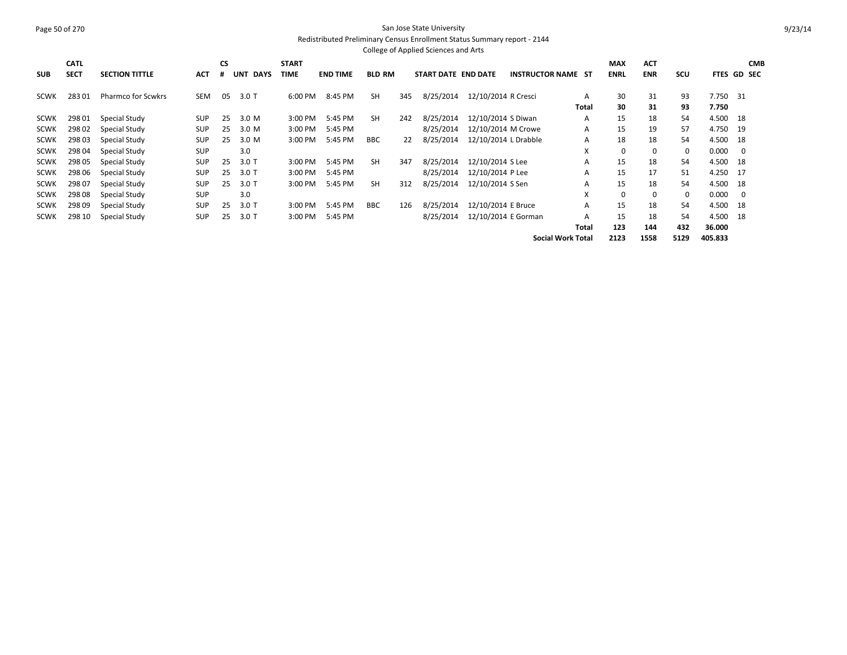#### Page 50 of 270 San Jose State University Redistributed Preliminary Census Enrollment Status Summary report - 2144 College of Applied Sciences and Arts

| <b>SUB</b>  | <b>CATL</b><br><b>SECT</b> | <b>SECTION TITTLE</b>     | <b>ACT</b> | <b>CS</b><br># | UNT DAYS | <b>START</b><br>TIME | <b>END TIME</b> | <b>BLD RM</b> |     | START DATE END DATE |                      | <b>INSTRUCTOR NAME ST</b> |              | <b>MAX</b><br><b>ENRL</b> | <b>ACT</b><br><b>ENR</b> | SCU         | <b>FTES GD SEC</b> |      | <b>CMB</b> |
|-------------|----------------------------|---------------------------|------------|----------------|----------|----------------------|-----------------|---------------|-----|---------------------|----------------------|---------------------------|--------------|---------------------------|--------------------------|-------------|--------------------|------|------------|
| <b>SCWK</b> | 28301                      | <b>Pharmco for Scwkrs</b> | SEM        | 05             | $3.0$ T  | 6:00 PM              | 8:45 PM         | <b>SH</b>     | 345 | 8/25/2014           | 12/10/2014 R Cresci  |                           | A            | 30                        | 31                       | 93          | 7.750 31           |      |            |
|             |                            |                           |            |                |          |                      |                 |               |     |                     |                      |                           | <b>Total</b> | 30                        | 31                       | 93          | 7.750              |      |            |
| <b>SCWK</b> | 298 01                     | Special Study             | <b>SUP</b> | 25             | 3.0 M    | 3:00 PM              | 5:45 PM         | <b>SH</b>     | 242 | 8/25/2014           | 12/10/2014 S Diwan   |                           | A            | 15                        | 18                       | 54          | 4.500              | - 18 |            |
| <b>SCWK</b> | 298 02                     | Special Study             | <b>SUP</b> | 25             | 3.0 M    | 3:00 PM              | 5:45 PM         |               |     | 8/25/2014           | 12/10/2014 M Crowe   |                           | Α            | 15                        | 19                       | 57          | 4.750              | - 19 |            |
| <b>SCWK</b> | 298 03                     | Special Study             | <b>SUP</b> | 25             | 3.0 M    | 3:00 PM              | 5:45 PM         | <b>BBC</b>    | 22  | 8/25/2014           | 12/10/2014 L Drabble |                           | A            | 18                        | 18                       | 54          | 4.500 18           |      |            |
| <b>SCWK</b> | 298 04                     | Special Study             | <b>SUP</b> |                | 3.0      |                      |                 |               |     |                     |                      |                           | X            | $\mathbf 0$               | 0                        | $\mathbf 0$ | 0.000              | 0    |            |
| <b>SCWK</b> | 298 05                     | Special Study             | <b>SUP</b> | 25             | $3.0$ T  | 3:00 PM              | 5:45 PM         | <b>SH</b>     | 347 | 8/25/2014           | 12/10/2014 S Lee     |                           | A            | 15                        | 18                       | 54          | 4.500 18           |      |            |
| <b>SCWK</b> | 298 06                     | Special Study             | <b>SUP</b> | 25             | $3.0$ T  | 3:00 PM              | 5:45 PM         |               |     | 8/25/2014           | 12/10/2014 P Lee     |                           | A            | 15                        | 17                       | 51          | 4.250 17           |      |            |
| <b>SCWK</b> | 298 07                     | Special Study             | <b>SUP</b> | 25             | $3.0$ T  | 3:00 PM              | 5:45 PM         | <b>SH</b>     | 312 | 8/25/2014           | 12/10/2014 S Sen     |                           | A            | 15                        | 18                       | 54          | 4.500 18           |      |            |
| <b>SCWK</b> | 298 08                     | Special Study             | <b>SUP</b> |                | 3.0      |                      |                 |               |     |                     |                      |                           | X            | 0                         | $\Omega$                 | $\mathbf 0$ | 0.000              | - 0  |            |
| <b>SCWK</b> | 298 09                     | Special Study             | <b>SUP</b> | 25             | $3.0$ T  | 3:00 PM              | 5:45 PM         | <b>BBC</b>    | 126 | 8/25/2014           | 12/10/2014 E Bruce   |                           | A            | 15                        | 18                       | 54          | 4.500              | - 18 |            |
| <b>SCWK</b> | 298 10                     | Special Study             | <b>SUP</b> | 25             | $3.0$ T  | 3:00 PM              | 5:45 PM         |               |     | 8/25/2014           | 12/10/2014 E Gorman  |                           | A            | 15                        | 18                       | 54          | 4.500 18           |      |            |
|             |                            |                           |            |                |          |                      |                 |               |     |                     |                      |                           | Total        | 123                       | 144                      | 432         | 36.000             |      |            |
|             |                            |                           |            |                |          |                      |                 |               |     |                     |                      | <b>Social Work Total</b>  |              | 2123                      | 1558                     | 5129        | 405.833            |      |            |